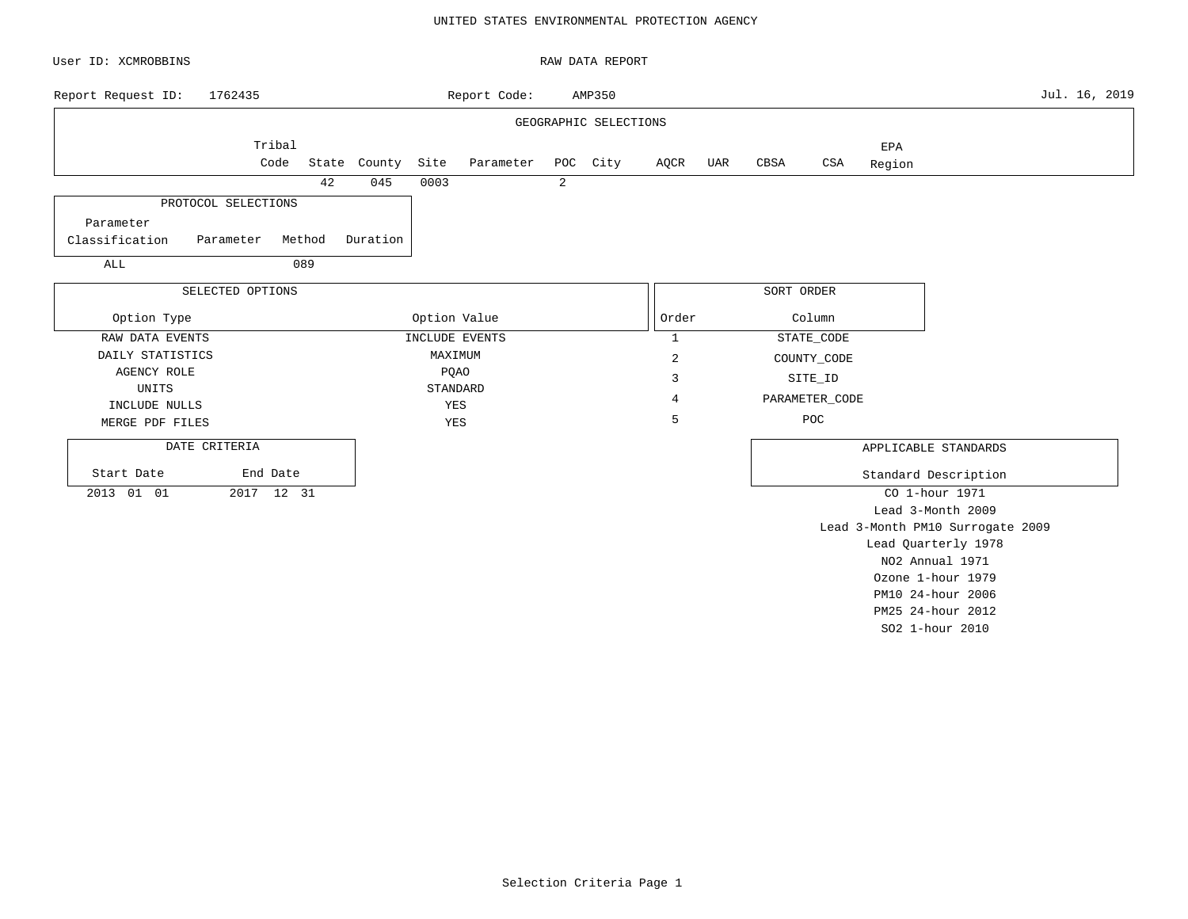### UNITED STATES ENVIRONMENTAL PROTECTION AGENCY

| User ID: XCMROBBINS           |            |              |      |                    |   | RAW DATA REPORT       |              |     |            |                |        |                                  |               |
|-------------------------------|------------|--------------|------|--------------------|---|-----------------------|--------------|-----|------------|----------------|--------|----------------------------------|---------------|
| 1762435<br>Report Request ID: |            |              |      | Report Code:       |   | AMP350                |              |     |            |                |        |                                  | Jul. 16, 2019 |
|                               |            |              |      |                    |   | GEOGRAPHIC SELECTIONS |              |     |            |                |        |                                  |               |
|                               | Tribal     |              |      |                    |   |                       |              |     |            |                | EPA    |                                  |               |
|                               | Code       | State County | Site | Parameter POC City |   |                       | AQCR         | UAR | CBSA       | CSA            | Region |                                  |               |
|                               | 42         | 045          | 0003 |                    | 2 |                       |              |     |            |                |        |                                  |               |
| PROTOCOL SELECTIONS           |            |              |      |                    |   |                       |              |     |            |                |        |                                  |               |
| Parameter                     |            |              |      |                    |   |                       |              |     |            |                |        |                                  |               |
| Classification<br>Parameter   | Method     | Duration     |      |                    |   |                       |              |     |            |                |        |                                  |               |
| ALL                           | 089        |              |      |                    |   |                       |              |     |            |                |        |                                  |               |
| SELECTED OPTIONS              |            |              |      |                    |   |                       |              |     | SORT ORDER |                |        |                                  |               |
|                               |            |              |      |                    |   |                       |              |     |            |                |        |                                  |               |
| Option Type                   |            |              |      | Option Value       |   |                       | Order        |     |            | Column         |        |                                  |               |
| RAW DATA EVENTS               |            |              |      | INCLUDE EVENTS     |   |                       | $\mathbf{1}$ |     |            | STATE_CODE     |        |                                  |               |
| DAILY STATISTICS              |            |              |      | MAXIMUM            |   |                       | 2            |     |            | COUNTY_CODE    |        |                                  |               |
| <b>AGENCY ROLE</b>            |            |              |      | <b>PQAO</b>        |   |                       | 3            |     |            | SITE_ID        |        |                                  |               |
| UNITS                         |            |              |      | STANDARD           |   |                       | 4            |     |            | PARAMETER_CODE |        |                                  |               |
| INCLUDE NULLS                 |            |              |      | YES                |   |                       | 5            |     |            | POC            |        |                                  |               |
| MERGE PDF FILES               |            |              |      | YES                |   |                       |              |     |            |                |        |                                  |               |
| DATE CRITERIA                 |            |              |      |                    |   |                       |              |     |            |                |        | APPLICABLE STANDARDS             |               |
| Start Date                    | End Date   |              |      |                    |   |                       |              |     |            |                |        | Standard Description             |               |
| 2013 01 01                    | 2017 12 31 |              |      |                    |   |                       |              |     |            |                |        | CO 1-hour 1971                   |               |
|                               |            |              |      |                    |   |                       |              |     |            |                |        | Lead 3-Month 2009                |               |
|                               |            |              |      |                    |   |                       |              |     |            |                |        | Lead 3-Month PM10 Surrogate 2009 |               |
|                               |            |              |      |                    |   |                       |              |     |            |                |        | Lead Quarterly 1978              |               |
|                               |            |              |      |                    |   |                       |              |     |            |                |        | NO2 Annual 1971                  |               |
|                               |            |              |      |                    |   |                       |              |     |            |                |        | Ozone 1-hour 1979                |               |
|                               |            |              |      |                    |   |                       |              |     |            |                |        | PM10 24-hour 2006                |               |

PM25 24-hour 2012 SO2 1-hour 2010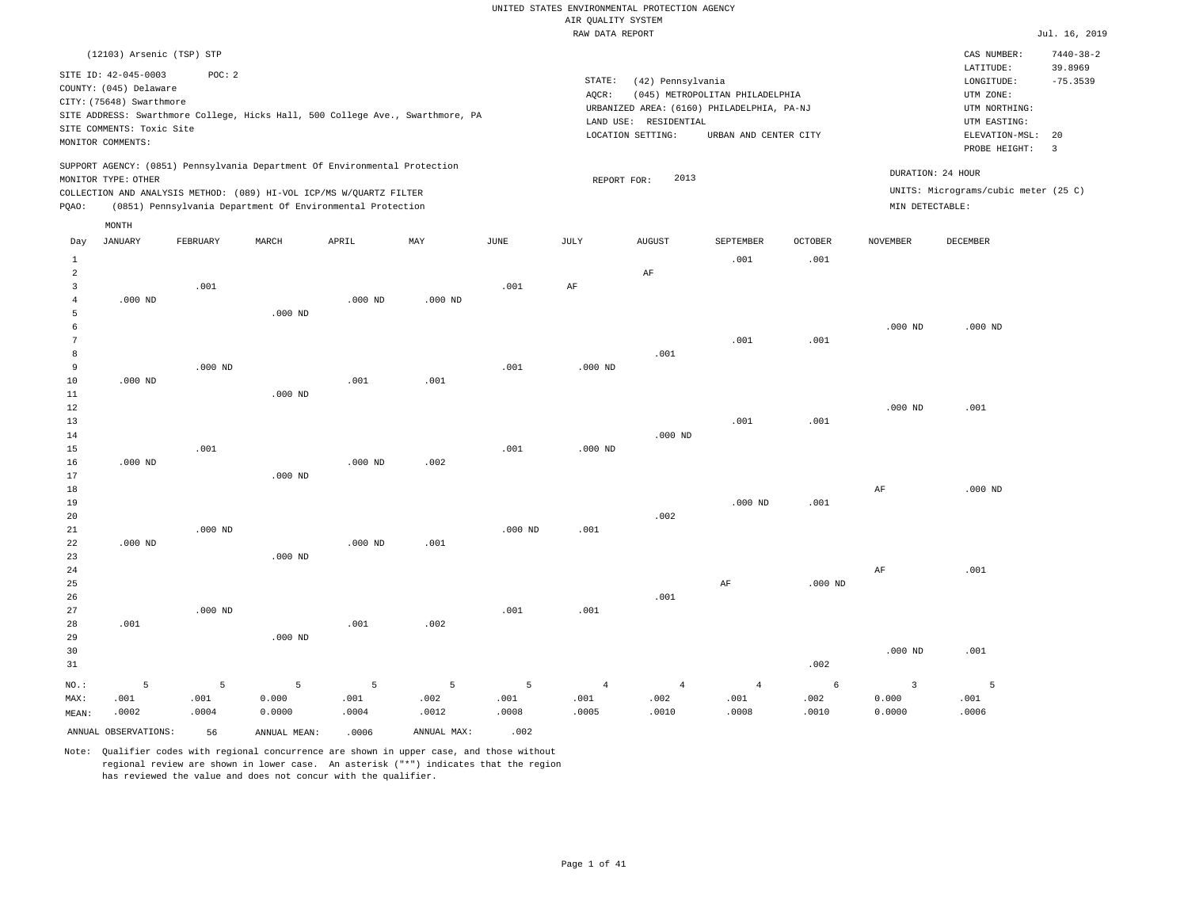|                               | (12103) Arsenic (TSP) STP                                                                                                    |           |                                                                                                                                                                                                                 |           |                                                                                |             |                 |                                                                 |                                                                                                        |                |                 | CAS NUMBER:                                                                                              | $7440 - 38 - 2$                                        |
|-------------------------------|------------------------------------------------------------------------------------------------------------------------------|-----------|-----------------------------------------------------------------------------------------------------------------------------------------------------------------------------------------------------------------|-----------|--------------------------------------------------------------------------------|-------------|-----------------|-----------------------------------------------------------------|--------------------------------------------------------------------------------------------------------|----------------|-----------------|----------------------------------------------------------------------------------------------------------|--------------------------------------------------------|
|                               | SITE ID: 42-045-0003<br>COUNTY: (045) Delaware<br>CITY: (75648) Swarthmore<br>SITE COMMENTS: Toxic Site<br>MONITOR COMMENTS: | POC: 2    |                                                                                                                                                                                                                 |           | SITE ADDRESS: Swarthmore College, Hicks Hall, 500 College Ave., Swarthmore, PA |             | STATE:<br>AQCR: | (42) Pennsylvania<br>LAND USE: RESIDENTIAL<br>LOCATION SETTING: | (045) METROPOLITAN PHILADELPHIA<br>URBANIZED AREA: (6160) PHILADELPHIA, PA-NJ<br>URBAN AND CENTER CITY |                |                 | LATITUDE:<br>LONGITUDE:<br>UTM ZONE:<br>UTM NORTHING:<br>UTM EASTING:<br>ELEVATION-MSL:<br>PROBE HEIGHT: | 39.8969<br>$-75.3539$<br>20<br>$\overline{\mathbf{3}}$ |
| PQAO:                         | MONITOR TYPE: OTHER                                                                                                          |           | SUPPORT AGENCY: (0851) Pennsylvania Department Of Environmental Protection<br>COLLECTION AND ANALYSIS METHOD: (089) HI-VOL ICP/MS W/QUARTZ FILTER<br>(0851) Pennsylvania Department Of Environmental Protection |           |                                                                                |             | REPORT FOR:     | 2013                                                            |                                                                                                        |                | MIN DETECTABLE: | DURATION: 24 HOUR<br>UNITS: Micrograms/cubic meter (25 C)                                                |                                                        |
|                               | MONTH                                                                                                                        |           |                                                                                                                                                                                                                 |           |                                                                                |             |                 |                                                                 |                                                                                                        |                |                 |                                                                                                          |                                                        |
| Day                           | <b>JANUARY</b>                                                                                                               | FEBRUARY  | MARCH                                                                                                                                                                                                           | APRIL     | MAY                                                                            | <b>JUNE</b> | JULY            | <b>AUGUST</b>                                                   | SEPTEMBER                                                                                              | <b>OCTOBER</b> | <b>NOVEMBER</b> | <b>DECEMBER</b>                                                                                          |                                                        |
| $1\,$                         |                                                                                                                              |           |                                                                                                                                                                                                                 |           |                                                                                |             |                 |                                                                 | .001                                                                                                   | .001           |                 |                                                                                                          |                                                        |
| $\overline{2}$                |                                                                                                                              |           |                                                                                                                                                                                                                 |           |                                                                                |             |                 | $\rm{AF}$                                                       |                                                                                                        |                |                 |                                                                                                          |                                                        |
| 3                             |                                                                                                                              | .001      |                                                                                                                                                                                                                 |           |                                                                                | .001        | AF              |                                                                 |                                                                                                        |                |                 |                                                                                                          |                                                        |
| $\bf{4}$                      | $.000$ ND                                                                                                                    |           |                                                                                                                                                                                                                 | $.000$ ND | $.000$ ND                                                                      |             |                 |                                                                 |                                                                                                        |                |                 |                                                                                                          |                                                        |
| 5                             |                                                                                                                              |           | $.000$ ND                                                                                                                                                                                                       |           |                                                                                |             |                 |                                                                 |                                                                                                        |                |                 |                                                                                                          |                                                        |
| $\epsilon$<br>$7\phantom{.0}$ |                                                                                                                              |           |                                                                                                                                                                                                                 |           |                                                                                |             |                 |                                                                 |                                                                                                        |                | $.000$ ND       | $.000$ ND                                                                                                |                                                        |
| 8                             |                                                                                                                              |           |                                                                                                                                                                                                                 |           |                                                                                |             |                 | .001                                                            | .001                                                                                                   | .001           |                 |                                                                                                          |                                                        |
| 9                             |                                                                                                                              | $.000$ ND |                                                                                                                                                                                                                 |           |                                                                                | .001        | $.000$ ND       |                                                                 |                                                                                                        |                |                 |                                                                                                          |                                                        |
| 10                            | $.000$ ND                                                                                                                    |           |                                                                                                                                                                                                                 | .001      | .001                                                                           |             |                 |                                                                 |                                                                                                        |                |                 |                                                                                                          |                                                        |
| 11                            |                                                                                                                              |           | $.000$ ND                                                                                                                                                                                                       |           |                                                                                |             |                 |                                                                 |                                                                                                        |                |                 |                                                                                                          |                                                        |
| 12                            |                                                                                                                              |           |                                                                                                                                                                                                                 |           |                                                                                |             |                 |                                                                 |                                                                                                        |                | $.000$ ND       | .001                                                                                                     |                                                        |
| 13                            |                                                                                                                              |           |                                                                                                                                                                                                                 |           |                                                                                |             |                 |                                                                 | .001                                                                                                   | .001           |                 |                                                                                                          |                                                        |
| 14                            |                                                                                                                              |           |                                                                                                                                                                                                                 |           |                                                                                |             |                 | $.000$ ND                                                       |                                                                                                        |                |                 |                                                                                                          |                                                        |
| 15                            |                                                                                                                              | .001      |                                                                                                                                                                                                                 |           |                                                                                | .001        | $.000$ ND       |                                                                 |                                                                                                        |                |                 |                                                                                                          |                                                        |
| 16                            | $.000$ ND                                                                                                                    |           |                                                                                                                                                                                                                 | $.000$ ND | .002                                                                           |             |                 |                                                                 |                                                                                                        |                |                 |                                                                                                          |                                                        |
| 17                            |                                                                                                                              |           | $.000$ ND                                                                                                                                                                                                       |           |                                                                                |             |                 |                                                                 |                                                                                                        |                |                 |                                                                                                          |                                                        |
| 18                            |                                                                                                                              |           |                                                                                                                                                                                                                 |           |                                                                                |             |                 |                                                                 |                                                                                                        |                | AF              | $.000$ ND                                                                                                |                                                        |
| 19<br>20                      |                                                                                                                              |           |                                                                                                                                                                                                                 |           |                                                                                |             |                 | .002                                                            | $.000$ ND                                                                                              | .001           |                 |                                                                                                          |                                                        |
| $2\sqrt{1}$                   |                                                                                                                              | $.000$ ND |                                                                                                                                                                                                                 |           |                                                                                | $.000$ ND   | .001            |                                                                 |                                                                                                        |                |                 |                                                                                                          |                                                        |
| 22                            | $.000$ ND                                                                                                                    |           |                                                                                                                                                                                                                 | $.000$ ND | .001                                                                           |             |                 |                                                                 |                                                                                                        |                |                 |                                                                                                          |                                                        |
| 23                            |                                                                                                                              |           | $.000$ ND                                                                                                                                                                                                       |           |                                                                                |             |                 |                                                                 |                                                                                                        |                |                 |                                                                                                          |                                                        |
| 24                            |                                                                                                                              |           |                                                                                                                                                                                                                 |           |                                                                                |             |                 |                                                                 |                                                                                                        |                | $\rm{AF}$       | .001                                                                                                     |                                                        |
| 25                            |                                                                                                                              |           |                                                                                                                                                                                                                 |           |                                                                                |             |                 |                                                                 | AF                                                                                                     | $.000$ ND      |                 |                                                                                                          |                                                        |
| 26                            |                                                                                                                              |           |                                                                                                                                                                                                                 |           |                                                                                |             |                 | .001                                                            |                                                                                                        |                |                 |                                                                                                          |                                                        |
| 27                            |                                                                                                                              | $.000$ ND |                                                                                                                                                                                                                 |           |                                                                                | .001        | .001            |                                                                 |                                                                                                        |                |                 |                                                                                                          |                                                        |
| 28                            | .001                                                                                                                         |           |                                                                                                                                                                                                                 | .001      | .002                                                                           |             |                 |                                                                 |                                                                                                        |                |                 |                                                                                                          |                                                        |
| 29                            |                                                                                                                              |           | $.000$ ND                                                                                                                                                                                                       |           |                                                                                |             |                 |                                                                 |                                                                                                        |                |                 |                                                                                                          |                                                        |
| 30                            |                                                                                                                              |           |                                                                                                                                                                                                                 |           |                                                                                |             |                 |                                                                 |                                                                                                        |                | $.000$ ND       | .001                                                                                                     |                                                        |
| 31                            |                                                                                                                              |           |                                                                                                                                                                                                                 |           |                                                                                |             |                 |                                                                 |                                                                                                        | .002           |                 |                                                                                                          |                                                        |
| NO.:                          | 5                                                                                                                            | 5         | 5                                                                                                                                                                                                               | 5         | 5                                                                              | 5           | $\overline{4}$  | $\overline{4}$                                                  | $\overline{4}$                                                                                         | 6              | $\overline{3}$  | 5                                                                                                        |                                                        |
| MAX:                          | .001                                                                                                                         | .001      | 0.000                                                                                                                                                                                                           | .001      | .002                                                                           | .001        | .001            | .002                                                            | .001                                                                                                   | .002           | 0.000           | .001                                                                                                     |                                                        |
| MEAN:                         | .0002                                                                                                                        | .0004     | 0.0000                                                                                                                                                                                                          | .0004     | .0012                                                                          | .0008       | .0005           | .0010                                                           | .0008                                                                                                  | .0010          | 0.0000          | .0006                                                                                                    |                                                        |
|                               | ANNUAL OBSERVATIONS:                                                                                                         | 56        | ANNUAL MEAN:                                                                                                                                                                                                    | .0006     | ANNUAL MAX:                                                                    | .002        |                 |                                                                 |                                                                                                        |                |                 |                                                                                                          |                                                        |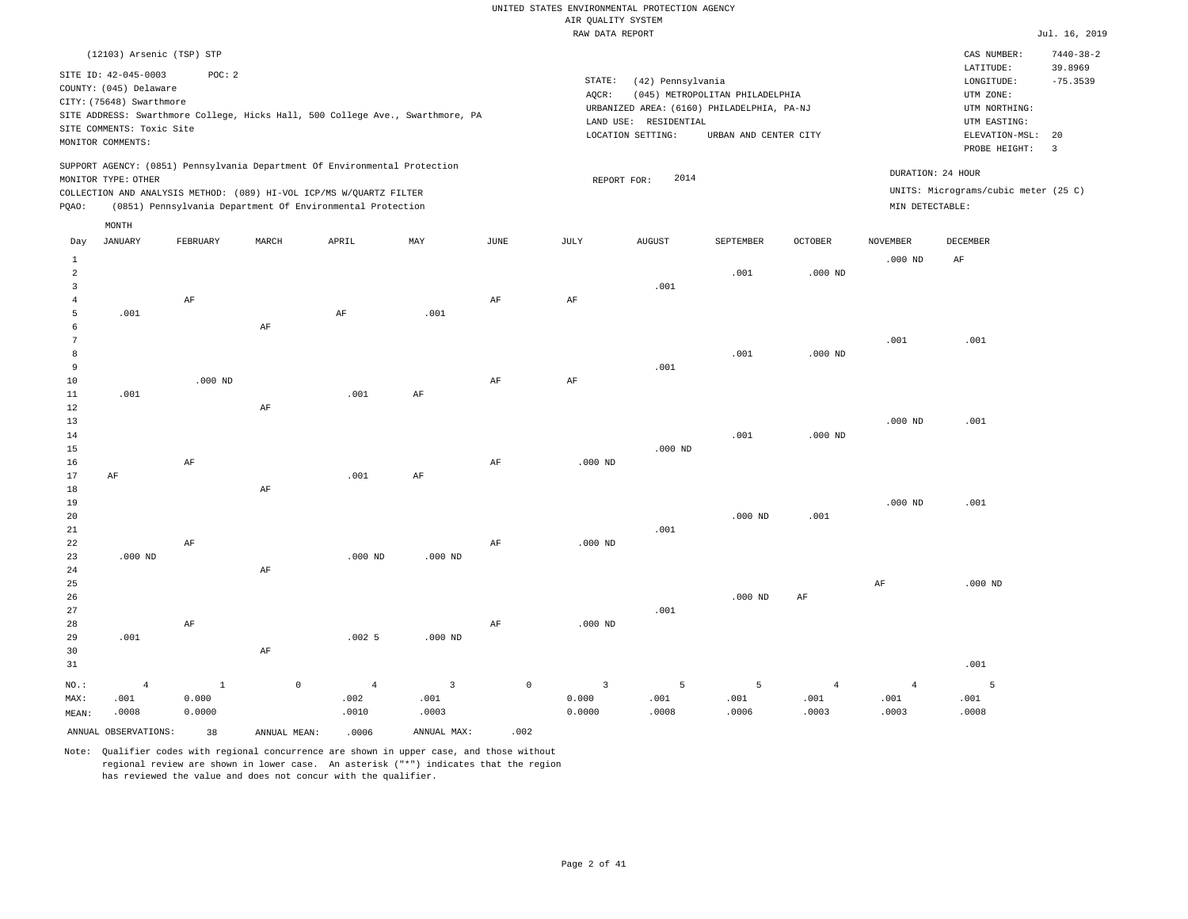|                |                           |              |              |                                                                                                                                   |                                                                                |                 | RAW DATA REPORT |                       |                                            |                |                 |                                      | Jul. 16, 2019   |
|----------------|---------------------------|--------------|--------------|-----------------------------------------------------------------------------------------------------------------------------------|--------------------------------------------------------------------------------|-----------------|-----------------|-----------------------|--------------------------------------------|----------------|-----------------|--------------------------------------|-----------------|
|                | (12103) Arsenic (TSP) STP |              |              |                                                                                                                                   |                                                                                |                 |                 |                       |                                            |                |                 | CAS NUMBER:                          | $7440 - 38 - 2$ |
|                | SITE ID: 42-045-0003      | POC: 2       |              |                                                                                                                                   |                                                                                |                 |                 |                       |                                            |                |                 | LATITUDE:                            | 39.8969         |
|                | COUNTY: (045) Delaware    |              |              |                                                                                                                                   |                                                                                |                 | STATE:          | (42) Pennsylvania     |                                            |                |                 | LONGITUDE:                           | $-75.3539$      |
|                | CITY: (75648) Swarthmore  |              |              |                                                                                                                                   |                                                                                |                 | AQCR:           |                       | (045) METROPOLITAN PHILADELPHIA            |                |                 | UTM ZONE:                            |                 |
|                |                           |              |              |                                                                                                                                   | SITE ADDRESS: Swarthmore College, Hicks Hall, 500 College Ave., Swarthmore, PA |                 |                 |                       | URBANIZED AREA: (6160) PHILADELPHIA, PA-NJ |                |                 | UTM NORTHING:                        |                 |
|                | SITE COMMENTS: Toxic Site |              |              |                                                                                                                                   |                                                                                |                 |                 | LAND USE: RESIDENTIAL |                                            |                |                 | UTM EASTING:                         |                 |
|                | MONITOR COMMENTS:         |              |              |                                                                                                                                   |                                                                                |                 |                 | LOCATION SETTING:     | URBAN AND CENTER CITY                      |                |                 | ELEVATION-MSL:                       | 20              |
|                |                           |              |              |                                                                                                                                   |                                                                                |                 |                 |                       |                                            |                |                 | PROBE HEIGHT:                        | $\overline{3}$  |
|                |                           |              |              | SUPPORT AGENCY: (0851) Pennsylvania Department Of Environmental Protection                                                        |                                                                                |                 |                 |                       |                                            |                |                 | DURATION: 24 HOUR                    |                 |
|                | MONITOR TYPE: OTHER       |              |              |                                                                                                                                   |                                                                                |                 |                 | 2014<br>REPORT FOR:   |                                            |                |                 | UNITS: Micrograms/cubic meter (25 C) |                 |
| PQAO:          |                           |              |              | COLLECTION AND ANALYSIS METHOD: (089) HI-VOL ICP/MS W/QUARTZ FILTER<br>(0851) Pennsylvania Department Of Environmental Protection |                                                                                |                 |                 |                       |                                            |                | MIN DETECTABLE: |                                      |                 |
|                | MONTH                     |              |              |                                                                                                                                   |                                                                                |                 |                 |                       |                                            |                |                 |                                      |                 |
| Day            | <b>JANUARY</b>            | FEBRUARY     | MARCH        | APRIL                                                                                                                             | MAY                                                                            | $\mathtt{JUNE}$ | JULY            | <b>AUGUST</b>         | SEPTEMBER                                  | OCTOBER        | <b>NOVEMBER</b> | DECEMBER                             |                 |
| $\mathbf{1}$   |                           |              |              |                                                                                                                                   |                                                                                |                 |                 |                       |                                            |                | $.000$ ND       | AF                                   |                 |
| $\overline{a}$ |                           |              |              |                                                                                                                                   |                                                                                |                 |                 |                       | .001                                       | $.000$ ND      |                 |                                      |                 |
| $\overline{3}$ |                           |              |              |                                                                                                                                   |                                                                                |                 |                 | .001                  |                                            |                |                 |                                      |                 |
| $\bf{4}$       |                           | $\rm{AF}$    |              |                                                                                                                                   |                                                                                | $\rm{AF}$       | $\rm AF$        |                       |                                            |                |                 |                                      |                 |
| 5              | .001                      |              |              | AF                                                                                                                                | .001                                                                           |                 |                 |                       |                                            |                |                 |                                      |                 |
| 6              |                           |              | AF           |                                                                                                                                   |                                                                                |                 |                 |                       |                                            |                |                 |                                      |                 |
| 7              |                           |              |              |                                                                                                                                   |                                                                                |                 |                 |                       |                                            |                | .001            | .001                                 |                 |
| 8              |                           |              |              |                                                                                                                                   |                                                                                |                 |                 |                       | .001                                       | $.000$ ND      |                 |                                      |                 |
| 9              |                           |              |              |                                                                                                                                   |                                                                                |                 |                 | .001                  |                                            |                |                 |                                      |                 |
| 10             |                           | $.000$ ND    |              |                                                                                                                                   |                                                                                | $\rm AF$        | $\rm AF$        |                       |                                            |                |                 |                                      |                 |
| 11<br>12       | .001                      |              |              | .001                                                                                                                              | AF                                                                             |                 |                 |                       |                                            |                |                 |                                      |                 |
| 13             |                           |              | $\rm AF$     |                                                                                                                                   |                                                                                |                 |                 |                       |                                            |                | $.000$ ND       | .001                                 |                 |
| 14             |                           |              |              |                                                                                                                                   |                                                                                |                 |                 |                       | .001                                       | $.000$ ND      |                 |                                      |                 |
| 15             |                           |              |              |                                                                                                                                   |                                                                                |                 |                 | $.000$ ND             |                                            |                |                 |                                      |                 |
| 16             |                           | $\rm{AF}$    |              |                                                                                                                                   |                                                                                | $\rm{AF}$       | $.000$ ND       |                       |                                            |                |                 |                                      |                 |
| 17             | $\rm AF$                  |              |              | .001                                                                                                                              | AF                                                                             |                 |                 |                       |                                            |                |                 |                                      |                 |
| 18             |                           |              | $\rm AF$     |                                                                                                                                   |                                                                                |                 |                 |                       |                                            |                |                 |                                      |                 |
| 19             |                           |              |              |                                                                                                                                   |                                                                                |                 |                 |                       |                                            |                | $.000$ ND       | .001                                 |                 |
| 20             |                           |              |              |                                                                                                                                   |                                                                                |                 |                 |                       | $.000$ ND                                  | .001           |                 |                                      |                 |
| 21             |                           |              |              |                                                                                                                                   |                                                                                |                 |                 | .001                  |                                            |                |                 |                                      |                 |
| 22             |                           | AF           |              |                                                                                                                                   |                                                                                | AF              | $.000$ ND       |                       |                                            |                |                 |                                      |                 |
| 23             | $.000$ ND                 |              |              | $.000$ ND                                                                                                                         | $.000$ ND                                                                      |                 |                 |                       |                                            |                |                 |                                      |                 |
| 24             |                           |              | $\rm AF$     |                                                                                                                                   |                                                                                |                 |                 |                       |                                            |                |                 |                                      |                 |
| 25             |                           |              |              |                                                                                                                                   |                                                                                |                 |                 |                       |                                            |                | AF              | $.000$ ND                            |                 |
| 26             |                           |              |              |                                                                                                                                   |                                                                                |                 |                 |                       | $.000$ ND                                  | AF             |                 |                                      |                 |
| 27             |                           |              |              |                                                                                                                                   |                                                                                |                 |                 | .001                  |                                            |                |                 |                                      |                 |
| 28             |                           | $\rm AF$     |              |                                                                                                                                   |                                                                                | AF              | $.000$ ND       |                       |                                            |                |                 |                                      |                 |
| 29<br>30       | .001                      |              | $\rm AF$     | .0025                                                                                                                             | $.000$ ND                                                                      |                 |                 |                       |                                            |                |                 |                                      |                 |
| 31             |                           |              |              |                                                                                                                                   |                                                                                |                 |                 |                       |                                            |                |                 | .001                                 |                 |
|                |                           |              |              |                                                                                                                                   |                                                                                |                 |                 |                       |                                            |                |                 |                                      |                 |
| NO.:           | $\overline{4}$            | $\mathbf{1}$ | $\mathbb O$  | $\overline{4}$                                                                                                                    | $\overline{\mathbf{3}}$                                                        | $\mathbf 0$     | $\overline{3}$  | 5                     | 5                                          | $\overline{4}$ | $\overline{4}$  | 5                                    |                 |
| MAX:           | .001                      | 0.000        |              | .002                                                                                                                              | .001                                                                           |                 | 0.000           | .001                  | .001                                       | .001           | .001            | .001                                 |                 |
| MEAN:          | .0008                     | 0.0000       |              | .0010                                                                                                                             | .0003                                                                          |                 | 0.0000          | .0008                 | .0006                                      | .0003          | .0003           | .0008                                |                 |
|                | ANNUAL OBSERVATIONS:      | 38           | ANNUAL MEAN: | .0006                                                                                                                             | ANNUAL MAX:                                                                    | .002            |                 |                       |                                            |                |                 |                                      |                 |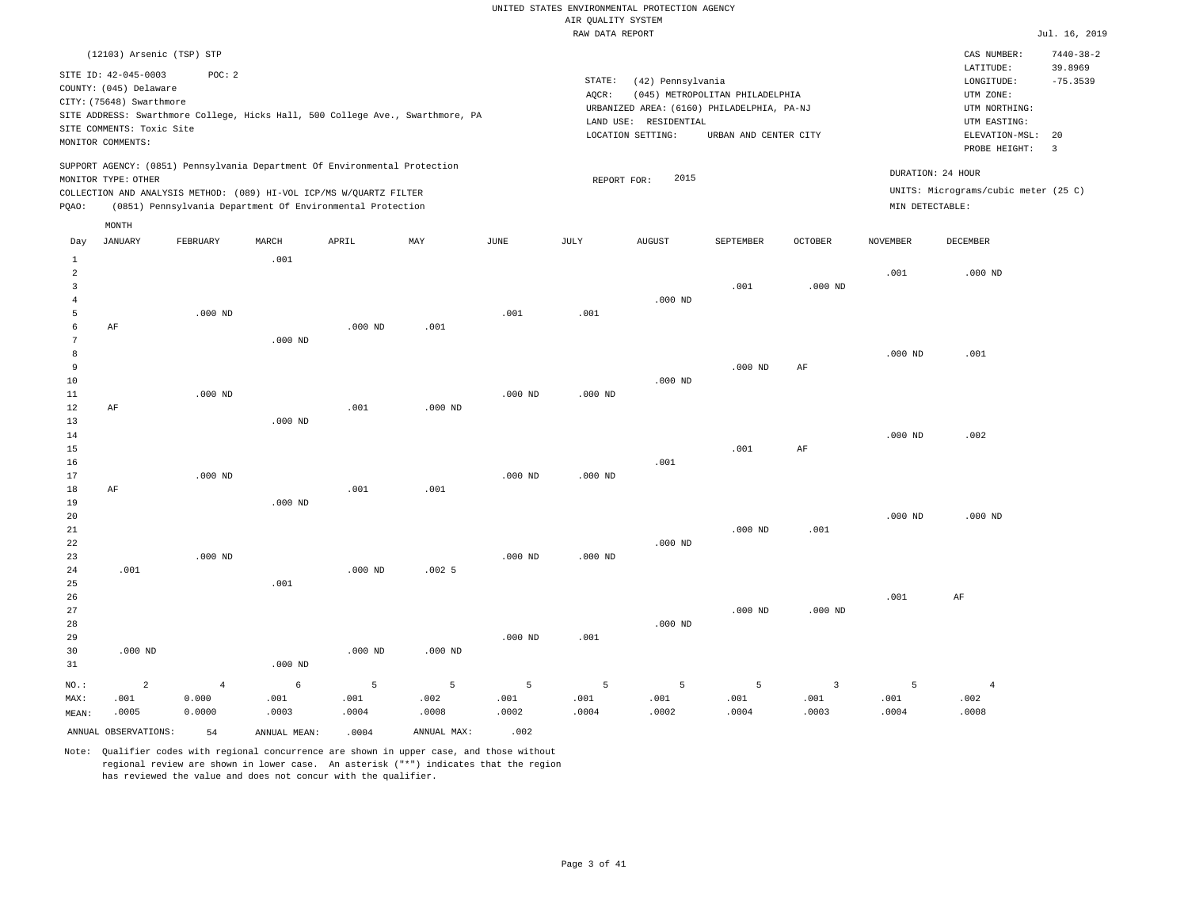|                                                              |                                                                                                                              |                                                                                                                                                                                                                 |           |           |           |           | RAW DATA REPORT |                                                                 |                                                                                                        |                |                 |                                                                                                          | Jul. 16, 2019                                          |
|--------------------------------------------------------------|------------------------------------------------------------------------------------------------------------------------------|-----------------------------------------------------------------------------------------------------------------------------------------------------------------------------------------------------------------|-----------|-----------|-----------|-----------|-----------------|-----------------------------------------------------------------|--------------------------------------------------------------------------------------------------------|----------------|-----------------|----------------------------------------------------------------------------------------------------------|--------------------------------------------------------|
|                                                              | (12103) Arsenic (TSP) STP                                                                                                    |                                                                                                                                                                                                                 |           |           |           |           |                 |                                                                 |                                                                                                        |                |                 | CAS NUMBER:                                                                                              | $7440 - 38 - 2$                                        |
|                                                              | SITE ID: 42-045-0003<br>COUNTY: (045) Delaware<br>CITY: (75648) Swarthmore<br>SITE COMMENTS: Toxic Site<br>MONITOR COMMENTS: | POC: 2<br>SITE ADDRESS: Swarthmore College, Hicks Hall, 500 College Ave., Swarthmore, PA                                                                                                                        |           |           |           |           | STATE:<br>AQCR: | (42) Pennsylvania<br>LAND USE: RESIDENTIAL<br>LOCATION SETTING: | (045) METROPOLITAN PHILADELPHIA<br>URBANIZED AREA: (6160) PHILADELPHIA, PA-NJ<br>URBAN AND CENTER CITY |                |                 | LATITUDE:<br>LONGITUDE:<br>UTM ZONE:<br>UTM NORTHING:<br>UTM EASTING:<br>ELEVATION-MSL:<br>PROBE HEIGHT: | 39.8969<br>$-75.3539$<br>20<br>$\overline{\mathbf{3}}$ |
| PQAO:                                                        | MONITOR TYPE: OTHER<br>MONTH                                                                                                 | SUPPORT AGENCY: (0851) Pennsylvania Department Of Environmental Protection<br>COLLECTION AND ANALYSIS METHOD: (089) HI-VOL ICP/MS W/QUARTZ FILTER<br>(0851) Pennsylvania Department Of Environmental Protection |           |           |           |           | REPORT FOR:     | 2015                                                            |                                                                                                        |                | MIN DETECTABLE: | DURATION: 24 HOUR<br>UNITS: Micrograms/cubic meter (25 C)                                                |                                                        |
| Day                                                          | JANUARY                                                                                                                      | FEBRUARY                                                                                                                                                                                                        | MARCH     | APRIL     | MAY       | JUNE      | JULY            | AUGUST                                                          | SEPTEMBER                                                                                              | <b>OCTOBER</b> | <b>NOVEMBER</b> | <b>DECEMBER</b>                                                                                          |                                                        |
| 1<br>$\overline{a}$<br>$\overline{3}$<br>$\overline{4}$<br>5 |                                                                                                                              | $.000$ ND                                                                                                                                                                                                       | .001      |           |           | .001      | .001            | $.000$ ND                                                       | .001                                                                                                   | $.000$ ND      | .001            | $.000$ ND                                                                                                |                                                        |
| 6<br>7<br>8<br>9<br>10<br>11                                 | AF                                                                                                                           | $.000$ ND                                                                                                                                                                                                       | $.000$ ND | $.000$ ND | .001      | $.000$ ND | $.000$ ND       | $.000$ ND                                                       | $.000$ ND                                                                                              | AF             | $.000$ ND       | .001                                                                                                     |                                                        |
| 12<br>13<br>14<br>15<br>16                                   | AF                                                                                                                           |                                                                                                                                                                                                                 | $.000$ ND | .001      | $.000$ ND |           |                 | .001                                                            | .001                                                                                                   | AF             | $.000$ ND       | .002                                                                                                     |                                                        |
| 17<br>18<br>19<br>20<br>21                                   | AF                                                                                                                           | $.000$ ND                                                                                                                                                                                                       | $.000$ ND | .001      | .001      | $.000$ ND | $.000$ ND       |                                                                 | $.000$ ND                                                                                              | .001           | $.000$ ND       | $.000$ ND                                                                                                |                                                        |
| 22<br>23<br>24<br>25<br>26                                   | .001                                                                                                                         | $.000$ ND                                                                                                                                                                                                       | .001      | $.000$ ND | .0025     | $.000$ ND | $.000$ ND       | $.000$ ND                                                       |                                                                                                        |                | .001            | AF                                                                                                       |                                                        |
| 27                                                           |                                                                                                                              |                                                                                                                                                                                                                 |           |           |           |           |                 |                                                                 | $.000$ ND                                                                                              | $.000$ ND      |                 |                                                                                                          |                                                        |

28 29 30 31 .000 ND NO.: MAX: MEAN: 2 .001 .0005 .000 ND .000 ND .000 ND .000 ND .001 .000 ND 4 0.000 0.0000 6 .001 .0003 5 .001 .0004 5 .002 .0008 5 .001 .0002 5 .001 .0004 5 .001 .0002 5 .001 .0004 3 .001 .0003 5 .001 .0004 4 .002 .0008

ANNUAL OBSERVATIONS:  $54$  ANNUAL MEAN: .0004 ANNUAL MAX: .002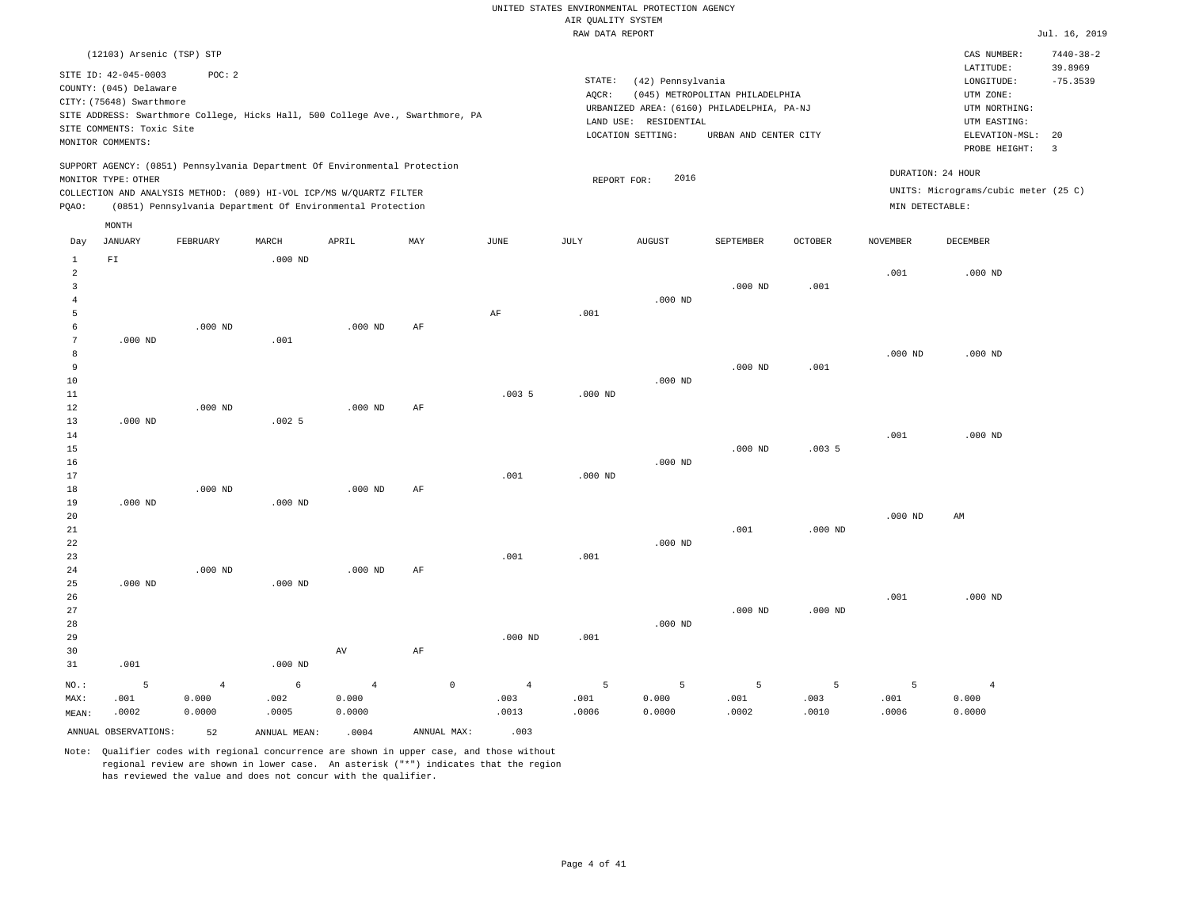|       | (12103) Arsenic (TSP) STP                          |                    |           |                                                                                                                                   |     |      |        |                                            |                                 |                |                 | CAS NUMBER:                                             | $7440 - 38 - 2$       |
|-------|----------------------------------------------------|--------------------|-----------|-----------------------------------------------------------------------------------------------------------------------------------|-----|------|--------|--------------------------------------------|---------------------------------|----------------|-----------------|---------------------------------------------------------|-----------------------|
|       | SITE ID: 42-045-0003                               | POC: 2             |           |                                                                                                                                   |     |      | STATE: | (42) Pennsylvania                          |                                 |                |                 | LATITUDE:<br>LONGITUDE:                                 | 39.8969<br>$-75.3539$ |
|       | COUNTY: (045) Delaware<br>CITY: (75648) Swarthmore |                    |           |                                                                                                                                   |     |      | AQCR:  | URBANIZED AREA: (6160) PHILADELPHIA, PA-NJ | (045) METROPOLITAN PHILADELPHIA |                |                 | UTM ZONE:<br>UTM NORTHING:                              |                       |
|       | SITE COMMENTS: Toxic Site                          |                    |           | SITE ADDRESS: Swarthmore College, Hicks Hall, 500 College Ave., Swarthmore, PA                                                    |     |      |        | LAND USE: RESIDENTIAL<br>LOCATION SETTING: | URBAN AND CENTER CITY           |                |                 | UTM EASTING:<br>ELEVATION-MSL:                          | 20                    |
|       | MONITOR COMMENTS:                                  |                    |           |                                                                                                                                   |     |      |        |                                            |                                 |                |                 | PROBE HEIGHT:                                           | -3                    |
|       | MONITOR TYPE: OTHER                                |                    |           | SUPPORT AGENCY: (0851) Pennsylvania Department Of Environmental Protection                                                        |     |      |        | 2016<br>REPORT FOR:                        |                                 |                |                 | DURATION: 24 HOUR                                       |                       |
| POAO: |                                                    |                    |           | COLLECTION AND ANALYSIS METHOD: (089) HI-VOL ICP/MS W/QUARTZ FILTER<br>(0851) Pennsylvania Department Of Environmental Protection |     |      |        |                                            |                                 |                |                 | UNITS: Micrograms/cubic meter (25 C)<br>MIN DETECTABLE: |                       |
|       | MONTH                                              |                    |           |                                                                                                                                   |     |      |        |                                            |                                 |                |                 |                                                         |                       |
| Day   | JANUARY                                            | FEBRUARY           | MARCH     | APRIL                                                                                                                             | MAY | JUNE | JULY   | <b>AUGUST</b>                              | SEPTEMBER                       | <b>OCTOBER</b> | <b>NOVEMBER</b> | DECEMBER                                                |                       |
| 2     | ${\rm F\,I}$                                       |                    | $.000$ ND |                                                                                                                                   |     |      |        |                                            |                                 |                | .001            | $.000$ ND                                               |                       |
| 3     |                                                    |                    |           |                                                                                                                                   |     |      |        | $.000$ ND                                  | $.000$ ND                       | .001           |                 |                                                         |                       |
|       |                                                    |                    |           |                                                                                                                                   |     | AF   | .001   |                                            |                                 |                |                 |                                                         |                       |
| 6     |                                                    | .000 <sub>ND</sub> |           | .000 <sub>ND</sub>                                                                                                                | AF  |      |        |                                            |                                 |                |                 |                                                         |                       |

| $7\overline{ }$ | $.000$ ND |           | .001      |           |    |       |           |           |           |           |           |           |
|-----------------|-----------|-----------|-----------|-----------|----|-------|-----------|-----------|-----------|-----------|-----------|-----------|
| 8               |           |           |           |           |    |       |           |           |           |           | $.000$ ND | $.000$ ND |
| 9               |           |           |           |           |    |       |           |           | $.000$ ND | .001      |           |           |
| $10$            |           |           |           |           |    |       |           | $.000$ ND |           |           |           |           |
| $11\,$          |           |           |           |           |    | .0035 | $.000$ ND |           |           |           |           |           |
| $12$            |           | $.000$ ND |           | $.000$ ND | AF |       |           |           |           |           |           |           |
| 13              | $.000$ ND |           | .0025     |           |    |       |           |           |           |           |           |           |
| 14              |           |           |           |           |    |       |           |           |           |           | .001      | $.000$ ND |
| 15              |           |           |           |           |    |       |           |           | $.000$ ND | .0035     |           |           |
| $16\,$          |           |           |           |           |    |       |           | $.000$ ND |           |           |           |           |
| $17\,$          |           |           |           |           |    | .001  | $.000$ ND |           |           |           |           |           |
| 18              |           | $.000$ ND |           | $.000$ ND | AF |       |           |           |           |           |           |           |
| 19              | $.000$ ND |           | $.000$ ND |           |    |       |           |           |           |           |           |           |
| 20              |           |           |           |           |    |       |           |           |           |           | $.000$ ND | AM        |
| $21\,$          |           |           |           |           |    |       |           |           | .001      | $.000$ ND |           |           |
| $2\sqrt{2}$     |           |           |           |           |    |       |           | $.000$ ND |           |           |           |           |
| $23\,$          |           |           |           |           |    | .001  | .001      |           |           |           |           |           |
| 24              |           | $.000$ ND |           | $.000$ ND | AF |       |           |           |           |           |           |           |

| 25      | $.000$ ND |       | $.000$ ND |       |            |                |      |           |           |           |      |           |
|---------|-----------|-------|-----------|-------|------------|----------------|------|-----------|-----------|-----------|------|-----------|
| 26      |           |       |           |       |            |                |      |           |           |           | .001 | $.000$ ND |
| 27      |           |       |           |       |            |                |      |           | $.000$ ND | $.000$ ND |      |           |
| 28      |           |       |           |       |            |                |      | $.000$ ND |           |           |      |           |
| 29      |           |       |           |       |            | $.000$ ND      | .001 |           |           |           |      |           |
| 30      |           |       |           | AV    | AF         |                |      |           |           |           |      |           |
| 31      | .001      |       | $.000$ ND |       |            |                |      |           |           |           |      |           |
| $NO.$ : | -5        |       | 6         | 4     | $^{\circ}$ | $\overline{4}$ | 5    | 5         | 5         | 5         | в    |           |
| MAX:    | .001      | 0.000 | .002      | 0.000 |            | .003           | .001 | 0.000     | .001      | .003      | .001 | 0.000     |

.0013

Note: Qualifier codes with regional concurrence are shown in upper case, and those without regional review are shown in lower case. An asterisk ("\*") indicates that the region has reviewed the value and does not concur with the qualifier.

ANNUAL OBSERVATIONS: 52 ANNUAL MEAN: .0004 ANNUAL MAX: .003

0.0000

.0005

MEAN:

.0002

0.0000

.0006

0.0000

.0002

.0010

.0006

0.0000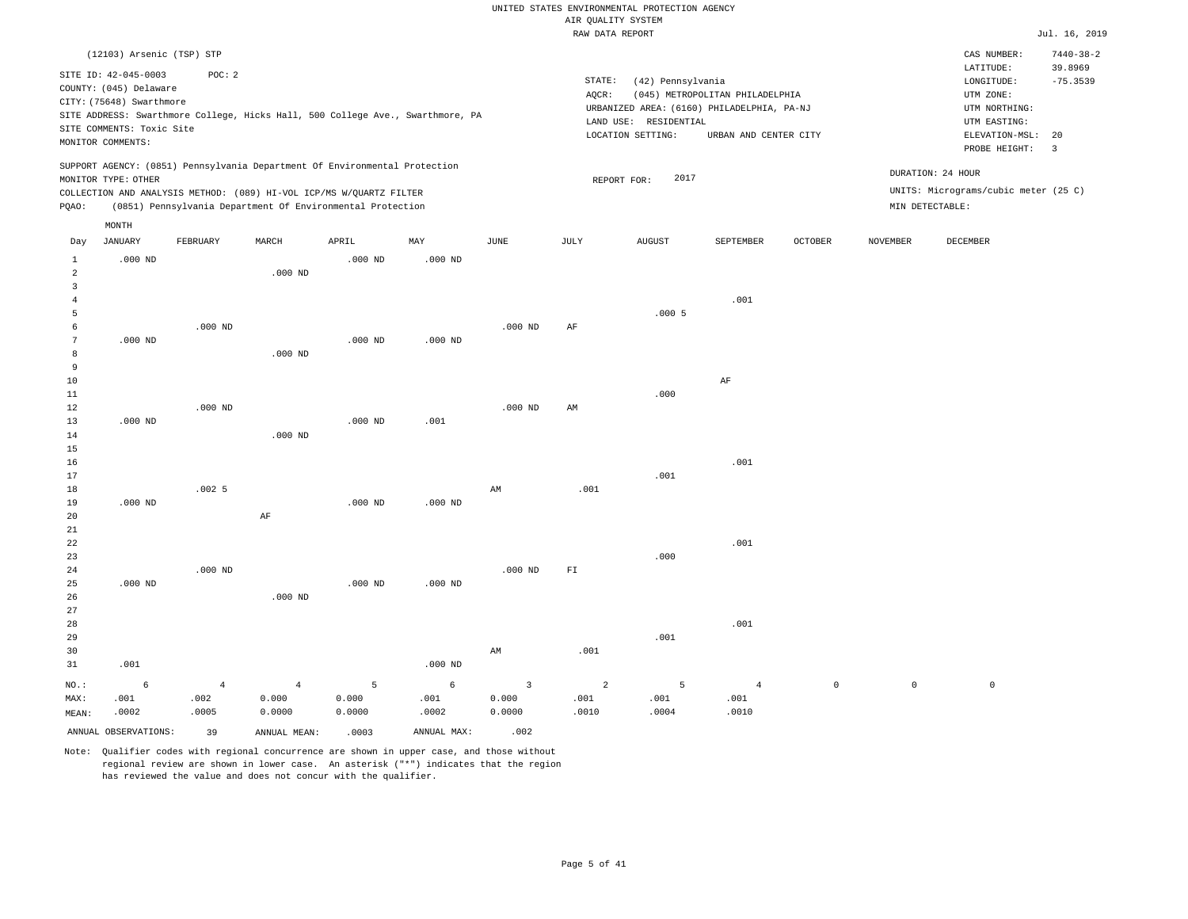|                                  |                                                                                                         |                                                                            |                |           |                                                                                |                | RAW DATA REPORT |                                                                                          |                                 |                |                 |                                                          | Jul. 16, 2019              |
|----------------------------------|---------------------------------------------------------------------------------------------------------|----------------------------------------------------------------------------|----------------|-----------|--------------------------------------------------------------------------------|----------------|-----------------|------------------------------------------------------------------------------------------|---------------------------------|----------------|-----------------|----------------------------------------------------------|----------------------------|
|                                  | (12103) Arsenic (TSP) STP                                                                               |                                                                            |                |           |                                                                                |                |                 |                                                                                          |                                 |                |                 | CAS NUMBER:<br>LATITUDE:                                 | $7440 - 38 - 2$<br>39.8969 |
|                                  | SITE ID: 42-045-0003<br>COUNTY: (045) Delaware<br>CITY: (75648) Swarthmore<br>SITE COMMENTS: Toxic Site | POC: 2                                                                     |                |           | SITE ADDRESS: Swarthmore College, Hicks Hall, 500 College Ave., Swarthmore, PA |                | STATE:<br>AQCR: | (42) Pennsylvania<br>URBANIZED AREA: (6160) PHILADELPHIA, PA-NJ<br>LAND USE: RESIDENTIAL | (045) METROPOLITAN PHILADELPHIA |                |                 | LONGITUDE:<br>UTM ZONE:<br>UTM NORTHING:<br>UTM EASTING: | $-75.3539$                 |
|                                  | MONITOR COMMENTS:                                                                                       |                                                                            |                |           |                                                                                |                |                 | LOCATION SETTING:                                                                        | URBAN AND CENTER CITY           |                |                 | ELEVATION-MSL:                                           | 20                         |
|                                  |                                                                                                         |                                                                            |                |           |                                                                                |                |                 |                                                                                          |                                 |                |                 | PROBE HEIGHT:                                            | $\overline{\mathbf{3}}$    |
|                                  | MONITOR TYPE: OTHER                                                                                     | SUPPORT AGENCY: (0851) Pennsylvania Department Of Environmental Protection |                |           |                                                                                |                |                 | 2017<br>REPORT FOR:                                                                      |                                 |                |                 | DURATION: 24 HOUR                                        |                            |
|                                  |                                                                                                         | COLLECTION AND ANALYSIS METHOD: (089) HI-VOL ICP/MS W/QUARTZ FILTER        |                |           |                                                                                |                |                 |                                                                                          |                                 |                |                 | UNITS: Micrograms/cubic meter (25 C)                     |                            |
| PQAO:                            |                                                                                                         | (0851) Pennsylvania Department Of Environmental Protection                 |                |           |                                                                                |                |                 |                                                                                          |                                 |                |                 | MIN DETECTABLE:                                          |                            |
|                                  | MONTH                                                                                                   |                                                                            |                |           |                                                                                |                |                 |                                                                                          |                                 |                |                 |                                                          |                            |
| Day                              | JANUARY                                                                                                 | FEBRUARY                                                                   | MARCH          | APRIL     | MAY                                                                            | $_{\rm JUNE}$  | JULY            | <b>AUGUST</b>                                                                            | <b>SEPTEMBER</b>                | <b>OCTOBER</b> | <b>NOVEMBER</b> | DECEMBER                                                 |                            |
| $\mathbf{1}$                     | $.000$ ND                                                                                               |                                                                            |                | $.000$ ND | $.000$ ND                                                                      |                |                 |                                                                                          |                                 |                |                 |                                                          |                            |
| $\overline{2}$<br>$\overline{3}$ |                                                                                                         |                                                                            | $.000$ ND      |           |                                                                                |                |                 |                                                                                          |                                 |                |                 |                                                          |                            |
| $\overline{4}$                   |                                                                                                         |                                                                            |                |           |                                                                                |                |                 |                                                                                          | .001                            |                |                 |                                                          |                            |
| 5                                |                                                                                                         |                                                                            |                |           |                                                                                |                |                 | .0005                                                                                    |                                 |                |                 |                                                          |                            |
| 6                                |                                                                                                         | $.000$ ND                                                                  |                |           |                                                                                | $.000$ ND      | AF              |                                                                                          |                                 |                |                 |                                                          |                            |
| 7                                | $.000$ ND                                                                                               |                                                                            |                | $.000$ ND | $.000$ ND                                                                      |                |                 |                                                                                          |                                 |                |                 |                                                          |                            |
| 8                                |                                                                                                         |                                                                            | $.000$ ND      |           |                                                                                |                |                 |                                                                                          |                                 |                |                 |                                                          |                            |
| 9                                |                                                                                                         |                                                                            |                |           |                                                                                |                |                 |                                                                                          |                                 |                |                 |                                                          |                            |
| 10                               |                                                                                                         |                                                                            |                |           |                                                                                |                |                 |                                                                                          | AF                              |                |                 |                                                          |                            |
| 11                               |                                                                                                         |                                                                            |                |           |                                                                                |                |                 | .000                                                                                     |                                 |                |                 |                                                          |                            |
| 12<br>13                         | $.000$ ND                                                                                               | $.000$ ND                                                                  |                | $.000$ ND | .001                                                                           | $.000$ ND      | AM              |                                                                                          |                                 |                |                 |                                                          |                            |
| 14                               |                                                                                                         |                                                                            | $.000$ ND      |           |                                                                                |                |                 |                                                                                          |                                 |                |                 |                                                          |                            |
| 15                               |                                                                                                         |                                                                            |                |           |                                                                                |                |                 |                                                                                          |                                 |                |                 |                                                          |                            |
| 16                               |                                                                                                         |                                                                            |                |           |                                                                                |                |                 |                                                                                          | .001                            |                |                 |                                                          |                            |
| 17                               |                                                                                                         |                                                                            |                |           |                                                                                |                |                 | .001                                                                                     |                                 |                |                 |                                                          |                            |
| 18                               |                                                                                                         | .0025                                                                      |                |           |                                                                                | AM             | .001            |                                                                                          |                                 |                |                 |                                                          |                            |
| 19                               | $.000$ ND                                                                                               |                                                                            |                | $.000$ ND | $.000$ ND                                                                      |                |                 |                                                                                          |                                 |                |                 |                                                          |                            |
| 20                               |                                                                                                         |                                                                            | $\rm{AF}$      |           |                                                                                |                |                 |                                                                                          |                                 |                |                 |                                                          |                            |
| 21                               |                                                                                                         |                                                                            |                |           |                                                                                |                |                 |                                                                                          |                                 |                |                 |                                                          |                            |
| 22                               |                                                                                                         |                                                                            |                |           |                                                                                |                |                 |                                                                                          | .001                            |                |                 |                                                          |                            |
| 23<br>24                         |                                                                                                         | $.000$ ND                                                                  |                |           |                                                                                | $.000$ ND      | FI              | .000                                                                                     |                                 |                |                 |                                                          |                            |
| 25                               | $.000$ ND                                                                                               |                                                                            |                | $.000$ ND | $.000$ ND                                                                      |                |                 |                                                                                          |                                 |                |                 |                                                          |                            |
| 26                               |                                                                                                         |                                                                            | $.000$ ND      |           |                                                                                |                |                 |                                                                                          |                                 |                |                 |                                                          |                            |
| 27                               |                                                                                                         |                                                                            |                |           |                                                                                |                |                 |                                                                                          |                                 |                |                 |                                                          |                            |
| 28                               |                                                                                                         |                                                                            |                |           |                                                                                |                |                 |                                                                                          | .001                            |                |                 |                                                          |                            |
| 29                               |                                                                                                         |                                                                            |                |           |                                                                                |                |                 | .001                                                                                     |                                 |                |                 |                                                          |                            |
| 30                               |                                                                                                         |                                                                            |                |           |                                                                                | AM             | .001            |                                                                                          |                                 |                |                 |                                                          |                            |
| 31                               | .001                                                                                                    |                                                                            |                |           | $.000$ ND                                                                      |                |                 |                                                                                          |                                 |                |                 |                                                          |                            |
| $NO.$ :                          | 6                                                                                                       | $\overline{4}$                                                             | $\overline{4}$ | 5         | 6                                                                              | $\overline{3}$ | $\overline{a}$  | 5                                                                                        | $\overline{4}$                  | $\mathbb O$    | $\mathsf{O}$    | $\circ$                                                  |                            |
| MAX:                             | .001                                                                                                    | .002                                                                       | 0.000          | 0.000     | .001                                                                           | 0.000          | .001            | .001                                                                                     | .001                            |                |                 |                                                          |                            |
| MEAN:                            | .0002                                                                                                   | .0005                                                                      | 0.0000         | 0.0000    | .0002                                                                          | 0.0000         | .0010           | .0004                                                                                    | .0010                           |                |                 |                                                          |                            |

ANNUAL OBSERVATIONS: 39 ANNUAL MEAN: .0003 ANNUAL MAX: .002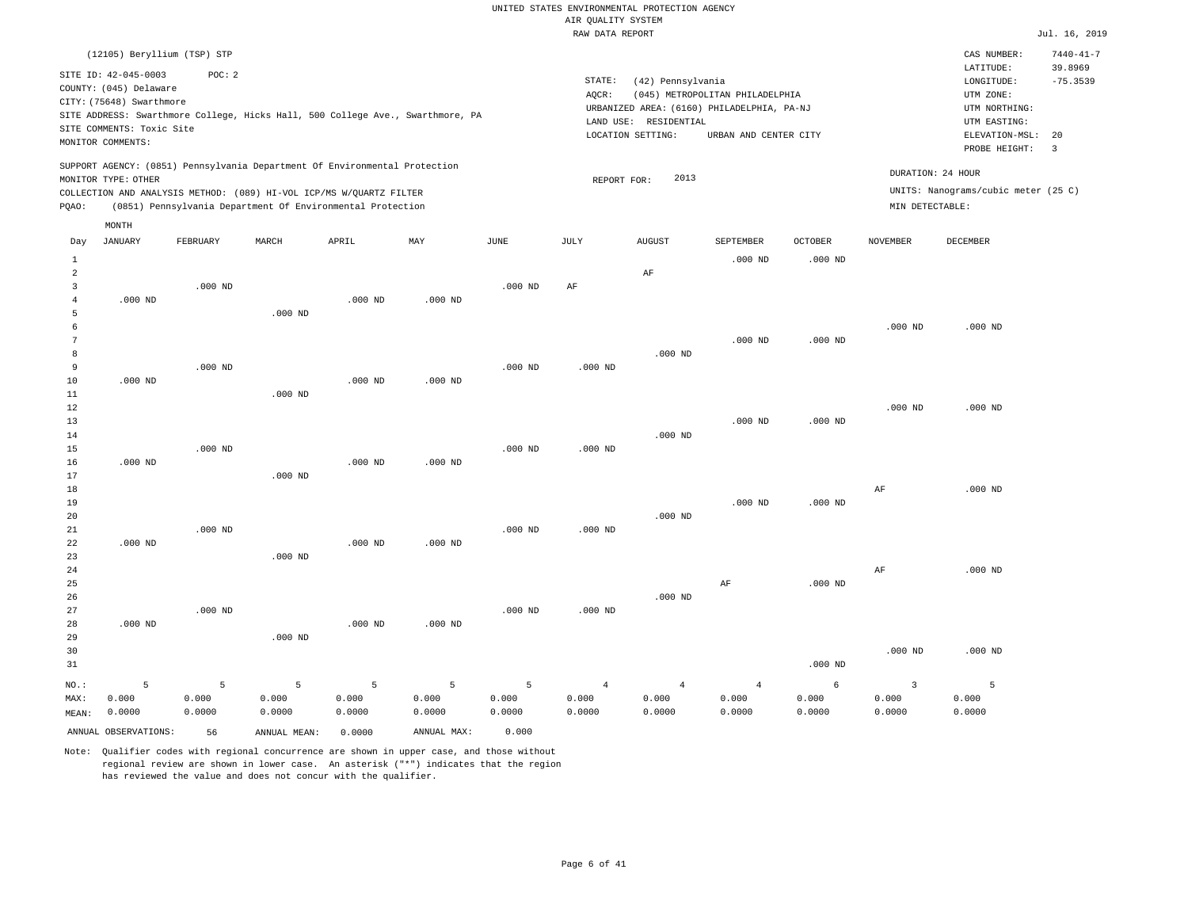|                     |                                                |           |              |                                                                            |                                                                                |                       | <br>Rosmers nenes<br>RAW DATA REPORT |                                            |                                                                               |                |                   |                                     | Jul. 16, 2019         |
|---------------------|------------------------------------------------|-----------|--------------|----------------------------------------------------------------------------|--------------------------------------------------------------------------------|-----------------------|--------------------------------------|--------------------------------------------|-------------------------------------------------------------------------------|----------------|-------------------|-------------------------------------|-----------------------|
|                     | (12105) Beryllium (TSP) STP                    |           |              |                                                                            |                                                                                |                       |                                      |                                            |                                                                               |                |                   | CAS NUMBER:                         | $7440 - 41 - 7$       |
|                     | SITE ID: 42-045-0003<br>COUNTY: (045) Delaware | POC: 2    |              |                                                                            |                                                                                |                       | STATE:                               | (42) Pennsylvania                          |                                                                               |                |                   | LATITUDE:<br>LONGITUDE:             | 39.8969<br>$-75.3539$ |
|                     | CITY: (75648) Swarthmore                       |           |              |                                                                            | SITE ADDRESS: Swarthmore College, Hicks Hall, 500 College Ave., Swarthmore, PA |                       | AQCR:                                |                                            | (045) METROPOLITAN PHILADELPHIA<br>URBANIZED AREA: (6160) PHILADELPHIA, PA-NJ |                |                   | UTM ZONE:<br>UTM NORTHING:          |                       |
|                     | SITE COMMENTS: Toxic Site                      |           |              |                                                                            |                                                                                |                       |                                      | LAND USE: RESIDENTIAL<br>LOCATION SETTING: | URBAN AND CENTER CITY                                                         |                |                   | UTM EASTING:<br>ELEVATION-MSL:      | 20                    |
|                     | MONITOR COMMENTS:                              |           |              |                                                                            |                                                                                |                       |                                      |                                            |                                                                               |                |                   | PROBE HEIGHT:                       | $\overline{3}$        |
|                     | MONITOR TYPE: OTHER                            |           |              | SUPPORT AGENCY: (0851) Pennsylvania Department Of Environmental Protection |                                                                                |                       | REPORT FOR:                          | 2013                                       |                                                                               |                | DURATION: 24 HOUR |                                     |                       |
|                     |                                                |           |              | COLLECTION AND ANALYSIS METHOD: (089) HI-VOL ICP/MS W/QUARTZ FILTER        |                                                                                |                       |                                      |                                            |                                                                               |                |                   | UNITS: Nanograms/cubic meter (25 C) |                       |
| PQAO:               |                                                |           |              | (0851) Pennsylvania Department Of Environmental Protection                 |                                                                                |                       |                                      |                                            |                                                                               |                | MIN DETECTABLE:   |                                     |                       |
|                     | MONTH                                          |           |              |                                                                            |                                                                                |                       |                                      |                                            |                                                                               |                |                   |                                     |                       |
| Day                 | JANUARY                                        | FEBRUARY  | MARCH        | APRIL                                                                      | MAY                                                                            | $\operatorname{JUNE}$ | JULY                                 | <b>AUGUST</b>                              | SEPTEMBER                                                                     | <b>OCTOBER</b> | <b>NOVEMBER</b>   | DECEMBER                            |                       |
| $\mathbf{1}$        |                                                |           |              |                                                                            |                                                                                |                       |                                      |                                            | $.000$ ND                                                                     | $.000$ ND      |                   |                                     |                       |
| $\overline{a}$      |                                                |           |              |                                                                            |                                                                                |                       |                                      | AF                                         |                                                                               |                |                   |                                     |                       |
| 3<br>$\overline{4}$ | $.000$ ND                                      | $.000$ ND |              | $.000$ ND                                                                  | $.000$ ND                                                                      | $.000$ ND             | AF                                   |                                            |                                                                               |                |                   |                                     |                       |
| 5                   |                                                |           | $.000$ ND    |                                                                            |                                                                                |                       |                                      |                                            |                                                                               |                |                   |                                     |                       |
| 6                   |                                                |           |              |                                                                            |                                                                                |                       |                                      |                                            |                                                                               |                | $.000$ ND         | $.000$ ND                           |                       |
| $7\phantom{.0}$     |                                                |           |              |                                                                            |                                                                                |                       |                                      |                                            | $.000$ ND                                                                     | $.000$ ND      |                   |                                     |                       |
| 8                   |                                                |           |              |                                                                            |                                                                                |                       |                                      | $.000$ ND                                  |                                                                               |                |                   |                                     |                       |
| 9                   |                                                | $.000$ ND |              |                                                                            |                                                                                | $.000$ ND             | $.000$ ND                            |                                            |                                                                               |                |                   |                                     |                       |
| 10                  | $.000$ ND                                      |           |              | $.000$ ND                                                                  | $.000$ ND                                                                      |                       |                                      |                                            |                                                                               |                |                   |                                     |                       |
| 11<br>$12\,$        |                                                |           | $.000$ ND    |                                                                            |                                                                                |                       |                                      |                                            |                                                                               |                | $.000$ ND         | $.000$ ND                           |                       |
| 13                  |                                                |           |              |                                                                            |                                                                                |                       |                                      |                                            | $.000$ ND                                                                     | $.000$ ND      |                   |                                     |                       |
| 14                  |                                                |           |              |                                                                            |                                                                                |                       |                                      | $.000$ ND                                  |                                                                               |                |                   |                                     |                       |
| 15                  |                                                | $.000$ ND |              |                                                                            |                                                                                | $.000$ ND             | $.000$ ND                            |                                            |                                                                               |                |                   |                                     |                       |
| 16                  | $.000$ ND                                      |           |              | $.000$ ND                                                                  | $.000$ ND                                                                      |                       |                                      |                                            |                                                                               |                |                   |                                     |                       |
| 17                  |                                                |           | $.000$ ND    |                                                                            |                                                                                |                       |                                      |                                            |                                                                               |                |                   |                                     |                       |
| 18<br>19            |                                                |           |              |                                                                            |                                                                                |                       |                                      |                                            | $.000$ ND                                                                     | $.000$ ND      | $\rm AF$          | $.000$ ND                           |                       |
| 20                  |                                                |           |              |                                                                            |                                                                                |                       |                                      | $.000$ ND                                  |                                                                               |                |                   |                                     |                       |
| 21                  |                                                | $.000$ ND |              |                                                                            |                                                                                | $.000$ ND             | $.000$ ND                            |                                            |                                                                               |                |                   |                                     |                       |
| 22                  | $.000$ ND                                      |           |              | $.000$ ND                                                                  | $.000$ ND                                                                      |                       |                                      |                                            |                                                                               |                |                   |                                     |                       |
| 23                  |                                                |           | $.000$ ND    |                                                                            |                                                                                |                       |                                      |                                            |                                                                               |                |                   |                                     |                       |
| 24<br>25            |                                                |           |              |                                                                            |                                                                                |                       |                                      |                                            | AF                                                                            | $.000$ ND      | $\rm AF$          | $.000$ ND                           |                       |
| 26                  |                                                |           |              |                                                                            |                                                                                |                       |                                      | $.000$ ND                                  |                                                                               |                |                   |                                     |                       |
| 27                  |                                                | $.000$ ND |              |                                                                            |                                                                                | $.000$ ND             | $.000$ ND                            |                                            |                                                                               |                |                   |                                     |                       |
| 28                  | $.000$ ND                                      |           |              | $.000$ ND                                                                  | $.000$ ND                                                                      |                       |                                      |                                            |                                                                               |                |                   |                                     |                       |
| 29                  |                                                |           | $.000$ ND    |                                                                            |                                                                                |                       |                                      |                                            |                                                                               |                |                   |                                     |                       |
| 30                  |                                                |           |              |                                                                            |                                                                                |                       |                                      |                                            |                                                                               |                | $.000$ ND         | $.000$ ND                           |                       |
| 31                  |                                                |           |              |                                                                            |                                                                                |                       |                                      |                                            |                                                                               | $.000$ ND      |                   |                                     |                       |
| NO.:                | 5                                              | 5         | 5            | 5                                                                          | 5                                                                              | 5                     | $\overline{4}$                       | $\overline{4}$                             | $\overline{4}$                                                                | 6              | $\overline{3}$    | 5                                   |                       |
| MAX:                | 0.000                                          | 0.000     | 0.000        | 0.000                                                                      | 0.000                                                                          | 0.000                 | 0.000                                | 0.000                                      | 0.000                                                                         | 0.000          | 0.000             | 0.000                               |                       |
| MEAN:               | 0.0000                                         | 0.0000    | 0.0000       | 0.0000                                                                     | 0.0000                                                                         | 0.0000                | 0.0000                               | 0.0000                                     | 0.0000                                                                        | 0.0000         | 0.0000            | 0.0000                              |                       |
|                     | ANNUAL OBSERVATIONS:                           | 56        | ANNUAL MEAN: | 0.0000                                                                     | ANNUAL MAX:                                                                    | 0.000                 |                                      |                                            |                                                                               |                |                   |                                     |                       |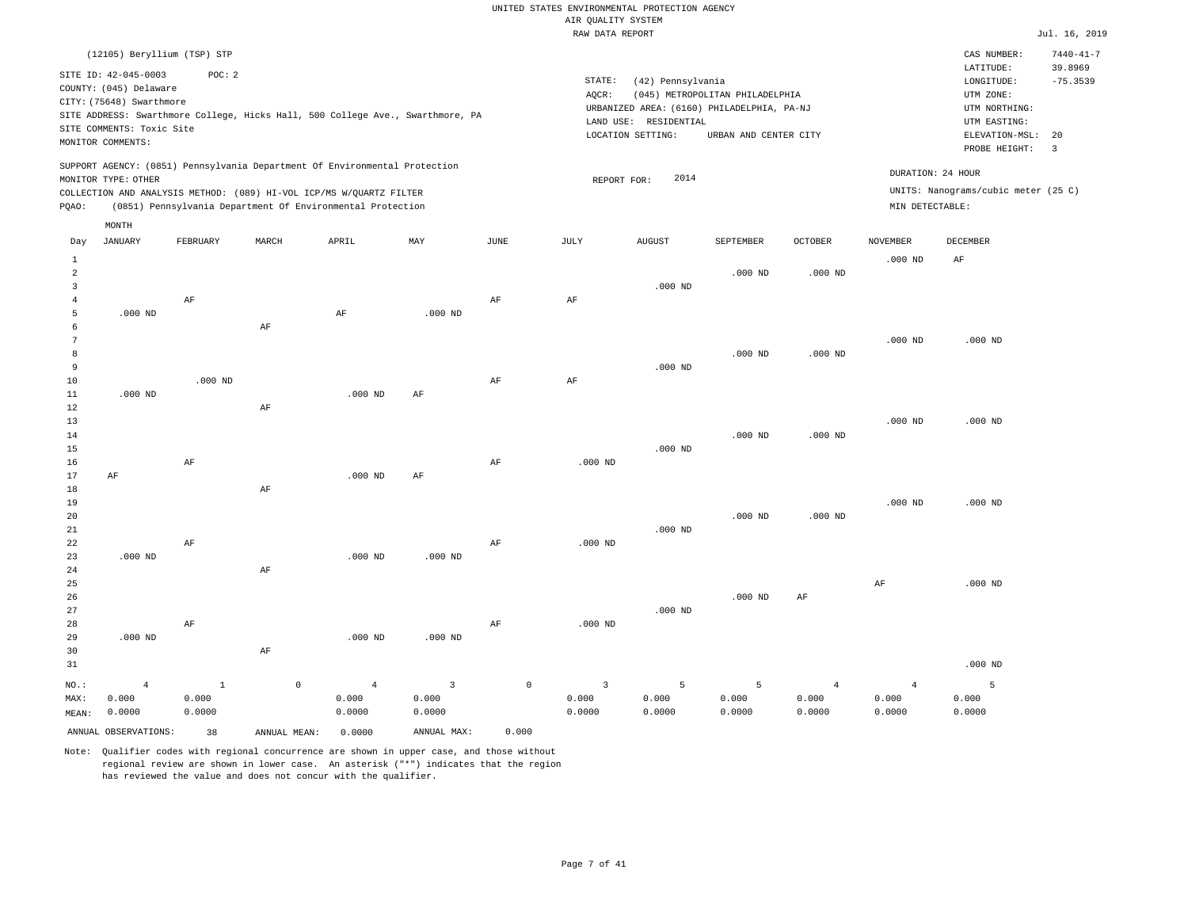|                |                             |              |                                                                            |                |                                                                                |             | RAW DATA REPORT         |                       |                                            |                |                         |                                     | Jul. 16, 2019   |
|----------------|-----------------------------|--------------|----------------------------------------------------------------------------|----------------|--------------------------------------------------------------------------------|-------------|-------------------------|-----------------------|--------------------------------------------|----------------|-------------------------|-------------------------------------|-----------------|
|                | (12105) Beryllium (TSP) STP |              |                                                                            |                |                                                                                |             |                         |                       |                                            |                |                         | CAS NUMBER:                         | $7440 - 41 - 7$ |
|                | SITE ID: 42-045-0003        | POC: 2       |                                                                            |                |                                                                                |             |                         |                       |                                            |                |                         | LATITUDE:                           | 39.8969         |
|                | COUNTY: (045) Delaware      |              |                                                                            |                |                                                                                |             | STATE:                  | (42) Pennsylvania     |                                            |                |                         | LONGITUDE:                          | $-75.3539$      |
|                | CITY: (75648) Swarthmore    |              |                                                                            |                |                                                                                |             | AQCR:                   |                       | (045) METROPOLITAN PHILADELPHIA            |                |                         | UTM ZONE:                           |                 |
|                |                             |              |                                                                            |                | SITE ADDRESS: Swarthmore College, Hicks Hall, 500 College Ave., Swarthmore, PA |             |                         |                       | URBANIZED AREA: (6160) PHILADELPHIA, PA-NJ |                |                         | UTM NORTHING:                       |                 |
|                | SITE COMMENTS: Toxic Site   |              |                                                                            |                |                                                                                |             |                         | LAND USE: RESIDENTIAL |                                            |                |                         | UTM EASTING:                        |                 |
|                | MONITOR COMMENTS:           |              |                                                                            |                |                                                                                |             |                         | LOCATION SETTING:     | URBAN AND CENTER CITY                      |                |                         | ELEVATION-MSL:                      | 20              |
|                |                             |              |                                                                            |                |                                                                                |             |                         |                       |                                            |                |                         | PROBE HEIGHT:                       | $\overline{3}$  |
|                |                             |              | SUPPORT AGENCY: (0851) Pennsylvania Department Of Environmental Protection |                |                                                                                |             |                         | 2014                  |                                            |                |                         | DURATION: 24 HOUR                   |                 |
|                | MONITOR TYPE: OTHER         |              | COLLECTION AND ANALYSIS METHOD: (089) HI-VOL ICP/MS W/QUARTZ FILTER        |                |                                                                                |             | REPORT FOR:             |                       |                                            |                |                         | UNITS: Nanograms/cubic meter (25 C) |                 |
| PQAO:          |                             |              | (0851) Pennsylvania Department Of Environmental Protection                 |                |                                                                                |             |                         |                       |                                            |                | MIN DETECTABLE:         |                                     |                 |
|                |                             |              |                                                                            |                |                                                                                |             |                         |                       |                                            |                |                         |                                     |                 |
|                | MONTH                       |              |                                                                            |                |                                                                                |             |                         |                       |                                            |                |                         |                                     |                 |
| Day            | JANUARY                     | FEBRUARY     | MARCH                                                                      | APRIL          | MAY                                                                            | JUNE        | JULY                    | <b>AUGUST</b>         | SEPTEMBER                                  | <b>OCTOBER</b> | <b>NOVEMBER</b>         | DECEMBER                            |                 |
| $\,1\,$        |                             |              |                                                                            |                |                                                                                |             |                         |                       |                                            |                | $.000$ ND               | $\rm AF$                            |                 |
| $\overline{a}$ |                             |              |                                                                            |                |                                                                                |             |                         |                       | $.000$ ND                                  | $.000$ ND      |                         |                                     |                 |
| 3              |                             |              |                                                                            |                |                                                                                |             |                         | $.000$ ND             |                                            |                |                         |                                     |                 |
| $\overline{4}$ |                             | AF           |                                                                            |                |                                                                                | AF          | AF                      |                       |                                            |                |                         |                                     |                 |
| 5              | $.000$ ND                   |              |                                                                            | AF             | $.000$ ND                                                                      |             |                         |                       |                                            |                |                         |                                     |                 |
| 6              |                             |              | AF                                                                         |                |                                                                                |             |                         |                       |                                            |                |                         |                                     |                 |
| 7              |                             |              |                                                                            |                |                                                                                |             |                         |                       |                                            |                | $.000$ ND               | $.000$ ND                           |                 |
| 8<br>9         |                             |              |                                                                            |                |                                                                                |             |                         | $.000$ ND             | $.000$ ND                                  | $.000$ ND      |                         |                                     |                 |
| 10             |                             | $.000$ ND    |                                                                            |                |                                                                                | AF          | AF                      |                       |                                            |                |                         |                                     |                 |
| $11\,$         | $.000$ ND                   |              |                                                                            | $.000$ ND      | AF                                                                             |             |                         |                       |                                            |                |                         |                                     |                 |
| 12             |                             |              | AF                                                                         |                |                                                                                |             |                         |                       |                                            |                |                         |                                     |                 |
| 13             |                             |              |                                                                            |                |                                                                                |             |                         |                       |                                            |                | $.000$ ND               | $.000$ ND                           |                 |
| 14             |                             |              |                                                                            |                |                                                                                |             |                         |                       | $.000$ ND                                  | $.000$ ND      |                         |                                     |                 |
| 15             |                             |              |                                                                            |                |                                                                                |             |                         | $.000$ ND             |                                            |                |                         |                                     |                 |
| 16             |                             | $\rm{AF}$    |                                                                            |                |                                                                                | $\rm{AF}$   | $.000$ ND               |                       |                                            |                |                         |                                     |                 |
| 17             | AF                          |              |                                                                            | $.000$ ND      | AF                                                                             |             |                         |                       |                                            |                |                         |                                     |                 |
| 18             |                             |              | AF                                                                         |                |                                                                                |             |                         |                       |                                            |                |                         |                                     |                 |
| 19             |                             |              |                                                                            |                |                                                                                |             |                         |                       |                                            |                | $.000$ ND               | $.000$ ND                           |                 |
| 20             |                             |              |                                                                            |                |                                                                                |             |                         |                       | $.000$ ND                                  | $.000$ ND      |                         |                                     |                 |
| 21             |                             |              |                                                                            |                |                                                                                |             |                         | $.000$ ND             |                                            |                |                         |                                     |                 |
| 22             |                             | AF           |                                                                            |                |                                                                                | AF          | $.000$ ND               |                       |                                            |                |                         |                                     |                 |
| 23<br>24       | $.000$ ND                   |              | AF                                                                         | $.000$ ND      | $.000$ ND                                                                      |             |                         |                       |                                            |                |                         |                                     |                 |
| 25             |                             |              |                                                                            |                |                                                                                |             |                         |                       |                                            |                | $\rm AF$                | $.000$ ND                           |                 |
| 26             |                             |              |                                                                            |                |                                                                                |             |                         |                       | $.000$ ND                                  | AF             |                         |                                     |                 |
| 27             |                             |              |                                                                            |                |                                                                                |             |                         | $.000$ ND             |                                            |                |                         |                                     |                 |
| 28             |                             | $\rm AF$     |                                                                            |                |                                                                                | $\rm{AF}$   | $.000$ ND               |                       |                                            |                |                         |                                     |                 |
| 29             | $.000$ ND                   |              |                                                                            | $.000$ ND      | $.000$ ND                                                                      |             |                         |                       |                                            |                |                         |                                     |                 |
| 30             |                             |              | $\rm AF$                                                                   |                |                                                                                |             |                         |                       |                                            |                |                         |                                     |                 |
| 31             |                             |              |                                                                            |                |                                                                                |             |                         |                       |                                            |                |                         | $.000$ ND                           |                 |
| $NO.$ :        |                             | $\mathbf{1}$ | $\circ$                                                                    | $\overline{4}$ | $\overline{3}$                                                                 | $\mathbb O$ | $\overline{\mathbf{3}}$ | 5                     | 5                                          | $\overline{4}$ |                         | 5                                   |                 |
| MAX:           | $\overline{4}$<br>0.000     | 0.000        |                                                                            | 0.000          | 0.000                                                                          |             | 0.000                   | 0.000                 | 0.000                                      | 0.000          | $\overline{4}$<br>0.000 | 0.000                               |                 |
| MEAN:          | 0.0000                      | 0.0000       |                                                                            | 0.0000         | 0.0000                                                                         |             | 0.0000                  | 0.0000                | 0.0000                                     | 0.0000         | 0.0000                  | 0.0000                              |                 |
|                |                             |              |                                                                            |                |                                                                                |             |                         |                       |                                            |                |                         |                                     |                 |
|                | ANNUAL OBSERVATIONS:        | 38           | ANNUAL MEAN:                                                               | 0.0000         | ANNUAL MAX:                                                                    | 0.000       |                         |                       |                                            |                |                         |                                     |                 |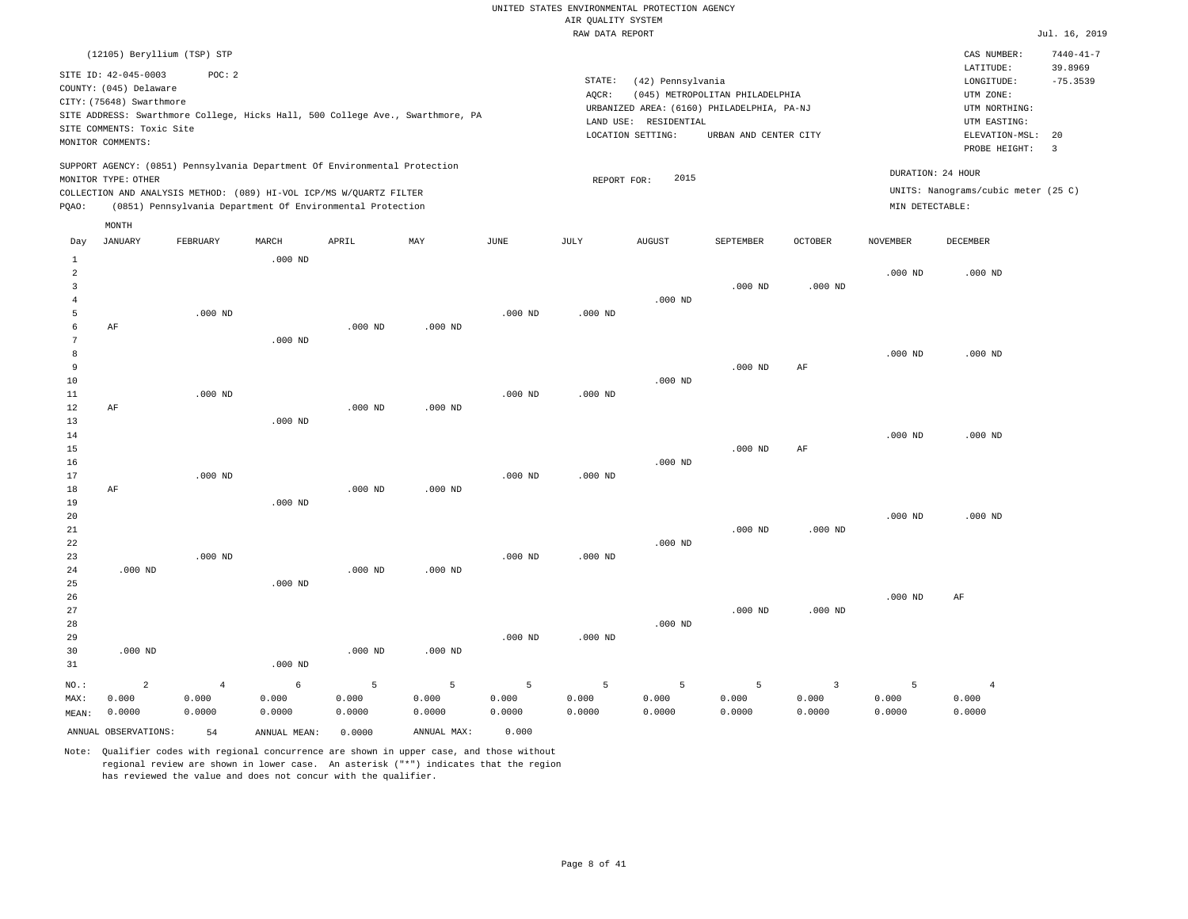|                |                           |                                                                                |           |           |           |           | RAW DATA REPORT |                       |                                            |                |                 |                                     | Jul. 16, 2019   |
|----------------|---------------------------|--------------------------------------------------------------------------------|-----------|-----------|-----------|-----------|-----------------|-----------------------|--------------------------------------------|----------------|-----------------|-------------------------------------|-----------------|
|                |                           | (12105) Beryllium (TSP) STP                                                    |           |           |           |           |                 |                       |                                            |                |                 | CAS NUMBER:                         | $7440 - 41 - 7$ |
|                |                           |                                                                                |           |           |           |           |                 |                       |                                            |                |                 | LATITUDE:                           | 39.8969         |
|                | SITE ID: 42-045-0003      | POC: 2                                                                         |           |           |           |           | STATE:          | (42) Pennsylvania     |                                            |                |                 | LONGITUDE:                          | $-75.3539$      |
|                | COUNTY: (045) Delaware    |                                                                                |           |           |           |           | AQCR:           |                       | (045) METROPOLITAN PHILADELPHIA            |                |                 | UTM ZONE:                           |                 |
|                | CITY: (75648) Swarthmore  |                                                                                |           |           |           |           |                 |                       | URBANIZED AREA: (6160) PHILADELPHIA, PA-NJ |                |                 | UTM NORTHING:                       |                 |
|                |                           | SITE ADDRESS: Swarthmore College, Hicks Hall, 500 College Ave., Swarthmore, PA |           |           |           |           |                 | LAND USE: RESIDENTIAL |                                            |                |                 | UTM EASTING:                        |                 |
|                | SITE COMMENTS: Toxic Site |                                                                                |           |           |           |           |                 | LOCATION SETTING:     | URBAN AND CENTER CITY                      |                |                 | ELEVATION-MSL:                      | 20              |
|                | MONITOR COMMENTS:         |                                                                                |           |           |           |           |                 |                       |                                            |                |                 | PROBE HEIGHT:                       | 3               |
|                |                           | SUPPORT AGENCY: (0851) Pennsylvania Department Of Environmental Protection     |           |           |           |           |                 |                       |                                            |                |                 |                                     |                 |
|                | MONITOR TYPE: OTHER       |                                                                                |           |           |           |           | REPORT FOR:     | 2015                  |                                            |                |                 | DURATION: 24 HOUR                   |                 |
|                |                           | COLLECTION AND ANALYSIS METHOD: (089) HI-VOL ICP/MS W/QUARTZ FILTER            |           |           |           |           |                 |                       |                                            |                |                 | UNITS: Nanograms/cubic meter (25 C) |                 |
| PQAO:          |                           | (0851) Pennsylvania Department Of Environmental Protection                     |           |           |           |           |                 |                       |                                            |                | MIN DETECTABLE: |                                     |                 |
|                | MONTH                     |                                                                                |           |           |           |           |                 |                       |                                            |                |                 |                                     |                 |
| Day            | <b>JANUARY</b>            | FEBRUARY                                                                       | MARCH     | APRIL     | MAY       | JUNE      | JULY            | <b>AUGUST</b>         | SEPTEMBER                                  | <b>OCTOBER</b> | <b>NOVEMBER</b> | DECEMBER                            |                 |
| $1\,$          |                           |                                                                                | $.000$ ND |           |           |           |                 |                       |                                            |                |                 |                                     |                 |
| $\overline{a}$ |                           |                                                                                |           |           |           |           |                 |                       |                                            |                | $.000$ ND       | $.000$ ND                           |                 |
| 3              |                           |                                                                                |           |           |           |           |                 |                       | $.000$ ND                                  | $.000$ ND      |                 |                                     |                 |
| $\overline{4}$ |                           |                                                                                |           |           |           |           |                 | $.000$ ND             |                                            |                |                 |                                     |                 |
| 5              |                           | $.000$ ND                                                                      |           |           |           | $.000$ ND | $.000$ ND       |                       |                                            |                |                 |                                     |                 |
| 6              | AF                        |                                                                                |           | $.000$ ND | $.000$ ND |           |                 |                       |                                            |                |                 |                                     |                 |
| 7              |                           |                                                                                | $.000$ ND |           |           |           |                 |                       |                                            |                |                 |                                     |                 |
| 8              |                           |                                                                                |           |           |           |           |                 |                       |                                            |                | $.000$ ND       | $.000$ ND                           |                 |
| 9              |                           |                                                                                |           |           |           |           |                 |                       | $.000$ ND                                  | AF             |                 |                                     |                 |
| 10             |                           |                                                                                |           |           |           |           |                 | $.000$ ND             |                                            |                |                 |                                     |                 |
| 11             |                           | $.000$ ND                                                                      |           |           |           | $.000$ ND | $.000$ ND       |                       |                                            |                |                 |                                     |                 |
| 12             | AF                        |                                                                                |           | $.000$ ND | $.000$ ND |           |                 |                       |                                            |                |                 |                                     |                 |
| 13             |                           |                                                                                | $.000$ ND |           |           |           |                 |                       |                                            |                |                 |                                     |                 |
| 14             |                           |                                                                                |           |           |           |           |                 |                       |                                            |                | $.000$ ND       | $.000$ ND                           |                 |
| 15             |                           |                                                                                |           |           |           |           |                 |                       | $.000$ ND                                  | AF             |                 |                                     |                 |
| 16             |                           |                                                                                |           |           |           |           |                 | $.000$ ND             |                                            |                |                 |                                     |                 |
| 17             |                           | $.000$ ND                                                                      |           |           |           | $.000$ ND | $.000$ ND       |                       |                                            |                |                 |                                     |                 |
| $18$           | AF                        |                                                                                |           | $.000$ ND | $.000$ ND |           |                 |                       |                                            |                |                 |                                     |                 |
| 19             |                           |                                                                                | $.000$ ND |           |           |           |                 |                       |                                            |                |                 |                                     |                 |
| 20             |                           |                                                                                |           |           |           |           |                 |                       |                                            |                | $.000$ ND       | $.000$ ND                           |                 |
|                |                           |                                                                                |           |           |           |           |                 |                       |                                            |                |                 |                                     |                 |
| 21<br>22       |                           |                                                                                |           |           |           |           |                 |                       | $.000$ ND                                  | $.000$ ND      |                 |                                     |                 |
| 23             |                           | $.000$ ND                                                                      |           |           |           | $.000$ ND | $.000$ ND       | $.000$ ND             |                                            |                |                 |                                     |                 |
|                |                           |                                                                                |           |           |           |           |                 |                       |                                            |                |                 |                                     |                 |
| 24             | $.000$ ND                 |                                                                                |           | $.000$ ND | $.000$ ND |           |                 |                       |                                            |                |                 |                                     |                 |
| 25             |                           |                                                                                | $.000$ ND |           |           |           |                 |                       |                                            |                |                 |                                     |                 |
| 26             |                           |                                                                                |           |           |           |           |                 |                       |                                            |                | $.000$ ND       | AF                                  |                 |
| 27             |                           |                                                                                |           |           |           |           |                 |                       | $.000$ ND                                  | $.000$ ND      |                 |                                     |                 |
| 28             |                           |                                                                                |           |           |           |           |                 | $.000$ ND             |                                            |                |                 |                                     |                 |
| 29             |                           |                                                                                |           |           |           | $.000$ ND | $.000$ ND       |                       |                                            |                |                 |                                     |                 |
| 30             | $.000$ ND                 |                                                                                |           | $.000$ ND | $.000$ ND |           |                 |                       |                                            |                |                 |                                     |                 |
| 31             |                           |                                                                                | $.000$ ND |           |           |           |                 |                       |                                            |                |                 |                                     |                 |
| NO.:           | $\overline{2}$            | $\overline{4}$                                                                 | 6         | 5         | 5         | 5         | 5               | 5                     | 5                                          | 3              | 5               | $\overline{4}$                      |                 |
| MAX:           | 0.000                     | 0.000                                                                          | 0.000     | 0.000     | 0.000     | 0.000     | 0.000           | 0.000                 | 0.000                                      | 0.000          | 0.000           | 0.000                               |                 |
| MFAN:          | 0.0000                    | 0.0000                                                                         | 0.0000    | 0.0000    | 0.0000    | 0.0000    | 0.0000          | 0.0000                | 0.0000                                     | 0.0000         | 0.0000          | 0.0000                              |                 |

Note: Qualifier codes with regional concurrence are shown in upper case, and those without regional review are shown in lower case. An asterisk ("\*") indicates that the region has reviewed the value and does not concur with the qualifier.

ANNUAL OBSERVATIONS: 54 ANNUAL MEAN: 0.0000 ANNUAL MAX: 0.000

MEAN: 0.0000

0.0000 0.0000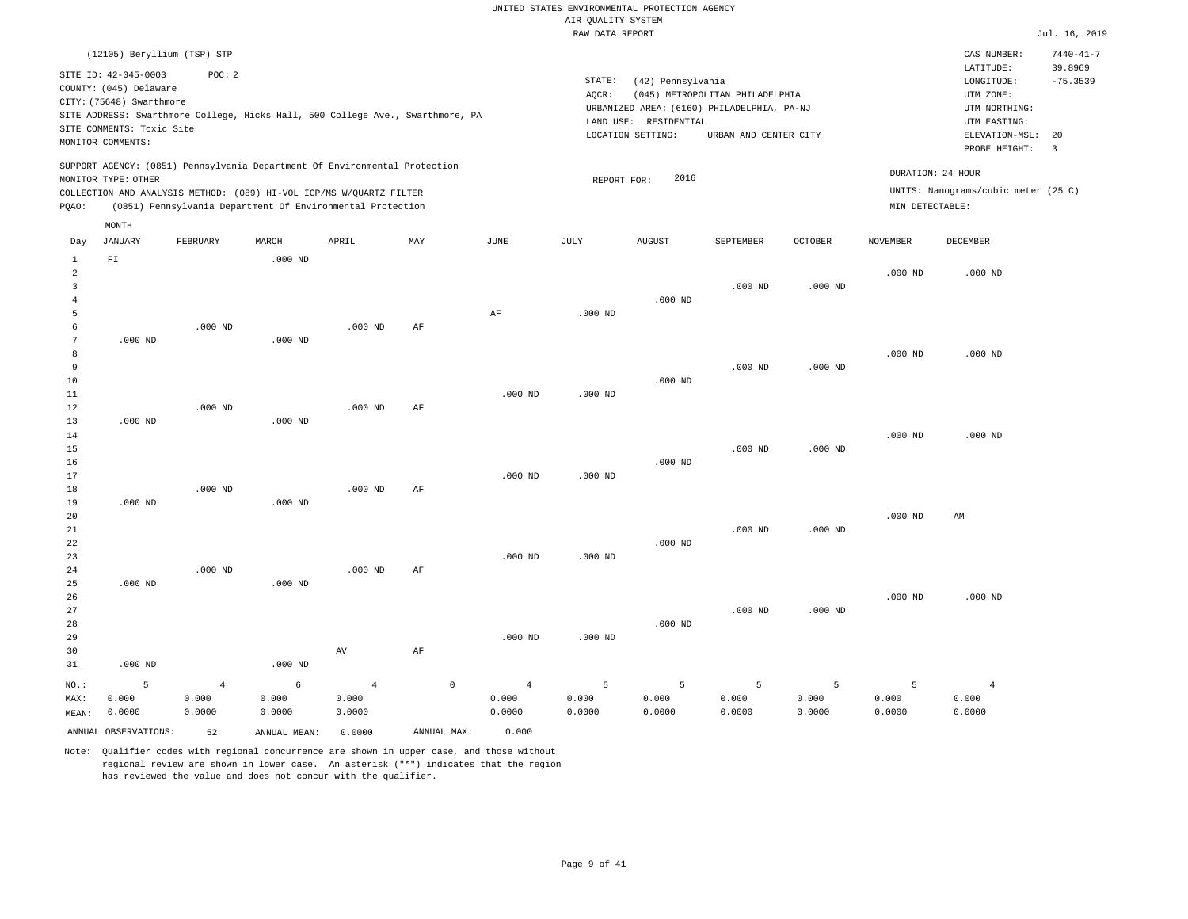|                 | (12105) Beryllium (TSP) STP |                |                                                                            |                |                                                                                |                |             |                       |                                            |                |                 | CAS NUMBER:                         | $7440 - 41 - 7$ |
|-----------------|-----------------------------|----------------|----------------------------------------------------------------------------|----------------|--------------------------------------------------------------------------------|----------------|-------------|-----------------------|--------------------------------------------|----------------|-----------------|-------------------------------------|-----------------|
|                 | SITE ID: 42-045-0003        | POC: 2         |                                                                            |                |                                                                                |                |             |                       |                                            |                |                 | LATITUDE:                           | 39.8969         |
|                 | COUNTY: (045) Delaware      |                |                                                                            |                |                                                                                |                | STATE:      | (42) Pennsylvania     |                                            |                |                 | LONGITUDE:                          | $-75.3539$      |
|                 | CITY: (75648) Swarthmore    |                |                                                                            |                |                                                                                |                | AQCR:       |                       | (045) METROPOLITAN PHILADELPHIA            |                |                 | UTM ZONE:                           |                 |
|                 |                             |                |                                                                            |                | SITE ADDRESS: Swarthmore College, Hicks Hall, 500 College Ave., Swarthmore, PA |                |             | LAND USE: RESIDENTIAL | URBANIZED AREA: (6160) PHILADELPHIA, PA-NJ |                |                 | UTM NORTHING:<br>UTM EASTING:       |                 |
|                 | SITE COMMENTS: Toxic Site   |                |                                                                            |                |                                                                                |                |             | LOCATION SETTING:     | URBAN AND CENTER CITY                      |                |                 | ELEVATION-MSL:                      | 20              |
|                 | MONITOR COMMENTS:           |                |                                                                            |                |                                                                                |                |             |                       |                                            |                |                 | PROBE HEIGHT:                       | 3               |
|                 |                             |                |                                                                            |                |                                                                                |                |             |                       |                                            |                |                 |                                     |                 |
|                 | MONITOR TYPE: OTHER         |                | SUPPORT AGENCY: (0851) Pennsylvania Department Of Environmental Protection |                |                                                                                |                | REPORT FOR: | 2016                  |                                            |                |                 | DURATION: 24 HOUR                   |                 |
|                 |                             |                | COLLECTION AND ANALYSIS METHOD: (089) HI-VOL ICP/MS W/QUARTZ FILTER        |                |                                                                                |                |             |                       |                                            |                |                 | UNITS: Nanograms/cubic meter (25 C) |                 |
| PQAO:           |                             |                | (0851) Pennsylvania Department Of Environmental Protection                 |                |                                                                                |                |             |                       |                                            |                | MIN DETECTABLE: |                                     |                 |
|                 |                             |                |                                                                            |                |                                                                                |                |             |                       |                                            |                |                 |                                     |                 |
|                 | MONTH                       |                |                                                                            |                |                                                                                |                |             |                       |                                            |                |                 |                                     |                 |
| Day             | <b>JANUARY</b>              | FEBRUARY       | MARCH                                                                      | APRIL          | MAY                                                                            | JUNE           | JULY        | <b>AUGUST</b>         | SEPTEMBER                                  | <b>OCTOBER</b> | <b>NOVEMBER</b> | <b>DECEMBER</b>                     |                 |
| $\mathbf{1}$    | ${\rm FT}$                  |                | $.000$ ND                                                                  |                |                                                                                |                |             |                       |                                            |                |                 |                                     |                 |
| $\overline{2}$  |                             |                |                                                                            |                |                                                                                |                |             |                       |                                            |                | $.000$ ND       | $.000$ ND                           |                 |
| $\overline{3}$  |                             |                |                                                                            |                |                                                                                |                |             |                       | $.000$ ND                                  | $.000$ ND      |                 |                                     |                 |
| $\overline{4}$  |                             |                |                                                                            |                |                                                                                |                |             | $.000$ ND             |                                            |                |                 |                                     |                 |
| 5<br>$\epsilon$ |                             | $.000$ ND      |                                                                            | $.000$ ND      | AF                                                                             | $\rm{AF}$      | $.000$ ND   |                       |                                            |                |                 |                                     |                 |
| $7\phantom{.0}$ | $.000$ ND                   |                | $.000$ ND                                                                  |                |                                                                                |                |             |                       |                                            |                |                 |                                     |                 |
| 8               |                             |                |                                                                            |                |                                                                                |                |             |                       |                                            |                | $.000$ ND       | $.000$ ND                           |                 |
| 9               |                             |                |                                                                            |                |                                                                                |                |             |                       | $.000$ ND                                  | $.000$ ND      |                 |                                     |                 |
| 10              |                             |                |                                                                            |                |                                                                                |                |             | $.000$ ND             |                                            |                |                 |                                     |                 |
| 11              |                             |                |                                                                            |                |                                                                                | $.000$ ND      | $.000$ ND   |                       |                                            |                |                 |                                     |                 |
| 12              |                             | $.000$ ND      |                                                                            | $.000$ ND      | AF                                                                             |                |             |                       |                                            |                |                 |                                     |                 |
| 13              | $.000$ ND                   |                | $.000$ ND                                                                  |                |                                                                                |                |             |                       |                                            |                |                 |                                     |                 |
| $14\,$          |                             |                |                                                                            |                |                                                                                |                |             |                       |                                            |                | $.000$ ND       | $.000$ ND                           |                 |
| 15              |                             |                |                                                                            |                |                                                                                |                |             |                       | $.000$ ND                                  | $.000$ ND      |                 |                                     |                 |
| 16              |                             |                |                                                                            |                |                                                                                |                |             | $.000$ ND             |                                            |                |                 |                                     |                 |
| 17              |                             |                |                                                                            |                |                                                                                | $.000$ ND      | $.000$ ND   |                       |                                            |                |                 |                                     |                 |
| 18<br>19        | $.000$ ND                   | $.000$ ND      | $.000$ ND                                                                  | $.000$ ND      | AF                                                                             |                |             |                       |                                            |                |                 |                                     |                 |
| 20              |                             |                |                                                                            |                |                                                                                |                |             |                       |                                            |                | $.000$ ND       | AM                                  |                 |
| 21              |                             |                |                                                                            |                |                                                                                |                |             |                       | $.000$ ND                                  | $.000$ ND      |                 |                                     |                 |
| 22              |                             |                |                                                                            |                |                                                                                |                |             | $.000$ ND             |                                            |                |                 |                                     |                 |
| 23              |                             |                |                                                                            |                |                                                                                | $.000$ ND      | $.000$ ND   |                       |                                            |                |                 |                                     |                 |
| 24              |                             | $.000$ ND      |                                                                            | $.000$ ND      | $\rm AF$                                                                       |                |             |                       |                                            |                |                 |                                     |                 |
| 25              | $.000$ ND                   |                | $.000$ ND                                                                  |                |                                                                                |                |             |                       |                                            |                |                 |                                     |                 |
| 26              |                             |                |                                                                            |                |                                                                                |                |             |                       |                                            |                | $.000$ ND       | $.000$ ND                           |                 |
| 27              |                             |                |                                                                            |                |                                                                                |                |             |                       | $.000$ ND                                  | $.000$ ND      |                 |                                     |                 |
| 28              |                             |                |                                                                            |                |                                                                                |                |             | $.000$ ND             |                                            |                |                 |                                     |                 |
| 29              |                             |                |                                                                            |                |                                                                                | $.000$ ND      | $.000$ ND   |                       |                                            |                |                 |                                     |                 |
| 30<br>31        | $.000$ ND                   |                |                                                                            | AV             | AF                                                                             |                |             |                       |                                            |                |                 |                                     |                 |
|                 |                             |                | $.000$ ND                                                                  |                |                                                                                |                |             |                       |                                            |                |                 |                                     |                 |
| $NO.$ :         | 5                           | $\overline{4}$ | 6                                                                          | $\overline{4}$ | $\mathbb O$                                                                    | $\overline{4}$ | 5           | 5                     | 5                                          | 5              | 5               | $\overline{4}$                      |                 |
| MAX:            | 0.000                       | 0.000          | 0.000                                                                      | 0.000          |                                                                                | 0.000          | 0.000       | 0.000                 | 0.000                                      | 0.000          | 0.000           | 0.000                               |                 |
| MEAN:           | 0.0000                      | 0.0000         | 0.0000                                                                     | 0.0000         |                                                                                | 0.0000         | 0.0000      | 0.0000                | 0.0000                                     | 0.0000         | 0.0000          | 0.0000                              |                 |
|                 | ANNUAL OBSERVATIONS:        | 52             | ANNUAL MEAN:                                                               | 0.0000         | ANNUAL MAX:                                                                    | 0.000          |             |                       |                                            |                |                 |                                     |                 |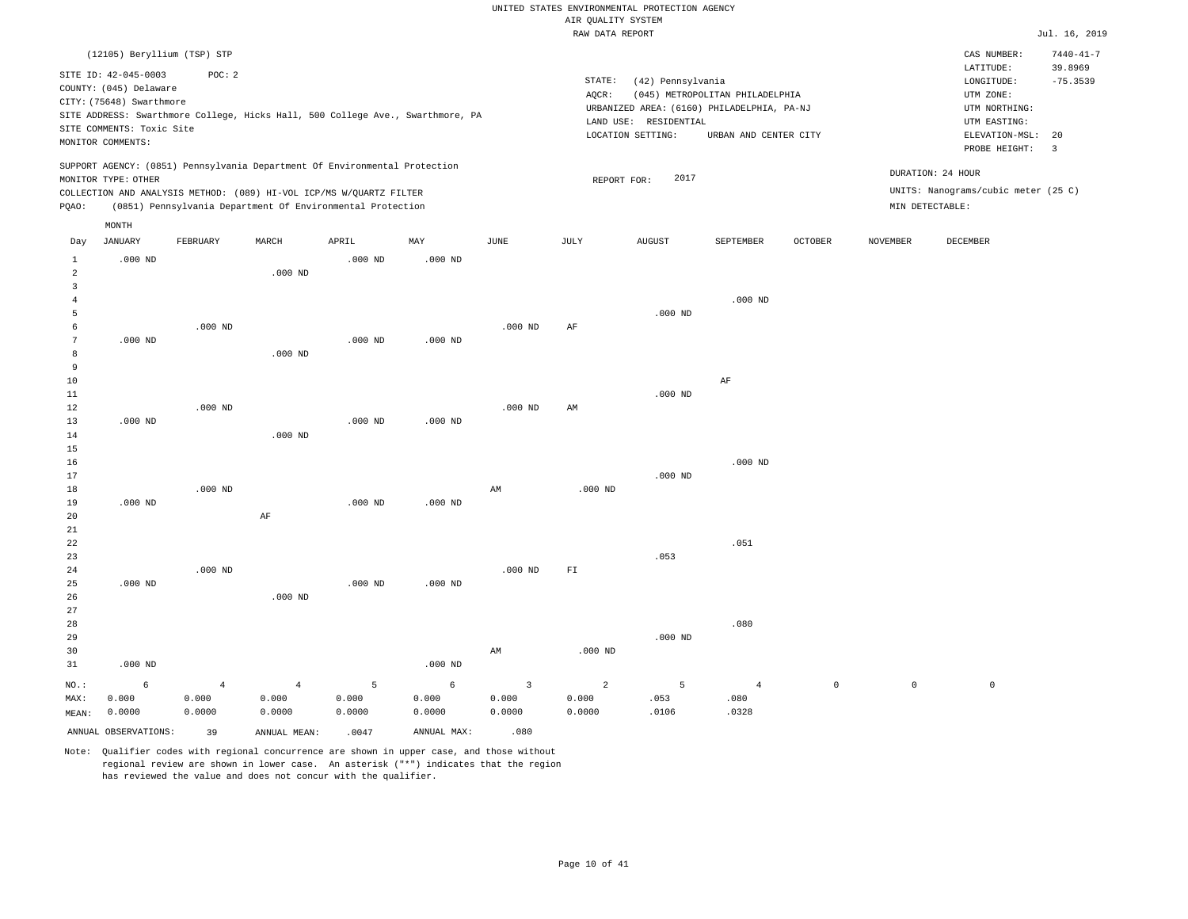|                |                             |                                                                                |                |           |           |                         | RAW DATA REPORT |                       |                                            |                |                 |                                     | Jul. 16, 2019   |
|----------------|-----------------------------|--------------------------------------------------------------------------------|----------------|-----------|-----------|-------------------------|-----------------|-----------------------|--------------------------------------------|----------------|-----------------|-------------------------------------|-----------------|
|                | (12105) Beryllium (TSP) STP |                                                                                |                |           |           |                         |                 |                       |                                            |                |                 | CAS NUMBER:                         | $7440 - 41 - 7$ |
|                |                             |                                                                                |                |           |           |                         |                 |                       |                                            |                |                 | LATITUDE:                           | 39.8969         |
|                | SITE ID: 42-045-0003        | POC: 2                                                                         |                |           |           |                         | STATE:          | (42) Pennsylvania     |                                            |                |                 | LONGITUDE:                          | $-75.3539$      |
|                | COUNTY: (045) Delaware      |                                                                                |                |           |           |                         | AQCR:           |                       | (045) METROPOLITAN PHILADELPHIA            |                |                 | UTM ZONE:                           |                 |
|                | CITY: (75648) Swarthmore    |                                                                                |                |           |           |                         |                 |                       | URBANIZED AREA: (6160) PHILADELPHIA, PA-NJ |                |                 | UTM NORTHING:                       |                 |
|                |                             | SITE ADDRESS: Swarthmore College, Hicks Hall, 500 College Ave., Swarthmore, PA |                |           |           |                         |                 | LAND USE: RESIDENTIAL |                                            |                |                 | UTM EASTING:                        |                 |
|                | SITE COMMENTS: Toxic Site   |                                                                                |                |           |           |                         |                 | LOCATION SETTING:     | URBAN AND CENTER CITY                      |                |                 | ELEVATION-MSL:                      | 20              |
|                | MONITOR COMMENTS:           |                                                                                |                |           |           |                         |                 |                       |                                            |                |                 | PROBE HEIGHT:                       | $\overline{3}$  |
|                |                             | SUPPORT AGENCY: (0851) Pennsylvania Department Of Environmental Protection     |                |           |           |                         |                 |                       |                                            |                |                 |                                     |                 |
|                | MONITOR TYPE: OTHER         |                                                                                |                |           |           |                         | REPORT FOR:     | 2017                  |                                            |                |                 | DURATION: 24 HOUR                   |                 |
|                |                             | COLLECTION AND ANALYSIS METHOD: (089) HI-VOL ICP/MS W/QUARTZ FILTER            |                |           |           |                         |                 |                       |                                            |                |                 | UNITS: Nanograms/cubic meter (25 C) |                 |
| PQAO:          |                             | (0851) Pennsylvania Department Of Environmental Protection                     |                |           |           |                         |                 |                       |                                            |                |                 | MIN DETECTABLE:                     |                 |
|                | MONTH                       |                                                                                |                |           |           |                         |                 |                       |                                            |                |                 |                                     |                 |
| Day            | <b>JANUARY</b>              | FEBRUARY                                                                       | MARCH          | APRIL     | MAY       | JUNE                    | JULY            | <b>AUGUST</b>         | SEPTEMBER                                  | <b>OCTOBER</b> | <b>NOVEMBER</b> | DECEMBER                            |                 |
| $1\,$          | $.000$ ND                   |                                                                                |                | $.000$ ND | $.000$ ND |                         |                 |                       |                                            |                |                 |                                     |                 |
| $\overline{a}$ |                             |                                                                                | $.000$ ND      |           |           |                         |                 |                       |                                            |                |                 |                                     |                 |
| 3              |                             |                                                                                |                |           |           |                         |                 |                       |                                            |                |                 |                                     |                 |
| $\overline{4}$ |                             |                                                                                |                |           |           |                         |                 |                       | $.000$ ND                                  |                |                 |                                     |                 |
| 5              |                             |                                                                                |                |           |           |                         |                 | $.000$ ND             |                                            |                |                 |                                     |                 |
| 6              |                             | $.000$ ND                                                                      |                |           |           | $.000$ ND               | AF              |                       |                                            |                |                 |                                     |                 |
| 7              | $.000$ ND                   |                                                                                |                | $.000$ ND | $.000$ ND |                         |                 |                       |                                            |                |                 |                                     |                 |
| 8              |                             |                                                                                | $.000$ ND      |           |           |                         |                 |                       |                                            |                |                 |                                     |                 |
| 9              |                             |                                                                                |                |           |           |                         |                 |                       |                                            |                |                 |                                     |                 |
| 10             |                             |                                                                                |                |           |           |                         |                 |                       | AF                                         |                |                 |                                     |                 |
| 11             |                             |                                                                                |                |           |           |                         |                 | $.000$ ND             |                                            |                |                 |                                     |                 |
| 12             |                             | $.000$ ND                                                                      |                |           |           | $.000$ ND               | AM              |                       |                                            |                |                 |                                     |                 |
| 13             | $.000$ ND                   |                                                                                |                | $.000$ ND | $.000$ ND |                         |                 |                       |                                            |                |                 |                                     |                 |
| 14             |                             |                                                                                | $.000$ ND      |           |           |                         |                 |                       |                                            |                |                 |                                     |                 |
| 15             |                             |                                                                                |                |           |           |                         |                 |                       |                                            |                |                 |                                     |                 |
| 16             |                             |                                                                                |                |           |           |                         |                 |                       | $.000$ ND                                  |                |                 |                                     |                 |
| 17             |                             |                                                                                |                |           |           |                         |                 | $.000$ ND             |                                            |                |                 |                                     |                 |
| 18             |                             | $.000$ ND                                                                      |                |           |           | AM                      | $.000$ ND       |                       |                                            |                |                 |                                     |                 |
| 19             | $.000$ ND                   |                                                                                |                | $.000$ ND | $.000$ ND |                         |                 |                       |                                            |                |                 |                                     |                 |
| 20             |                             |                                                                                | AF             |           |           |                         |                 |                       |                                            |                |                 |                                     |                 |
| 21             |                             |                                                                                |                |           |           |                         |                 |                       |                                            |                |                 |                                     |                 |
| 22             |                             |                                                                                |                |           |           |                         |                 |                       | .051                                       |                |                 |                                     |                 |
| 23             |                             |                                                                                |                |           |           |                         |                 | .053                  |                                            |                |                 |                                     |                 |
| 24             |                             | $.000$ ND                                                                      |                |           |           | $.000$ ND               | ${\rm F\,I}$    |                       |                                            |                |                 |                                     |                 |
| 25             | $.000$ ND                   |                                                                                | $.000$ ND      | $.000$ ND | $.000$ ND |                         |                 |                       |                                            |                |                 |                                     |                 |
| 26<br>27       |                             |                                                                                |                |           |           |                         |                 |                       |                                            |                |                 |                                     |                 |
|                |                             |                                                                                |                |           |           |                         |                 |                       |                                            |                |                 |                                     |                 |
| 28<br>29       |                             |                                                                                |                |           |           |                         |                 |                       | .080                                       |                |                 |                                     |                 |
| 30             |                             |                                                                                |                |           |           | AM                      | $.000$ ND       | $.000$ ND             |                                            |                |                 |                                     |                 |
| 31             | $.000$ ND                   |                                                                                |                |           | $.000$ ND |                         |                 |                       |                                            |                |                 |                                     |                 |
|                |                             |                                                                                |                |           |           |                         |                 |                       |                                            |                |                 |                                     |                 |
| NO.:           | 6                           | $\overline{4}$                                                                 | $\overline{4}$ | 5         | 6         | $\overline{\mathbf{3}}$ | $\overline{a}$  | 5                     | $\overline{4}$                             | $\mathsf{O}$   | $\mathbb O$     | $\mathbb O$                         |                 |
| MAX:           | 0.000                       | 0.000                                                                          | 0.000          | 0.000     | 0.000     | 0.000                   | 0.000           | .053                  | .080                                       |                |                 |                                     |                 |
| MEAN:          | 0.0000                      | 0.0000                                                                         | 0.0000         | 0.0000    | 0.0000    | 0.0000                  | 0.0000          | .0106                 | .0328                                      |                |                 |                                     |                 |

ANNUAL OBSERVATIONS: 39 ANNUAL MEAN: .0047 ANNUAL MAX: .080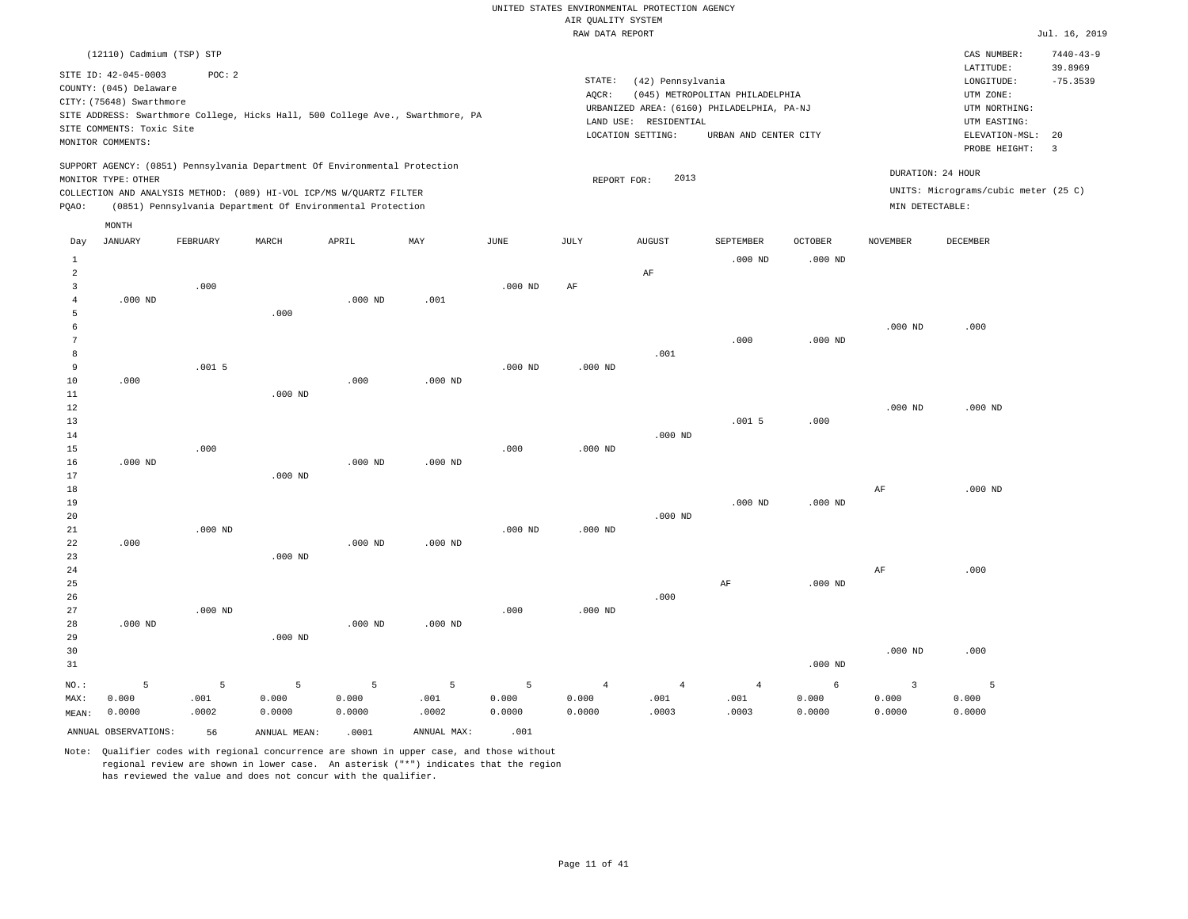|                |                           |           |                                                                            |           |                                                                                |           | RAW DATA REPORT |                       |                                            |                |                 |                                      | Jul. 16, 2019   |
|----------------|---------------------------|-----------|----------------------------------------------------------------------------|-----------|--------------------------------------------------------------------------------|-----------|-----------------|-----------------------|--------------------------------------------|----------------|-----------------|--------------------------------------|-----------------|
|                | (12110) Cadmium (TSP) STP |           |                                                                            |           |                                                                                |           |                 |                       |                                            |                |                 | CAS NUMBER:                          | $7440 - 43 - 9$ |
|                | SITE ID: 42-045-0003      | POC: 2    |                                                                            |           |                                                                                |           |                 |                       |                                            |                |                 | LATITUDE:                            | 39.8969         |
|                |                           |           |                                                                            |           |                                                                                |           | STATE:          | (42) Pennsylvania     |                                            |                |                 | LONGITUDE:                           | $-75.3539$      |
|                | COUNTY: (045) Delaware    |           |                                                                            |           |                                                                                |           | AQCR:           |                       | (045) METROPOLITAN PHILADELPHIA            |                |                 | UTM ZONE:                            |                 |
|                | CITY: (75648) Swarthmore  |           |                                                                            |           |                                                                                |           |                 |                       | URBANIZED AREA: (6160) PHILADELPHIA, PA-NJ |                |                 | UTM NORTHING:                        |                 |
|                |                           |           |                                                                            |           | SITE ADDRESS: Swarthmore College, Hicks Hall, 500 College Ave., Swarthmore, PA |           |                 | LAND USE: RESIDENTIAL |                                            |                |                 | UTM EASTING:                         |                 |
|                | SITE COMMENTS: Toxic Site |           |                                                                            |           |                                                                                |           |                 | LOCATION SETTING:     | URBAN AND CENTER CITY                      |                |                 | ELEVATION-MSL:                       | 20              |
|                | MONITOR COMMENTS:         |           |                                                                            |           |                                                                                |           |                 |                       |                                            |                |                 | PROBE HEIGHT:                        | $\overline{3}$  |
|                |                           |           | SUPPORT AGENCY: (0851) Pennsylvania Department Of Environmental Protection |           |                                                                                |           |                 |                       |                                            |                |                 |                                      |                 |
|                | MONITOR TYPE: OTHER       |           |                                                                            |           |                                                                                |           | REPORT FOR:     | 2013                  |                                            |                |                 | DURATION: 24 HOUR                    |                 |
|                |                           |           | COLLECTION AND ANALYSIS METHOD: (089) HI-VOL ICP/MS W/QUARTZ FILTER        |           |                                                                                |           |                 |                       |                                            |                |                 | UNITS: Micrograms/cubic meter (25 C) |                 |
| PQAO:          |                           |           | (0851) Pennsylvania Department Of Environmental Protection                 |           |                                                                                |           |                 |                       |                                            |                | MIN DETECTABLE: |                                      |                 |
|                | MONTH                     |           |                                                                            |           |                                                                                |           |                 |                       |                                            |                |                 |                                      |                 |
| Day            | <b>JANUARY</b>            | FEBRUARY  | MARCH                                                                      | APRIL     | MAY                                                                            | JUNE      | JULY            | <b>AUGUST</b>         | <b>SEPTEMBER</b>                           | <b>OCTOBER</b> | <b>NOVEMBER</b> | DECEMBER                             |                 |
| $\mathbf{1}$   |                           |           |                                                                            |           |                                                                                |           |                 |                       | $.000$ ND                                  | $.000$ ND      |                 |                                      |                 |
| $\overline{a}$ |                           |           |                                                                            |           |                                                                                |           |                 | AF                    |                                            |                |                 |                                      |                 |
| 3              |                           | .000      |                                                                            |           |                                                                                | $.000$ ND | AF              |                       |                                            |                |                 |                                      |                 |
| $\overline{4}$ | $.000$ ND                 |           |                                                                            | $.000$ ND | .001                                                                           |           |                 |                       |                                            |                |                 |                                      |                 |
| 5              |                           |           | .000                                                                       |           |                                                                                |           |                 |                       |                                            |                |                 |                                      |                 |
| 6              |                           |           |                                                                            |           |                                                                                |           |                 |                       |                                            |                | $.000$ ND       | .000                                 |                 |
| $\overline{7}$ |                           |           |                                                                            |           |                                                                                |           |                 |                       | .000                                       | $.000$ ND      |                 |                                      |                 |
| 8              |                           |           |                                                                            |           |                                                                                |           |                 | .001                  |                                            |                |                 |                                      |                 |
| 9              |                           | .0015     |                                                                            |           |                                                                                | $.000$ ND | $.000$ ND       |                       |                                            |                |                 |                                      |                 |
| 10             | .000                      |           |                                                                            | .000      | $.000$ ND                                                                      |           |                 |                       |                                            |                |                 |                                      |                 |
| 11             |                           |           | $.000$ ND                                                                  |           |                                                                                |           |                 |                       |                                            |                |                 |                                      |                 |
| 12             |                           |           |                                                                            |           |                                                                                |           |                 |                       |                                            |                | $.000$ ND       | $.000$ ND                            |                 |
| 13             |                           |           |                                                                            |           |                                                                                |           |                 |                       | .0015                                      | .000           |                 |                                      |                 |
| 14             |                           |           |                                                                            |           |                                                                                |           |                 | $.000$ ND             |                                            |                |                 |                                      |                 |
| 15             |                           | .000      |                                                                            |           |                                                                                | .000      | $.000$ ND       |                       |                                            |                |                 |                                      |                 |
| 16             | $.000$ ND                 |           |                                                                            | $.000$ ND | $.000$ ND                                                                      |           |                 |                       |                                            |                |                 |                                      |                 |
| 17             |                           |           | $.000$ ND                                                                  |           |                                                                                |           |                 |                       |                                            |                |                 |                                      |                 |
| 18             |                           |           |                                                                            |           |                                                                                |           |                 |                       |                                            |                | AF              | $.000$ ND                            |                 |
| 19             |                           |           |                                                                            |           |                                                                                |           |                 |                       | $.000$ ND                                  | $.000$ ND      |                 |                                      |                 |
| 20             |                           |           |                                                                            |           |                                                                                |           |                 | $.000$ ND             |                                            |                |                 |                                      |                 |
| 21             |                           | $.000$ ND |                                                                            |           |                                                                                | $.000$ ND | $.000$ ND       |                       |                                            |                |                 |                                      |                 |
| 22             | .000                      |           |                                                                            | $.000$ ND | $.000$ ND                                                                      |           |                 |                       |                                            |                |                 |                                      |                 |
| 23             |                           |           | $.000$ ND                                                                  |           |                                                                                |           |                 |                       |                                            |                |                 |                                      |                 |
| 24             |                           |           |                                                                            |           |                                                                                |           |                 |                       |                                            |                | AF              | .000                                 |                 |
| 25             |                           |           |                                                                            |           |                                                                                |           |                 |                       | $\rm{AF}$                                  | $.000$ ND      |                 |                                      |                 |
| 26             |                           |           |                                                                            |           |                                                                                |           |                 | .000                  |                                            |                |                 |                                      |                 |
| 27<br>28       |                           | $.000$ ND |                                                                            |           |                                                                                | .000      | $.000$ ND       |                       |                                            |                |                 |                                      |                 |
|                | $.000$ ND                 |           |                                                                            | $.000$ ND | $.000$ ND                                                                      |           |                 |                       |                                            |                |                 |                                      |                 |
| 29             |                           |           | $.000$ ND                                                                  |           |                                                                                |           |                 |                       |                                            |                |                 | .000                                 |                 |
| 30             |                           |           |                                                                            |           |                                                                                |           |                 |                       |                                            |                | $.000$ ND       |                                      |                 |
| 31             |                           |           |                                                                            |           |                                                                                |           |                 |                       |                                            | $.000$ ND      |                 |                                      |                 |
| NO.:           | 5                         | 5         | 5                                                                          | 5         | 5                                                                              | 5         | $\overline{4}$  | $\overline{4}$        | $\overline{4}$                             | $\epsilon$     | $\overline{3}$  | 5                                    |                 |
| MAX:           | 0.000                     | .001      | 0.000                                                                      | 0.000     | .001                                                                           | 0.000     | 0.000           | .001                  | .001                                       | 0.000          | 0.000           | 0.000                                |                 |
| MEAN:          | 0.0000                    | .0002     | 0.0000                                                                     | 0.0000    | .0002                                                                          | 0.0000    | 0.0000          | .0003                 | .0003                                      | 0.0000         | 0.0000          | 0.0000                               |                 |
|                | ANNUAL OBSERVATIONS:      | 56        | ANNUAL MEAN:                                                               | .0001     | ANNUAL MAX:                                                                    | .001      |                 |                       |                                            |                |                 |                                      |                 |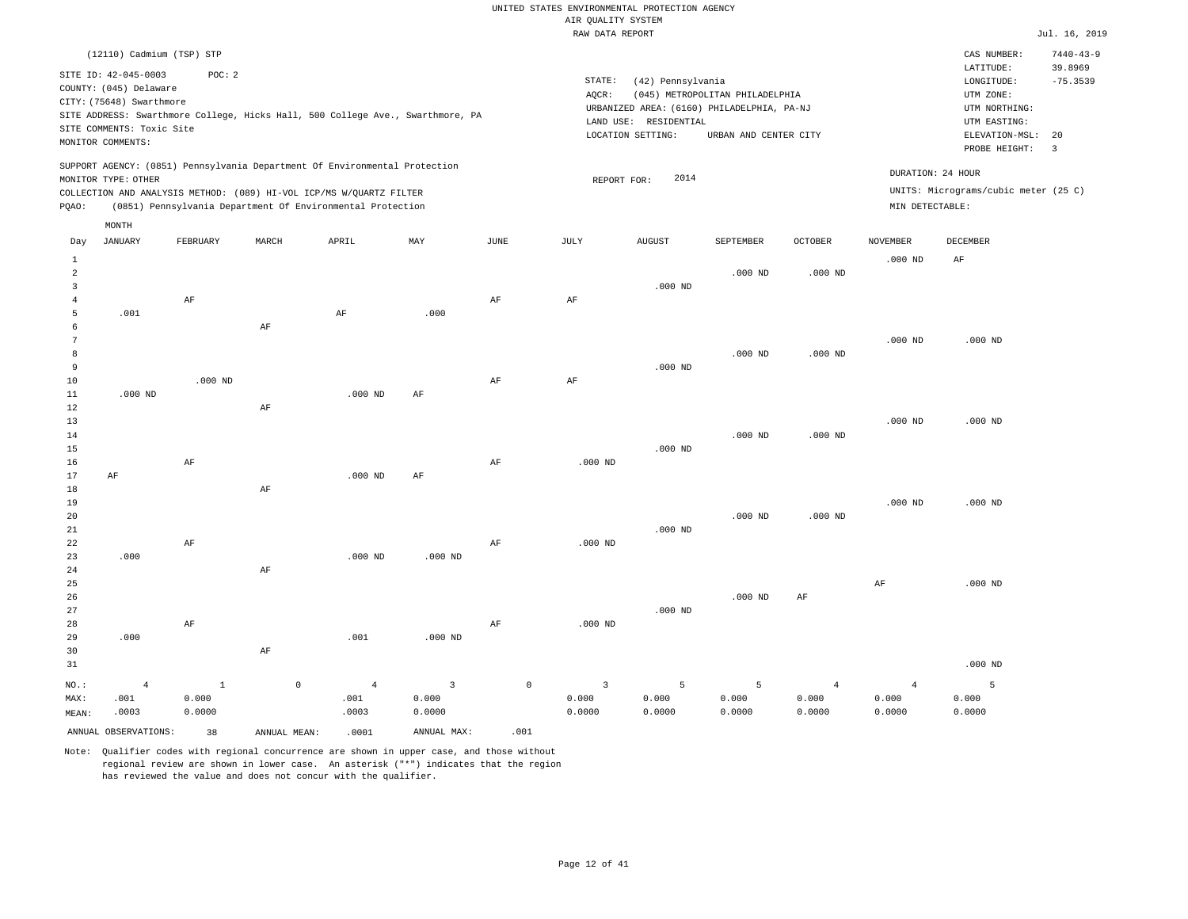|                |                           |              |                                                                                |                |                           |               | RAW DATA REPORT |                       |                                            |                |                 |                                      | Jul. 16, 2019           |
|----------------|---------------------------|--------------|--------------------------------------------------------------------------------|----------------|---------------------------|---------------|-----------------|-----------------------|--------------------------------------------|----------------|-----------------|--------------------------------------|-------------------------|
|                | (12110) Cadmium (TSP) STP |              |                                                                                |                |                           |               |                 |                       |                                            |                |                 | CAS NUMBER:                          | $7440 - 43 - 9$         |
|                | SITE ID: 42-045-0003      | POC: 2       |                                                                                |                |                           |               | STATE:          | (42) Pennsylvania     |                                            |                |                 | LATITUDE:<br>LONGITUDE:              | 39.8969<br>$-75.3539$   |
|                | COUNTY: (045) Delaware    |              |                                                                                |                |                           |               | AQCR:           |                       | (045) METROPOLITAN PHILADELPHIA            |                |                 | UTM ZONE:                            |                         |
|                | CITY: (75648) Swarthmore  |              |                                                                                |                |                           |               |                 |                       | URBANIZED AREA: (6160) PHILADELPHIA, PA-NJ |                |                 | UTM NORTHING:                        |                         |
|                |                           |              | SITE ADDRESS: Swarthmore College, Hicks Hall, 500 College Ave., Swarthmore, PA |                |                           |               |                 | LAND USE: RESIDENTIAL |                                            |                |                 | UTM EASTING:                         |                         |
|                | SITE COMMENTS: Toxic Site |              |                                                                                |                |                           |               |                 | LOCATION SETTING:     | URBAN AND CENTER CITY                      |                |                 | ELEVATION-MSL:                       | 20                      |
|                | MONITOR COMMENTS:         |              |                                                                                |                |                           |               |                 |                       |                                            |                |                 | PROBE HEIGHT:                        | $\overline{\mathbf{3}}$ |
|                |                           |              | SUPPORT AGENCY: (0851) Pennsylvania Department Of Environmental Protection     |                |                           |               |                 | 2014                  |                                            |                |                 | DURATION: 24 HOUR                    |                         |
|                | MONITOR TYPE: OTHER       |              |                                                                                |                |                           |               | REPORT FOR:     |                       |                                            |                |                 | UNITS: Micrograms/cubic meter (25 C) |                         |
|                |                           |              | COLLECTION AND ANALYSIS METHOD: (089) HI-VOL ICP/MS W/QUARTZ FILTER            |                |                           |               |                 |                       |                                            |                |                 |                                      |                         |
| PQAO:          | MONTH                     |              | (0851) Pennsylvania Department Of Environmental Protection                     |                |                           |               |                 |                       |                                            |                | MIN DETECTABLE: |                                      |                         |
| Day            | JANUARY                   | FEBRUARY     | MARCH                                                                          | APRIL          | $\ensuremath{\text{MAX}}$ | $_{\rm JUNE}$ | JULY            | AUGUST                | SEPTEMBER                                  | OCTOBER        | <b>NOVEMBER</b> | DECEMBER                             |                         |
| $\mathbf{1}$   |                           |              |                                                                                |                |                           |               |                 |                       |                                            |                | $.000$ ND       | $\rm AF$                             |                         |
| $\overline{a}$ |                           |              |                                                                                |                |                           |               |                 |                       | $.000$ ND                                  | $.000$ ND      |                 |                                      |                         |
| 3              |                           |              |                                                                                |                |                           |               |                 | $.000$ ND             |                                            |                |                 |                                      |                         |
| 4              |                           | AF           |                                                                                |                |                           | AF            | AF              |                       |                                            |                |                 |                                      |                         |
| 5              | .001                      |              |                                                                                | AF             | .000.                     |               |                 |                       |                                            |                |                 |                                      |                         |
| 6              |                           |              | AF                                                                             |                |                           |               |                 |                       |                                            |                |                 |                                      |                         |
| $\overline{7}$ |                           |              |                                                                                |                |                           |               |                 |                       |                                            |                | $.000$ ND       | $.000$ ND                            |                         |
| 8              |                           |              |                                                                                |                |                           |               |                 |                       | $.000$ ND                                  | $.000$ ND      |                 |                                      |                         |
| 9              |                           |              |                                                                                |                |                           |               |                 | $.000$ ND             |                                            |                |                 |                                      |                         |
| 10             |                           | $.000$ ND    |                                                                                |                |                           | AF            | AF              |                       |                                            |                |                 |                                      |                         |
| $11\,$         | $.000$ ND                 |              |                                                                                | $.000$ ND      | AF                        |               |                 |                       |                                            |                |                 |                                      |                         |
| 12             |                           |              | $\rm AF$                                                                       |                |                           |               |                 |                       |                                            |                |                 |                                      |                         |
| 13             |                           |              |                                                                                |                |                           |               |                 |                       |                                            |                | $.000$ ND       | $.000$ ND                            |                         |
| 14             |                           |              |                                                                                |                |                           |               |                 |                       | $.000$ ND                                  | $.000$ ND      |                 |                                      |                         |
| 15             |                           |              |                                                                                |                |                           |               |                 | $.000$ ND             |                                            |                |                 |                                      |                         |
| 16             |                           | AF           |                                                                                |                |                           | $\rm{AF}$     | $.000$ ND       |                       |                                            |                |                 |                                      |                         |
| 17             | AF                        |              |                                                                                | $.000$ ND      | AF                        |               |                 |                       |                                            |                |                 |                                      |                         |
| 18             |                           |              | AF                                                                             |                |                           |               |                 |                       |                                            |                |                 |                                      |                         |
| 19             |                           |              |                                                                                |                |                           |               |                 |                       |                                            |                | $.000$ ND       | $.000$ ND                            |                         |
| 20             |                           |              |                                                                                |                |                           |               |                 |                       | $.000$ ND                                  | $.000$ ND      |                 |                                      |                         |
| 21             |                           |              |                                                                                |                |                           |               |                 | $.000$ ND             |                                            |                |                 |                                      |                         |
| 22             |                           | AF           |                                                                                |                |                           | AF            | $.000$ ND       |                       |                                            |                |                 |                                      |                         |
| 23             | .000                      |              |                                                                                | $.000$ ND      | $.000$ ND                 |               |                 |                       |                                            |                |                 |                                      |                         |
| 24             |                           |              | AF                                                                             |                |                           |               |                 |                       |                                            |                |                 |                                      |                         |
| 25             |                           |              |                                                                                |                |                           |               |                 |                       |                                            |                | AF              | $.000$ ND                            |                         |
| 26             |                           |              |                                                                                |                |                           |               |                 |                       | $.000$ ND                                  | $\rm{AF}$      |                 |                                      |                         |
| 27             |                           |              |                                                                                |                |                           |               |                 | $.000$ ND             |                                            |                |                 |                                      |                         |
| 28             |                           | AF           |                                                                                |                |                           | AF            | $.000$ ND       |                       |                                            |                |                 |                                      |                         |
| 29             | .000                      |              |                                                                                | .001           | $.000$ ND                 |               |                 |                       |                                            |                |                 |                                      |                         |
| 30             |                           |              | $\rm{AF}$                                                                      |                |                           |               |                 |                       |                                            |                |                 |                                      |                         |
| 31             |                           |              |                                                                                |                |                           |               |                 |                       |                                            |                |                 | $.000$ ND                            |                         |
| NO.:           | $\overline{4}$            | $\mathbf{1}$ | $\circ$                                                                        | $\overline{4}$ | $\overline{\mathbf{3}}$   | $\mathbb O$   | $\overline{3}$  | 5                     | 5                                          | $\overline{4}$ | $\overline{4}$  | 5                                    |                         |
| MAX:           | .001                      | 0.000        |                                                                                | .001           | 0.000                     |               | 0.000           | 0.000                 | 0.000                                      | 0.000          | 0.000           | 0.000                                |                         |
| MEAN:          | .0003                     | 0.0000       |                                                                                | .0003          | 0.0000                    |               | 0.0000          | 0.0000                | 0.0000                                     | 0.0000         | 0.0000          | 0.0000                               |                         |
|                | ANNUAL OBSERVATIONS:      | 38           | ANNUAL MEAN:                                                                   | .0001          | ANNUAL MAX:               | .001          |                 |                       |                                            |                |                 |                                      |                         |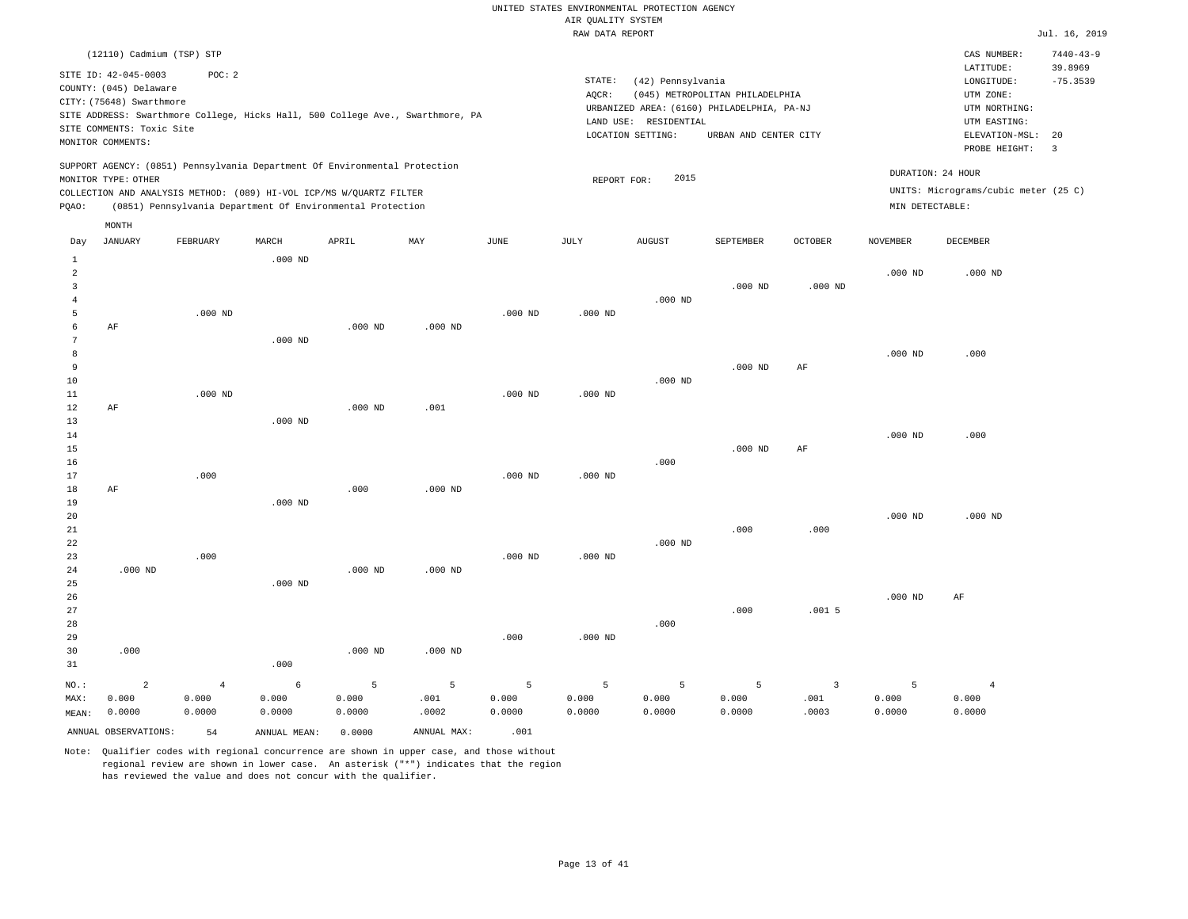|       | (12110) Cadmium (TSP) STP                                                                                                    |          |       |                                                                                                                                   |                                                                                |      |                 |                                                                                                                  |                                                          |                |                 | CAS NUMBER:                                                                                                 | $7440 - 43 - 9$       |
|-------|------------------------------------------------------------------------------------------------------------------------------|----------|-------|-----------------------------------------------------------------------------------------------------------------------------------|--------------------------------------------------------------------------------|------|-----------------|------------------------------------------------------------------------------------------------------------------|----------------------------------------------------------|----------------|-----------------|-------------------------------------------------------------------------------------------------------------|-----------------------|
|       | SITE ID: 42-045-0003<br>COUNTY: (045) Delaware<br>CITY: (75648) Swarthmore<br>SITE COMMENTS: Toxic Site<br>MONITOR COMMENTS: | POC: 2   |       |                                                                                                                                   | SITE ADDRESS: Swarthmore College, Hicks Hall, 500 College Ave., Swarthmore, PA |      | STATE:<br>AOCR: | (42) Pennsylvania<br>URBANIZED AREA: (6160) PHILADELPHIA, PA-NJ<br>RESIDENTIAL<br>LAND USE:<br>LOCATION SETTING: | (045) METROPOLITAN PHILADELPHIA<br>URBAN AND CENTER CITY |                |                 | LATITUDE:<br>LONGITUDE:<br>UTM ZONE:<br>UTM NORTHING:<br>UTM EASTING:<br>ELEVATION-MSL: 20<br>PROBE HEIGHT: | 39.8969<br>$-75.3539$ |
| POAO: | MONITOR TYPE: OTHER                                                                                                          |          |       | COLLECTION AND ANALYSIS METHOD: (089) HI-VOL ICP/MS W/QUARTZ FILTER<br>(0851) Pennsylvania Department Of Environmental Protection | SUPPORT AGENCY: (0851) Pennsylvania Department Of Environmental Protection     |      |                 | 2015<br>REPORT FOR:                                                                                              |                                                          |                | MIN DETECTABLE: | DURATION: 24 HOUR<br>UNITS: Micrograms/cubic meter (25 C)                                                   |                       |
| Day   | MONTH<br>JANUARY                                                                                                             | FEBRUARY | MARCH | APRIL                                                                                                                             | MAY                                                                            | JUNE | JULY            | <b>AUGUST</b>                                                                                                    | SEPTEMBER                                                | <b>OCTOBER</b> | NOVEMBER        | DECEMBER                                                                                                    |                       |

| $\mathbf{1}$   |                |                | $.000$ ND  |           |           |           |           |           |           |                         |           |                |
|----------------|----------------|----------------|------------|-----------|-----------|-----------|-----------|-----------|-----------|-------------------------|-----------|----------------|
| $\overline{c}$ |                |                |            |           |           |           |           |           |           |                         | $.000$ ND | $.000$ ND      |
| $\overline{3}$ |                |                |            |           |           |           |           |           | $.000$ ND | $.000$ ND               |           |                |
| $\overline{4}$ |                |                |            |           |           |           |           | $.000$ ND |           |                         |           |                |
| 5              |                | $.000$ ND      |            |           |           | $.000$ ND | $.000$ ND |           |           |                         |           |                |
| 6              | $\rm AF$       |                |            | $.000$ ND | $.000$ ND |           |           |           |           |                         |           |                |
| 7              |                |                | $.000$ ND  |           |           |           |           |           |           |                         |           |                |
| 8              |                |                |            |           |           |           |           |           |           |                         | $.000$ ND | .000           |
| $\overline{9}$ |                |                |            |           |           |           |           |           | $.000$ ND | $\rm AF$                |           |                |
| 10             |                |                |            |           |           |           |           | $.000$ ND |           |                         |           |                |
| 11             |                | $.000$ ND      |            |           |           | $.000$ ND | $.000$ ND |           |           |                         |           |                |
| 12             | $\rm AF$       |                |            | $.000$ ND | .001      |           |           |           |           |                         |           |                |
| 13             |                |                | $.000$ ND  |           |           |           |           |           |           |                         |           |                |
| 14             |                |                |            |           |           |           |           |           |           |                         | $.000$ ND | .000           |
| 15             |                |                |            |           |           |           |           |           | $.000$ ND | $\rm{AF}$               |           |                |
| 16             |                |                |            |           |           |           |           | .000      |           |                         |           |                |
| 17             |                | .000           |            |           |           | $.000$ ND | $.000$ ND |           |           |                         |           |                |
| 18             | AF             |                |            | .000      | $.000$ ND |           |           |           |           |                         |           |                |
| 19             |                |                | $.000$ ND  |           |           |           |           |           |           |                         |           |                |
| 20             |                |                |            |           |           |           |           |           |           |                         | $.000$ ND | $.000$ ND      |
| 21             |                |                |            |           |           |           |           |           | .000      | .000                    |           |                |
| 22             |                |                |            |           |           |           |           | $.000$ ND |           |                         |           |                |
| 23             |                | .000           |            |           |           | $.000$ ND | $.000$ ND |           |           |                         |           |                |
| 24             | $.000$ ND      |                |            | $.000$ ND | $.000$ ND |           |           |           |           |                         |           |                |
| 25             |                |                | $.000$ ND  |           |           |           |           |           |           |                         |           |                |
| 26             |                |                |            |           |           |           |           |           |           |                         | $.000$ ND | AF             |
| 27             |                |                |            |           |           |           |           | .000      | .000      | .0015                   |           |                |
| 28<br>29       |                |                |            |           |           | .000      | $.000$ ND |           |           |                         |           |                |
| 30             | .000           |                |            | $.000$ ND | $.000$ ND |           |           |           |           |                         |           |                |
| 31             |                |                | .000       |           |           |           |           |           |           |                         |           |                |
|                |                |                |            |           |           |           |           |           |           |                         |           |                |
| $NO.$ :        | $\overline{a}$ | $\overline{4}$ | $\epsilon$ | 5         | 5         | 5         | 5         | 5         | 5         | $\overline{\mathbf{3}}$ | 5         | $\overline{4}$ |
| MAX:           | 0.000          | 0.000          | 0.000      | 0.000     | .001      | 0.000     | 0.000     | 0.000     | 0.000     | .001                    | 0.000     | 0.000          |
| MEAN:          | 0.0000         | 0.0000         | 0.0000     | 0.0000    | .0002     | 0.0000    | 0.0000    | 0.0000    | 0.0000    | .0003                   | 0.0000    | 0.0000         |

ANNUAL OBSERVATIONS:  $54$  ANNUAL MEAN:  $0.0000$  ANNUAL MAX:  $.001$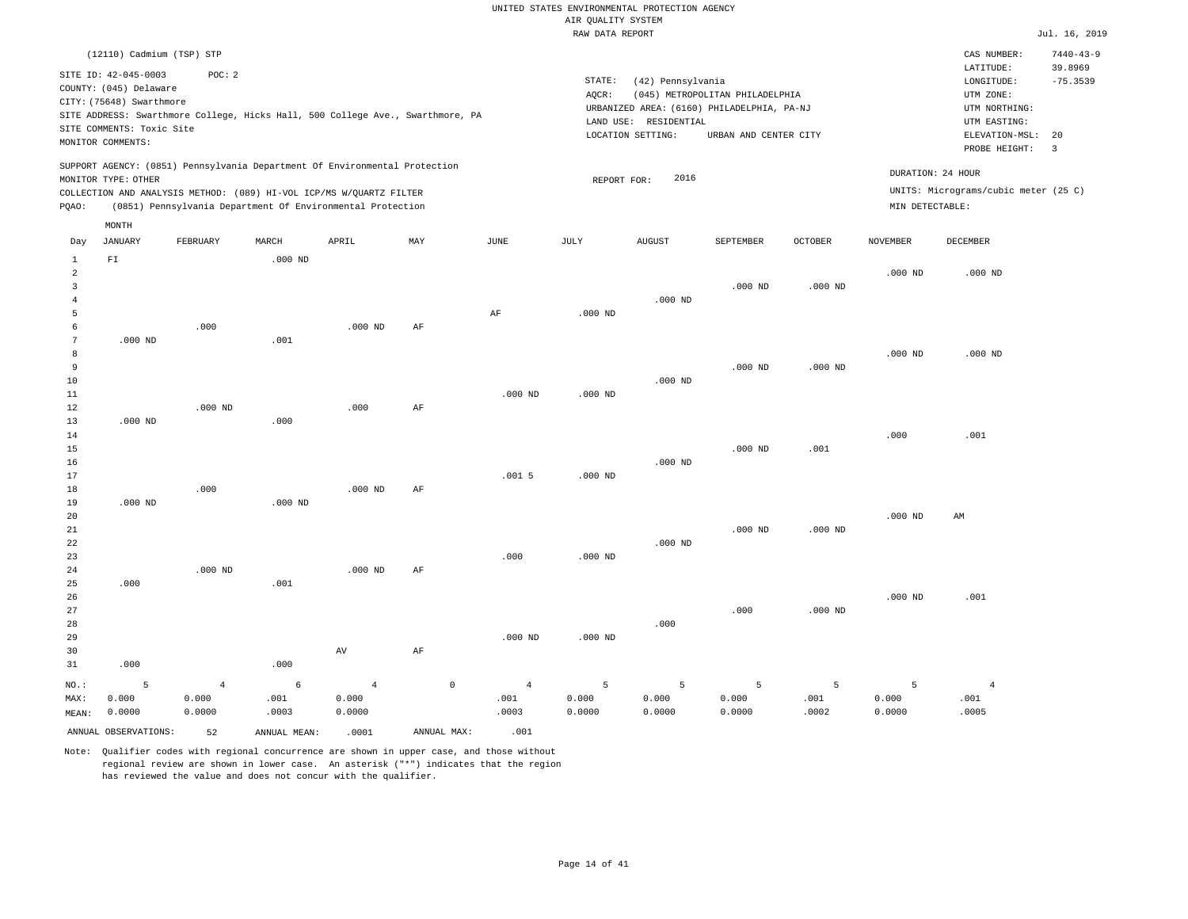|                                               |                                                                                                                              |                   |           |                                                                                                                                                                                                                 |          |           | RAW DATA REPORT |                                                                 |                                                                                                        |                |                 |                                                                                                          | Jul. 16, 2019                                          |
|-----------------------------------------------|------------------------------------------------------------------------------------------------------------------------------|-------------------|-----------|-----------------------------------------------------------------------------------------------------------------------------------------------------------------------------------------------------------------|----------|-----------|-----------------|-----------------------------------------------------------------|--------------------------------------------------------------------------------------------------------|----------------|-----------------|----------------------------------------------------------------------------------------------------------|--------------------------------------------------------|
|                                               | (12110) Cadmium (TSP) STP                                                                                                    |                   |           |                                                                                                                                                                                                                 |          |           |                 |                                                                 |                                                                                                        |                |                 | CAS NUMBER:                                                                                              | $7440 - 43 - 9$                                        |
|                                               | SITE ID: 42-045-0003<br>COUNTY: (045) Delaware<br>CITY: (75648) Swarthmore<br>SITE COMMENTS: Toxic Site<br>MONITOR COMMENTS: | POC: 2            |           | SITE ADDRESS: Swarthmore College, Hicks Hall, 500 College Ave., Swarthmore, PA                                                                                                                                  |          |           | STATE:<br>AQCR: | (42) Pennsylvania<br>LAND USE: RESIDENTIAL<br>LOCATION SETTING: | (045) METROPOLITAN PHILADELPHIA<br>URBANIZED AREA: (6160) PHILADELPHIA, PA-NJ<br>URBAN AND CENTER CITY |                |                 | LATITUDE:<br>LONGITUDE:<br>UTM ZONE:<br>UTM NORTHING:<br>UTM EASTING:<br>ELEVATION-MSL:<br>PROBE HEIGHT: | 39.8969<br>$-75.3539$<br>20<br>$\overline{\mathbf{3}}$ |
| PQAO:                                         | MONITOR TYPE: OTHER                                                                                                          |                   |           | SUPPORT AGENCY: (0851) Pennsylvania Department Of Environmental Protection<br>COLLECTION AND ANALYSIS METHOD: (089) HI-VOL ICP/MS W/QUARTZ FILTER<br>(0851) Pennsylvania Department Of Environmental Protection |          |           | REPORT FOR:     | 2016                                                            |                                                                                                        |                | MIN DETECTABLE: | DURATION: 24 HOUR<br>UNITS: Micrograms/cubic meter (25 C)                                                |                                                        |
| Day                                           | MONTH<br>JANUARY                                                                                                             | FEBRUARY          | MARCH     | APRIL                                                                                                                                                                                                           | MAY      | JUNE      | JULY            | <b>AUGUST</b>                                                   | SEPTEMBER                                                                                              | <b>OCTOBER</b> | <b>NOVEMBER</b> | DECEMBER                                                                                                 |                                                        |
| $\mathbf{1}$<br>2<br>3<br>$\overline{4}$<br>5 | ${\rm FT}$                                                                                                                   |                   | $.000$ ND |                                                                                                                                                                                                                 |          | AF        | $.000$ ND       | $.000$ ND                                                       | $.000$ ND                                                                                              | $.000$ ND      | $.000$ ND       | $.000$ ND                                                                                                |                                                        |
| 6<br>7<br>8<br>9<br>10<br>11                  | $.000$ ND                                                                                                                    | .000              | .001      | $.000$ ND                                                                                                                                                                                                       | AF       | $.000$ ND | $.000$ ND       | $.000$ ND                                                       | $.000$ ND                                                                                              | $.000$ ND      | $.000$ ND       | $.000$ ND                                                                                                |                                                        |
| 12<br>13<br>14<br>15<br>16<br>17              | $.000$ ND                                                                                                                    | $.000$ ND         | .000      | .000                                                                                                                                                                                                            | AF       | .0015     | $.000$ ND       | $.000$ ND                                                       | $.000$ ND                                                                                              | .001           | .000            | .001                                                                                                     |                                                        |
| 18<br>19<br>20<br>21<br>22<br>23<br>24        | $.000$ ND                                                                                                                    | .000<br>$.000$ ND | $.000$ ND | $.000$ ND<br>$.000$ ND                                                                                                                                                                                          | AF<br>AF | .000      | $.000$ ND       | $.000$ ND                                                       | $.000$ ND                                                                                              | $.000$ ND      | $.000$ ND       | AM                                                                                                       |                                                        |
| 25<br>26                                      | .000                                                                                                                         |                   | .001      |                                                                                                                                                                                                                 |          |           |                 |                                                                 |                                                                                                        |                | $.000$ ND       | .001                                                                                                     |                                                        |

27 28 29 30 31 .000 NO.: MAX: MEAN: 5 0.000 0.0000 .000 AV AF .000 ND .000 ND .000 .000 .000 ND 4 0.000 0.0000 6 .001 .0003 4 0.000 0.0000  $\,$  0  $\,$  4  $\,$  .001 .0003 5 0.000 0.0000 5 0.000 0.0000 5 0.000 0.0000 5 .001 .0002 5 0.000 0.0000 .001 .0005 ANNUAL OBSERVATIONS: 52 ANNUAL MEAN: .0001 ANNUAL MAX: .001

Note: Qualifier codes with regional concurrence are shown in upper case, and those without regional review are shown in lower case. An asterisk ("\*") indicates that the region has reviewed the value and does not concur with the qualifier.

4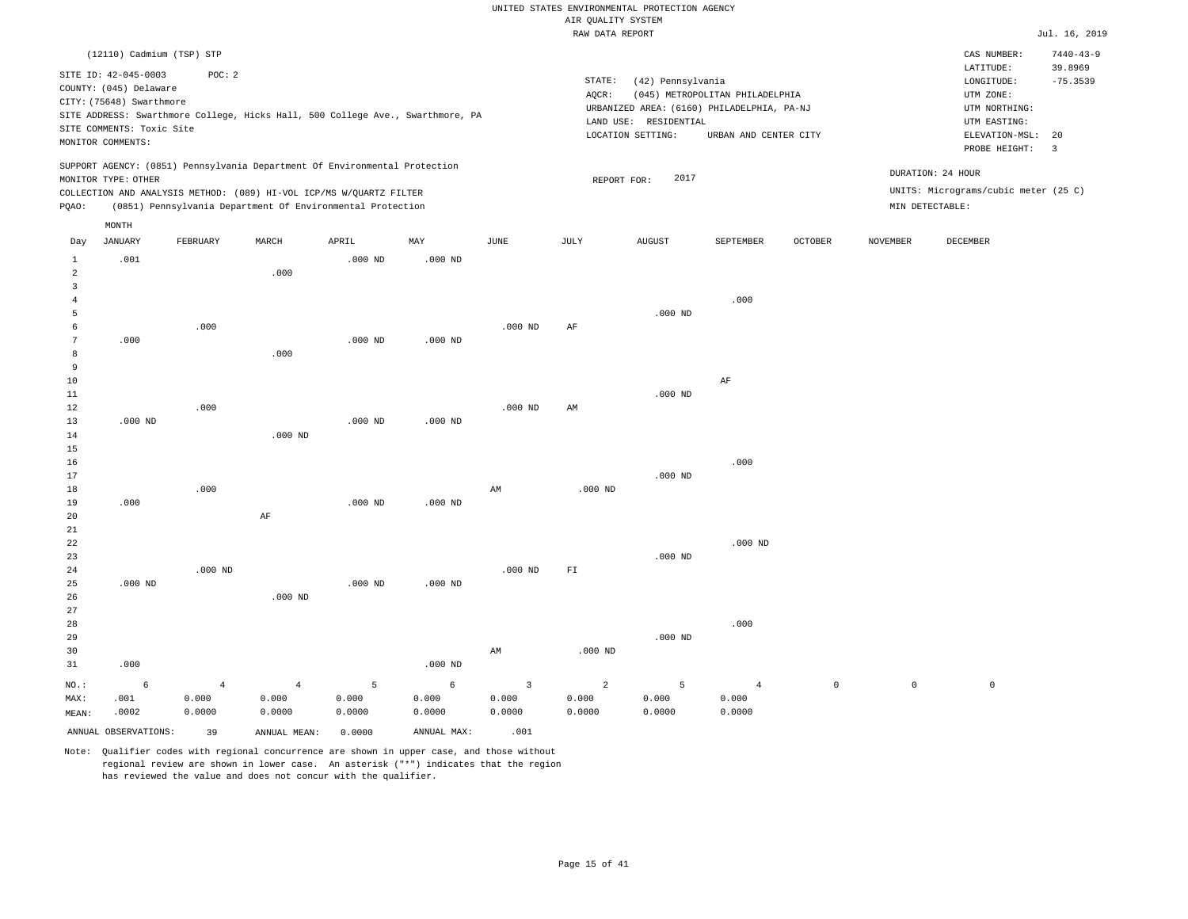|              |                           |           |           |                                                                                |           |             | RAW DATA REPORT            |                       |                                            |                |                 |                                      | Jul. 16, 2019              |
|--------------|---------------------------|-----------|-----------|--------------------------------------------------------------------------------|-----------|-------------|----------------------------|-----------------------|--------------------------------------------|----------------|-----------------|--------------------------------------|----------------------------|
|              | (12110) Cadmium (TSP) STP |           |           |                                                                                |           |             |                            |                       |                                            |                |                 | CAS NUMBER:                          | $7440 - 43 - 9$<br>39.8969 |
|              | SITE ID: 42-045-0003      | POC: 2    |           |                                                                                |           |             | STATE:                     | (42) Pennsylvania     |                                            |                |                 | LATITUDE:<br>LONGITUDE:              | $-75.3539$                 |
|              | COUNTY: (045) Delaware    |           |           |                                                                                |           |             | AQCR:                      |                       | (045) METROPOLITAN PHILADELPHIA            |                |                 | UTM ZONE:                            |                            |
|              | CITY: (75648) Swarthmore  |           |           |                                                                                |           |             |                            |                       | URBANIZED AREA: (6160) PHILADELPHIA, PA-NJ |                |                 | UTM NORTHING:                        |                            |
|              |                           |           |           | SITE ADDRESS: Swarthmore College, Hicks Hall, 500 College Ave., Swarthmore, PA |           |             |                            | LAND USE: RESIDENTIAL |                                            |                |                 | UTM EASTING:                         |                            |
|              | SITE COMMENTS: Toxic Site |           |           |                                                                                |           |             |                            | LOCATION SETTING:     | URBAN AND CENTER CITY                      |                |                 | ELEVATION-MSL:                       | 20                         |
|              | MONITOR COMMENTS:         |           |           |                                                                                |           |             |                            |                       |                                            |                |                 | PROBE HEIGHT:                        | $\overline{3}$             |
|              |                           |           |           | SUPPORT AGENCY: (0851) Pennsylvania Department Of Environmental Protection     |           |             |                            |                       |                                            |                |                 | DURATION: 24 HOUR                    |                            |
|              | MONITOR TYPE: OTHER       |           |           |                                                                                |           |             |                            | 2017<br>REPORT FOR:   |                                            |                |                 |                                      |                            |
|              |                           |           |           | COLLECTION AND ANALYSIS METHOD: (089) HI-VOL ICP/MS W/QUARTZ FILTER            |           |             |                            |                       |                                            |                |                 | UNITS: Micrograms/cubic meter (25 C) |                            |
| PQAO:        |                           |           |           | (0851) Pennsylvania Department Of Environmental Protection                     |           |             |                            |                       |                                            |                |                 | MIN DETECTABLE:                      |                            |
|              | MONTH                     |           |           |                                                                                |           |             |                            |                       |                                            |                |                 |                                      |                            |
| Day          | JANUARY                   | FEBRUARY  | MARCH     | APRIL                                                                          | MAY       | <b>JUNE</b> | JULY                       | <b>AUGUST</b>         | SEPTEMBER                                  | <b>OCTOBER</b> | <b>NOVEMBER</b> | DECEMBER                             |                            |
| $\mathbf{1}$ | .001                      |           |           | $.000$ ND                                                                      | $.000$ ND |             |                            |                       |                                            |                |                 |                                      |                            |
| 2<br>3       |                           |           | .000      |                                                                                |           |             |                            |                       |                                            |                |                 |                                      |                            |
| 4            |                           |           |           |                                                                                |           |             |                            |                       | .000                                       |                |                 |                                      |                            |
| 5            |                           |           |           |                                                                                |           |             |                            | $.000$ ND             |                                            |                |                 |                                      |                            |
| 6            |                           | .000      |           |                                                                                |           | $.000$ ND   | AF                         |                       |                                            |                |                 |                                      |                            |
| 7            | .000                      |           |           | $.000$ ND                                                                      | $.000$ ND |             |                            |                       |                                            |                |                 |                                      |                            |
| 8            |                           |           | .000      |                                                                                |           |             |                            |                       |                                            |                |                 |                                      |                            |
| 9            |                           |           |           |                                                                                |           |             |                            |                       |                                            |                |                 |                                      |                            |
| $10$         |                           |           |           |                                                                                |           |             |                            |                       | $\rm AF$                                   |                |                 |                                      |                            |
| 11           |                           |           |           |                                                                                |           |             |                            | $.000$ ND             |                                            |                |                 |                                      |                            |
| 12           |                           | .000      |           |                                                                                |           | $.000$ ND   | AM                         |                       |                                            |                |                 |                                      |                            |
| 13           | $.000$ ND                 |           |           | $.000$ ND                                                                      | $.000$ ND |             |                            |                       |                                            |                |                 |                                      |                            |
| 14           |                           |           | $.000$ ND |                                                                                |           |             |                            |                       |                                            |                |                 |                                      |                            |
| 15           |                           |           |           |                                                                                |           |             |                            |                       |                                            |                |                 |                                      |                            |
| 16<br>17     |                           |           |           |                                                                                |           |             |                            | $.000$ ND             | .000                                       |                |                 |                                      |                            |
| 18           |                           | .000      |           |                                                                                |           | AM          | $.000$ ND                  |                       |                                            |                |                 |                                      |                            |
| 19           | .000                      |           |           | $.000$ ND                                                                      | $.000$ ND |             |                            |                       |                                            |                |                 |                                      |                            |
| 20           |                           |           | AF        |                                                                                |           |             |                            |                       |                                            |                |                 |                                      |                            |
| 21           |                           |           |           |                                                                                |           |             |                            |                       |                                            |                |                 |                                      |                            |
| 22           |                           |           |           |                                                                                |           |             |                            |                       | $.000$ ND                                  |                |                 |                                      |                            |
| 23           |                           |           |           |                                                                                |           |             |                            | $.000$ ND             |                                            |                |                 |                                      |                            |
| 24           |                           | $.000$ ND |           |                                                                                |           | $.000$ ND   | $\mathbb{F} \, \mathbb{I}$ |                       |                                            |                |                 |                                      |                            |
| 25           | $.000$ ND                 |           |           | $.000$ ND                                                                      | $.000$ ND |             |                            |                       |                                            |                |                 |                                      |                            |
| 26           |                           |           | $.000$ ND |                                                                                |           |             |                            |                       |                                            |                |                 |                                      |                            |
| 27           |                           |           |           |                                                                                |           |             |                            |                       |                                            |                |                 |                                      |                            |
| 28           |                           |           |           |                                                                                |           |             |                            |                       | .000                                       |                |                 |                                      |                            |
| 29<br>30     |                           |           |           |                                                                                |           | AM          | $.000$ ND                  | $.000$ ND             |                                            |                |                 |                                      |                            |
| 31           | .000                      |           |           |                                                                                | $.000$ ND |             |                            |                       |                                            |                |                 |                                      |                            |
|              |                           |           |           |                                                                                |           |             |                            |                       |                                            |                |                 |                                      |                            |

NO.: MAX: MEAN: 6 .001 .0002 4 0.000 0.0000 4 0.000 0.0000 5 0.000 0.0000 6 0.000 0.0000 3 0.000 0.0000 2 0.000 0.0000 5 0.000 0.0000 4 0.000 0.0000 0 0 0

ANNUAL OBSERVATIONS: 39 ANNUAL MEAN: 0.0000 ANNUAL MAX: .001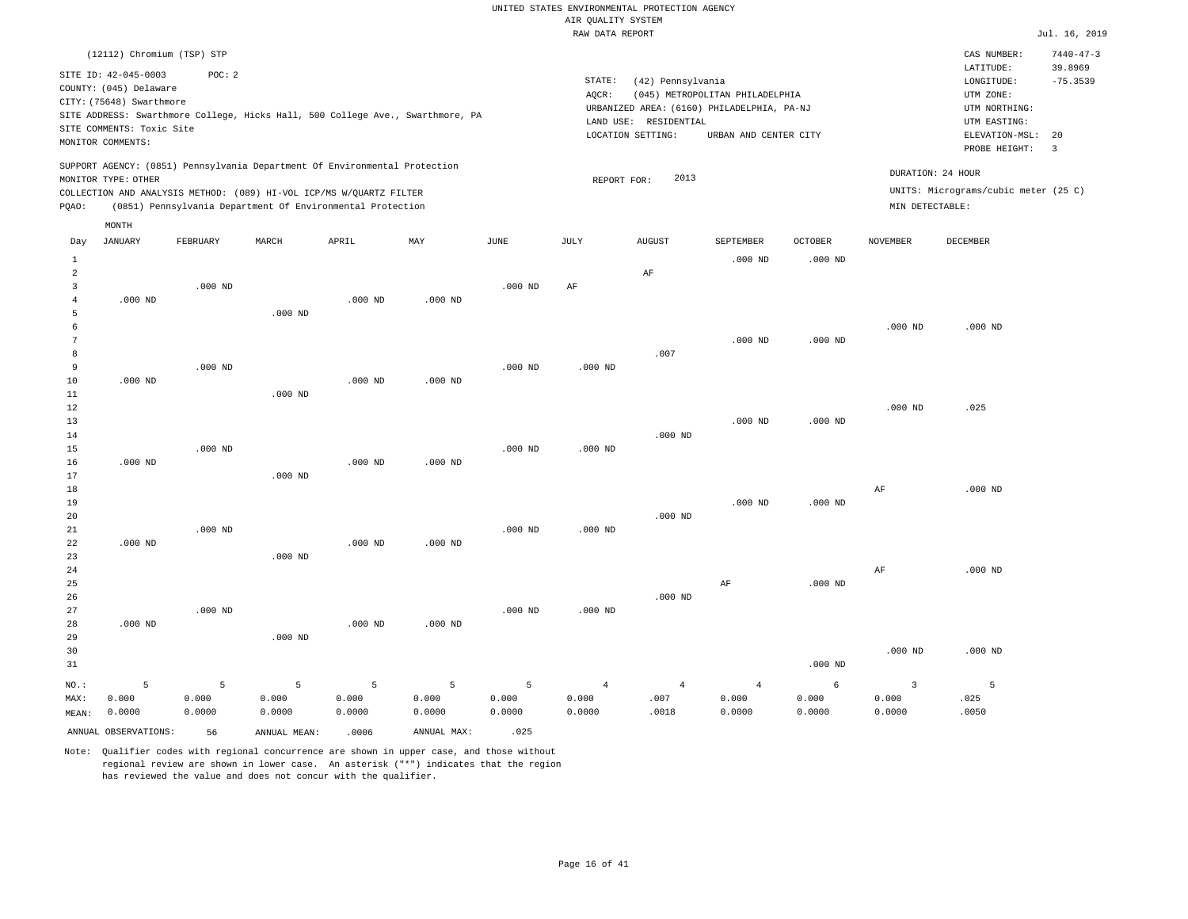|                     |                            |           |                                                                            |           |                                                                                |                    | RAW DATA REPORT |                       |                                            |                    |                 |                                      | Jul. 16, 2019   |
|---------------------|----------------------------|-----------|----------------------------------------------------------------------------|-----------|--------------------------------------------------------------------------------|--------------------|-----------------|-----------------------|--------------------------------------------|--------------------|-----------------|--------------------------------------|-----------------|
|                     | (12112) Chromium (TSP) STP |           |                                                                            |           |                                                                                |                    |                 |                       |                                            |                    |                 | CAS NUMBER:                          | $7440 - 47 - 3$ |
|                     | SITE ID: 42-045-0003       | POC: 2    |                                                                            |           |                                                                                |                    |                 |                       |                                            |                    |                 | LATITUDE:                            | 39.8969         |
|                     | COUNTY: (045) Delaware     |           |                                                                            |           |                                                                                |                    | STATE:          | (42) Pennsylvania     |                                            |                    |                 | LONGITUDE:                           | $-75.3539$      |
|                     | CITY: (75648) Swarthmore   |           |                                                                            |           |                                                                                |                    | AOCR:           |                       | (045) METROPOLITAN PHILADELPHIA            |                    |                 | UTM ZONE:                            |                 |
|                     |                            |           |                                                                            |           | SITE ADDRESS: Swarthmore College, Hicks Hall, 500 College Ave., Swarthmore, PA |                    |                 |                       | URBANIZED AREA: (6160) PHILADELPHIA, PA-NJ |                    |                 | UTM NORTHING:                        |                 |
|                     | SITE COMMENTS: Toxic Site  |           |                                                                            |           |                                                                                |                    |                 | LAND USE: RESIDENTIAL |                                            |                    |                 | UTM EASTING:                         |                 |
|                     |                            |           |                                                                            |           |                                                                                |                    |                 | LOCATION SETTING:     | URBAN AND CENTER CITY                      |                    |                 | ELEVATION-MSL:                       | 20              |
|                     | MONITOR COMMENTS:          |           |                                                                            |           |                                                                                |                    |                 |                       |                                            |                    |                 | PROBE HEIGHT:                        | $\overline{3}$  |
|                     |                            |           | SUPPORT AGENCY: (0851) Pennsylvania Department Of Environmental Protection |           |                                                                                |                    |                 |                       |                                            |                    |                 | DURATION: 24 HOUR                    |                 |
|                     | MONITOR TYPE: OTHER        |           |                                                                            |           |                                                                                |                    | REPORT FOR:     | 2013                  |                                            |                    |                 |                                      |                 |
|                     |                            |           | COLLECTION AND ANALYSIS METHOD: (089) HI-VOL ICP/MS W/QUARTZ FILTER        |           |                                                                                |                    |                 |                       |                                            |                    |                 | UNITS: Micrograms/cubic meter (25 C) |                 |
| PQAO:               |                            |           | (0851) Pennsylvania Department Of Environmental Protection                 |           |                                                                                |                    |                 |                       |                                            |                    | MIN DETECTABLE: |                                      |                 |
|                     | MONTH                      |           |                                                                            |           |                                                                                |                    |                 |                       |                                            |                    |                 |                                      |                 |
| Day                 | <b>JANUARY</b>             | FEBRUARY  | MARCH                                                                      | APRIL     | MAY                                                                            | <b>JUNE</b>        | <b>JULY</b>     | <b>AUGUST</b>         | SEPTEMBER                                  | <b>OCTOBER</b>     | <b>NOVEMBER</b> | DECEMBER                             |                 |
| $\mathbf{1}$        |                            |           |                                                                            |           |                                                                                |                    |                 |                       | $.000$ ND                                  | $.000$ ND          |                 |                                      |                 |
| $\overline{2}$      |                            |           |                                                                            |           |                                                                                |                    |                 | AF                    |                                            |                    |                 |                                      |                 |
| $\overline{3}$      |                            | $.000$ ND |                                                                            |           |                                                                                | $.000$ ND          | AF              |                       |                                            |                    |                 |                                      |                 |
| $\overline{4}$      | $.000$ ND                  |           |                                                                            | $.000$ ND | $.000$ ND                                                                      |                    |                 |                       |                                            |                    |                 |                                      |                 |
| 5                   |                            |           | $.000$ ND                                                                  |           |                                                                                |                    |                 |                       |                                            |                    |                 |                                      |                 |
| 6<br>$\overline{7}$ |                            |           |                                                                            |           |                                                                                |                    |                 |                       |                                            |                    | $.000$ ND       | $.000$ ND                            |                 |
|                     |                            |           |                                                                            |           |                                                                                |                    |                 |                       | $.000$ ND                                  | .000 <sub>ND</sub> |                 |                                      |                 |
| 8<br>9              |                            |           |                                                                            |           |                                                                                |                    |                 | .007                  |                                            |                    |                 |                                      |                 |
|                     |                            | $.000$ ND |                                                                            |           |                                                                                | $.000$ ND          | $.000$ ND       |                       |                                            |                    |                 |                                      |                 |
| 10                  | $.000$ ND                  |           |                                                                            | $.000$ ND | $.000$ ND                                                                      |                    |                 |                       |                                            |                    |                 |                                      |                 |
| $1\,1$<br>12        |                            |           | $.000$ ND                                                                  |           |                                                                                |                    |                 |                       |                                            |                    |                 | .025                                 |                 |
|                     |                            |           |                                                                            |           |                                                                                |                    |                 |                       |                                            |                    | $.000$ ND       |                                      |                 |
| 13<br>14            |                            |           |                                                                            |           |                                                                                |                    |                 | $.000$ ND             | $.000$ ND                                  | $.000$ ND          |                 |                                      |                 |
| 15                  |                            | $.000$ ND |                                                                            |           |                                                                                | $.000$ ND          | $.000$ ND       |                       |                                            |                    |                 |                                      |                 |
| 16                  | $.000$ ND                  |           |                                                                            | $.000$ ND | $.000$ ND                                                                      |                    |                 |                       |                                            |                    |                 |                                      |                 |
| 17                  |                            |           | $.000$ ND                                                                  |           |                                                                                |                    |                 |                       |                                            |                    |                 |                                      |                 |
| 18                  |                            |           |                                                                            |           |                                                                                |                    |                 |                       |                                            |                    | $\rm AF$        | $.000$ ND                            |                 |
| 19                  |                            |           |                                                                            |           |                                                                                |                    |                 |                       | $.000$ ND                                  | $.000$ ND          |                 |                                      |                 |
| 20                  |                            |           |                                                                            |           |                                                                                |                    |                 | $.000$ ND             |                                            |                    |                 |                                      |                 |
| 21                  |                            | $.000$ ND |                                                                            |           |                                                                                | $.000$ ND          | $.000$ ND       |                       |                                            |                    |                 |                                      |                 |
| 22                  | $.000$ ND                  |           |                                                                            | $.000$ ND | $.000$ ND                                                                      |                    |                 |                       |                                            |                    |                 |                                      |                 |
| 23                  |                            |           | $.000$ ND                                                                  |           |                                                                                |                    |                 |                       |                                            |                    |                 |                                      |                 |
| 24                  |                            |           |                                                                            |           |                                                                                |                    |                 |                       |                                            |                    | AF              | $.000$ ND                            |                 |
| 25                  |                            |           |                                                                            |           |                                                                                |                    |                 |                       | AF                                         | $.000$ ND          |                 |                                      |                 |
| 26                  |                            |           |                                                                            |           |                                                                                |                    |                 | $.000$ ND             |                                            |                    |                 |                                      |                 |
| 27                  |                            | $.000$ ND |                                                                            |           |                                                                                | .000 <sub>ND</sub> | $.000$ ND       |                       |                                            |                    |                 |                                      |                 |
| 28                  | $.000$ ND                  |           |                                                                            | $.000$ ND | $.000$ ND                                                                      |                    |                 |                       |                                            |                    |                 |                                      |                 |
| 29                  |                            |           | $.000$ ND                                                                  |           |                                                                                |                    |                 |                       |                                            |                    |                 |                                      |                 |
| 30                  |                            |           |                                                                            |           |                                                                                |                    |                 |                       |                                            |                    | $.000$ ND       | .000 ND                              |                 |
| 31                  |                            |           |                                                                            |           |                                                                                |                    |                 |                       |                                            | $.000$ ND          |                 |                                      |                 |
|                     |                            |           |                                                                            |           |                                                                                |                    |                 |                       |                                            |                    |                 |                                      |                 |
| NO.:                | 5                          | 5         | 5                                                                          | 5         | 5                                                                              | 5                  | $\overline{4}$  | $\overline{4}$        | $\overline{4}$                             | 6                  | $\overline{3}$  | 5                                    |                 |
| MAX:                | 0.000                      | 0.000     | 0.000                                                                      | 0.000     | 0.000                                                                          | 0.000              | 0.000           | .007                  | 0.000                                      | 0.000              | 0.000           | .025                                 |                 |
| MEAN:               | 0.0000                     | 0.0000    | 0.0000                                                                     | 0.0000    | 0.0000                                                                         | 0.0000             | 0.0000          | .0018                 | 0.0000                                     | 0.0000             | 0.0000          | .0050                                |                 |
|                     | ANNUAL OBSERVATIONS:       | 56        | ANNUAL MEAN:                                                               | .0006     | ANNUAL MAX:                                                                    | .025               |                 |                       |                                            |                    |                 |                                      |                 |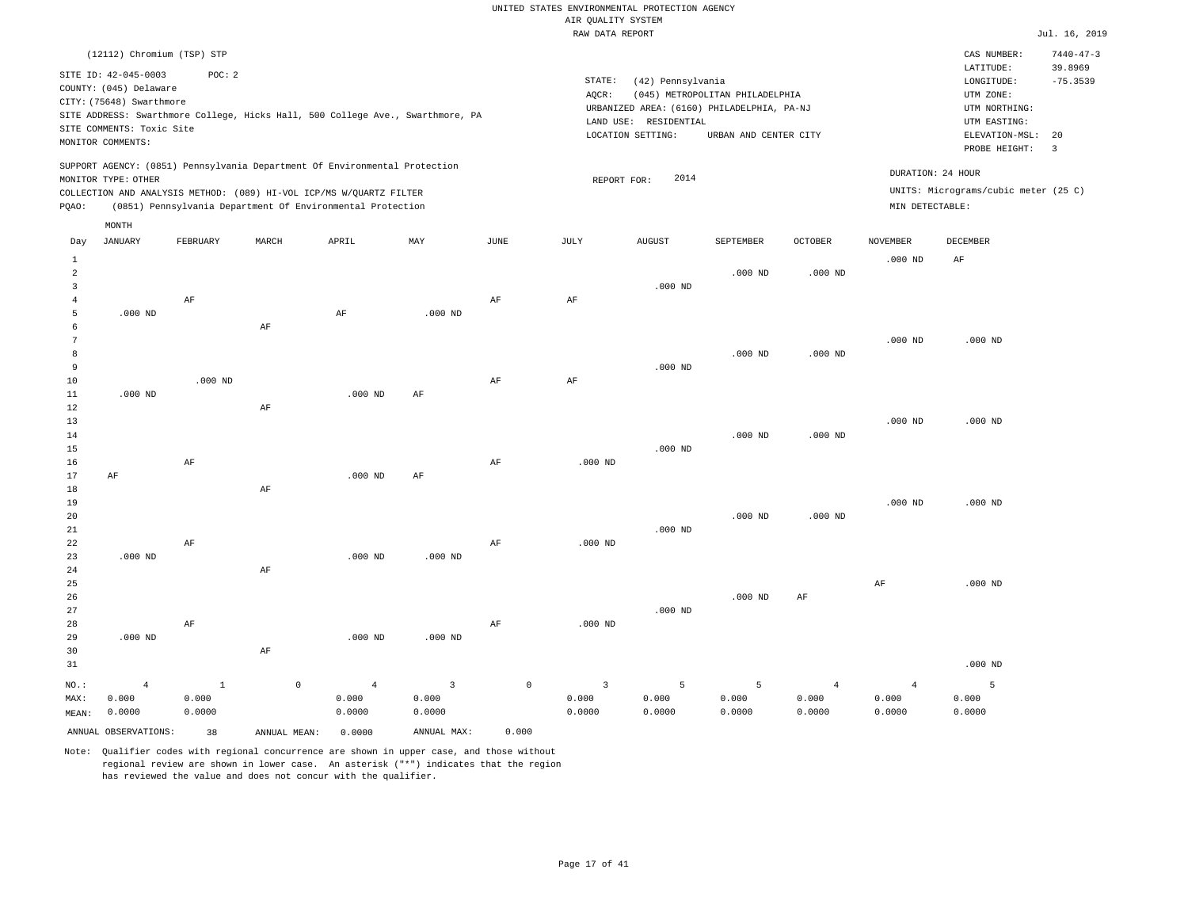|                |                                                                            |             |              |                                                            |                                                                                |             | RAW DATA REPORT |                       |                                            |                |                 |                                      | Jul. 16, 2019   |
|----------------|----------------------------------------------------------------------------|-------------|--------------|------------------------------------------------------------|--------------------------------------------------------------------------------|-------------|-----------------|-----------------------|--------------------------------------------|----------------|-----------------|--------------------------------------|-----------------|
|                | (12112) Chromium (TSP) STP                                                 |             |              |                                                            |                                                                                |             |                 |                       |                                            |                |                 | CAS NUMBER:                          | $7440 - 47 - 3$ |
|                |                                                                            |             |              |                                                            |                                                                                |             |                 |                       |                                            |                |                 | LATITUDE:                            | 39.8969         |
|                | SITE ID: 42-045-0003                                                       | POC: 2      |              |                                                            |                                                                                |             | STATE:          | (42) Pennsylvania     |                                            |                |                 | LONGITUDE:                           | $-75.3539$      |
|                | COUNTY: (045) Delaware                                                     |             |              |                                                            |                                                                                |             | AOCR:           |                       | (045) METROPOLITAN PHILADELPHIA            |                |                 | UTM ZONE:                            |                 |
|                | CITY: (75648) Swarthmore                                                   |             |              |                                                            |                                                                                |             |                 |                       | URBANIZED AREA: (6160) PHILADELPHIA, PA-NJ |                |                 | UTM NORTHING:                        |                 |
|                |                                                                            |             |              |                                                            | SITE ADDRESS: Swarthmore College, Hicks Hall, 500 College Ave., Swarthmore, PA |             |                 | LAND USE: RESIDENTIAL |                                            |                |                 | UTM EASTING:                         |                 |
|                | SITE COMMENTS: Toxic Site                                                  |             |              |                                                            |                                                                                |             |                 | LOCATION SETTING:     | URBAN AND CENTER CITY                      |                |                 | ELEVATION-MSL:                       | 20              |
|                | MONITOR COMMENTS:                                                          |             |              |                                                            |                                                                                |             |                 |                       |                                            |                |                 | PROBE HEIGHT:                        | $\overline{3}$  |
|                | SUPPORT AGENCY: (0851) Pennsylvania Department Of Environmental Protection |             |              |                                                            |                                                                                |             |                 |                       |                                            |                |                 | DURATION: 24 HOUR                    |                 |
|                | MONITOR TYPE: OTHER                                                        |             |              |                                                            |                                                                                |             | REPORT FOR:     | 2014                  |                                            |                |                 |                                      |                 |
|                | COLLECTION AND ANALYSIS METHOD: (089) HI-VOL ICP/MS W/QUARTZ FILTER        |             |              |                                                            |                                                                                |             |                 |                       |                                            |                |                 | UNITS: Micrograms/cubic meter (25 C) |                 |
| PQAO:          |                                                                            |             |              | (0851) Pennsylvania Department Of Environmental Protection |                                                                                |             |                 |                       |                                            |                | MIN DETECTABLE: |                                      |                 |
|                | MONTH                                                                      |             |              |                                                            |                                                                                |             |                 |                       |                                            |                |                 |                                      |                 |
| Day            | JANUARY                                                                    | FEBRUARY    | MARCH        | APRIL                                                      | MAY                                                                            | JUNE        | JULY            | <b>AUGUST</b>         | SEPTEMBER                                  | <b>OCTOBER</b> | <b>NOVEMBER</b> | DECEMBER                             |                 |
| $1\,$          |                                                                            |             |              |                                                            |                                                                                |             |                 |                       |                                            |                | $.000$ ND       | AF                                   |                 |
| $\overline{a}$ |                                                                            |             |              |                                                            |                                                                                |             |                 |                       | $.000$ ND                                  | $.000$ ND      |                 |                                      |                 |
| $\overline{3}$ |                                                                            |             |              |                                                            |                                                                                |             |                 | $.000$ ND             |                                            |                |                 |                                      |                 |
| $\overline{4}$ |                                                                            | AF          |              |                                                            |                                                                                | AF          | AF              |                       |                                            |                |                 |                                      |                 |
| 5              | $.000$ ND                                                                  |             |              | $\rm AF$                                                   | $.000$ ND                                                                      |             |                 |                       |                                            |                |                 |                                      |                 |
| 6              |                                                                            |             | AF           |                                                            |                                                                                |             |                 |                       |                                            |                |                 |                                      |                 |
| 7              |                                                                            |             |              |                                                            |                                                                                |             |                 |                       |                                            |                | $.000$ ND       | $.000$ ND                            |                 |
| 8              |                                                                            |             |              |                                                            |                                                                                |             |                 |                       | $.000$ ND                                  | $.000$ ND      |                 |                                      |                 |
| 9              |                                                                            |             |              |                                                            |                                                                                |             |                 | $.000$ ND             |                                            |                |                 |                                      |                 |
| 10             |                                                                            | $.000$ ND   |              |                                                            |                                                                                | $\rm AF$    | $\rm AF$        |                       |                                            |                |                 |                                      |                 |
| 11             | $.000$ ND                                                                  |             |              | $.000$ ND                                                  | AF                                                                             |             |                 |                       |                                            |                |                 |                                      |                 |
| 12             |                                                                            |             | AF           |                                                            |                                                                                |             |                 |                       |                                            |                |                 |                                      |                 |
| 13             |                                                                            |             |              |                                                            |                                                                                |             |                 |                       |                                            |                | $.000$ ND       | $.000$ ND                            |                 |
| 14             |                                                                            |             |              |                                                            |                                                                                |             |                 |                       | $.000$ ND                                  | $.000$ ND      |                 |                                      |                 |
| 15             |                                                                            |             |              |                                                            |                                                                                |             |                 | $.000$ ND             |                                            |                |                 |                                      |                 |
| 16             |                                                                            | AF          |              |                                                            |                                                                                | AF          | $.000$ ND       |                       |                                            |                |                 |                                      |                 |
| 17             | AF                                                                         |             |              | $.000$ ND                                                  | AF                                                                             |             |                 |                       |                                            |                |                 |                                      |                 |
| 18             |                                                                            |             | AF           |                                                            |                                                                                |             |                 |                       |                                            |                |                 |                                      |                 |
| 19             |                                                                            |             |              |                                                            |                                                                                |             |                 |                       |                                            |                | $.000$ ND       | $.000$ ND                            |                 |
| 20             |                                                                            |             |              |                                                            |                                                                                |             |                 |                       | $.000$ ND                                  | $.000$ ND      |                 |                                      |                 |
| 21             |                                                                            |             |              |                                                            |                                                                                |             |                 | $.000$ ND             |                                            |                |                 |                                      |                 |
| 22             |                                                                            | AF          |              |                                                            |                                                                                | AF          | $.000$ ND       |                       |                                            |                |                 |                                      |                 |
| 23             | $.000$ ND                                                                  |             |              | $.000$ ND                                                  | $.000$ ND                                                                      |             |                 |                       |                                            |                |                 |                                      |                 |
| 24             |                                                                            |             | AF           |                                                            |                                                                                |             |                 |                       |                                            |                |                 |                                      |                 |
| 25             |                                                                            |             |              |                                                            |                                                                                |             |                 |                       |                                            |                | AF              | $.000$ ND                            |                 |
| 26             |                                                                            |             |              |                                                            |                                                                                |             |                 |                       | $.000$ ND                                  | AF             |                 |                                      |                 |
| 27             |                                                                            |             |              |                                                            |                                                                                |             |                 | $.000$ ND             |                                            |                |                 |                                      |                 |
| 28             |                                                                            | AF          |              |                                                            |                                                                                | AF          | $.000$ ND       |                       |                                            |                |                 |                                      |                 |
| 29             | $.000$ ND                                                                  |             |              | $.000$ ND                                                  | $.000$ ND                                                                      |             |                 |                       |                                            |                |                 |                                      |                 |
| 30             |                                                                            |             | AF           |                                                            |                                                                                |             |                 |                       |                                            |                |                 |                                      |                 |
| 31             |                                                                            |             |              |                                                            |                                                                                |             |                 |                       |                                            |                |                 | $.000$ ND                            |                 |
| NO.:           | $\overline{4}$                                                             | $\mathbf 1$ | $\circ$      | $\overline{4}$                                             | $\overline{3}$                                                                 | $\mathbb O$ | $\overline{3}$  | 5                     | 5                                          | $\overline{4}$ | $\overline{4}$  | 5                                    |                 |
| MAX:           | 0.000                                                                      | 0.000       |              | 0.000                                                      | 0.000                                                                          |             | 0.000           | 0.000                 | 0.000                                      | 0.000          | 0.000           | 0.000                                |                 |
| MEAN:          | 0.0000                                                                     | 0.0000      |              | 0.0000                                                     | 0.0000                                                                         |             | 0.0000          | 0.0000                | 0.0000                                     | 0.0000         | 0.0000          | 0.0000                               |                 |
|                | ANNUAL OBSERVATIONS:                                                       | 38          | ANNUAL MEAN: | 0.0000                                                     | ANNUAL MAX:                                                                    | 0.000       |                 |                       |                                            |                |                 |                                      |                 |
|                |                                                                            |             |              |                                                            |                                                                                |             |                 |                       |                                            |                |                 |                                      |                 |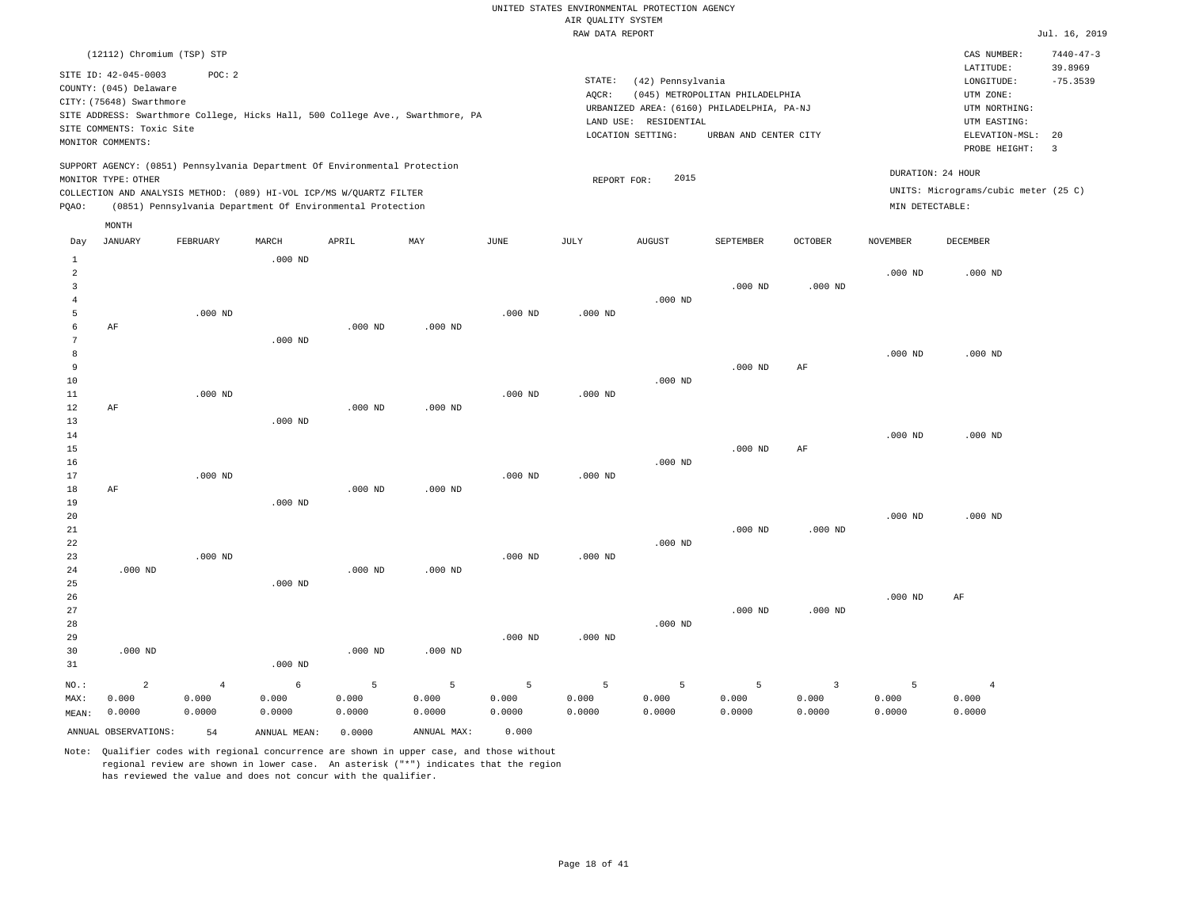|                          |                                                                                                                              |                                                                                                                                                   |           |           |           |           | RAW DATA REPORT |                                                                                                               |                                                          |           |                 |                                                                                             | Jul. 16, 2019                               |
|--------------------------|------------------------------------------------------------------------------------------------------------------------------|---------------------------------------------------------------------------------------------------------------------------------------------------|-----------|-----------|-----------|-----------|-----------------|---------------------------------------------------------------------------------------------------------------|----------------------------------------------------------|-----------|-----------------|---------------------------------------------------------------------------------------------|---------------------------------------------|
|                          | (12112) Chromium (TSP) STP                                                                                                   |                                                                                                                                                   |           |           |           |           |                 |                                                                                                               |                                                          |           |                 | CAS NUMBER:<br>LATITUDE:                                                                    | $7440 - 47 - 3$<br>39.8969                  |
|                          | SITE ID: 42-045-0003<br>COUNTY: (045) Delaware<br>CITY: (75648) Swarthmore<br>SITE COMMENTS: Toxic Site<br>MONITOR COMMENTS: | POC: 2<br>SITE ADDRESS: Swarthmore College, Hicks Hall, 500 College Ave., Swarthmore, PA                                                          |           |           |           |           | STATE:<br>AOCR: | (42) Pennsylvania<br>URBANIZED AREA: (6160) PHILADELPHIA, PA-NJ<br>LAND USE: RESIDENTIAL<br>LOCATION SETTING: | (045) METROPOLITAN PHILADELPHIA<br>URBAN AND CENTER CITY |           |                 | LONGITUDE:<br>UTM ZONE:<br>UTM NORTHING:<br>UTM EASTING:<br>ELEVATION-MSL:<br>PROBE HEIGHT: | $-75.3539$<br>20<br>$\overline{\mathbf{3}}$ |
|                          | MONITOR TYPE: OTHER                                                                                                          | SUPPORT AGENCY: (0851) Pennsylvania Department Of Environmental Protection<br>COLLECTION AND ANALYSIS METHOD: (089) HI-VOL ICP/MS W/QUARTZ FILTER |           |           |           |           | REPORT FOR:     | 2015                                                                                                          |                                                          |           |                 | DURATION: 24 HOUR<br>UNITS: Micrograms/cubic meter (25 C)                                   |                                             |
| PQAO:                    |                                                                                                                              | (0851) Pennsylvania Department Of Environmental Protection                                                                                        |           |           |           |           |                 |                                                                                                               |                                                          |           | MIN DETECTABLE: |                                                                                             |                                             |
| Day                      | MONTH<br>JANUARY                                                                                                             | FEBRUARY                                                                                                                                          | MARCH     | APRIL     | MAY       | JUNE      | JULY            | <b>AUGUST</b>                                                                                                 | SEPTEMBER                                                | OCTOBER   | <b>NOVEMBER</b> | DECEMBER                                                                                    |                                             |
| 1<br>$\overline{a}$<br>3 |                                                                                                                              |                                                                                                                                                   | $.000$ ND |           |           |           |                 |                                                                                                               | $.000$ ND                                                | $.000$ ND | $.000$ ND       | $.000$ ND                                                                                   |                                             |
| 4<br>5<br>6<br>7         | AF                                                                                                                           | $.000$ ND                                                                                                                                         | $.000$ ND | $.000$ ND | $.000$ ND | $.000$ ND | $.000$ ND       | $.000$ ND                                                                                                     |                                                          |           |                 |                                                                                             |                                             |
| 8<br>9<br>10<br>11       |                                                                                                                              | $.000$ ND                                                                                                                                         |           |           |           | $.000$ ND | $.000$ ND       | $.000$ ND                                                                                                     | $.000$ ND                                                | AF        | $.000$ ND       | $.000$ ND                                                                                   |                                             |
| 12<br>13<br>14           | AF                                                                                                                           |                                                                                                                                                   | $.000$ ND | $.000$ ND | $.000$ ND |           |                 |                                                                                                               |                                                          |           | $.000$ ND       | $.000$ ND                                                                                   |                                             |
| 15<br>16<br>17<br>18     | AF                                                                                                                           | $.000$ ND                                                                                                                                         |           | $.000$ ND | $.000$ ND | $.000$ ND | $.000$ ND       | $.000$ ND                                                                                                     | $.000$ ND                                                | AF        |                 |                                                                                             |                                             |
| 19<br>20<br>21           |                                                                                                                              |                                                                                                                                                   | $.000$ ND |           |           |           |                 |                                                                                                               | $.000$ ND                                                | $.000$ ND | $.000$ ND       | $.000$ ND                                                                                   |                                             |
| 22<br>23<br>24<br>25     | $.000$ ND                                                                                                                    | $.000$ ND                                                                                                                                         | $.000$ ND | $.000$ ND | $.000$ ND | $.000$ ND | $.000$ ND       | $.000$ ND                                                                                                     |                                                          |           |                 |                                                                                             |                                             |
| 26<br>27<br>28           |                                                                                                                              |                                                                                                                                                   |           |           |           |           |                 | $.000$ ND                                                                                                     | $.000$ ND                                                | $.000$ ND | $.000$ ND       | AF                                                                                          |                                             |
| 29<br>30<br>31           | $.000$ ND                                                                                                                    |                                                                                                                                                   | $.000$ ND | $.000$ ND | $.000$ ND | $.000$ ND | $.000$ ND       |                                                                                                               |                                                          |           |                 |                                                                                             |                                             |

| $NO.$ : |                      | -4 - 1 | $6 - 6$      | $5 - 5$ | $-5$ $-5$   | $-5$ $-5$ | $-5$ $-5$ | $\sim$ |        |        |        |        |
|---------|----------------------|--------|--------------|---------|-------------|-----------|-----------|--------|--------|--------|--------|--------|
| MAX:    | 0.000                | 0.000  | 0.000        | 0.000   | 0.000       | 0.000     | 0.000     | 0.000  | 0.000  | 0.000  | 0.000  | 0.000  |
| MEAN:   | 0.0000               | 0.0000 | 0.0000       | 0.0000  | 0.0000      | 0.0000    | 0.0000    | 0.0000 | 0.0000 | 0.0000 | 0.0000 | 0.0000 |
|         | ANNUAL OBSERVATIONS: | 54     | ANNUAL MEAN: | 0.0000  | ANNUAL MAX: | 0.000     |           |        |        |        |        |        |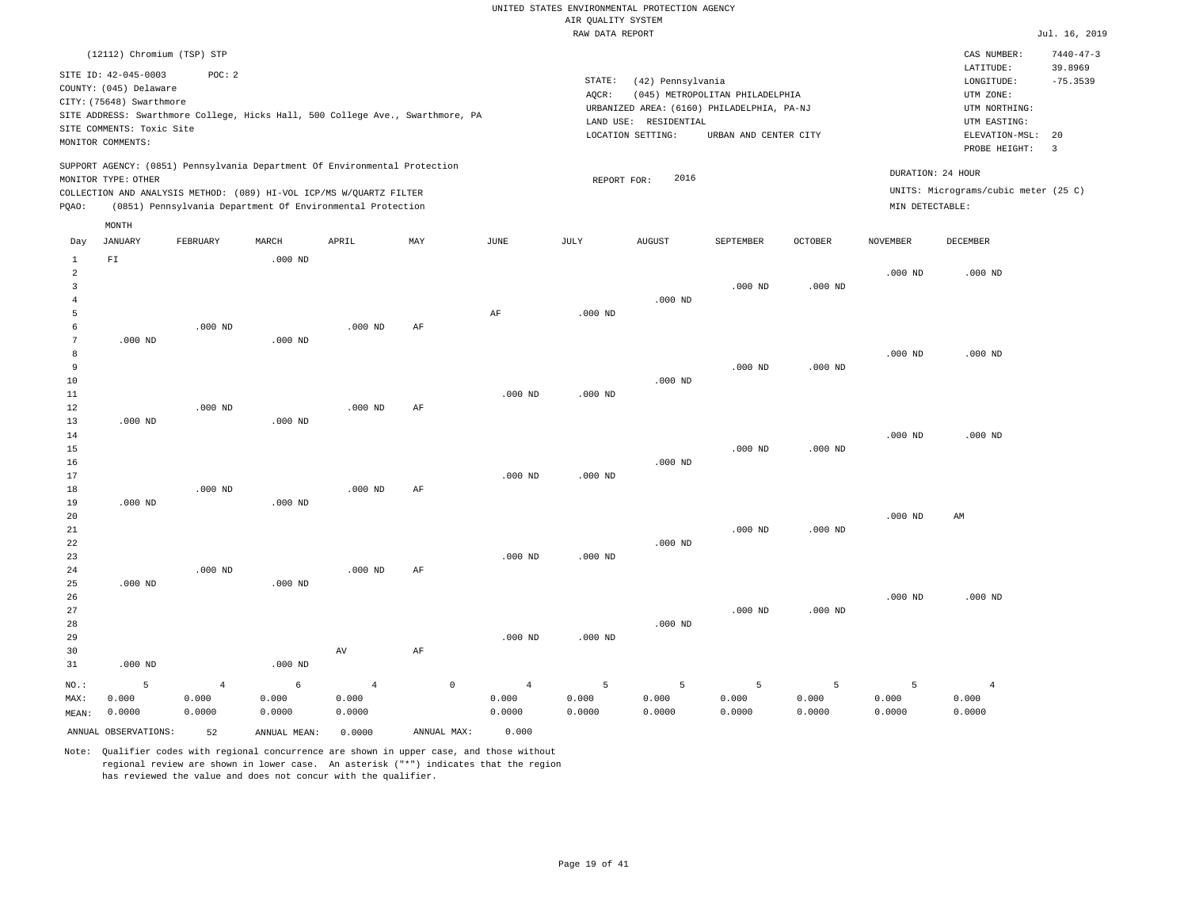|                                 |                                                                                                                              |                                   |                                                                                                                                                   |                                   |                                                                                |                                   | RAW DATA REPORT              |                                                       |                                                                                                        |                      |                      |                                                                                                             | Jul. 16, 2019                           |
|---------------------------------|------------------------------------------------------------------------------------------------------------------------------|-----------------------------------|---------------------------------------------------------------------------------------------------------------------------------------------------|-----------------------------------|--------------------------------------------------------------------------------|-----------------------------------|------------------------------|-------------------------------------------------------|--------------------------------------------------------------------------------------------------------|----------------------|----------------------|-------------------------------------------------------------------------------------------------------------|-----------------------------------------|
|                                 | (12112) Chromium (TSP) STP                                                                                                   |                                   |                                                                                                                                                   |                                   |                                                                                |                                   |                              |                                                       |                                                                                                        |                      |                      | CAS NUMBER:                                                                                                 | $7440 - 47 - 3$                         |
|                                 | SITE ID: 42-045-0003<br>COUNTY: (045) Delaware<br>CITY: (75648) Swarthmore<br>SITE COMMENTS: Toxic Site<br>MONITOR COMMENTS: | POC: 2                            |                                                                                                                                                   |                                   | SITE ADDRESS: Swarthmore College, Hicks Hall, 500 College Ave., Swarthmore, PA |                                   | STATE:<br>AQCR:<br>LAND USE: | (42) Pennsylvania<br>RESIDENTIAL<br>LOCATION SETTING: | (045) METROPOLITAN PHILADELPHIA<br>URBANIZED AREA: (6160) PHILADELPHIA, PA-NJ<br>URBAN AND CENTER CITY |                      |                      | LATITUDE:<br>LONGITUDE:<br>UTM ZONE:<br>UTM NORTHING:<br>UTM EASTING:<br>ELEVATION-MSL: 20<br>PROBE HEIGHT: | 39.8969<br>$-75.3539$<br>$\overline{3}$ |
|                                 | MONITOR TYPE: OTHER                                                                                                          |                                   | SUPPORT AGENCY: (0851) Pennsylvania Department Of Environmental Protection<br>COLLECTION AND ANALYSIS METHOD: (089) HI-VOL ICP/MS W/QUARTZ FILTER |                                   |                                                                                |                                   | REPORT FOR:                  | 2016                                                  |                                                                                                        |                      | DURATION: 24 HOUR    | UNITS: Micrograms/cubic meter (25 C)                                                                        |                                         |
| PQAO:                           |                                                                                                                              |                                   | (0851) Pennsylvania Department Of Environmental Protection                                                                                        |                                   |                                                                                |                                   |                              |                                                       |                                                                                                        |                      | MIN DETECTABLE:      |                                                                                                             |                                         |
|                                 | MONTH                                                                                                                        |                                   |                                                                                                                                                   |                                   |                                                                                |                                   |                              |                                                       |                                                                                                        |                      |                      |                                                                                                             |                                         |
| Day                             | <b>JANUARY</b>                                                                                                               | FEBRUARY                          | MARCH                                                                                                                                             | APRIL                             | MAY                                                                            | JUNE                              | JULY                         | <b>AUGUST</b>                                         | SEPTEMBER                                                                                              | <b>OCTOBER</b>       | <b>NOVEMBER</b>      | DECEMBER                                                                                                    |                                         |
| $\mathbf{1}$<br>2<br>3          | ${\rm F\,I}$                                                                                                                 |                                   | $.000$ ND                                                                                                                                         |                                   |                                                                                |                                   |                              |                                                       | $.000$ ND                                                                                              | $.000$ ND            | $.000$ ND            | $.000$ ND                                                                                                   |                                         |
| $\overline{4}$<br>5<br>6        |                                                                                                                              | $.000$ ND                         |                                                                                                                                                   | $.000$ ND                         | AF                                                                             | AF                                | $.000$ ND                    | $.000$ ND                                             |                                                                                                        |                      |                      |                                                                                                             |                                         |
| $7\phantom{.0}$<br>8<br>9<br>10 | $.000$ ND                                                                                                                    |                                   | $.000$ ND                                                                                                                                         |                                   |                                                                                |                                   |                              | $.000$ ND                                             | $.000$ ND                                                                                              | $.000$ ND            | $.000$ ND            | $.000$ ND                                                                                                   |                                         |
| 11<br>12<br>13                  | $.000$ ND                                                                                                                    | $.000$ ND                         | $.000$ ND                                                                                                                                         | $.000$ ND                         | AF                                                                             | $.000$ ND                         | $.000$ ND                    |                                                       |                                                                                                        |                      | $.000$ ND            | $.000$ ND                                                                                                   |                                         |
| 14<br>15<br>16<br>17            |                                                                                                                              |                                   |                                                                                                                                                   |                                   |                                                                                | $.000$ ND                         | $.000$ ND                    | $.000$ ND                                             | $.000$ ND                                                                                              | $.000$ ND            |                      |                                                                                                             |                                         |
| 18<br>19<br>20                  | $.000$ ND                                                                                                                    | $.000$ ND                         | $.000$ ND                                                                                                                                         | $.000$ ND                         | AF                                                                             |                                   |                              |                                                       |                                                                                                        |                      | $.000$ ND            | AM                                                                                                          |                                         |
| 21<br>22<br>23<br>24            |                                                                                                                              | $.000$ ND                         |                                                                                                                                                   | $.000$ ND                         | AF                                                                             | $.000$ ND                         | $.000$ ND                    | $.000$ ND                                             | $.000$ ND                                                                                              | $.000$ ND            |                      |                                                                                                             |                                         |
| 25<br>26<br>27                  | $.000$ ND                                                                                                                    |                                   | $.000$ ND                                                                                                                                         |                                   |                                                                                |                                   |                              |                                                       | $.000$ ND                                                                                              | $.000$ ND            | $.000$ ND            | $.000$ ND                                                                                                   |                                         |
| 28<br>29<br>30<br>31            | $.000$ ND                                                                                                                    |                                   | $.000$ ND                                                                                                                                         | AV                                | AF                                                                             | $.000$ ND                         | $.000$ ND                    | $.000$ ND                                             |                                                                                                        |                      |                      |                                                                                                             |                                         |
| NO.:<br>MAX:<br>MEAN:           | 5<br>0.000<br>0.0000                                                                                                         | $\overline{4}$<br>0.000<br>0.0000 | 6<br>0.000<br>0.0000                                                                                                                              | $\overline{4}$<br>0.000<br>0.0000 | $\circ$                                                                        | $\overline{4}$<br>0.000<br>0.0000 | 5<br>0.000<br>0.0000         | 5<br>0.000<br>0.0000                                  | 5<br>0.000<br>0.0000                                                                                   | 5<br>0.000<br>0.0000 | 5<br>0.000<br>0.0000 | $\overline{4}$<br>0.000<br>0.0000                                                                           |                                         |
|                                 | ANNUAL OBSERVATIONS:                                                                                                         | 52                                | ANNUAL MEAN:                                                                                                                                      | 0.0000                            | ANNUAL MAX:                                                                    | 0.000                             |                              |                                                       |                                                                                                        |                      |                      |                                                                                                             |                                         |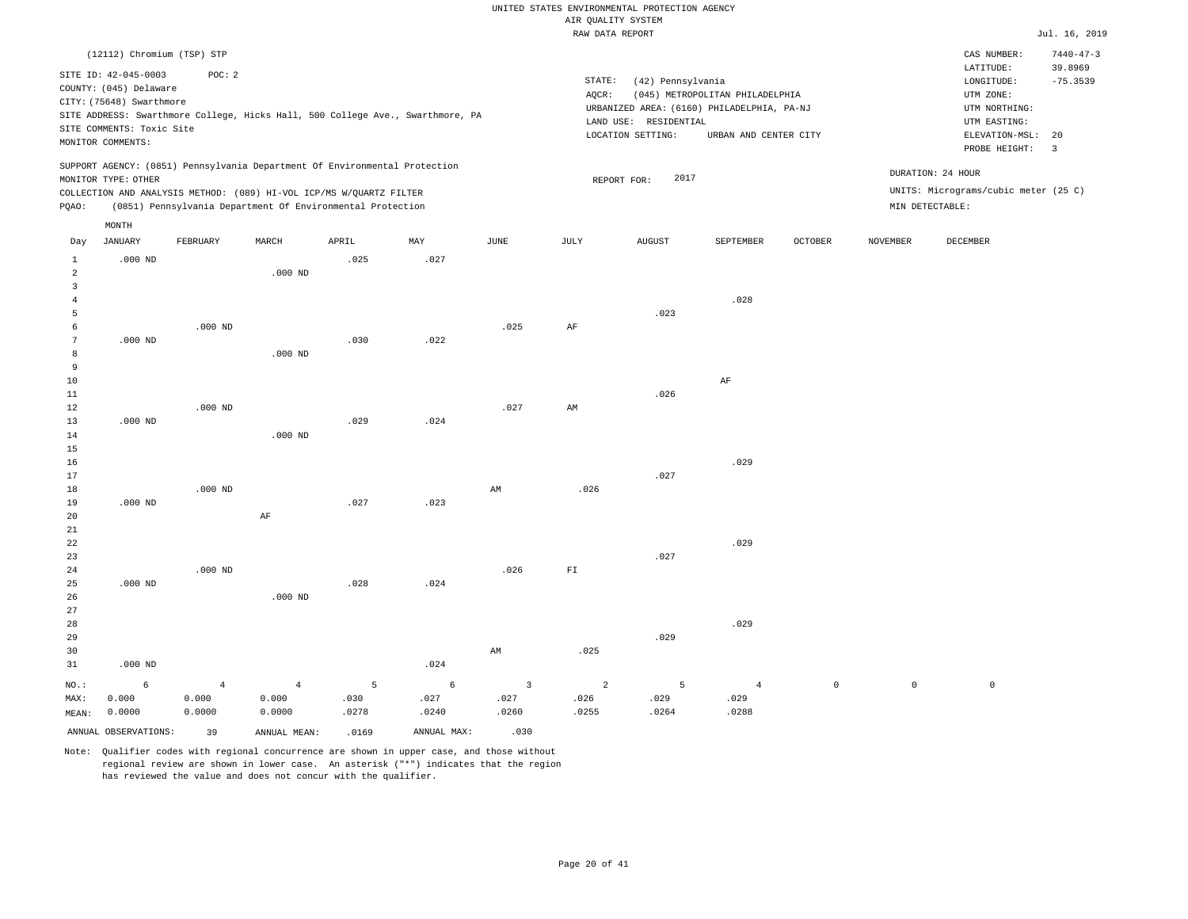|                 |                                                |                                                                            |                |       |                                                                                |                         | RAW DATA REPORT |                       |                                            |                |                 |                                      | Jul. 16, 2019   |
|-----------------|------------------------------------------------|----------------------------------------------------------------------------|----------------|-------|--------------------------------------------------------------------------------|-------------------------|-----------------|-----------------------|--------------------------------------------|----------------|-----------------|--------------------------------------|-----------------|
|                 | (12112) Chromium (TSP) STP                     |                                                                            |                |       |                                                                                |                         |                 |                       |                                            |                |                 | CAS NUMBER:                          | $7440 - 47 - 3$ |
|                 | SITE ID: 42-045-0003                           | POC: 2                                                                     |                |       |                                                                                |                         |                 |                       |                                            |                |                 | LATITUDE:                            | 39.8969         |
|                 |                                                |                                                                            |                |       |                                                                                |                         | STATE:          | (42) Pennsylvania     |                                            |                |                 | LONGITUDE:                           | $-75.3539$      |
|                 | COUNTY: (045) Delaware                         |                                                                            |                |       |                                                                                |                         | AQCR:           |                       | (045) METROPOLITAN PHILADELPHIA            |                |                 | UTM ZONE:                            |                 |
|                 | CITY: (75648) Swarthmore                       |                                                                            |                |       |                                                                                |                         |                 |                       | URBANIZED AREA: (6160) PHILADELPHIA, PA-NJ |                |                 | UTM NORTHING:                        |                 |
|                 |                                                |                                                                            |                |       | SITE ADDRESS: Swarthmore College, Hicks Hall, 500 College Ave., Swarthmore, PA |                         |                 | LAND USE: RESIDENTIAL |                                            |                |                 | UTM EASTING:                         |                 |
|                 | SITE COMMENTS: Toxic Site<br>MONITOR COMMENTS: |                                                                            |                |       |                                                                                |                         |                 | LOCATION SETTING:     | URBAN AND CENTER CITY                      |                |                 | ELEVATION-MSL:                       | 20              |
|                 |                                                |                                                                            |                |       |                                                                                |                         |                 |                       |                                            |                |                 | PROBE HEIGHT:                        | 3               |
|                 |                                                | SUPPORT AGENCY: (0851) Pennsylvania Department Of Environmental Protection |                |       |                                                                                |                         |                 |                       |                                            |                |                 | DURATION: 24 HOUR                    |                 |
|                 | MONITOR TYPE: OTHER                            |                                                                            |                |       |                                                                                |                         |                 | 2017<br>REPORT FOR:   |                                            |                |                 |                                      |                 |
|                 |                                                | COLLECTION AND ANALYSIS METHOD: (089) HI-VOL ICP/MS W/QUARTZ FILTER        |                |       |                                                                                |                         |                 |                       |                                            |                |                 | UNITS: Micrograms/cubic meter (25 C) |                 |
| PQAO:           |                                                | (0851) Pennsylvania Department Of Environmental Protection                 |                |       |                                                                                |                         |                 |                       |                                            |                |                 | MIN DETECTABLE:                      |                 |
|                 | MONTH                                          |                                                                            |                |       |                                                                                |                         |                 |                       |                                            |                |                 |                                      |                 |
| Day             | JANUARY                                        | <b>FEBRUARY</b>                                                            | MARCH          | APRIL | MAY                                                                            | <b>JUNE</b>             | JULY            | <b>AUGUST</b>         | SEPTEMBER                                  | <b>OCTOBER</b> | <b>NOVEMBER</b> | DECEMBER                             |                 |
| $\mathbf{1}$    | $.000$ ND                                      |                                                                            |                | .025  | .027                                                                           |                         |                 |                       |                                            |                |                 |                                      |                 |
| $\overline{a}$  |                                                |                                                                            | $.000$ ND      |       |                                                                                |                         |                 |                       |                                            |                |                 |                                      |                 |
| 3               |                                                |                                                                            |                |       |                                                                                |                         |                 |                       |                                            |                |                 |                                      |                 |
| $\overline{4}$  |                                                |                                                                            |                |       |                                                                                |                         |                 |                       | .028                                       |                |                 |                                      |                 |
| 5               |                                                |                                                                            |                |       |                                                                                |                         |                 | .023                  |                                            |                |                 |                                      |                 |
| 6               |                                                | $.000$ ND                                                                  |                |       |                                                                                | .025                    | $\rm AF$        |                       |                                            |                |                 |                                      |                 |
| $7\phantom{.0}$ | $.000$ ND                                      |                                                                            |                | .030  | .022                                                                           |                         |                 |                       |                                            |                |                 |                                      |                 |
| 8               |                                                |                                                                            | $.000$ ND      |       |                                                                                |                         |                 |                       |                                            |                |                 |                                      |                 |
| 9               |                                                |                                                                            |                |       |                                                                                |                         |                 |                       |                                            |                |                 |                                      |                 |
| 10              |                                                |                                                                            |                |       |                                                                                |                         |                 |                       | AF                                         |                |                 |                                      |                 |
| 11              |                                                |                                                                            |                |       |                                                                                |                         |                 | .026                  |                                            |                |                 |                                      |                 |
| 12              |                                                | $.000$ ND                                                                  |                |       |                                                                                | .027                    | AM              |                       |                                            |                |                 |                                      |                 |
| 13              | $.000$ ND                                      |                                                                            |                | .029  | .024                                                                           |                         |                 |                       |                                            |                |                 |                                      |                 |
| 14              |                                                |                                                                            | $.000$ ND      |       |                                                                                |                         |                 |                       |                                            |                |                 |                                      |                 |
| 15              |                                                |                                                                            |                |       |                                                                                |                         |                 |                       |                                            |                |                 |                                      |                 |
| 16<br>17        |                                                |                                                                            |                |       |                                                                                |                         |                 | .027                  | .029                                       |                |                 |                                      |                 |
| 18              |                                                | $.000$ ND                                                                  |                |       |                                                                                | AM                      | .026            |                       |                                            |                |                 |                                      |                 |
| 19              | $.000$ ND                                      |                                                                            |                | .027  | .023                                                                           |                         |                 |                       |                                            |                |                 |                                      |                 |
| 20              |                                                |                                                                            | AF             |       |                                                                                |                         |                 |                       |                                            |                |                 |                                      |                 |
| 21              |                                                |                                                                            |                |       |                                                                                |                         |                 |                       |                                            |                |                 |                                      |                 |
| 22              |                                                |                                                                            |                |       |                                                                                |                         |                 |                       | .029                                       |                |                 |                                      |                 |
| 23              |                                                |                                                                            |                |       |                                                                                |                         |                 | .027                  |                                            |                |                 |                                      |                 |
| 24              |                                                | $.000$ ND                                                                  |                |       |                                                                                | .026                    | ${\rm F\,I}$    |                       |                                            |                |                 |                                      |                 |
| 25              | $.000$ ND                                      |                                                                            |                | .028  | .024                                                                           |                         |                 |                       |                                            |                |                 |                                      |                 |
| 26              |                                                |                                                                            | $.000$ ND      |       |                                                                                |                         |                 |                       |                                            |                |                 |                                      |                 |
| 27              |                                                |                                                                            |                |       |                                                                                |                         |                 |                       |                                            |                |                 |                                      |                 |
| 28              |                                                |                                                                            |                |       |                                                                                |                         |                 |                       | .029                                       |                |                 |                                      |                 |
| 29              |                                                |                                                                            |                |       |                                                                                |                         |                 | .029                  |                                            |                |                 |                                      |                 |
| 30              |                                                |                                                                            |                |       |                                                                                | AM                      | .025            |                       |                                            |                |                 |                                      |                 |
| 31              | $.000$ ND                                      |                                                                            |                |       | .024                                                                           |                         |                 |                       |                                            |                |                 |                                      |                 |
| $NO.$ :         | 6                                              | $\overline{4}$                                                             | $\overline{4}$ | 5     | $\epsilon$                                                                     | $\overline{\mathbf{3}}$ | $\overline{a}$  | 5                     | $\overline{4}$                             | $\mathbb O$    | $\mathbb O$     | $\mathbb O$                          |                 |
| MAX:            | 0.000                                          | 0.000                                                                      | 0.000          | .030  | .027                                                                           | .027                    | .026            | .029                  | .029                                       |                |                 |                                      |                 |
| MEAN:           | 0.0000                                         | 0.0000                                                                     | 0.0000         | .0278 | .0240                                                                          | .0260                   | .0255           | .0264                 | .0288                                      |                |                 |                                      |                 |

ANNUAL OBSERVATIONS: 39 ANNUAL MEAN: .0169 ANNUAL MAX: .030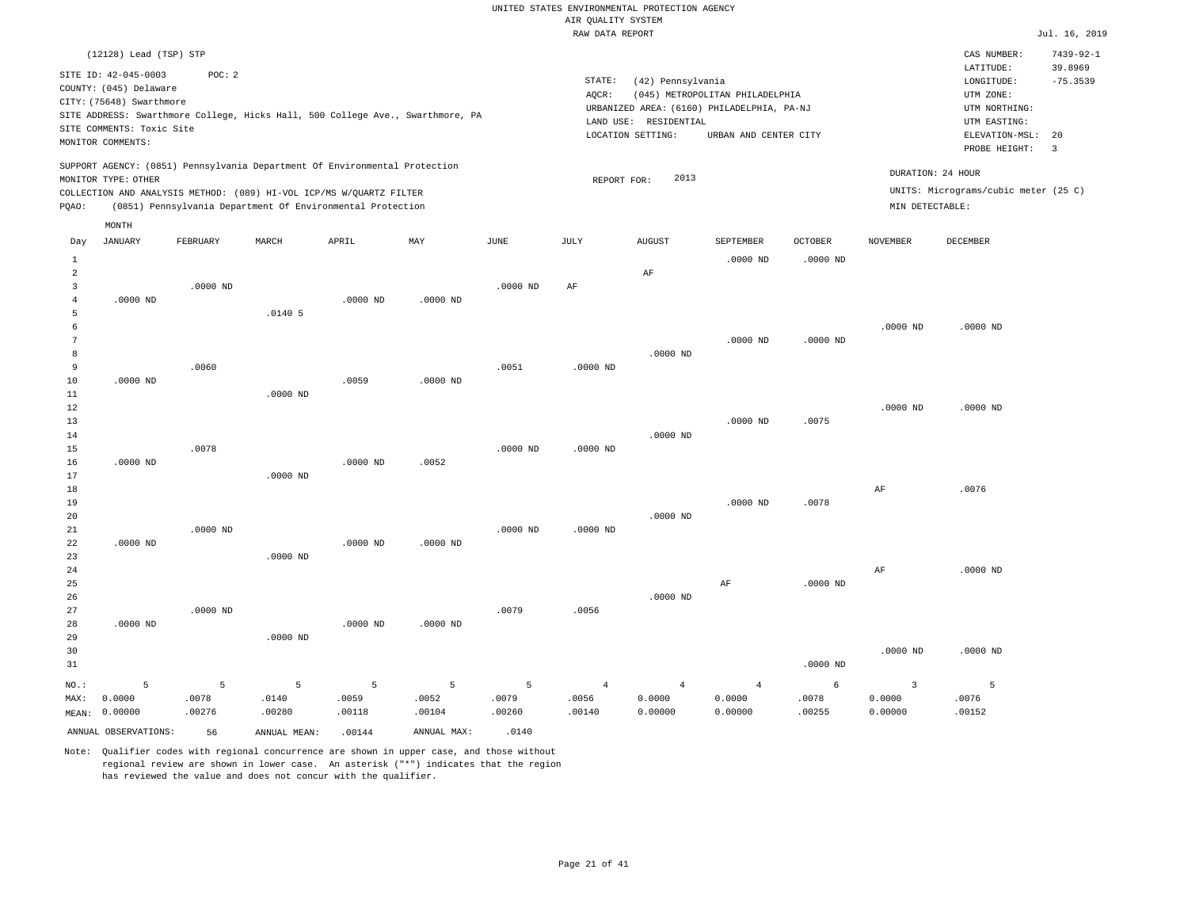|                |                           |            |                                                                            |            |                                                                                |             | ------ ---- ---- |                       |                                            |                |                         |                                      |                 |
|----------------|---------------------------|------------|----------------------------------------------------------------------------|------------|--------------------------------------------------------------------------------|-------------|------------------|-----------------------|--------------------------------------------|----------------|-------------------------|--------------------------------------|-----------------|
|                | (12128) Lead (TSP) STP    |            |                                                                            |            |                                                                                |             |                  |                       |                                            |                |                         | CAS NUMBER:                          | $7439 - 92 - 1$ |
|                | SITE ID: 42-045-0003      | POC: 2     |                                                                            |            |                                                                                |             |                  |                       |                                            |                |                         | LATITUDE:                            | 39.8969         |
|                | COUNTY: (045) Delaware    |            |                                                                            |            |                                                                                |             | STATE:           | (42) Pennsylvania     |                                            |                |                         | LONGITUDE:                           | $-75.3539$      |
|                | CITY: (75648) Swarthmore  |            |                                                                            |            |                                                                                |             | AQCR:            |                       | (045) METROPOLITAN PHILADELPHIA            |                |                         | UTM ZONE:                            |                 |
|                |                           |            |                                                                            |            | SITE ADDRESS: Swarthmore College, Hicks Hall, 500 College Ave., Swarthmore, PA |             |                  |                       | URBANIZED AREA: (6160) PHILADELPHIA, PA-NJ |                |                         | UTM NORTHING:                        |                 |
|                | SITE COMMENTS: Toxic Site |            |                                                                            |            |                                                                                |             |                  | LAND USE: RESIDENTIAL |                                            |                |                         | UTM EASTING:                         | 20              |
|                | MONITOR COMMENTS:         |            |                                                                            |            |                                                                                |             |                  | LOCATION SETTING:     | URBAN AND CENTER CITY                      |                |                         | ELEVATION-MSL:                       |                 |
|                |                           |            |                                                                            |            |                                                                                |             |                  |                       |                                            |                |                         | PROBE HEIGHT:                        | $\overline{3}$  |
|                |                           |            | SUPPORT AGENCY: (0851) Pennsylvania Department Of Environmental Protection |            |                                                                                |             |                  | 2013                  |                                            |                |                         | DURATION: 24 HOUR                    |                 |
|                | MONITOR TYPE: OTHER       |            | COLLECTION AND ANALYSIS METHOD: (089) HI-VOL ICP/MS W/QUARTZ FILTER        |            |                                                                                |             | REPORT FOR:      |                       |                                            |                |                         | UNITS: Micrograms/cubic meter (25 C) |                 |
| PQAO:          |                           |            | (0851) Pennsylvania Department Of Environmental Protection                 |            |                                                                                |             |                  |                       |                                            |                | MIN DETECTABLE:         |                                      |                 |
|                |                           |            |                                                                            |            |                                                                                |             |                  |                       |                                            |                |                         |                                      |                 |
|                | MONTH                     |            |                                                                            |            |                                                                                |             |                  |                       |                                            |                |                         |                                      |                 |
| Day            | <b>JANUARY</b>            | FEBRUARY   | MARCH                                                                      | APRIL      | MAY                                                                            | <b>JUNE</b> | JULY             | <b>AUGUST</b>         | SEPTEMBER                                  | <b>OCTOBER</b> | <b>NOVEMBER</b>         | <b>DECEMBER</b>                      |                 |
| $\mathbf{1}$   |                           |            |                                                                            |            |                                                                                |             |                  |                       | $.0000$ ND                                 | $.0000$ ND     |                         |                                      |                 |
| $\overline{a}$ |                           |            |                                                                            |            |                                                                                |             |                  | AF                    |                                            |                |                         |                                      |                 |
| 3              |                           | $.0000$ ND |                                                                            |            |                                                                                | $.0000$ ND  | AF               |                       |                                            |                |                         |                                      |                 |
| $\overline{4}$ | $.0000$ ND                |            |                                                                            | $.0000$ ND | .0000 ND                                                                       |             |                  |                       |                                            |                |                         |                                      |                 |
| 5              |                           |            | .01405                                                                     |            |                                                                                |             |                  |                       |                                            |                |                         |                                      |                 |
| 6              |                           |            |                                                                            |            |                                                                                |             |                  |                       |                                            |                | $.0000$ ND              | $.0000$ ND                           |                 |
| 7              |                           |            |                                                                            |            |                                                                                |             |                  |                       | $.0000$ ND                                 | $.0000$ ND     |                         |                                      |                 |
| 8              |                           |            |                                                                            |            |                                                                                |             |                  | $.0000$ ND            |                                            |                |                         |                                      |                 |
| 9              |                           | .0060      |                                                                            |            |                                                                                | .0051       | $.0000$ ND       |                       |                                            |                |                         |                                      |                 |
| 10             | $.0000$ ND                |            |                                                                            | .0059      | $.0000$ ND                                                                     |             |                  |                       |                                            |                |                         |                                      |                 |
| 11             |                           |            | $.0000$ ND                                                                 |            |                                                                                |             |                  |                       |                                            |                |                         |                                      |                 |
| 12             |                           |            |                                                                            |            |                                                                                |             |                  |                       |                                            |                | $.0000$ ND              | $.0000$ ND                           |                 |
| 13             |                           |            |                                                                            |            |                                                                                |             |                  |                       | $.0000$ ND                                 | .0075          |                         |                                      |                 |
| 14<br>15       |                           | .0078      |                                                                            |            |                                                                                | $.0000$ ND  | $.0000$ ND       | $.0000$ ND            |                                            |                |                         |                                      |                 |
| 16             | $.0000$ ND                |            |                                                                            | .0000 ND   | .0052                                                                          |             |                  |                       |                                            |                |                         |                                      |                 |
| 17             |                           |            | $.0000$ ND                                                                 |            |                                                                                |             |                  |                       |                                            |                |                         |                                      |                 |
| 18             |                           |            |                                                                            |            |                                                                                |             |                  |                       |                                            |                | AF                      | .0076                                |                 |
| 19             |                           |            |                                                                            |            |                                                                                |             |                  |                       | $.0000$ ND                                 | .0078          |                         |                                      |                 |
| 20             |                           |            |                                                                            |            |                                                                                |             |                  | $.0000$ ND            |                                            |                |                         |                                      |                 |
| 21             |                           | $.0000$ ND |                                                                            |            |                                                                                | $.0000$ ND  | $.0000$ ND       |                       |                                            |                |                         |                                      |                 |
| 22             | $.0000$ ND                |            |                                                                            | .0000 ND   | .0000 ND                                                                       |             |                  |                       |                                            |                |                         |                                      |                 |
| 23             |                           |            | $.0000$ ND                                                                 |            |                                                                                |             |                  |                       |                                            |                |                         |                                      |                 |
| 24             |                           |            |                                                                            |            |                                                                                |             |                  |                       |                                            |                | $\rm{AF}$               | $.0000$ ND                           |                 |
| 25             |                           |            |                                                                            |            |                                                                                |             |                  |                       | AF                                         | $.0000$ ND     |                         |                                      |                 |
| 26             |                           |            |                                                                            |            |                                                                                |             |                  | $.0000$ ND            |                                            |                |                         |                                      |                 |
| 27             |                           | $.0000$ ND |                                                                            |            |                                                                                | .0079       | .0056            |                       |                                            |                |                         |                                      |                 |
| 28             | $.0000$ ND                |            |                                                                            | .0000 ND   | .0000 ND                                                                       |             |                  |                       |                                            |                |                         |                                      |                 |
| 29             |                           |            | $.0000$ ND                                                                 |            |                                                                                |             |                  |                       |                                            |                |                         |                                      |                 |
| 30             |                           |            |                                                                            |            |                                                                                |             |                  |                       |                                            |                | $.0000$ ND              | $.0000$ ND                           |                 |
| 31             |                           |            |                                                                            |            |                                                                                |             |                  |                       |                                            | $.0000$ ND     |                         |                                      |                 |
| NO.:           | 5                         | 5          | 5                                                                          | 5          | 5                                                                              | 5           | $\overline{4}$   | $\overline{4}$        | $\overline{4}$                             | 6              | $\overline{\mathbf{3}}$ | 5                                    |                 |
| MAX:           | 0.0000                    | .0078      | .0140                                                                      | .0059      | .0052                                                                          | .0079       | .0056            | 0.0000                | 0.0000                                     | .0078          | 0.0000                  | .0076                                |                 |
| MEAN:          | 0.00000                   | .00276     | .00280                                                                     | .00118     | .00104                                                                         | .00260      | .00140           | 0.00000               | 0.00000                                    | .00255         | 0.00000                 | .00152                               |                 |
|                |                           |            |                                                                            |            |                                                                                |             |                  |                       |                                            |                |                         |                                      |                 |
|                | ANNUAL OBSERVATIONS:      | 56         | ANNUAL MEAN:                                                               | .00144     | ANNUAL MAX:                                                                    | .0140       |                  |                       |                                            |                |                         |                                      |                 |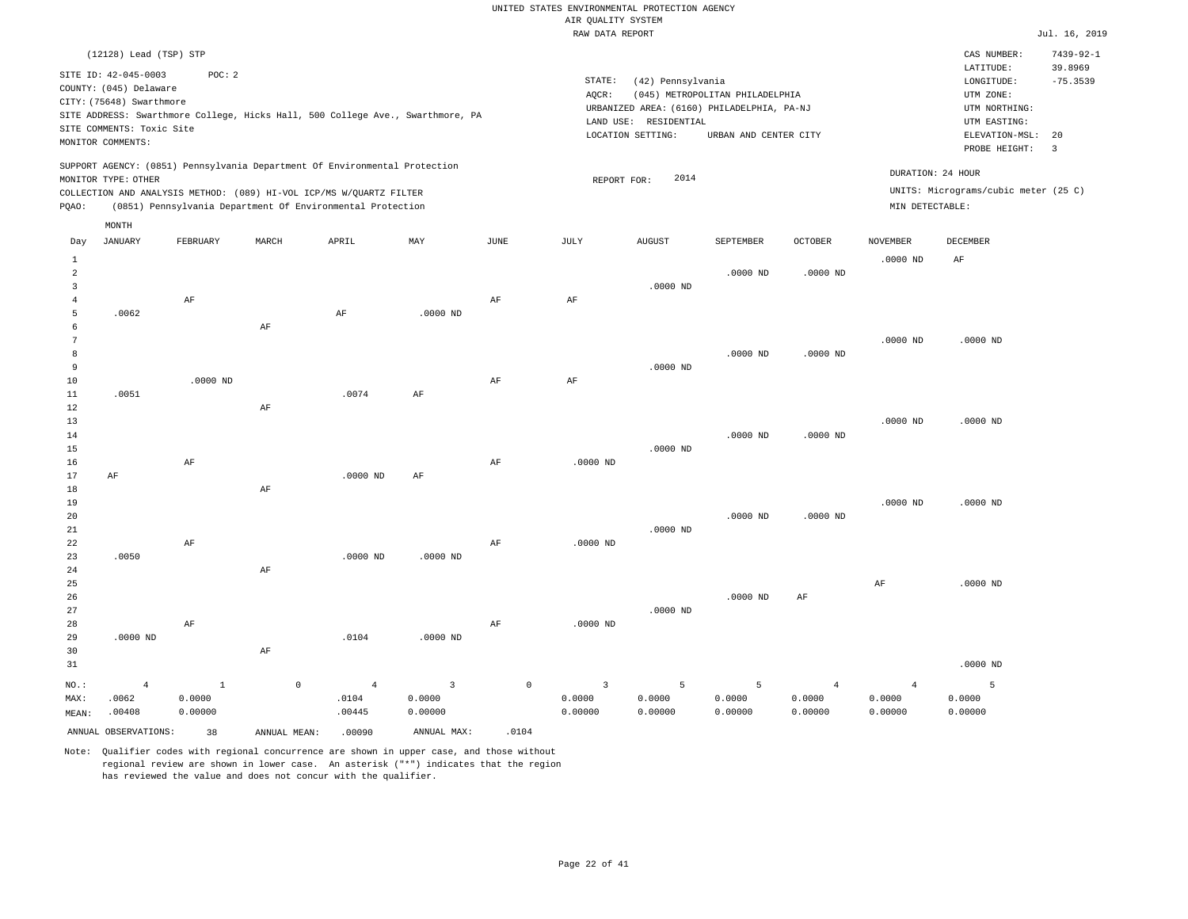|                                       |                                                                                                                              |                                   |                                                                                                                                                                                                                 |                                   |                                                                                |           | ----- ------ ---- ----                                  |                                                                 |                                                                                                        |                                     |                                      |                                                                                                          |                                               |
|---------------------------------------|------------------------------------------------------------------------------------------------------------------------------|-----------------------------------|-----------------------------------------------------------------------------------------------------------------------------------------------------------------------------------------------------------------|-----------------------------------|--------------------------------------------------------------------------------|-----------|---------------------------------------------------------|-----------------------------------------------------------------|--------------------------------------------------------------------------------------------------------|-------------------------------------|--------------------------------------|----------------------------------------------------------------------------------------------------------|-----------------------------------------------|
|                                       | (12128) Lead (TSP) STP                                                                                                       |                                   |                                                                                                                                                                                                                 |                                   |                                                                                |           |                                                         |                                                                 |                                                                                                        |                                     |                                      | CAS NUMBER:                                                                                              | $7439 - 92 - 1$                               |
|                                       | SITE ID: 42-045-0003<br>COUNTY: (045) Delaware<br>CITY: (75648) Swarthmore<br>SITE COMMENTS: Toxic Site<br>MONITOR COMMENTS: | POC: 2                            |                                                                                                                                                                                                                 |                                   | SITE ADDRESS: Swarthmore College, Hicks Hall, 500 College Ave., Swarthmore, PA |           | STATE:<br>AQCR:                                         | (42) Pennsylvania<br>LAND USE: RESIDENTIAL<br>LOCATION SETTING: | (045) METROPOLITAN PHILADELPHIA<br>URBANIZED AREA: (6160) PHILADELPHIA, PA-NJ<br>URBAN AND CENTER CITY |                                     |                                      | LATITUDE:<br>LONGITUDE:<br>UTM ZONE:<br>UTM NORTHING:<br>UTM EASTING:<br>ELEVATION-MSL:<br>PROBE HEIGHT: | 39.8969<br>$-75.3539$<br>20<br>$\overline{3}$ |
| PQAO:                                 | MONITOR TYPE: OTHER                                                                                                          |                                   | SUPPORT AGENCY: (0851) Pennsylvania Department Of Environmental Protection<br>COLLECTION AND ANALYSIS METHOD: (089) HI-VOL ICP/MS W/OUARTZ FILTER<br>(0851) Pennsylvania Department Of Environmental Protection |                                   |                                                                                |           | REPORT FOR:                                             | 2014                                                            |                                                                                                        |                                     | DURATION: 24 HOUR<br>MIN DETECTABLE: | UNITS: Micrograms/cubic meter (25 C)                                                                     |                                               |
|                                       |                                                                                                                              |                                   |                                                                                                                                                                                                                 |                                   |                                                                                |           |                                                         |                                                                 |                                                                                                        |                                     |                                      |                                                                                                          |                                               |
| Day                                   | MONTH<br><b>JANUARY</b>                                                                                                      | FEBRUARY                          | MARCH                                                                                                                                                                                                           | APRIL                             | MAY                                                                            | JUNE      | JULY                                                    | <b>AUGUST</b>                                                   | SEPTEMBER                                                                                              | OCTOBER                             | <b>NOVEMBER</b>                      | DECEMBER                                                                                                 |                                               |
| $1\,$<br>$\overline{a}$               |                                                                                                                              |                                   |                                                                                                                                                                                                                 |                                   |                                                                                |           |                                                         |                                                                 | $.0000$ ND                                                                                             | $.0000$ ND                          | $.0000$ ND                           | AF                                                                                                       |                                               |
| $\overline{3}$<br>$\overline{4}$<br>5 | .0062                                                                                                                        | AF                                |                                                                                                                                                                                                                 | $\rm{AF}$                         | $.0000$ ND                                                                     | AF        | AF                                                      | $.0000$ ND                                                      |                                                                                                        |                                     |                                      |                                                                                                          |                                               |
| 6<br>$\overline{7}$<br>8              |                                                                                                                              |                                   | AF                                                                                                                                                                                                              |                                   |                                                                                |           |                                                         |                                                                 | $.0000$ ND                                                                                             | $.0000$ ND                          | $.0000$ ND                           | $.0000$ ND                                                                                               |                                               |
| $\overline{9}$<br>10<br>11            | .0051                                                                                                                        | $.0000$ ND                        |                                                                                                                                                                                                                 | .0074                             | AF                                                                             | $\rm{AF}$ | $\rm AF$                                                | $.0000$ ND                                                      |                                                                                                        |                                     |                                      |                                                                                                          |                                               |
| 12<br>13<br>14                        |                                                                                                                              |                                   | AF                                                                                                                                                                                                              |                                   |                                                                                |           |                                                         |                                                                 | $.0000$ ND                                                                                             | $.0000$ ND                          | $.0000$ ND                           | $.0000$ ND                                                                                               |                                               |
| 15<br>16<br>17                        | AF                                                                                                                           | AF                                |                                                                                                                                                                                                                 | $.0000$ ND                        | AF                                                                             | AF        | $.0000$ ND                                              | $.0000$ ND                                                      |                                                                                                        |                                     |                                      |                                                                                                          |                                               |
| $1\,8$<br>19<br>20<br>$21\,$          |                                                                                                                              |                                   | $\rm{AF}$                                                                                                                                                                                                       |                                   |                                                                                |           |                                                         | $.0000$ ND                                                      | $.0000$ ND                                                                                             | $.0000$ ND                          | $.0000$ ND                           | $.0000$ ND                                                                                               |                                               |
| 22<br>23<br>24                        | .0050                                                                                                                        | AF                                | AF                                                                                                                                                                                                              | $.0000$ ND                        | $.0000$ ND                                                                     | $\rm{AF}$ | $.0000$ ND                                              |                                                                 |                                                                                                        |                                     |                                      |                                                                                                          |                                               |
| 25<br>26<br>27                        |                                                                                                                              |                                   |                                                                                                                                                                                                                 |                                   |                                                                                |           |                                                         | $.0000$ ND                                                      | $.0000$ ND                                                                                             | AF                                  | AF                                   | $.0000$ ND                                                                                               |                                               |
| 28<br>29<br>30<br>31                  | $.0000$ ND                                                                                                                   | $\rm AF$                          | $\rm AF$                                                                                                                                                                                                        | .0104                             | $.0000$ ND                                                                     | $\rm{AF}$ | $.0000$ ND                                              |                                                                 |                                                                                                        |                                     |                                      | $.0000$ ND                                                                                               |                                               |
| NO.:<br>MAX:<br>MEAN:                 | $\overline{4}$<br>.0062<br>.00408                                                                                            | $\mathbf{1}$<br>0.0000<br>0.00000 | $\circ$                                                                                                                                                                                                         | $\overline{4}$<br>.0104<br>.00445 | $\overline{3}$<br>0.0000<br>0.00000                                            |           | $\circ$<br>$\overline{\mathbf{3}}$<br>0.0000<br>0.00000 | 5<br>0.0000<br>0.00000                                          | 5<br>0.0000<br>0.00000                                                                                 | $\overline{4}$<br>0.0000<br>0.00000 | $\overline{4}$<br>0.0000<br>0.00000  | 5<br>0.0000<br>0.00000                                                                                   |                                               |
|                                       | ANNUAL OBSERVATIONS:                                                                                                         | 38                                | ANNUAL MEAN:                                                                                                                                                                                                    | .00090                            | ANNUAL MAX:                                                                    | .0104     |                                                         |                                                                 |                                                                                                        |                                     |                                      |                                                                                                          |                                               |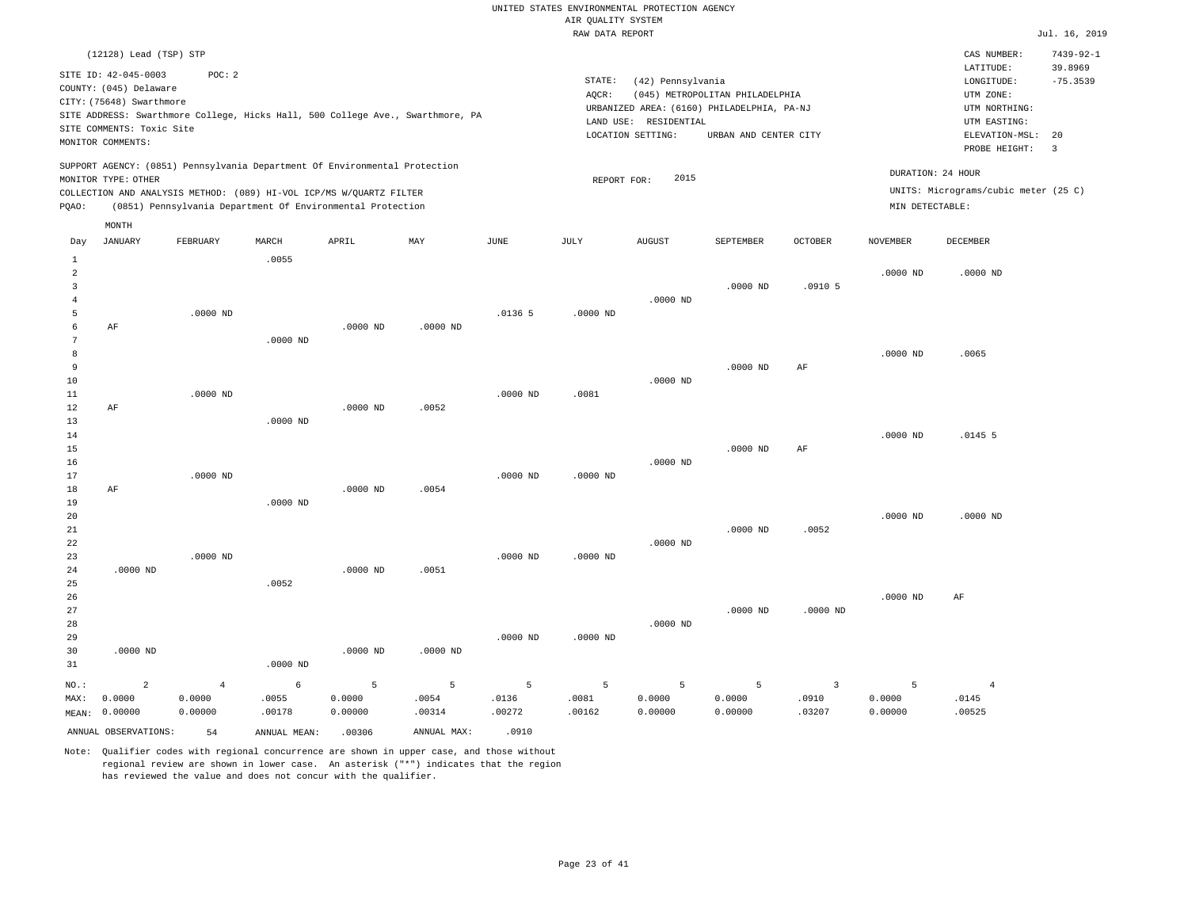|                        | (12128) Lead (TSP) STP                                                                                                       |                   |                                                                                                                                   |                   |                                                                                |                 |                 |                                                                 |                                                                                                        |                         |                   | CAS NUMBER:<br>LATITUDE:                                                   | $7439 - 92 - 1$<br>39.8969 |
|------------------------|------------------------------------------------------------------------------------------------------------------------------|-------------------|-----------------------------------------------------------------------------------------------------------------------------------|-------------------|--------------------------------------------------------------------------------|-----------------|-----------------|-----------------------------------------------------------------|--------------------------------------------------------------------------------------------------------|-------------------------|-------------------|----------------------------------------------------------------------------|----------------------------|
|                        | SITE ID: 42-045-0003<br>COUNTY: (045) Delaware<br>CITY: (75648) Swarthmore<br>SITE COMMENTS: Toxic Site<br>MONITOR COMMENTS: | POC: 2            |                                                                                                                                   |                   | SITE ADDRESS: Swarthmore College, Hicks Hall, 500 College Ave., Swarthmore, PA |                 | STATE:<br>AQCR: | (42) Pennsylvania<br>LAND USE: RESIDENTIAL<br>LOCATION SETTING: | (045) METROPOLITAN PHILADELPHIA<br>URBANIZED AREA: (6160) PHILADELPHIA, PA-NJ<br>URBAN AND CENTER CITY |                         |                   | LONGITUDE:<br>UTM ZONE:<br>UTM NORTHING:<br>UTM EASTING:<br>ELEVATION-MSL: | $-75.3539$<br>20           |
|                        | MONITOR TYPE: OTHER                                                                                                          |                   | SUPPORT AGENCY: (0851) Pennsylvania Department Of Environmental Protection                                                        |                   |                                                                                |                 | REPORT FOR:     | 2015                                                            |                                                                                                        |                         | DURATION: 24 HOUR | PROBE HEIGHT:                                                              | $\overline{\mathbf{3}}$    |
| PQAO:                  |                                                                                                                              |                   | COLLECTION AND ANALYSIS METHOD: (089) HI-VOL ICP/MS W/QUARTZ FILTER<br>(0851) Pennsylvania Department Of Environmental Protection |                   |                                                                                |                 |                 |                                                                 |                                                                                                        |                         | MIN DETECTABLE:   | UNITS: Micrograms/cubic meter (25 C)                                       |                            |
|                        | MONTH                                                                                                                        |                   |                                                                                                                                   |                   |                                                                                |                 |                 |                                                                 |                                                                                                        |                         |                   |                                                                            |                            |
| Day                    | <b>JANUARY</b>                                                                                                               | FEBRUARY          | MARCH                                                                                                                             | APRIL             | MAY                                                                            | JUNE            | JULY            | <b>AUGUST</b>                                                   | SEPTEMBER                                                                                              | OCTOBER                 | <b>NOVEMBER</b>   | DECEMBER                                                                   |                            |
| $\mathbf{1}$<br>2<br>3 |                                                                                                                              |                   | .0055                                                                                                                             |                   |                                                                                |                 |                 |                                                                 | $.0000$ ND                                                                                             | .0910 <sub>5</sub>      | $.0000$ ND        | $.0000$ ND                                                                 |                            |
| 4                      |                                                                                                                              |                   |                                                                                                                                   |                   |                                                                                |                 |                 | $.0000$ ND                                                      |                                                                                                        |                         |                   |                                                                            |                            |
| 5<br>6                 | AF                                                                                                                           | $.0000$ ND        |                                                                                                                                   | $.0000$ ND        | $.0000$ ND                                                                     | .01365          | $.0000$ ND      |                                                                 |                                                                                                        |                         |                   |                                                                            |                            |
| 7<br>8                 |                                                                                                                              |                   | $.0000$ ND                                                                                                                        |                   |                                                                                |                 |                 |                                                                 |                                                                                                        |                         | $.0000$ ND        | .0065                                                                      |                            |
| 9                      |                                                                                                                              |                   |                                                                                                                                   |                   |                                                                                |                 |                 |                                                                 | $.0000$ ND                                                                                             | AF                      |                   |                                                                            |                            |
| 10<br>11               |                                                                                                                              | $.0000$ ND        |                                                                                                                                   |                   |                                                                                | .0000 ND        | .0081           | $.0000$ ND                                                      |                                                                                                        |                         |                   |                                                                            |                            |
| 12                     | AF                                                                                                                           |                   |                                                                                                                                   | $.0000$ ND        | .0052                                                                          |                 |                 |                                                                 |                                                                                                        |                         |                   |                                                                            |                            |
| 13<br>14               |                                                                                                                              |                   | .0000 ND                                                                                                                          |                   |                                                                                |                 |                 |                                                                 |                                                                                                        |                         | $.0000$ ND        | .01455                                                                     |                            |
| 15<br>16               |                                                                                                                              |                   |                                                                                                                                   |                   |                                                                                |                 |                 | $.0000$ ND                                                      | .0000 ND                                                                                               | AF                      |                   |                                                                            |                            |
| 17                     |                                                                                                                              | .0000 ND          |                                                                                                                                   |                   |                                                                                | .0000 ND        | $.0000$ ND      |                                                                 |                                                                                                        |                         |                   |                                                                            |                            |
| 18<br>19               | AF                                                                                                                           |                   | $.0000$ ND                                                                                                                        | $.0000$ ND        | .0054                                                                          |                 |                 |                                                                 |                                                                                                        |                         |                   |                                                                            |                            |
| 20                     |                                                                                                                              |                   |                                                                                                                                   |                   |                                                                                |                 |                 |                                                                 |                                                                                                        |                         | $.0000$ ND        | $.0000$ ND                                                                 |                            |
| 21<br>22               |                                                                                                                              |                   |                                                                                                                                   |                   |                                                                                |                 |                 | $.0000$ ND                                                      | $.0000$ ND                                                                                             | .0052                   |                   |                                                                            |                            |
| 23<br>24               | $.0000$ ND                                                                                                                   | $.0000$ ND        |                                                                                                                                   | $.0000$ ND        | .0051                                                                          | $.0000$ ND      | $.0000$ ND      |                                                                 |                                                                                                        |                         |                   |                                                                            |                            |
| 25                     |                                                                                                                              |                   | .0052                                                                                                                             |                   |                                                                                |                 |                 |                                                                 |                                                                                                        |                         |                   |                                                                            |                            |
| 26<br>27               |                                                                                                                              |                   |                                                                                                                                   |                   |                                                                                |                 |                 |                                                                 | $.0000$ ND                                                                                             | $.0000$ ND              | .0000 ND          | AF                                                                         |                            |
| 28                     |                                                                                                                              |                   |                                                                                                                                   |                   |                                                                                |                 |                 | $.0000$ ND                                                      |                                                                                                        |                         |                   |                                                                            |                            |
| 29<br>30<br>31         | $.0000$ ND                                                                                                                   |                   | $.0000$ ND                                                                                                                        | $.0000$ ND        | $.0000$ ND                                                                     | $.0000$ ND      | $.0000$ ND      |                                                                 |                                                                                                        |                         |                   |                                                                            |                            |
| NO.:                   | $\overline{c}$                                                                                                               | $\overline{4}$    | $\epsilon$                                                                                                                        | 5                 | 5                                                                              | 5               | $\overline{5}$  | 5                                                               | $\overline{5}$                                                                                         | $\overline{\mathbf{3}}$ | 5                 | $\overline{4}$                                                             |                            |
| MAX:<br>MEAN:          | 0.0000<br>0.00000                                                                                                            | 0.0000<br>0.00000 | .0055<br>.00178                                                                                                                   | 0.0000<br>0.00000 | .0054<br>.00314                                                                | .0136<br>.00272 | .0081<br>.00162 | 0.0000<br>0.00000                                               | 0.0000<br>0.00000                                                                                      | .0910<br>.03207         | 0.0000<br>0.00000 | .0145<br>.00525                                                            |                            |
|                        | ANNUAL OBSERVATIONS:                                                                                                         | 54                | ANNUAL MEAN:                                                                                                                      | .00306            | ANNUAL MAX:                                                                    | .0910           |                 |                                                                 |                                                                                                        |                         |                   |                                                                            |                            |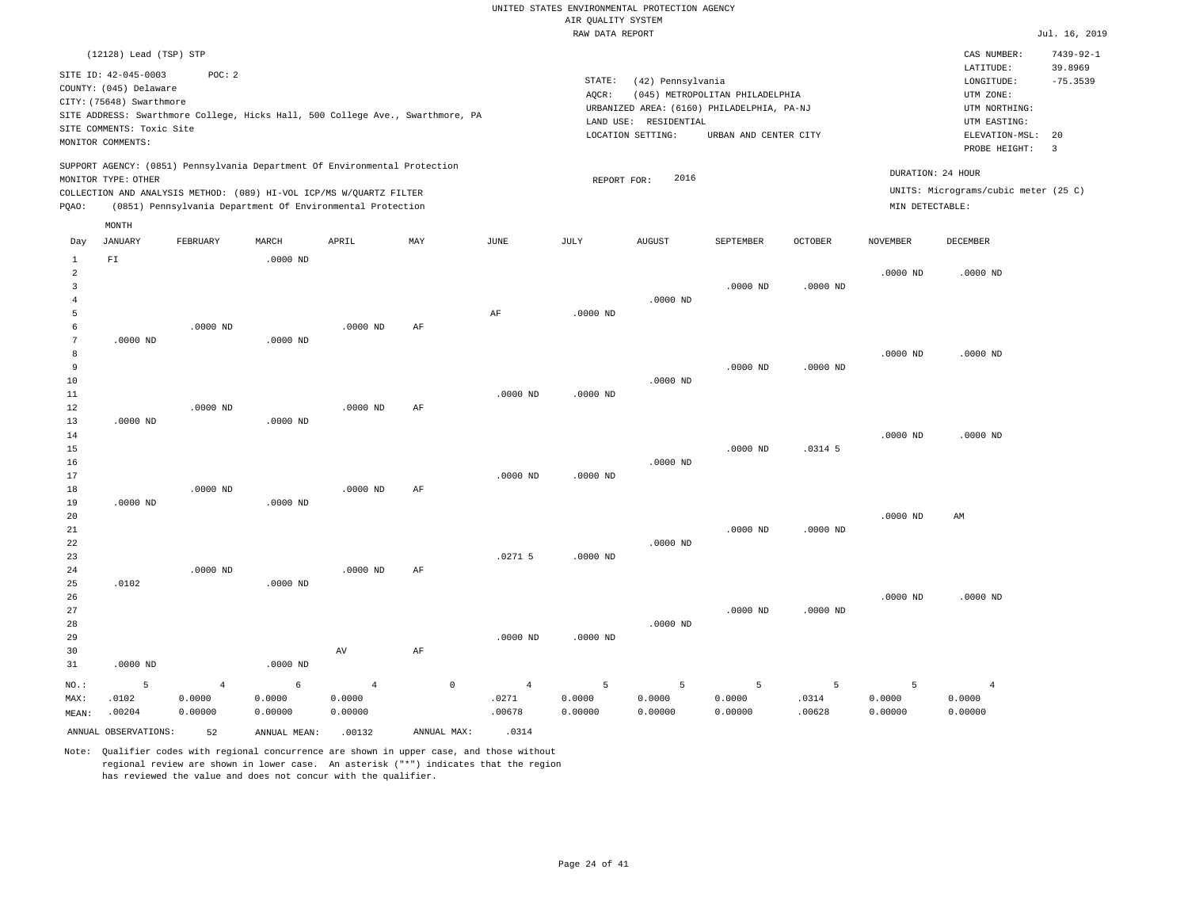|                | (12128) Lead (TSP) STP    |                                                                            |              |                |                                                                                |                |             |                       |                                            |                |                 | CAS NUMBER:                          | $7439 - 92 - 1$ |
|----------------|---------------------------|----------------------------------------------------------------------------|--------------|----------------|--------------------------------------------------------------------------------|----------------|-------------|-----------------------|--------------------------------------------|----------------|-----------------|--------------------------------------|-----------------|
|                | SITE ID: 42-045-0003      | POC: 2                                                                     |              |                |                                                                                |                |             |                       |                                            |                |                 | LATITUDE:                            | 39.8969         |
|                | COUNTY: (045) Delaware    |                                                                            |              |                |                                                                                |                | STATE:      | (42) Pennsylvania     |                                            |                |                 | LONGITUDE:                           | $-75.3539$      |
|                | CITY: (75648) Swarthmore  |                                                                            |              |                |                                                                                |                | AQCR:       |                       | (045) METROPOLITAN PHILADELPHIA            |                |                 | UTM ZONE:                            |                 |
|                |                           |                                                                            |              |                | SITE ADDRESS: Swarthmore College, Hicks Hall, 500 College Ave., Swarthmore, PA |                |             |                       | URBANIZED AREA: (6160) PHILADELPHIA, PA-NJ |                |                 | UTM NORTHING:                        |                 |
|                | SITE COMMENTS: Toxic Site |                                                                            |              |                |                                                                                |                |             | LAND USE: RESIDENTIAL |                                            |                |                 | UTM EASTING:                         |                 |
|                | MONITOR COMMENTS:         |                                                                            |              |                |                                                                                |                |             | LOCATION SETTING:     | URBAN AND CENTER CITY                      |                |                 | ELEVATION-MSL:                       | 20              |
|                |                           |                                                                            |              |                |                                                                                |                |             |                       |                                            |                |                 | PROBE HEIGHT:                        | 3               |
|                |                           | SUPPORT AGENCY: (0851) Pennsylvania Department Of Environmental Protection |              |                |                                                                                |                |             |                       |                                            |                |                 | DURATION: 24 HOUR                    |                 |
|                | MONITOR TYPE: OTHER       |                                                                            |              |                |                                                                                |                | REPORT FOR: | 2016                  |                                            |                |                 | UNITS: Micrograms/cubic meter (25 C) |                 |
|                |                           | COLLECTION AND ANALYSIS METHOD: (089) HI-VOL ICP/MS W/QUARTZ FILTER        |              |                |                                                                                |                |             |                       |                                            |                |                 |                                      |                 |
| PQAO:          |                           | (0851) Pennsylvania Department Of Environmental Protection                 |              |                |                                                                                |                |             |                       |                                            |                | MIN DETECTABLE: |                                      |                 |
|                | MONTH                     |                                                                            |              |                |                                                                                |                |             |                       |                                            |                |                 |                                      |                 |
| Day            | <b>JANUARY</b>            | FEBRUARY                                                                   | MARCH        | APRIL          | MAY                                                                            | JUNE           | JULY        | <b>AUGUST</b>         | SEPTEMBER                                  | <b>OCTOBER</b> | <b>NOVEMBER</b> | <b>DECEMBER</b>                      |                 |
| $\mathbf{1}$   | FI                        |                                                                            | $.0000$ ND   |                |                                                                                |                |             |                       |                                            |                |                 |                                      |                 |
| $\overline{a}$ |                           |                                                                            |              |                |                                                                                |                |             |                       |                                            |                | $.0000$ ND      | $.0000$ ND                           |                 |
| 3              |                           |                                                                            |              |                |                                                                                |                |             |                       | $.0000$ ND                                 | $.0000$ ND     |                 |                                      |                 |
| $\overline{4}$ |                           |                                                                            |              |                |                                                                                |                |             | $.0000$ ND            |                                            |                |                 |                                      |                 |
| 5              |                           |                                                                            |              |                |                                                                                | AF             | $.0000$ ND  |                       |                                            |                |                 |                                      |                 |
| 6              |                           | $.0000$ ND                                                                 |              | .0000 ND       | AF                                                                             |                |             |                       |                                            |                |                 |                                      |                 |
| 7              | $.0000$ ND                |                                                                            | $.0000$ ND   |                |                                                                                |                |             |                       |                                            |                |                 |                                      |                 |
| 8              |                           |                                                                            |              |                |                                                                                |                |             |                       |                                            |                | $.0000$ ND      | $.0000$ ND                           |                 |
| 9              |                           |                                                                            |              |                |                                                                                |                |             |                       | $.0000$ ND                                 | $.0000$ ND     |                 |                                      |                 |
| 10             |                           |                                                                            |              |                |                                                                                |                |             | $.0000$ ND            |                                            |                |                 |                                      |                 |
| 11             |                           |                                                                            |              |                |                                                                                | $.0000$ ND     | $.0000$ ND  |                       |                                            |                |                 |                                      |                 |
| 12<br>13       |                           | $.0000$ ND                                                                 |              | $.0000$ ND     | AF                                                                             |                |             |                       |                                            |                |                 |                                      |                 |
| 14             | $.0000$ ND                |                                                                            | $.0000$ ND   |                |                                                                                |                |             |                       |                                            |                | $.0000$ ND      | $.0000$ ND                           |                 |
| 15             |                           |                                                                            |              |                |                                                                                |                |             |                       | $.0000$ ND                                 | $.0314$ 5      |                 |                                      |                 |
| 16             |                           |                                                                            |              |                |                                                                                |                |             | $.0000$ ND            |                                            |                |                 |                                      |                 |
| 17             |                           |                                                                            |              |                |                                                                                | $.0000$ ND     | $.0000$ ND  |                       |                                            |                |                 |                                      |                 |
| 18             |                           | $.0000$ ND                                                                 |              | $.0000$ ND     | AF                                                                             |                |             |                       |                                            |                |                 |                                      |                 |
| 19             | $.0000$ ND                |                                                                            | $.0000$ ND   |                |                                                                                |                |             |                       |                                            |                |                 |                                      |                 |
| 20             |                           |                                                                            |              |                |                                                                                |                |             |                       |                                            |                | $.0000$ ND      | AM                                   |                 |
| 21             |                           |                                                                            |              |                |                                                                                |                |             |                       | $.0000$ ND                                 | $.0000$ ND     |                 |                                      |                 |
| 22             |                           |                                                                            |              |                |                                                                                |                |             | $.0000$ ND            |                                            |                |                 |                                      |                 |
| 23             |                           |                                                                            |              |                |                                                                                | $.0271$ 5      | $.0000$ ND  |                       |                                            |                |                 |                                      |                 |
| 24             |                           | $.0000$ ND                                                                 |              | $.0000$ ND     | AF                                                                             |                |             |                       |                                            |                |                 |                                      |                 |
| 25             | .0102                     |                                                                            | $.0000$ ND   |                |                                                                                |                |             |                       |                                            |                |                 |                                      |                 |
| 26             |                           |                                                                            |              |                |                                                                                |                |             |                       |                                            |                | $.0000$ ND      | $.0000$ ND                           |                 |
| 27             |                           |                                                                            |              |                |                                                                                |                |             |                       | $.0000$ ND                                 | $.0000$ ND     |                 |                                      |                 |
| 28             |                           |                                                                            |              |                |                                                                                |                |             | $.0000$ ND            |                                            |                |                 |                                      |                 |
| 29             |                           |                                                                            |              |                |                                                                                | $.0000$ ND     | $.0000$ ND  |                       |                                            |                |                 |                                      |                 |
| 30             |                           |                                                                            |              | AV             | AF                                                                             |                |             |                       |                                            |                |                 |                                      |                 |
| 31             | $.0000$ ND                |                                                                            | $.0000$ ND   |                |                                                                                |                |             |                       |                                            |                |                 |                                      |                 |
| NO.:           | 5                         | $\overline{4}$                                                             | $\epsilon$   | $\overline{4}$ | $\mathbb O$                                                                    | $\overline{4}$ | 5           | 5                     | 5                                          | 5              | 5               | $\overline{4}$                       |                 |
| MAX:           | .0102                     | 0.0000                                                                     | 0.0000       | 0.0000         |                                                                                | .0271          | 0.0000      | 0.0000                | 0.0000                                     | .0314          | 0.0000          | 0.0000                               |                 |
| MEAN:          | .00204                    | 0.00000                                                                    | 0.00000      | 0.00000        |                                                                                | .00678         | 0.00000     | 0.00000               | 0.00000                                    | .00628         | 0.00000         | 0.00000                              |                 |
|                | ANNUAL OBSERVATIONS:      | 52                                                                         | ANNUAL MEAN: | .00132         | ANNUAL MAX:                                                                    | .0314          |             |                       |                                            |                |                 |                                      |                 |
|                |                           |                                                                            |              |                |                                                                                |                |             |                       |                                            |                |                 |                                      |                 |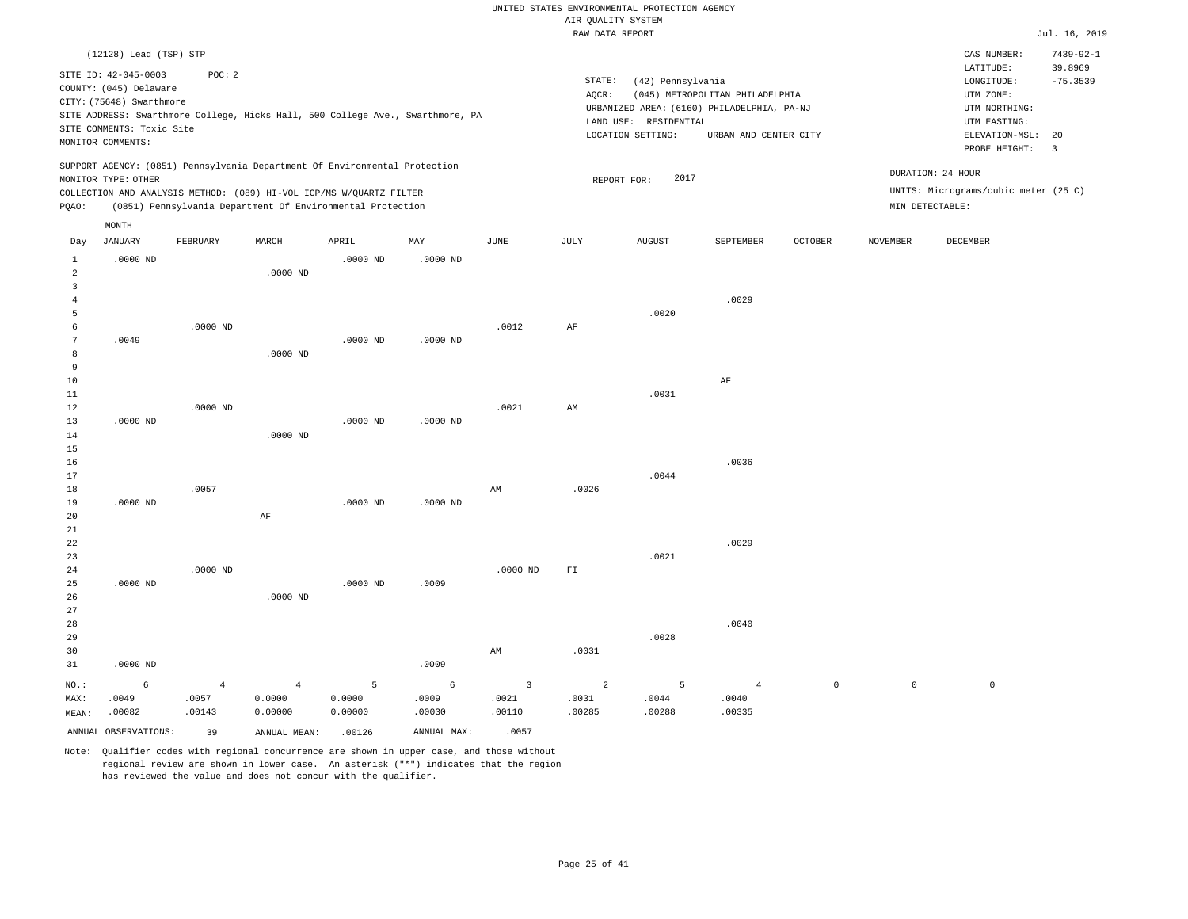|                                | (12128) Lead (TSP) STP    |                |                |                                                                            |                                                                                |                |                          |                       |                                            |         |             | CAS NUMBER:                          | $7439 - 92 - 1$       |
|--------------------------------|---------------------------|----------------|----------------|----------------------------------------------------------------------------|--------------------------------------------------------------------------------|----------------|--------------------------|-----------------------|--------------------------------------------|---------|-------------|--------------------------------------|-----------------------|
|                                | SITE ID: 42-045-0003      | POC: 2         |                |                                                                            |                                                                                |                | STATE:                   | (42) Pennsylvania     |                                            |         |             | LATITUDE:<br>LONGITUDE:              | 39.8969<br>$-75.3539$ |
|                                | COUNTY: (045) Delaware    |                |                |                                                                            |                                                                                |                | AQCR:                    |                       | (045) METROPOLITAN PHILADELPHIA            |         |             | UTM ZONE:                            |                       |
|                                | CITY: (75648) Swarthmore  |                |                |                                                                            |                                                                                |                |                          |                       | URBANIZED AREA: (6160) PHILADELPHIA, PA-NJ |         |             | UTM NORTHING:                        |                       |
|                                | SITE COMMENTS: Toxic Site |                |                |                                                                            | SITE ADDRESS: Swarthmore College, Hicks Hall, 500 College Ave., Swarthmore, PA |                |                          | LAND USE: RESIDENTIAL |                                            |         |             | UTM EASTING:                         |                       |
|                                | MONITOR COMMENTS:         |                |                |                                                                            |                                                                                |                |                          | LOCATION SETTING:     | URBAN AND CENTER CITY                      |         |             | ELEVATION-MSL:                       | 20                    |
|                                |                           |                |                |                                                                            |                                                                                |                |                          |                       |                                            |         |             | PROBE HEIGHT:                        | $\overline{3}$        |
|                                | MONITOR TYPE: OTHER       |                |                | SUPPORT AGENCY: (0851) Pennsylvania Department Of Environmental Protection |                                                                                |                | REPORT FOR:              | 2017                  |                                            |         |             | DURATION: 24 HOUR                    |                       |
|                                |                           |                |                | COLLECTION AND ANALYSIS METHOD: (089) HI-VOL ICP/MS W/QUARTZ FILTER        |                                                                                |                |                          |                       |                                            |         |             | UNITS: Micrograms/cubic meter (25 C) |                       |
| PQAO:                          |                           |                |                | (0851) Pennsylvania Department Of Environmental Protection                 |                                                                                |                |                          |                       |                                            |         |             | $\texttt{MIN}$ DETECTABLE :          |                       |
|                                | MONTH                     |                |                |                                                                            |                                                                                |                |                          |                       |                                            |         |             |                                      |                       |
| Day                            | <b>JANUARY</b>            | FEBRUARY       | MARCH          | APRIL                                                                      | MAY                                                                            | JUNE           | JULY                     | <b>AUGUST</b>         | SEPTEMBER                                  | OCTOBER | NOVEMBER    | DECEMBER                             |                       |
|                                |                           |                |                |                                                                            |                                                                                |                |                          |                       |                                            |         |             |                                      |                       |
| $\mathbf{1}$<br>$\overline{a}$ | $.0000$ ND                |                | $.0000$ ND     | $.0000$ ND                                                                 | $.0000$ ND                                                                     |                |                          |                       |                                            |         |             |                                      |                       |
| 3                              |                           |                |                |                                                                            |                                                                                |                |                          |                       |                                            |         |             |                                      |                       |
| $\overline{4}$                 |                           |                |                |                                                                            |                                                                                |                |                          |                       | .0029                                      |         |             |                                      |                       |
| 5                              |                           |                |                |                                                                            |                                                                                |                |                          | .0020                 |                                            |         |             |                                      |                       |
| 6                              |                           | $.0000$ ND     |                |                                                                            |                                                                                | .0012          | AF                       |                       |                                            |         |             |                                      |                       |
| 7                              | .0049                     |                |                | $.0000$ ND                                                                 | $.0000$ ND                                                                     |                |                          |                       |                                            |         |             |                                      |                       |
| 8                              |                           |                | $.0000$ ND     |                                                                            |                                                                                |                |                          |                       |                                            |         |             |                                      |                       |
| 9                              |                           |                |                |                                                                            |                                                                                |                |                          |                       |                                            |         |             |                                      |                       |
| 10<br>11                       |                           |                |                |                                                                            |                                                                                |                |                          | .0031                 | AF                                         |         |             |                                      |                       |
| 12                             |                           | $.0000$ ND     |                |                                                                            |                                                                                | .0021          | AM                       |                       |                                            |         |             |                                      |                       |
| 13                             | $.0000$ ND                |                |                | .0000 ND                                                                   | .0000 ND                                                                       |                |                          |                       |                                            |         |             |                                      |                       |
| 14                             |                           |                | .0000 ND       |                                                                            |                                                                                |                |                          |                       |                                            |         |             |                                      |                       |
| 15                             |                           |                |                |                                                                            |                                                                                |                |                          |                       |                                            |         |             |                                      |                       |
| 16                             |                           |                |                |                                                                            |                                                                                |                |                          |                       | .0036                                      |         |             |                                      |                       |
| 17                             |                           |                |                |                                                                            |                                                                                |                |                          | .0044                 |                                            |         |             |                                      |                       |
| 18<br>19                       | $.0000$ ND                | .0057          |                | $.0000$ ND                                                                 | $.0000$ ND                                                                     | AM             | .0026                    |                       |                                            |         |             |                                      |                       |
| 20                             |                           |                | AF             |                                                                            |                                                                                |                |                          |                       |                                            |         |             |                                      |                       |
| 21                             |                           |                |                |                                                                            |                                                                                |                |                          |                       |                                            |         |             |                                      |                       |
| 22                             |                           |                |                |                                                                            |                                                                                |                |                          |                       | .0029                                      |         |             |                                      |                       |
| 23                             |                           |                |                |                                                                            |                                                                                |                |                          | .0021                 |                                            |         |             |                                      |                       |
| 24                             |                           | $.0000$ ND     |                |                                                                            |                                                                                | $.0000$ ND     | $\mathbb{F} \mathbbm{I}$ |                       |                                            |         |             |                                      |                       |
| 25                             | $.0000$ ND                |                |                | $.0000$ ND                                                                 | .0009                                                                          |                |                          |                       |                                            |         |             |                                      |                       |
| 26<br>27                       |                           |                | $.0000$ ND     |                                                                            |                                                                                |                |                          |                       |                                            |         |             |                                      |                       |
| 28                             |                           |                |                |                                                                            |                                                                                |                |                          |                       | .0040                                      |         |             |                                      |                       |
| 29                             |                           |                |                |                                                                            |                                                                                |                |                          | .0028                 |                                            |         |             |                                      |                       |
| 30                             |                           |                |                |                                                                            |                                                                                | AM             | .0031                    |                       |                                            |         |             |                                      |                       |
| 31                             | $.0000$ ND                |                |                |                                                                            | .0009                                                                          |                |                          |                       |                                            |         |             |                                      |                       |
| NO.:                           | 6                         | $\overline{4}$ | $\overline{4}$ | 5                                                                          | 6                                                                              | $\overline{3}$ | 2                        | 5                     | $\overline{4}$                             | $\circ$ | $\mathsf 0$ | $\mathbb O$                          |                       |
| MAX:                           | .0049                     | .0057          | 0.0000         | 0.0000                                                                     | .0009                                                                          | .0021          | .0031                    | .0044                 | .0040                                      |         |             |                                      |                       |
| MEAN:                          | .00082                    | .00143         | 0.00000        | 0.00000                                                                    | .00030                                                                         | .00110         | .00285                   | .00288                | .00335                                     |         |             |                                      |                       |
|                                | ANNUAL OBSERVATIONS:      | 39             | ANNUAL MEAN:   | .00126                                                                     | ANNUAL MAX:                                                                    | .0057          |                          |                       |                                            |         |             |                                      |                       |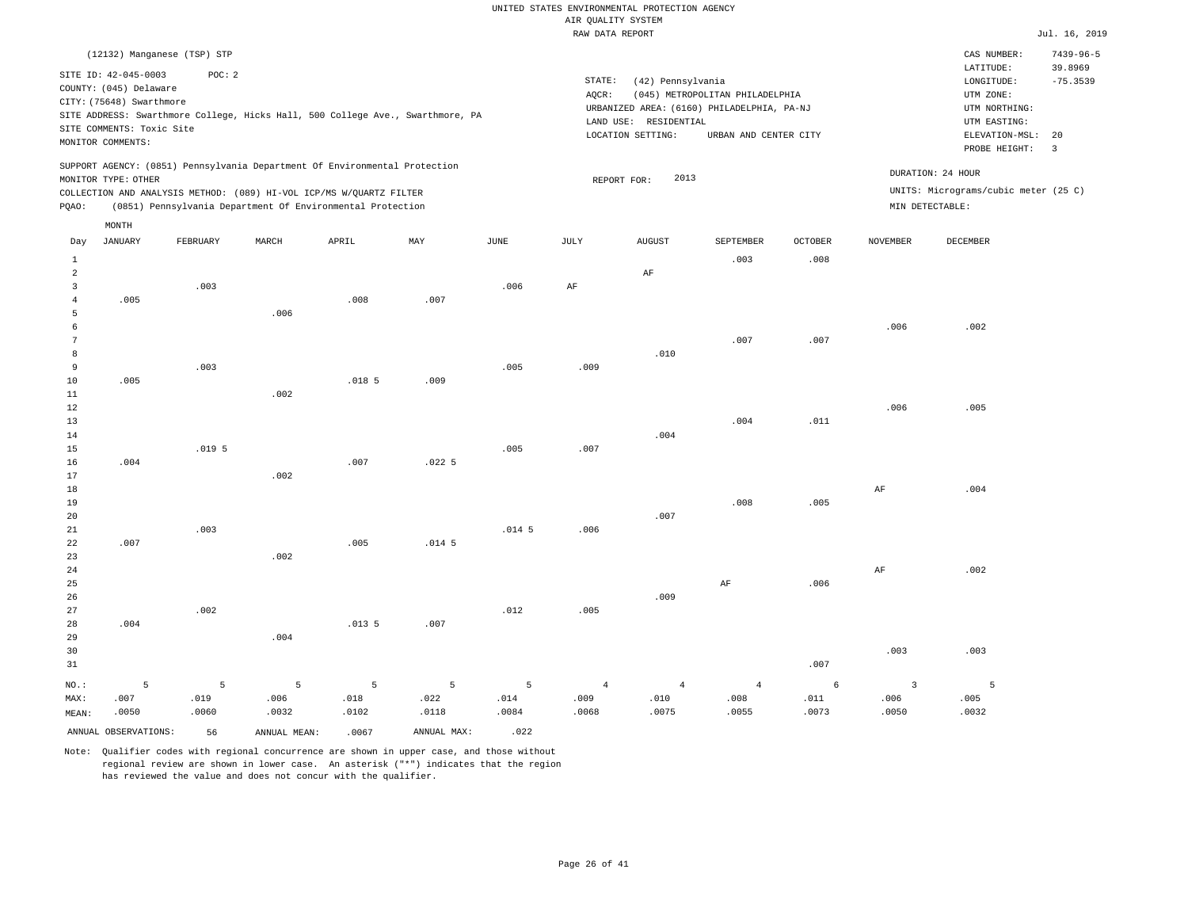|                 | (12132) Manganese (TSP) STP |                   |                                                                            |                   |                                                                                |                 |                |                       |                                            |         |           | CAS NUMBER:                          | $7439 - 96 - 5$       |
|-----------------|-----------------------------|-------------------|----------------------------------------------------------------------------|-------------------|--------------------------------------------------------------------------------|-----------------|----------------|-----------------------|--------------------------------------------|---------|-----------|--------------------------------------|-----------------------|
|                 | SITE ID: 42-045-0003        | POC: 2            |                                                                            |                   |                                                                                |                 | STATE:         |                       |                                            |         |           | LATITUDE:                            | 39.8969<br>$-75.3539$ |
|                 | COUNTY: (045) Delaware      |                   |                                                                            |                   |                                                                                |                 | AQCR:          | (42) Pennsylvania     | (045) METROPOLITAN PHILADELPHIA            |         |           | LONGITUDE:<br>UTM ZONE:              |                       |
|                 | CITY: (75648) Swarthmore    |                   |                                                                            |                   |                                                                                |                 |                |                       | URBANIZED AREA: (6160) PHILADELPHIA, PA-NJ |         |           | UTM NORTHING:                        |                       |
|                 |                             |                   |                                                                            |                   | SITE ADDRESS: Swarthmore College, Hicks Hall, 500 College Ave., Swarthmore, PA |                 |                | LAND USE: RESIDENTIAL |                                            |         |           | UTM EASTING:                         |                       |
|                 | SITE COMMENTS: Toxic Site   |                   |                                                                            |                   |                                                                                |                 |                | LOCATION SETTING:     | URBAN AND CENTER CITY                      |         |           | ELEVATION-MSL:                       | 20                    |
|                 | MONITOR COMMENTS:           |                   |                                                                            |                   |                                                                                |                 |                |                       |                                            |         |           | PROBE HEIGHT:                        | $\overline{3}$        |
|                 | MONITOR TYPE: OTHER         |                   | SUPPORT AGENCY: (0851) Pennsylvania Department Of Environmental Protection |                   |                                                                                |                 |                | 2013<br>REPORT FOR:   |                                            |         |           | DURATION: 24 HOUR                    |                       |
|                 |                             |                   | COLLECTION AND ANALYSIS METHOD: (089) HI-VOL ICP/MS W/QUARTZ FILTER        |                   |                                                                                |                 |                |                       |                                            |         |           | UNITS: Micrograms/cubic meter (25 C) |                       |
| PQAO:           |                             |                   | (0851) Pennsylvania Department Of Environmental Protection                 |                   |                                                                                |                 |                |                       |                                            |         |           | MIN DETECTABLE:                      |                       |
|                 | MONTH                       |                   |                                                                            |                   |                                                                                |                 |                |                       |                                            |         |           |                                      |                       |
| Day             | JANUARY                     | FEBRUARY          | MARCH                                                                      | APRIL             | MAY                                                                            | $\mathtt{JUNE}$ | JULY           | AUGUST                | SEPTEMBER                                  | OCTOBER | NOVEMBER  | DECEMBER                             |                       |
| 1               |                             |                   |                                                                            |                   |                                                                                |                 |                |                       | .003                                       | .008    |           |                                      |                       |
| $\overline{a}$  |                             |                   |                                                                            |                   |                                                                                |                 |                | AF                    |                                            |         |           |                                      |                       |
| 3               |                             | .003              |                                                                            |                   |                                                                                | .006            | AF             |                       |                                            |         |           |                                      |                       |
| $\overline{4}$  | .005                        |                   |                                                                            | .008              | .007                                                                           |                 |                |                       |                                            |         |           |                                      |                       |
| 5               |                             |                   | .006                                                                       |                   |                                                                                |                 |                |                       |                                            |         |           |                                      |                       |
| 6               |                             |                   |                                                                            |                   |                                                                                |                 |                |                       |                                            |         | .006      | .002                                 |                       |
| $7\phantom{.0}$ |                             |                   |                                                                            |                   |                                                                                |                 |                |                       | .007                                       | .007    |           |                                      |                       |
| 8<br>9          |                             | .003              |                                                                            |                   |                                                                                | .005            | .009           | .010                  |                                            |         |           |                                      |                       |
| 10              | .005                        |                   |                                                                            | .018 <sub>5</sub> | .009                                                                           |                 |                |                       |                                            |         |           |                                      |                       |
| 11              |                             |                   | .002                                                                       |                   |                                                                                |                 |                |                       |                                            |         |           |                                      |                       |
| 12              |                             |                   |                                                                            |                   |                                                                                |                 |                |                       |                                            |         | .006      | .005                                 |                       |
| 13              |                             |                   |                                                                            |                   |                                                                                |                 |                |                       | .004                                       | .011    |           |                                      |                       |
| 14              |                             |                   |                                                                            |                   |                                                                                |                 |                | .004                  |                                            |         |           |                                      |                       |
| 15              |                             | .019 <sub>5</sub> |                                                                            |                   |                                                                                | .005            | .007           |                       |                                            |         |           |                                      |                       |
| 16              | .004                        |                   |                                                                            | .007              | .0225                                                                          |                 |                |                       |                                            |         |           |                                      |                       |
| 17              |                             |                   | .002                                                                       |                   |                                                                                |                 |                |                       |                                            |         |           |                                      |                       |
| $1\,8$          |                             |                   |                                                                            |                   |                                                                                |                 |                |                       |                                            |         | $\rm{AF}$ | .004                                 |                       |
| 19              |                             |                   |                                                                            |                   |                                                                                |                 |                |                       | .008                                       | .005    |           |                                      |                       |
| 20              |                             |                   |                                                                            |                   |                                                                                |                 |                | .007                  |                                            |         |           |                                      |                       |
| 21              |                             | .003              |                                                                            |                   |                                                                                | $.014 - 5$      | .006           |                       |                                            |         |           |                                      |                       |
| 22<br>23        | .007                        |                   | .002                                                                       | .005              | .014.5                                                                         |                 |                |                       |                                            |         |           |                                      |                       |
| 24              |                             |                   |                                                                            |                   |                                                                                |                 |                |                       |                                            |         | AF        | .002                                 |                       |
| 25              |                             |                   |                                                                            |                   |                                                                                |                 |                |                       | AF                                         | .006    |           |                                      |                       |
| 26              |                             |                   |                                                                            |                   |                                                                                |                 |                | .009                  |                                            |         |           |                                      |                       |
| 27              |                             | .002              |                                                                            |                   |                                                                                | .012            | .005           |                       |                                            |         |           |                                      |                       |
| 28              | .004                        |                   |                                                                            | .0135             | .007                                                                           |                 |                |                       |                                            |         |           |                                      |                       |
| 29              |                             |                   | .004                                                                       |                   |                                                                                |                 |                |                       |                                            |         |           |                                      |                       |
| 30              |                             |                   |                                                                            |                   |                                                                                |                 |                |                       |                                            |         | .003      | .003                                 |                       |
| 31              |                             |                   |                                                                            |                   |                                                                                |                 |                |                       |                                            | .007    |           |                                      |                       |
| NO.:            | 5                           | 5                 | 5                                                                          | 5                 | 5                                                                              | 5               | $\overline{4}$ | $\overline{4}$        | $\overline{4}$                             | 6       | 3         | - 5                                  |                       |
| MAX:            | .007                        | .019              | .006                                                                       | .018              | .022                                                                           | .014            | .009           | .010                  | .008                                       | .011    | .006      | .005                                 |                       |
| MEAN:           | .0050                       | .0060             | .0032                                                                      | .0102             | .0118                                                                          | .0084           | .0068          | .0075                 | .0055                                      | .0073   | .0050     | .0032                                |                       |
|                 | ANNUAL OBSERVATIONS:        | 56                | ANNUAL MEAN:                                                               | .0067             | ANNUAL MAX:                                                                    | .022            |                |                       |                                            |         |           |                                      |                       |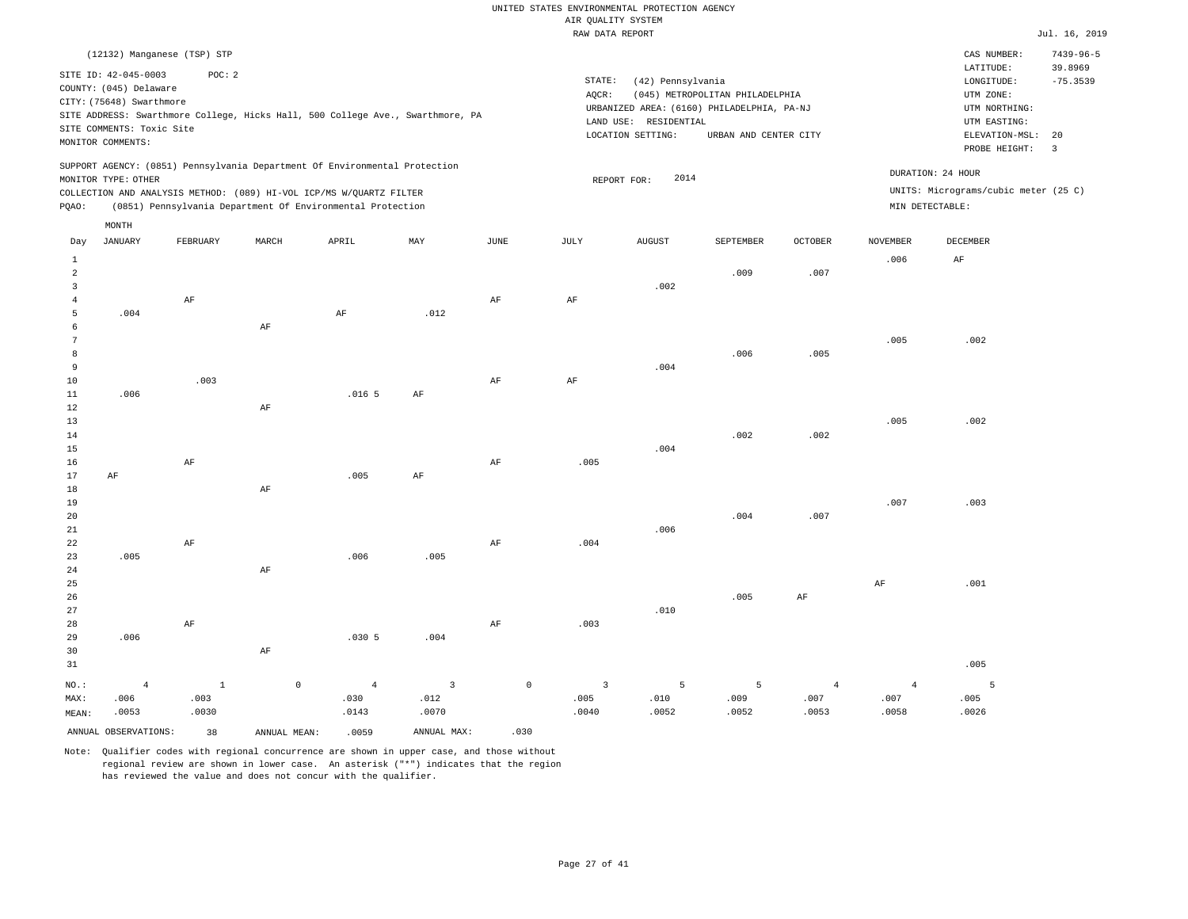|                |                           |                             |                                                                            |                |                                                                                |               | RAW DATA REPORT |                       |                                            |                |                 |                                      | Jul. 16, 2019   |
|----------------|---------------------------|-----------------------------|----------------------------------------------------------------------------|----------------|--------------------------------------------------------------------------------|---------------|-----------------|-----------------------|--------------------------------------------|----------------|-----------------|--------------------------------------|-----------------|
|                |                           | (12132) Manganese (TSP) STP |                                                                            |                |                                                                                |               |                 |                       |                                            |                |                 | CAS NUMBER:                          | $7439 - 96 - 5$ |
|                | SITE ID: 42-045-0003      | POC: 2                      |                                                                            |                |                                                                                |               |                 |                       |                                            |                |                 | LATITUDE:                            | 39.8969         |
|                | COUNTY: (045) Delaware    |                             |                                                                            |                |                                                                                |               | STATE:          | (42) Pennsylvania     |                                            |                |                 | LONGITUDE:                           | $-75.3539$      |
|                | CITY: (75648) Swarthmore  |                             |                                                                            |                |                                                                                |               | AQCR:           |                       | (045) METROPOLITAN PHILADELPHIA            |                |                 | UTM ZONE:                            |                 |
|                |                           |                             |                                                                            |                | SITE ADDRESS: Swarthmore College, Hicks Hall, 500 College Ave., Swarthmore, PA |               |                 |                       | URBANIZED AREA: (6160) PHILADELPHIA, PA-NJ |                |                 | UTM NORTHING:                        |                 |
|                | SITE COMMENTS: Toxic Site |                             |                                                                            |                |                                                                                |               |                 | LAND USE: RESIDENTIAL |                                            |                |                 | UTM EASTING:                         |                 |
|                | MONITOR COMMENTS:         |                             |                                                                            |                |                                                                                |               |                 | LOCATION SETTING:     | URBAN AND CENTER CITY                      |                |                 | ELEVATION-MSL:                       | 20              |
|                |                           |                             |                                                                            |                |                                                                                |               |                 |                       |                                            |                |                 | PROBE HEIGHT:                        | $\overline{3}$  |
|                |                           |                             | SUPPORT AGENCY: (0851) Pennsylvania Department Of Environmental Protection |                |                                                                                |               |                 |                       |                                            |                |                 | DURATION: 24 HOUR                    |                 |
|                | MONITOR TYPE: OTHER       |                             |                                                                            |                |                                                                                |               |                 | 2014<br>REPORT FOR:   |                                            |                |                 |                                      |                 |
|                |                           |                             | COLLECTION AND ANALYSIS METHOD: (089) HI-VOL ICP/MS W/QUARTZ FILTER        |                |                                                                                |               |                 |                       |                                            |                |                 | UNITS: Micrograms/cubic meter (25 C) |                 |
| PQAO:          |                           |                             | (0851) Pennsylvania Department Of Environmental Protection                 |                |                                                                                |               |                 |                       |                                            |                |                 | MIN DETECTABLE:                      |                 |
|                | MONTH                     |                             |                                                                            |                |                                                                                |               |                 |                       |                                            |                |                 |                                      |                 |
| Day            | <b>JANUARY</b>            | FEBRUARY                    | MARCH                                                                      | APRIL          | MAY                                                                            | $_{\rm JUNE}$ | JULY            | <b>AUGUST</b>         | SEPTEMBER                                  | OCTOBER        | <b>NOVEMBER</b> | DECEMBER                             |                 |
| $\mathbf{1}$   |                           |                             |                                                                            |                |                                                                                |               |                 |                       |                                            |                | .006            | AF                                   |                 |
| $\overline{a}$ |                           |                             |                                                                            |                |                                                                                |               |                 |                       | .009                                       | .007           |                 |                                      |                 |
| 3              |                           |                             |                                                                            |                |                                                                                |               |                 | .002                  |                                            |                |                 |                                      |                 |
| $\overline{4}$ |                           | AF                          |                                                                            |                |                                                                                | AF            | AF              |                       |                                            |                |                 |                                      |                 |
| 5              | .004                      |                             |                                                                            | $\rm{AF}$      | .012                                                                           |               |                 |                       |                                            |                |                 |                                      |                 |
| 6              |                           |                             | AF                                                                         |                |                                                                                |               |                 |                       |                                            |                |                 |                                      |                 |
| $\overline{7}$ |                           |                             |                                                                            |                |                                                                                |               |                 |                       |                                            |                | .005            | .002                                 |                 |
| 8              |                           |                             |                                                                            |                |                                                                                |               |                 |                       | .006                                       | .005           |                 |                                      |                 |
| $\overline{9}$ |                           |                             |                                                                            |                |                                                                                |               |                 | .004                  |                                            |                |                 |                                      |                 |
| 10             |                           | .003                        |                                                                            |                |                                                                                | AF            | AF              |                       |                                            |                |                 |                                      |                 |
| $11\,$         | .006                      |                             |                                                                            | .0165          | AF                                                                             |               |                 |                       |                                            |                |                 |                                      |                 |
| 12             |                           |                             | $\rm{AF}$                                                                  |                |                                                                                |               |                 |                       |                                            |                |                 |                                      |                 |
| 13             |                           |                             |                                                                            |                |                                                                                |               |                 |                       |                                            |                | .005            | .002                                 |                 |
| 14             |                           |                             |                                                                            |                |                                                                                |               |                 |                       | .002                                       | .002           |                 |                                      |                 |
| 15             |                           |                             |                                                                            |                |                                                                                |               |                 | .004                  |                                            |                |                 |                                      |                 |
| 16             |                           | AF                          |                                                                            |                |                                                                                | AF            | .005            |                       |                                            |                |                 |                                      |                 |
| 17             | $\rm AF$                  |                             |                                                                            | .005           | AF                                                                             |               |                 |                       |                                            |                |                 |                                      |                 |
| 18             |                           |                             | AF                                                                         |                |                                                                                |               |                 |                       |                                            |                |                 |                                      |                 |
| 19             |                           |                             |                                                                            |                |                                                                                |               |                 |                       |                                            |                | .007            | .003                                 |                 |
| 20             |                           |                             |                                                                            |                |                                                                                |               |                 |                       | .004                                       | .007           |                 |                                      |                 |
| 21             |                           |                             |                                                                            |                |                                                                                |               |                 | .006                  |                                            |                |                 |                                      |                 |
| 22             |                           | AF                          |                                                                            |                |                                                                                | AF            | .004            |                       |                                            |                |                 |                                      |                 |
| 23             | .005                      |                             |                                                                            | .006           | .005                                                                           |               |                 |                       |                                            |                |                 |                                      |                 |
| 24             |                           |                             | AF                                                                         |                |                                                                                |               |                 |                       |                                            |                |                 |                                      |                 |
| 25             |                           |                             |                                                                            |                |                                                                                |               |                 |                       |                                            |                | AF              | .001                                 |                 |
| 26             |                           |                             |                                                                            |                |                                                                                |               |                 |                       | .005                                       | AF             |                 |                                      |                 |
| 27             |                           |                             |                                                                            |                |                                                                                |               |                 | .010                  |                                            |                |                 |                                      |                 |
| 28             |                           | AF                          |                                                                            |                |                                                                                | AF            | .003            |                       |                                            |                |                 |                                      |                 |
| 29             | .006                      |                             |                                                                            | .0305          | .004                                                                           |               |                 |                       |                                            |                |                 |                                      |                 |
| 30             |                           |                             | $\rm AF$                                                                   |                |                                                                                |               |                 |                       |                                            |                |                 |                                      |                 |
| 31             |                           |                             |                                                                            |                |                                                                                |               |                 |                       |                                            |                |                 | .005                                 |                 |
| NO.:           | $\overline{4}$            | $\mathbf{1}$                | $\mathsf{O}\xspace$                                                        | $\overline{4}$ | $\overline{3}$                                                                 | $\mathbb O$   | $\overline{3}$  | 5                     | 5                                          | $\overline{4}$ | $\overline{4}$  | 5                                    |                 |
| MAX:           | .006                      | .003                        |                                                                            | .030           | .012                                                                           |               | .005            | .010                  | .009                                       | .007           | .007            | .005                                 |                 |
| MEAN:          | .0053                     | .0030                       |                                                                            | .0143          | .0070                                                                          |               | .0040           | .0052                 | .0052                                      | .0053          | .0058           | .0026                                |                 |
|                | ANNUAL OBSERVATIONS:      | 38                          | ANNUAL MEAN:                                                               | .0059          | ANNUAL MAX:                                                                    | .030          |                 |                       |                                            |                |                 |                                      |                 |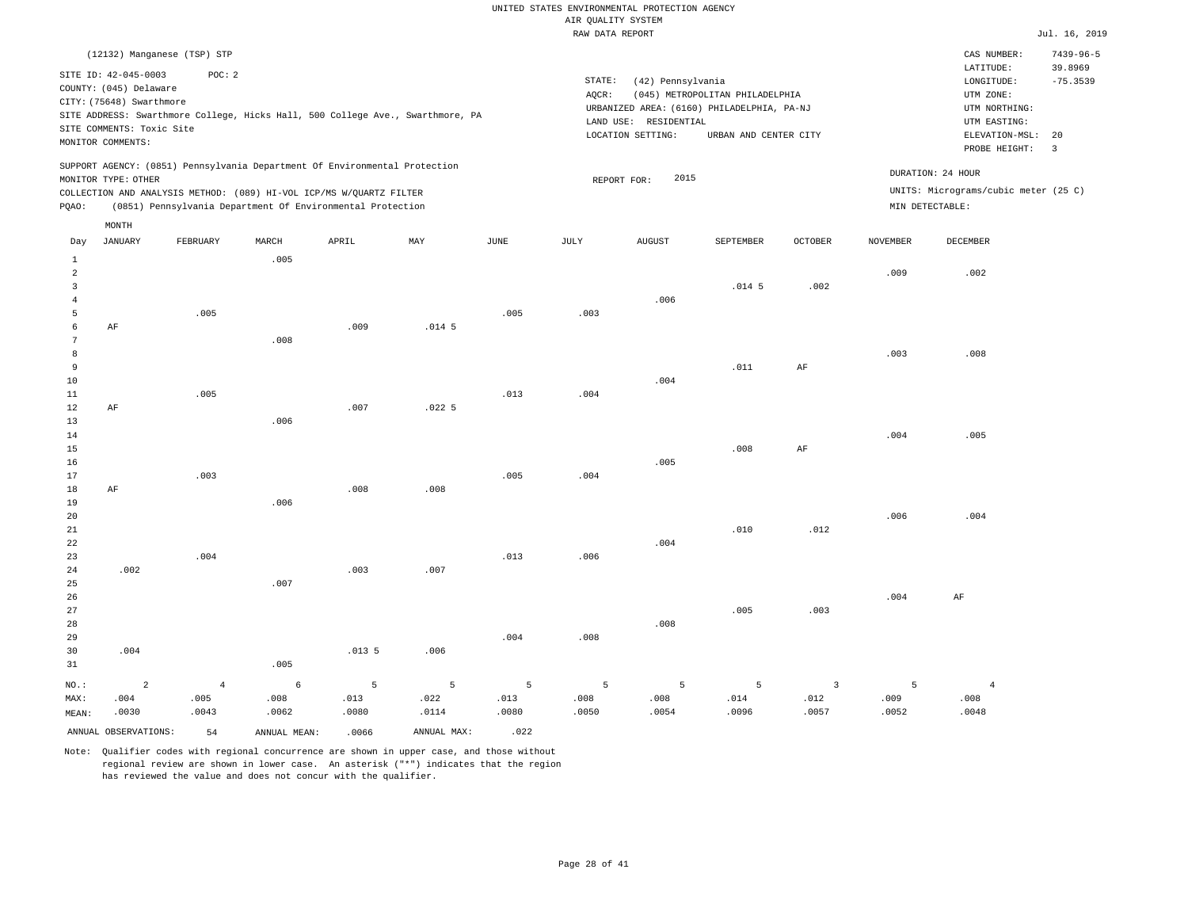|       | (12132) Manganese (TSP) STP                                                                                                  |          |                               |                                                                                                                                   |                                                                                |      |                 |                                                                 |                                                                                                        |         |                 | CAS NUMBER:                                                                                              | $7439 - 96 - 5$                    |
|-------|------------------------------------------------------------------------------------------------------------------------------|----------|-------------------------------|-----------------------------------------------------------------------------------------------------------------------------------|--------------------------------------------------------------------------------|------|-----------------|-----------------------------------------------------------------|--------------------------------------------------------------------------------------------------------|---------|-----------------|----------------------------------------------------------------------------------------------------------|------------------------------------|
|       | SITE ID: 42-045-0003<br>COUNTY: (045) Delaware<br>CITY: (75648) Swarthmore<br>SITE COMMENTS: Toxic Site<br>MONITOR COMMENTS: | POC:2    |                               |                                                                                                                                   | SITE ADDRESS: Swarthmore College, Hicks Hall, 500 College Ave., Swarthmore, PA |      | STATE:<br>AOCR: | (42) Pennsylvania<br>LAND USE: RESIDENTIAL<br>LOCATION SETTING: | (045) METROPOLITAN PHILADELPHIA<br>URBANIZED AREA: (6160) PHILADELPHIA, PA-NJ<br>URBAN AND CENTER CITY |         |                 | LATITUDE:<br>LONGITUDE:<br>UTM ZONE:<br>UTM NORTHING:<br>UTM EASTING:<br>ELEVATION-MSL:<br>PROBE HEIGHT: | 39.8969<br>$-75.3539$<br>- 20<br>3 |
| POAO: | MONITOR TYPE: OTHER                                                                                                          |          |                               | COLLECTION AND ANALYSIS METHOD: (089) HI-VOL ICP/MS W/OUARTZ FILTER<br>(0851) Pennsylvania Department Of Environmental Protection | SUPPORT AGENCY: (0851) Pennsylvania Department Of Environmental Protection     |      |                 | 2015<br>REPORT FOR:                                             |                                                                                                        |         | MIN DETECTABLE: | DURATION: 24 HOUR<br>UNITS: Micrograms/cubic meter (25 C)                                                |                                    |
| Day   | MONTH<br>JANUARY                                                                                                             | FEBRUARY | MARCH<br>$\sim$ $\sim$ $\sim$ | APRIL                                                                                                                             | MAY                                                                            | JUNE | JULY            | AUGUST                                                          | SEPTEMBER                                                                                              | OCTOBER | NOVEMBER        | DECEMBER                                                                                                 |                                    |

| 1                            |                      |                | .005         |                 |             |                |                 |                 |                   |                         |       |                |
|------------------------------|----------------------|----------------|--------------|-----------------|-------------|----------------|-----------------|-----------------|-------------------|-------------------------|-------|----------------|
| $\overline{\mathbf{c}}$<br>3 |                      |                |              |                 |             |                |                 |                 | .014 <sub>5</sub> | .002                    | .009  | .002           |
| $\sqrt{4}$                   |                      |                |              |                 |             |                |                 | .006            |                   |                         |       |                |
| 5                            |                      | .005           |              |                 |             | .005           | .003            |                 |                   |                         |       |                |
| 6                            | $\rm{AF}$            |                |              | .009            | $.014-5$    |                |                 |                 |                   |                         |       |                |
| 7                            |                      |                | .008         |                 |             |                |                 |                 |                   |                         |       |                |
| 8                            |                      |                |              |                 |             |                |                 |                 |                   |                         | .003  | .008           |
| $\,9$                        |                      |                |              |                 |             |                |                 |                 | .011              | $\rm{AF}$               |       |                |
| $10$                         |                      |                |              |                 |             |                |                 | .004            |                   |                         |       |                |
| $11\,$                       |                      | .005           |              |                 |             | .013           | .004            |                 |                   |                         |       |                |
| 12                           | $\rm AF$             |                |              | .007            | .0225       |                |                 |                 |                   |                         |       |                |
| 13                           |                      |                | .006         |                 |             |                |                 |                 |                   |                         |       |                |
| 14<br>15                     |                      |                |              |                 |             |                |                 |                 | .008              | $\rm{AF}$               | .004  | .005           |
| 16                           |                      |                |              |                 |             |                |                 | .005            |                   |                         |       |                |
| 17                           |                      | .003           |              |                 |             | .005           | .004            |                 |                   |                         |       |                |
| 18                           | $\rm AF$             |                |              | .008            | .008        |                |                 |                 |                   |                         |       |                |
| 19                           |                      |                | .006         |                 |             |                |                 |                 |                   |                         |       |                |
| 20                           |                      |                |              |                 |             |                |                 |                 |                   |                         | .006  | .004           |
| 21                           |                      |                |              |                 |             |                |                 |                 | .010              | .012                    |       |                |
| 22                           |                      |                |              |                 |             |                |                 | .004            |                   |                         |       |                |
| 23                           |                      | .004           |              |                 |             | .013           | .006            |                 |                   |                         |       |                |
| 24                           | .002                 |                |              | .003            | .007        |                |                 |                 |                   |                         |       |                |
| 25<br>26                     |                      |                | .007         |                 |             |                |                 |                 |                   |                         | .004  | $\rm{AF}$      |
| 27                           |                      |                |              |                 |             |                |                 |                 | .005              | .003                    |       |                |
| 28                           |                      |                |              |                 |             |                |                 | .008            |                   |                         |       |                |
| 29                           |                      |                |              |                 |             | .004           | .008            |                 |                   |                         |       |                |
| 30                           | .004                 |                |              | .0135           | .006        |                |                 |                 |                   |                         |       |                |
| 31                           |                      |                | .005         |                 |             |                |                 |                 |                   |                         |       |                |
| $_{\rm NO.}$ :               | $\sqrt{2}$           | $\overline{4}$ | $\epsilon$   | $5\phantom{.0}$ | $\,$ 5 $\,$ | $\overline{5}$ | $5\phantom{.0}$ | $5\overline{)}$ | $\overline{5}$    | $\overline{\mathbf{3}}$ | 5     | $\overline{4}$ |
| MAX:                         | .004                 | .005           | .008         | .013            | .022        | .013           | .008            | .008            | .014              | .012                    | .009  | .008           |
| MEAN:                        | .0030                | .0043          | .0062        | .0080           | .0114       | .0080          | .0050           | .0054           | .0096             | .0057                   | .0052 | .0048          |
|                              | ANNUAL OBSERVATIONS: | 54             | ANNUAL MEAN: | .0066           | ANNUAL MAX: | .022           |                 |                 |                   |                         |       |                |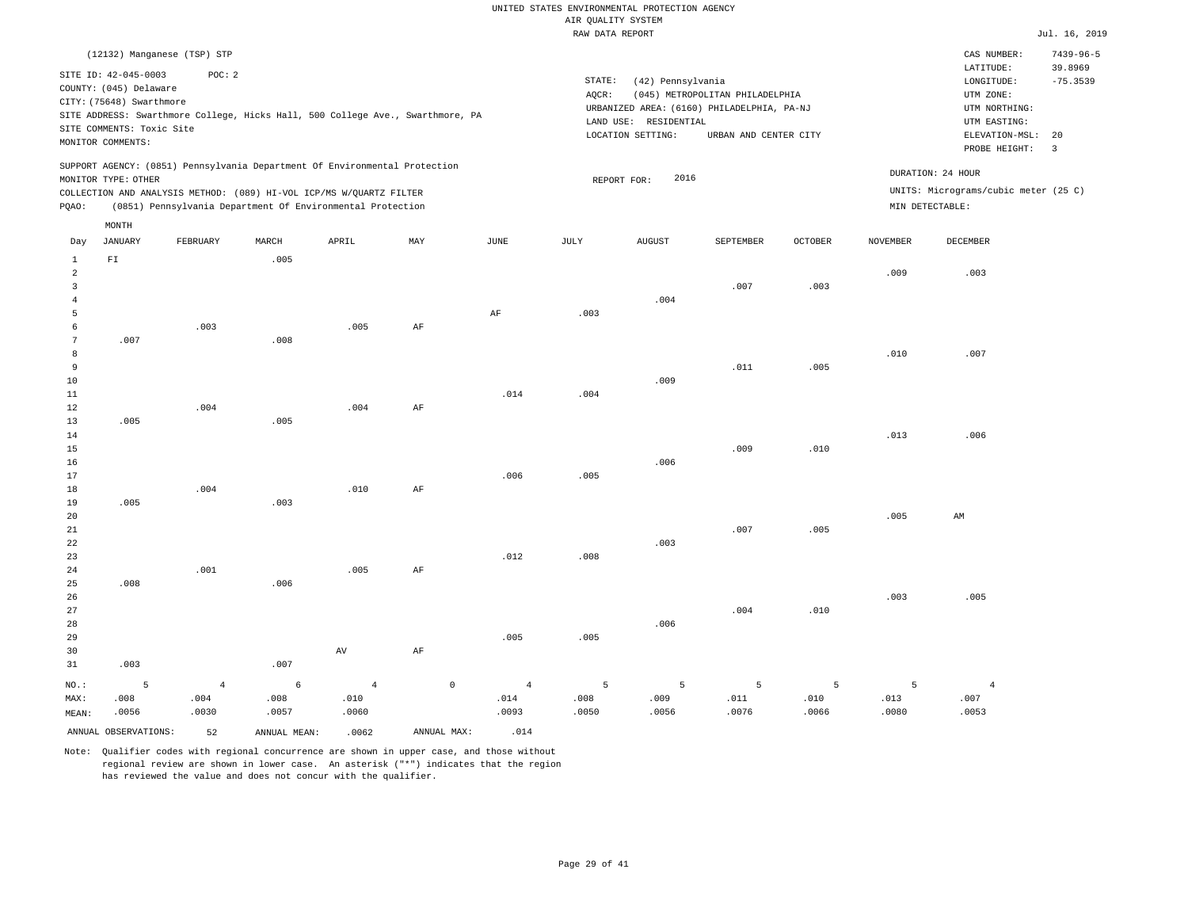|                                                                                                                                                                                                                                                 | RAW DATA REPORT                                                                                                       | Jul. 16, 2019                                                                                                    |
|-------------------------------------------------------------------------------------------------------------------------------------------------------------------------------------------------------------------------------------------------|-----------------------------------------------------------------------------------------------------------------------|------------------------------------------------------------------------------------------------------------------|
| (12132) Manganese (TSP) STP<br>SITE ID: 42-045-0003<br>POC:2<br>COUNTY: (045) Delaware<br>CITY: (75648) Swarthmore<br>SITE ADDRESS: Swarthmore College, Hicks Hall, 500 College Ave., Swarthmore, PA                                            | STATE:<br>(42) Pennsylvania<br>(045) METROPOLITAN PHILADELPHIA<br>AOCR:<br>URBANIZED AREA: (6160) PHILADELPHIA, PA-NJ | $7439 - 96 - 5$<br>CAS NUMBER:<br>39.8969<br>LATITUDE:<br>$-75.3539$<br>LONGITUDE:<br>UTM ZONE:<br>UTM NORTHING: |
| SITE COMMENTS: Toxic Site<br>MONITOR COMMENTS:                                                                                                                                                                                                  | RESIDENTIAL<br>LAND USE:<br>LOCATION SETTING:<br>URBAN AND CENTER CITY                                                | UTM EASTING:<br>ELEVATION-MSL: 20<br>PROBE HEIGHT: 3                                                             |
| SUPPORT AGENCY: (0851) Pennsylvania Department Of Environmental Protection<br>MONITOR TYPE: OTHER<br>COLLECTION AND ANALYSIS METHOD: (089) HI-VOL ICP/MS W/OUARTZ FILTER<br>(0851) Pennsylvania Department Of Environmental Protection<br>POAO: | 2016<br>REPORT FOR:                                                                                                   | DURATION: 24 HOUR<br>UNITS: Micrograms/cubic meter (25 C)<br>MIN DETECTABLE:                                     |

| Day                                                        | <b>JANUARY</b>           | FEBRUARY                        | MARCH                       | APRIL                           | MAY         | $_{\rm JUNE}$                   | JULY               | ${\tt AUGUST}$     | SEPTEMBER          | OCTOBER            | <b>NOVEMBER</b>    | DECEMBER                        |
|------------------------------------------------------------|--------------------------|---------------------------------|-----------------------------|---------------------------------|-------------|---------------------------------|--------------------|--------------------|--------------------|--------------------|--------------------|---------------------------------|
| $\mathbf{1}$<br>$\overline{a}$<br>3<br>$\overline{4}$<br>5 | $\mathbb{F} \mathbbm{I}$ |                                 | .005                        |                                 |             | $\rm{AF}$                       | .003               | .004               | .007               | .003               | .009               | .003                            |
| 6<br>7<br>8<br>9<br>10                                     | .007                     | .003                            | .008                        | .005                            | $\rm{AF}$   |                                 |                    | .009               | .011               | .005               | .010               | .007                            |
| $11\,$<br>12<br>13<br>14<br>15                             | .005                     | .004                            | .005                        | .004                            | $\rm{AF}$   | .014                            | .004               |                    | .009               | .010               | .013               | .006                            |
| 16<br>17<br>18<br>19<br>20                                 | .005                     | .004                            | .003                        | .010                            | $\rm AF$    | .006                            | .005               | .006               |                    |                    | .005               | AM                              |
| 21<br>22<br>23<br>24                                       |                          | .001                            |                             | .005                            | $\rm{AF}$   | .012                            | .008               | .003               | .007               | .005               |                    |                                 |
| 25<br>26<br>27<br>28<br>29                                 | .008                     |                                 | .006                        |                                 |             | .005                            | .005               | .006               | .004               | .010               | .003               | .005                            |
| 30<br>31                                                   | .003                     |                                 | .007                        | $\,\mathrm{AV}$                 | $\rm AF$    |                                 |                    |                    |                    |                    |                    |                                 |
| $NO.$ :<br>MAX:<br>MEAN:                                   | 5<br>.008<br>.0056       | $\overline{4}$<br>.004<br>.0030 | $\epsilon$<br>.008<br>.0057 | $\overline{4}$<br>.010<br>.0060 | $\mathbb O$ | $\overline{4}$<br>.014<br>.0093 | 5<br>.008<br>.0050 | 5<br>.009<br>.0056 | 5<br>.011<br>.0076 | 5<br>.010<br>.0066 | 5<br>.013<br>.0080 | $\overline{4}$<br>.007<br>.0053 |
|                                                            | ANNUAL OBSERVATIONS:     | 52                              | ANNUAL MEAN:                | .0062                           | ANNUAL MAX: | .014                            |                    |                    |                    |                    |                    |                                 |

Note: Qualifier codes with regional concurrence are shown in upper case, and those without regional review are shown in lower case. An asterisk ("\*") indicates that the region has reviewed the value and does not concur with the qualifier.

MONTH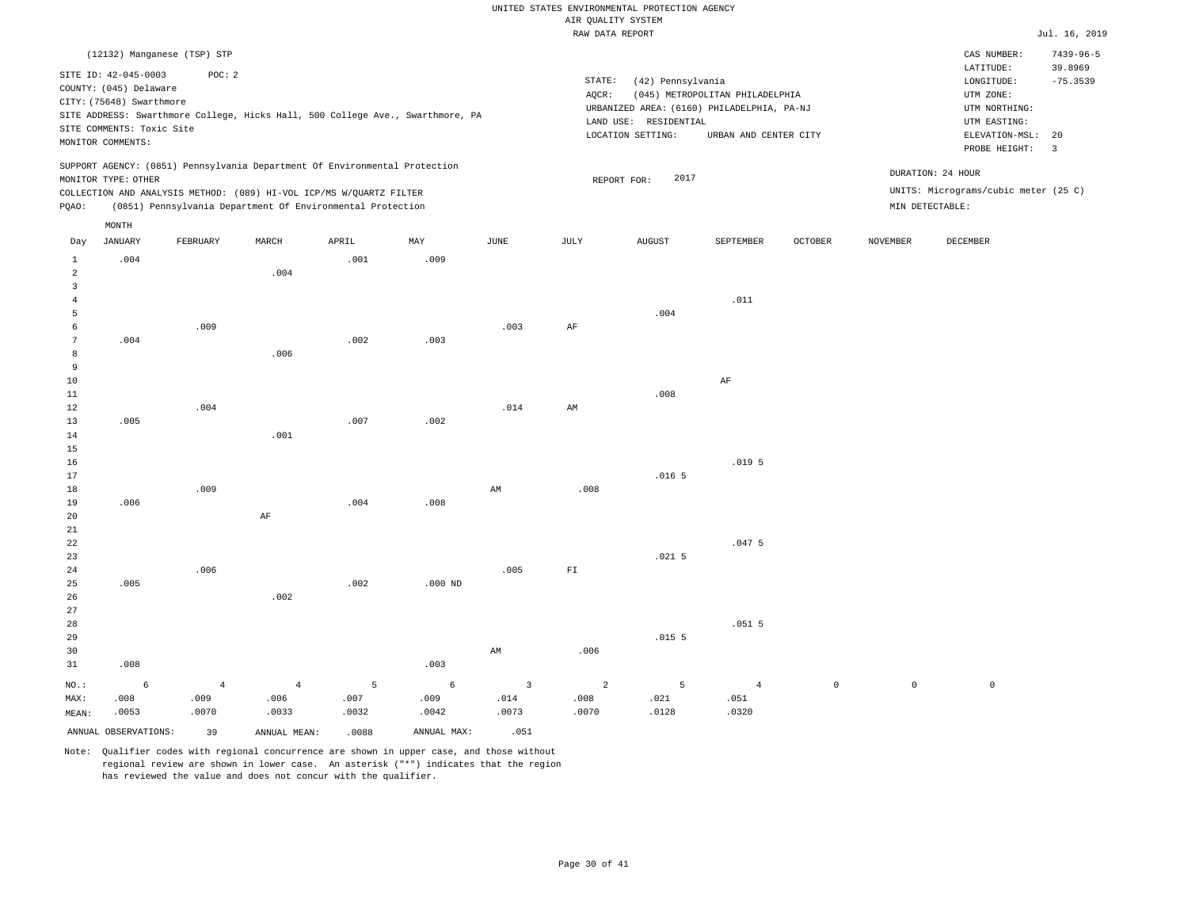|                   |                           |                             |                |                                                                                                                                   |                                                                                |                         | RAW DATA REPORT |                       |                                            |             |                     |                                      | Jul. 16, 2019   |
|-------------------|---------------------------|-----------------------------|----------------|-----------------------------------------------------------------------------------------------------------------------------------|--------------------------------------------------------------------------------|-------------------------|-----------------|-----------------------|--------------------------------------------|-------------|---------------------|--------------------------------------|-----------------|
|                   |                           | (12132) Manganese (TSP) STP |                |                                                                                                                                   |                                                                                |                         |                 |                       |                                            |             |                     | CAS NUMBER:                          | $7439 - 96 - 5$ |
|                   | SITE ID: 42-045-0003      | POC: 2                      |                |                                                                                                                                   |                                                                                |                         |                 |                       |                                            |             |                     | LATITUDE:                            | 39.8969         |
|                   | COUNTY: (045) Delaware    |                             |                |                                                                                                                                   |                                                                                |                         | STATE:          | (42) Pennsylvania     |                                            |             |                     | LONGITUDE:                           | $-75.3539$      |
|                   | CITY: (75648) Swarthmore  |                             |                |                                                                                                                                   |                                                                                |                         | AQCR:           |                       | (045) METROPOLITAN PHILADELPHIA            |             |                     | UTM ZONE:                            |                 |
|                   |                           |                             |                |                                                                                                                                   | SITE ADDRESS: Swarthmore College, Hicks Hall, 500 College Ave., Swarthmore, PA |                         |                 |                       | URBANIZED AREA: (6160) PHILADELPHIA, PA-NJ |             |                     | UTM NORTHING:                        |                 |
|                   | SITE COMMENTS: Toxic Site |                             |                |                                                                                                                                   |                                                                                |                         |                 | LAND USE: RESIDENTIAL |                                            |             |                     | UTM EASTING:                         |                 |
|                   | MONITOR COMMENTS:         |                             |                |                                                                                                                                   |                                                                                |                         |                 | LOCATION SETTING:     | URBAN AND CENTER CITY                      |             |                     | ELEVATION-MSL:                       | 20              |
|                   |                           |                             |                |                                                                                                                                   |                                                                                |                         |                 |                       |                                            |             |                     | PROBE HEIGHT:                        | $\overline{3}$  |
|                   |                           |                             |                | SUPPORT AGENCY: (0851) Pennsylvania Department Of Environmental Protection                                                        |                                                                                |                         |                 |                       |                                            |             |                     | DURATION: 24 HOUR                    |                 |
|                   | MONITOR TYPE: OTHER       |                             |                |                                                                                                                                   |                                                                                |                         |                 | 2017<br>REPORT FOR:   |                                            |             |                     | UNITS: Micrograms/cubic meter (25 C) |                 |
| PQAO:             |                           |                             |                | COLLECTION AND ANALYSIS METHOD: (089) HI-VOL ICP/MS W/QUARTZ FILTER<br>(0851) Pennsylvania Department Of Environmental Protection |                                                                                |                         |                 |                       |                                            |             |                     | MIN DETECTABLE:                      |                 |
|                   |                           |                             |                |                                                                                                                                   |                                                                                |                         |                 |                       |                                            |             |                     |                                      |                 |
| Day               | MONTH<br><b>JANUARY</b>   | FEBRUARY                    | MARCH          | APRIL                                                                                                                             | MAY                                                                            | JUNE                    | JULY            | <b>AUGUST</b>         | SEPTEMBER                                  | OCTOBER     | <b>NOVEMBER</b>     | DECEMBER                             |                 |
|                   |                           |                             |                |                                                                                                                                   |                                                                                |                         |                 |                       |                                            |             |                     |                                      |                 |
| $\mathbf{1}$<br>2 | .004                      |                             | .004           | .001                                                                                                                              | .009                                                                           |                         |                 |                       |                                            |             |                     |                                      |                 |
| 3                 |                           |                             |                |                                                                                                                                   |                                                                                |                         |                 |                       |                                            |             |                     |                                      |                 |
| 4                 |                           |                             |                |                                                                                                                                   |                                                                                |                         |                 |                       | .011                                       |             |                     |                                      |                 |
| 5                 |                           |                             |                |                                                                                                                                   |                                                                                |                         |                 | .004                  |                                            |             |                     |                                      |                 |
| 6                 |                           | .009                        |                |                                                                                                                                   |                                                                                | .003                    | AF              |                       |                                            |             |                     |                                      |                 |
| 7                 | .004                      |                             |                | .002                                                                                                                              | .003                                                                           |                         |                 |                       |                                            |             |                     |                                      |                 |
| 8                 |                           |                             | .006           |                                                                                                                                   |                                                                                |                         |                 |                       |                                            |             |                     |                                      |                 |
| 9                 |                           |                             |                |                                                                                                                                   |                                                                                |                         |                 |                       |                                            |             |                     |                                      |                 |
| 10<br>11          |                           |                             |                |                                                                                                                                   |                                                                                |                         |                 | .008                  | AF                                         |             |                     |                                      |                 |
| 12                |                           | .004                        |                |                                                                                                                                   |                                                                                | .014                    | AM              |                       |                                            |             |                     |                                      |                 |
| 13                | .005                      |                             |                | .007                                                                                                                              | .002                                                                           |                         |                 |                       |                                            |             |                     |                                      |                 |
| 14                |                           |                             | .001           |                                                                                                                                   |                                                                                |                         |                 |                       |                                            |             |                     |                                      |                 |
| 15                |                           |                             |                |                                                                                                                                   |                                                                                |                         |                 |                       |                                            |             |                     |                                      |                 |
| 16                |                           |                             |                |                                                                                                                                   |                                                                                |                         |                 |                       | .019.5                                     |             |                     |                                      |                 |
| 17                |                           |                             |                |                                                                                                                                   |                                                                                |                         |                 | .016 <sub>5</sub>     |                                            |             |                     |                                      |                 |
| 18                |                           | .009                        |                |                                                                                                                                   |                                                                                | AM                      | .008            |                       |                                            |             |                     |                                      |                 |
| 19                | .006                      |                             |                | .004                                                                                                                              | .008                                                                           |                         |                 |                       |                                            |             |                     |                                      |                 |
| 20                |                           |                             | $\rm AF$       |                                                                                                                                   |                                                                                |                         |                 |                       |                                            |             |                     |                                      |                 |
| 21                |                           |                             |                |                                                                                                                                   |                                                                                |                         |                 |                       |                                            |             |                     |                                      |                 |
| 22                |                           |                             |                |                                                                                                                                   |                                                                                |                         |                 |                       | .0475                                      |             |                     |                                      |                 |
| 23                |                           |                             |                |                                                                                                                                   |                                                                                |                         |                 | $.021$ 5              |                                            |             |                     |                                      |                 |
| 24<br>25          | .005                      | .006                        |                | .002                                                                                                                              | $.000$ ND                                                                      | .005                    | ${\rm F\,I}$    |                       |                                            |             |                     |                                      |                 |
| 26                |                           |                             | .002           |                                                                                                                                   |                                                                                |                         |                 |                       |                                            |             |                     |                                      |                 |
| 27                |                           |                             |                |                                                                                                                                   |                                                                                |                         |                 |                       |                                            |             |                     |                                      |                 |
| 28                |                           |                             |                |                                                                                                                                   |                                                                                |                         |                 |                       | .0515                                      |             |                     |                                      |                 |
| 29                |                           |                             |                |                                                                                                                                   |                                                                                |                         |                 | .0155                 |                                            |             |                     |                                      |                 |
| 30                |                           |                             |                |                                                                                                                                   |                                                                                | AM                      | .006            |                       |                                            |             |                     |                                      |                 |
| 31                | .008                      |                             |                |                                                                                                                                   | .003                                                                           |                         |                 |                       |                                            |             |                     |                                      |                 |
| NO.:              | 6                         | $\overline{4}$              | $\overline{4}$ | 5                                                                                                                                 | $\epsilon$                                                                     | $\overline{\mathbf{3}}$ | $\overline{a}$  | 5                     | $\overline{4}$                             | $\mathbb O$ | $\mathsf{O}\xspace$ | $\mathbb O$                          |                 |
| MAX:              | 008                       | .009                        | .006           | .007                                                                                                                              | .009                                                                           | .014                    | .008            | .021                  | .051                                       |             |                     |                                      |                 |

ANNUAL OBSERVATIONS: 39 ANNUAL MEAN: .0088 ANNUAL MAX: .051

.0032

.0042

.0073

Note: Qualifier codes with regional concurrence are shown in upper case, and those without regional review are shown in lower case. An asterisk ("\*") indicates that the region has reviewed the value and does not concur with the qualifier.

.0033

MEAN:

.0053

.0070

.0070

.0128

.0320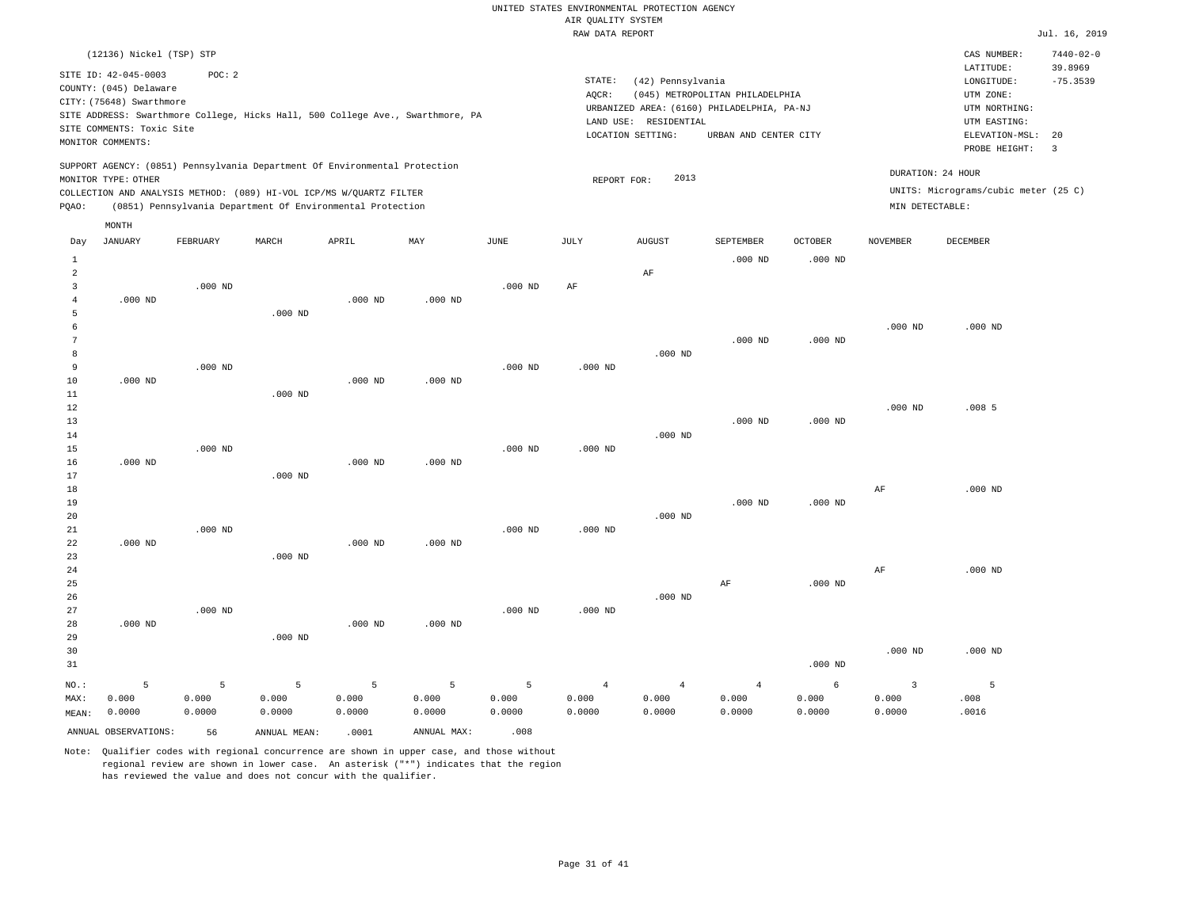|                | (12136) Nickel (TSP) STP  |                 |                                                                            |           |                                                                                |           |                    |                       |                                            |                |                 | CAS NUMBER:                          | $7440 - 02 - 0$               |
|----------------|---------------------------|-----------------|----------------------------------------------------------------------------|-----------|--------------------------------------------------------------------------------|-----------|--------------------|-----------------------|--------------------------------------------|----------------|-----------------|--------------------------------------|-------------------------------|
|                | SITE ID: 42-045-0003      | POC: 2          |                                                                            |           |                                                                                |           |                    |                       |                                            |                |                 | LATITUDE:                            | 39.8969                       |
|                | COUNTY: (045) Delaware    |                 |                                                                            |           |                                                                                |           | STATE:             | (42) Pennsylvania     |                                            |                |                 | LONGITUDE:                           | $-75.3539$                    |
|                | CITY: (75648) Swarthmore  |                 |                                                                            |           |                                                                                |           | AQCR:              |                       | (045) METROPOLITAN PHILADELPHIA            |                |                 | UTM ZONE:                            |                               |
|                |                           |                 |                                                                            |           | SITE ADDRESS: Swarthmore College, Hicks Hall, 500 College Ave., Swarthmore, PA |           |                    |                       | URBANIZED AREA: (6160) PHILADELPHIA, PA-NJ |                |                 | UTM NORTHING:                        |                               |
|                | SITE COMMENTS: Toxic Site |                 |                                                                            |           |                                                                                |           |                    | LAND USE: RESIDENTIAL |                                            |                |                 | UTM EASTING:                         |                               |
|                | MONITOR COMMENTS:         |                 |                                                                            |           |                                                                                |           |                    | LOCATION SETTING:     | URBAN AND CENTER CITY                      |                |                 | ELEVATION-MSL:<br>PROBE HEIGHT:      | 20<br>$\overline{\mathbf{3}}$ |
|                |                           |                 | SUPPORT AGENCY: (0851) Pennsylvania Department Of Environmental Protection |           |                                                                                |           |                    |                       |                                            |                |                 |                                      |                               |
|                | MONITOR TYPE: OTHER       |                 |                                                                            |           |                                                                                |           | REPORT FOR:        | 2013                  |                                            |                |                 | DURATION: 24 HOUR                    |                               |
|                |                           |                 | COLLECTION AND ANALYSIS METHOD: (089) HI-VOL ICP/MS W/QUARTZ FILTER        |           |                                                                                |           |                    |                       |                                            |                |                 | UNITS: Micrograms/cubic meter (25 C) |                               |
| PQAO:          |                           |                 | (0851) Pennsylvania Department Of Environmental Protection                 |           |                                                                                |           |                    |                       |                                            |                | MIN DETECTABLE: |                                      |                               |
|                | MONTH                     |                 |                                                                            |           |                                                                                |           |                    |                       |                                            |                |                 |                                      |                               |
| Day            | <b>JANUARY</b>            | <b>FEBRUARY</b> | MARCH                                                                      | APRIL     | MAY                                                                            | JUNE      | JULY               | <b>AUGUST</b>         | SEPTEMBER                                  | <b>OCTOBER</b> | <b>NOVEMBER</b> | <b>DECEMBER</b>                      |                               |
| 1              |                           |                 |                                                                            |           |                                                                                |           |                    |                       | $.000$ ND                                  | $.000$ ND      |                 |                                      |                               |
| $\overline{a}$ |                           |                 |                                                                            |           |                                                                                |           |                    | AF                    |                                            |                |                 |                                      |                               |
| 3              |                           | $.000$ ND       |                                                                            |           |                                                                                | $.000$ ND | AF                 |                       |                                            |                |                 |                                      |                               |
| $\overline{4}$ | $.000$ ND                 |                 |                                                                            | $.000$ ND | $.000$ ND                                                                      |           |                    |                       |                                            |                |                 |                                      |                               |
| 5              |                           |                 | $.000$ ND                                                                  |           |                                                                                |           |                    |                       |                                            |                |                 |                                      |                               |
| 6              |                           |                 |                                                                            |           |                                                                                |           |                    |                       |                                            |                | $.000$ ND       | $.000$ ND                            |                               |
| 7              |                           |                 |                                                                            |           |                                                                                |           |                    |                       | $.000$ ND                                  | $.000$ ND      |                 |                                      |                               |
| 8              |                           |                 |                                                                            |           |                                                                                |           |                    | $.000$ ND             |                                            |                |                 |                                      |                               |
| 9              |                           | $.000$ ND       |                                                                            |           |                                                                                | $.000$ ND | .000 <sub>ND</sub> |                       |                                            |                |                 |                                      |                               |
| 10             | $.000$ ND                 |                 |                                                                            | $.000$ ND | $.000$ ND                                                                      |           |                    |                       |                                            |                |                 |                                      |                               |
| 11             |                           |                 | $.000$ ND                                                                  |           |                                                                                |           |                    |                       |                                            |                |                 |                                      |                               |
| 12             |                           |                 |                                                                            |           |                                                                                |           |                    |                       |                                            |                | $.000$ ND       | .008 <sub>5</sub>                    |                               |
| 13             |                           |                 |                                                                            |           |                                                                                |           |                    |                       | $.000$ ND                                  | $.000$ ND      |                 |                                      |                               |
| 14             |                           |                 |                                                                            |           |                                                                                |           |                    | $.000$ ND             |                                            |                |                 |                                      |                               |
| 15             |                           | $.000$ ND       |                                                                            |           |                                                                                | $.000$ ND | $.000$ ND          |                       |                                            |                |                 |                                      |                               |
| 16             | $.000$ ND                 |                 |                                                                            | $.000$ ND | $.000$ ND                                                                      |           |                    |                       |                                            |                |                 |                                      |                               |
| 17             |                           |                 | $.000$ ND                                                                  |           |                                                                                |           |                    |                       |                                            |                |                 |                                      |                               |
| 18             |                           |                 |                                                                            |           |                                                                                |           |                    |                       |                                            |                | AF              | $.000$ ND                            |                               |
| 19<br>20       |                           |                 |                                                                            |           |                                                                                |           |                    | $.000$ ND             | $.000$ ND                                  | $.000$ ND      |                 |                                      |                               |
| 21             |                           | $.000$ ND       |                                                                            |           |                                                                                | $.000$ ND | $.000$ ND          |                       |                                            |                |                 |                                      |                               |
| 22             | $.000$ ND                 |                 |                                                                            | $.000$ ND | $.000$ ND                                                                      |           |                    |                       |                                            |                |                 |                                      |                               |
| 23             |                           |                 | $.000$ ND                                                                  |           |                                                                                |           |                    |                       |                                            |                |                 |                                      |                               |
| 24             |                           |                 |                                                                            |           |                                                                                |           |                    |                       |                                            |                | AF              | $.000$ ND                            |                               |
| 25             |                           |                 |                                                                            |           |                                                                                |           |                    |                       | AF                                         | $.000$ ND      |                 |                                      |                               |
| 26             |                           |                 |                                                                            |           |                                                                                |           |                    | $.000$ ND             |                                            |                |                 |                                      |                               |
| 27             |                           | $.000$ ND       |                                                                            |           |                                                                                | $.000$ ND | $.000$ ND          |                       |                                            |                |                 |                                      |                               |
| 28             | $.000$ ND                 |                 |                                                                            | $.000$ ND | $.000$ ND                                                                      |           |                    |                       |                                            |                |                 |                                      |                               |
| 29             |                           |                 | $.000$ ND                                                                  |           |                                                                                |           |                    |                       |                                            |                |                 |                                      |                               |
| 30             |                           |                 |                                                                            |           |                                                                                |           |                    |                       |                                            |                | $.000$ ND       | $.000$ ND                            |                               |
| 31             |                           |                 |                                                                            |           |                                                                                |           |                    |                       |                                            | $.000$ ND      |                 |                                      |                               |
| NO.:           | 5                         | 5               | 5                                                                          | 5         | 5                                                                              | 5         | $\overline{4}$     | $\overline{4}$        | $\overline{4}$                             | 6              | $\overline{3}$  | 5                                    |                               |
| MAX:           | 0.000                     | 0.000           | 0.000                                                                      | 0.000     | 0.000                                                                          | 0.000     | 0.000              | 0.000                 | 0.000                                      | 0.000          | 0.000           | .008                                 |                               |
| MEAN:          | 0.0000                    | 0.0000          | 0.0000                                                                     | 0.0000    | 0.0000                                                                         | 0.0000    | 0.0000             | 0.0000                | 0.0000                                     | 0.0000         | 0.0000          | .0016                                |                               |
|                | ANNUAL OBSERVATIONS:      | 56              | ANNUAL MEAN:                                                               | .0001     | ANNUAL MAX:                                                                    | .008      |                    |                       |                                            |                |                 |                                      |                               |
|                |                           |                 |                                                                            |           |                                                                                |           |                    |                       |                                            |                |                 |                                      |                               |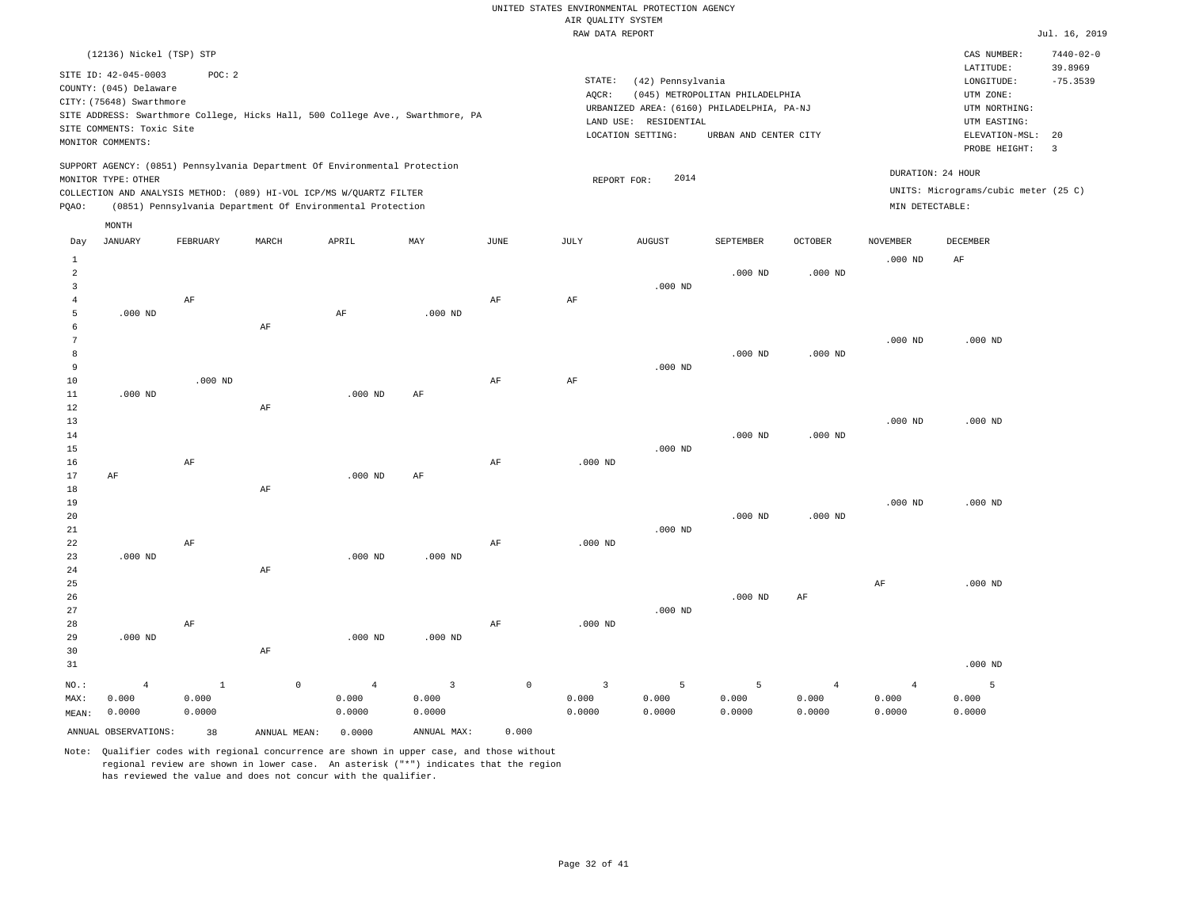|                   |                           |              |                                                                            |                |                                                                                |             | RAW DATA REPORT         |                       |                                            |                |                 |                                      | Jul. 16, 2019         |
|-------------------|---------------------------|--------------|----------------------------------------------------------------------------|----------------|--------------------------------------------------------------------------------|-------------|-------------------------|-----------------------|--------------------------------------------|----------------|-----------------|--------------------------------------|-----------------------|
|                   | (12136) Nickel (TSP) STP  |              |                                                                            |                |                                                                                |             |                         |                       |                                            |                |                 | CAS NUMBER:                          | $7440 - 02 - 0$       |
|                   | SITE ID: 42-045-0003      | POC: 2       |                                                                            |                |                                                                                |             | STATE:                  | (42) Pennsylvania     |                                            |                |                 | LATITUDE:<br>LONGITUDE:              | 39.8969<br>$-75.3539$ |
|                   | COUNTY: (045) Delaware    |              |                                                                            |                |                                                                                |             | AQCR:                   |                       | (045) METROPOLITAN PHILADELPHIA            |                |                 | UTM ZONE:                            |                       |
|                   | CITY: (75648) Swarthmore  |              |                                                                            |                |                                                                                |             |                         |                       | URBANIZED AREA: (6160) PHILADELPHIA, PA-NJ |                |                 | UTM NORTHING:                        |                       |
|                   |                           |              |                                                                            |                | SITE ADDRESS: Swarthmore College, Hicks Hall, 500 College Ave., Swarthmore, PA |             |                         | LAND USE: RESIDENTIAL |                                            |                |                 | UTM EASTING:                         |                       |
|                   | SITE COMMENTS: Toxic Site |              |                                                                            |                |                                                                                |             |                         | LOCATION SETTING:     | URBAN AND CENTER CITY                      |                |                 | ELEVATION-MSL:                       | 20                    |
|                   | MONITOR COMMENTS:         |              |                                                                            |                |                                                                                |             |                         |                       |                                            |                |                 | PROBE HEIGHT:                        | $\overline{3}$        |
|                   |                           |              | SUPPORT AGENCY: (0851) Pennsylvania Department Of Environmental Protection |                |                                                                                |             |                         |                       |                                            |                |                 | DURATION: 24 HOUR                    |                       |
|                   | MONITOR TYPE: OTHER       |              |                                                                            |                |                                                                                |             | REPORT FOR:             | 2014                  |                                            |                |                 |                                      |                       |
|                   |                           |              | COLLECTION AND ANALYSIS METHOD: (089) HI-VOL ICP/MS W/QUARTZ FILTER        |                |                                                                                |             |                         |                       |                                            |                |                 | UNITS: Micrograms/cubic meter (25 C) |                       |
| PQAO:             |                           |              | (0851) Pennsylvania Department Of Environmental Protection                 |                |                                                                                |             |                         |                       |                                            |                | MIN DETECTABLE: |                                      |                       |
|                   | MONTH                     |              |                                                                            |                |                                                                                |             |                         |                       |                                            |                |                 |                                      |                       |
| Day               | JANUARY                   | FEBRUARY     | MARCH                                                                      | APRIL          | MAY                                                                            | JUNE        | JULY                    | <b>AUGUST</b>         | SEPTEMBER                                  | <b>OCTOBER</b> | <b>NOVEMBER</b> | DECEMBER                             |                       |
| $\,1\,$           |                           |              |                                                                            |                |                                                                                |             |                         |                       |                                            |                | $.000$ ND       | $\rm AF$                             |                       |
| $\overline{a}$    |                           |              |                                                                            |                |                                                                                |             |                         |                       | $.000$ ND                                  | $.000$ ND      |                 |                                      |                       |
| 3                 |                           |              |                                                                            |                |                                                                                |             |                         | $.000$ ND             |                                            |                |                 |                                      |                       |
| $\overline{4}$    |                           | AF           |                                                                            |                |                                                                                | AF          | AF                      |                       |                                            |                |                 |                                      |                       |
| 5                 | $.000$ ND                 |              |                                                                            | AF             | $.000$ ND                                                                      |             |                         |                       |                                            |                |                 |                                      |                       |
| 6                 |                           |              | AF                                                                         |                |                                                                                |             |                         |                       |                                            |                |                 |                                      |                       |
| 7                 |                           |              |                                                                            |                |                                                                                |             |                         |                       |                                            |                | $.000$ ND       | $.000$ ND                            |                       |
| 8<br>$\mathbf{q}$ |                           |              |                                                                            |                |                                                                                |             |                         |                       | $.000$ ND                                  | $.000$ ND      |                 |                                      |                       |
| 10                |                           | $.000$ ND    |                                                                            |                |                                                                                | AF          | AF                      | $.000$ ND             |                                            |                |                 |                                      |                       |
| $11\,$            | $.000$ ND                 |              |                                                                            | $.000$ ND      | AF                                                                             |             |                         |                       |                                            |                |                 |                                      |                       |
| 12                |                           |              | AF                                                                         |                |                                                                                |             |                         |                       |                                            |                |                 |                                      |                       |
| 13                |                           |              |                                                                            |                |                                                                                |             |                         |                       |                                            |                | $.000$ ND       | $.000$ ND                            |                       |
| 14                |                           |              |                                                                            |                |                                                                                |             |                         |                       | $.000$ ND                                  | $.000$ ND      |                 |                                      |                       |
| 15                |                           |              |                                                                            |                |                                                                                |             |                         | $.000$ ND             |                                            |                |                 |                                      |                       |
| 16                |                           | $\rm AF$     |                                                                            |                |                                                                                | $\rm{AF}$   | $.000$ ND               |                       |                                            |                |                 |                                      |                       |
| 17                | AF                        |              |                                                                            | $.000$ ND      | AF                                                                             |             |                         |                       |                                            |                |                 |                                      |                       |
| 18                |                           |              | AF                                                                         |                |                                                                                |             |                         |                       |                                            |                |                 |                                      |                       |
| 19                |                           |              |                                                                            |                |                                                                                |             |                         |                       |                                            |                | $.000$ ND       | $.000$ ND                            |                       |
| 20                |                           |              |                                                                            |                |                                                                                |             |                         |                       | $.000$ ND                                  | $.000$ ND      |                 |                                      |                       |
| 21                |                           |              |                                                                            |                |                                                                                |             |                         | $.000$ ND             |                                            |                |                 |                                      |                       |
| 22                |                           | AF           |                                                                            |                |                                                                                | AF          | $.000$ ND               |                       |                                            |                |                 |                                      |                       |
| 23                | $.000$ ND                 |              |                                                                            | $.000$ ND      | $.000$ ND                                                                      |             |                         |                       |                                            |                |                 |                                      |                       |
| 24                |                           |              | AF                                                                         |                |                                                                                |             |                         |                       |                                            |                |                 |                                      |                       |
| 25                |                           |              |                                                                            |                |                                                                                |             |                         |                       |                                            |                | $\rm AF$        | $.000$ ND                            |                       |
| 26                |                           |              |                                                                            |                |                                                                                |             |                         |                       | $.000$ ND                                  | AF             |                 |                                      |                       |
| 27                |                           |              |                                                                            |                |                                                                                |             |                         | $.000$ ND             |                                            |                |                 |                                      |                       |
| 28                |                           | $\rm AF$     |                                                                            |                |                                                                                | $\rm{AF}$   | $.000$ ND               |                       |                                            |                |                 |                                      |                       |
| 29                | $.000$ ND                 |              |                                                                            | $.000$ ND      | $.000$ ND                                                                      |             |                         |                       |                                            |                |                 |                                      |                       |
| 30                |                           |              | $\rm AF$                                                                   |                |                                                                                |             |                         |                       |                                            |                |                 |                                      |                       |
| 31                |                           |              |                                                                            |                |                                                                                |             |                         |                       |                                            |                |                 | $.000$ ND                            |                       |
| $NO.$ :           | $\overline{4}$            | $\mathbf{1}$ | $\circ$                                                                    | $\overline{4}$ | $\overline{3}$                                                                 | $\mathbb O$ | $\overline{\mathbf{3}}$ | 5                     | 5                                          | $\overline{4}$ | $\overline{4}$  | 5                                    |                       |
| MAX:              | 0.000                     | 0.000        |                                                                            | 0.000          | 0.000                                                                          |             | 0.000                   | 0.000                 | 0.000                                      | 0.000          | 0.000           | 0.000                                |                       |
| MEAN:             | 0.0000                    | 0.0000       |                                                                            | 0.0000         | 0.0000                                                                         |             | 0.0000                  | 0.0000                | 0.0000                                     | 0.0000         | 0.0000          | 0.0000                               |                       |
|                   | ANNUAL OBSERVATIONS:      | 38           | ANNUAL MEAN:                                                               | 0.0000         | ANNUAL MAX:                                                                    | 0.000       |                         |                       |                                            |                |                 |                                      |                       |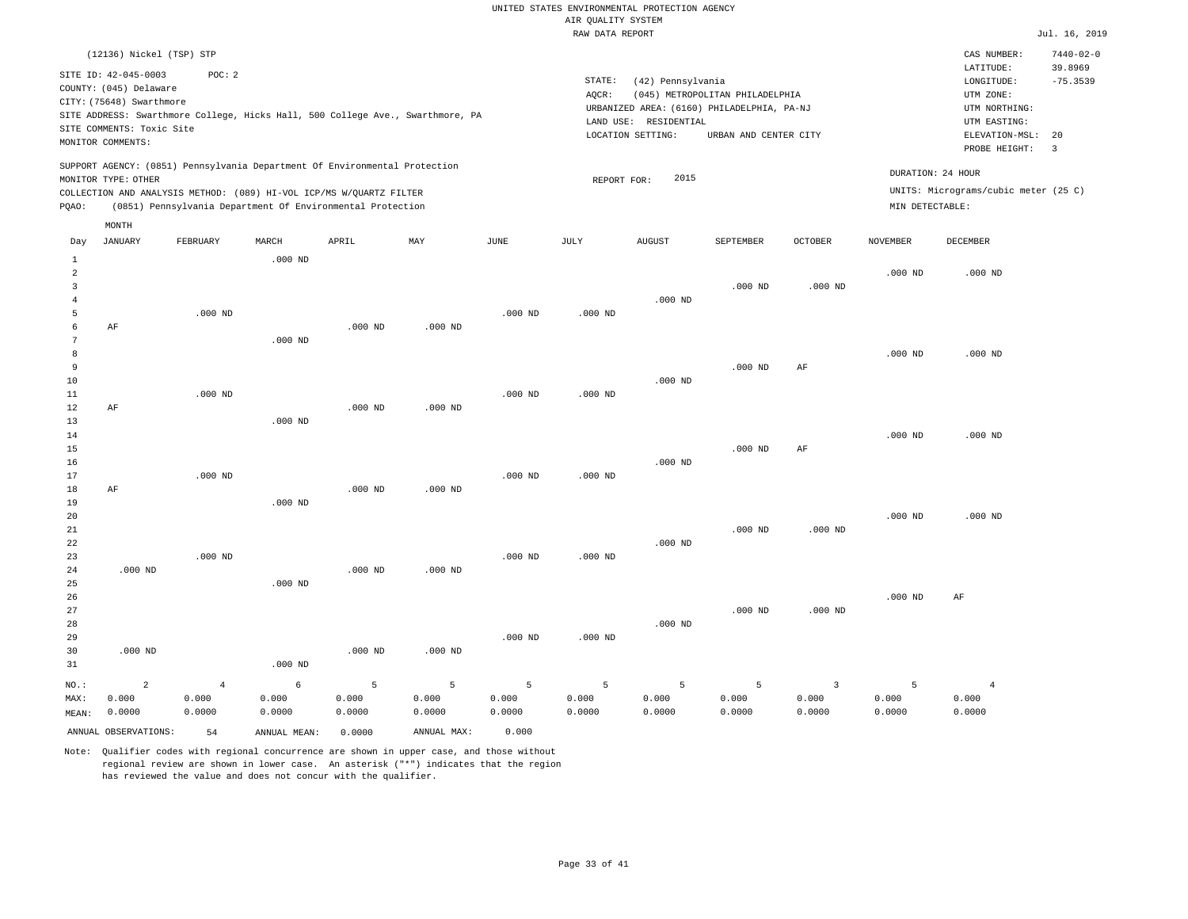|                                |                                                                            |                                                                                          |           |           |           |           | RAW DATA REPORT |                                            |                                                                               |                |                 |                                          | Jul. 16, 2019              |
|--------------------------------|----------------------------------------------------------------------------|------------------------------------------------------------------------------------------|-----------|-----------|-----------|-----------|-----------------|--------------------------------------------|-------------------------------------------------------------------------------|----------------|-----------------|------------------------------------------|----------------------------|
|                                | (12136) Nickel (TSP) STP                                                   |                                                                                          |           |           |           |           |                 |                                            |                                                                               |                |                 | CAS NUMBER:<br>LATITUDE:                 | $7440 - 02 - 0$<br>39.8969 |
|                                | SITE ID: 42-045-0003<br>COUNTY: (045) Delaware<br>CITY: (75648) Swarthmore | POC: 2<br>SITE ADDRESS: Swarthmore College, Hicks Hall, 500 College Ave., Swarthmore, PA |           |           |           |           | STATE:<br>AQCR: | (42) Pennsylvania                          | (045) METROPOLITAN PHILADELPHIA<br>URBANIZED AREA: (6160) PHILADELPHIA, PA-NJ |                |                 | LONGITUDE:<br>UTM ZONE:<br>UTM NORTHING: | $-75.3539$                 |
|                                | SITE COMMENTS: Toxic Site                                                  |                                                                                          |           |           |           |           |                 | LAND USE: RESIDENTIAL<br>LOCATION SETTING: | URBAN AND CENTER CITY                                                         |                |                 | UTM EASTING:<br>ELEVATION-MSL:           | 20                         |
|                                | MONITOR COMMENTS:                                                          |                                                                                          |           |           |           |           |                 |                                            |                                                                               |                |                 | PROBE HEIGHT:                            | $\overline{3}$             |
|                                |                                                                            | SUPPORT AGENCY: (0851) Pennsylvania Department Of Environmental Protection               |           |           |           |           |                 | 2015                                       |                                                                               |                |                 | DURATION: 24 HOUR                        |                            |
|                                | MONITOR TYPE: OTHER                                                        | COLLECTION AND ANALYSIS METHOD: (089) HI-VOL ICP/MS W/QUARTZ FILTER                      |           |           |           |           | REPORT FOR:     |                                            |                                                                               |                |                 | UNITS: Micrograms/cubic meter (25 C)     |                            |
| PQAO:                          |                                                                            | (0851) Pennsylvania Department Of Environmental Protection                               |           |           |           |           |                 |                                            |                                                                               |                | MIN DETECTABLE: |                                          |                            |
|                                | MONTH                                                                      |                                                                                          |           |           |           |           |                 |                                            |                                                                               |                |                 |                                          |                            |
| Day                            | JANUARY                                                                    | FEBRUARY                                                                                 | MARCH     | APRIL     | MAY       | JUNE      | JULY            | AUGUST                                     | SEPTEMBER                                                                     | <b>OCTOBER</b> | <b>NOVEMBER</b> | DECEMBER                                 |                            |
| $\mathbf{1}$<br>$\overline{2}$ |                                                                            |                                                                                          | $.000$ ND |           |           |           |                 |                                            |                                                                               |                | $.000$ ND       | $.000$ ND                                |                            |
| $\overline{3}$                 |                                                                            |                                                                                          |           |           |           |           |                 |                                            | $.000$ ND                                                                     | $.000$ ND      |                 |                                          |                            |
| 4                              |                                                                            |                                                                                          |           |           |           |           |                 | $.000$ ND                                  |                                                                               |                |                 |                                          |                            |
| 5<br>6                         | AF                                                                         | $.000$ ND                                                                                |           | $.000$ ND | $.000$ ND | $.000$ ND | $.000$ ND       |                                            |                                                                               |                |                 |                                          |                            |
| 7                              |                                                                            |                                                                                          | $.000$ ND |           |           |           |                 |                                            |                                                                               |                |                 |                                          |                            |
| 8                              |                                                                            |                                                                                          |           |           |           |           |                 |                                            |                                                                               |                | $.000$ ND       | $.000$ ND                                |                            |
| 9                              |                                                                            |                                                                                          |           |           |           |           |                 |                                            | $.000$ ND                                                                     | AF             |                 |                                          |                            |
| 10                             |                                                                            |                                                                                          |           |           |           |           |                 | $.000$ ND                                  |                                                                               |                |                 |                                          |                            |
| 11                             |                                                                            | $.000$ ND                                                                                |           |           |           | $.000$ ND | $.000$ ND       |                                            |                                                                               |                |                 |                                          |                            |
| 12<br>13                       | AF                                                                         |                                                                                          | $.000$ ND | $.000$ ND | $.000$ ND |           |                 |                                            |                                                                               |                |                 |                                          |                            |
| 14                             |                                                                            |                                                                                          |           |           |           |           |                 |                                            |                                                                               |                | $.000$ ND       | $.000$ ND                                |                            |
| 15                             |                                                                            |                                                                                          |           |           |           |           |                 |                                            | $.000$ ND                                                                     | AF             |                 |                                          |                            |
| 16                             |                                                                            |                                                                                          |           |           |           |           |                 | $.000$ ND                                  |                                                                               |                |                 |                                          |                            |
| 17                             |                                                                            | $.000$ ND                                                                                |           |           |           | $.000$ ND | $.000$ ND       |                                            |                                                                               |                |                 |                                          |                            |
| 18                             | AF                                                                         |                                                                                          |           | $.000$ ND | $.000$ ND |           |                 |                                            |                                                                               |                |                 |                                          |                            |
| 19                             |                                                                            |                                                                                          | $.000$ ND |           |           |           |                 |                                            |                                                                               |                | $.000$ ND       | $.000$ ND                                |                            |
| 20<br>$21\,$                   |                                                                            |                                                                                          |           |           |           |           |                 |                                            | $.000$ ND                                                                     | $.000$ ND      |                 |                                          |                            |
| 22                             |                                                                            |                                                                                          |           |           |           |           |                 | $.000$ ND                                  |                                                                               |                |                 |                                          |                            |
| 23                             |                                                                            | $.000$ ND                                                                                |           |           |           | $.000$ ND | $.000$ ND       |                                            |                                                                               |                |                 |                                          |                            |
| 24                             | $.000$ ND                                                                  |                                                                                          |           | $.000$ ND | $.000$ ND |           |                 |                                            |                                                                               |                |                 |                                          |                            |
| 25                             |                                                                            |                                                                                          | $.000$ ND |           |           |           |                 |                                            |                                                                               |                |                 |                                          |                            |
| 26                             |                                                                            |                                                                                          |           |           |           |           |                 |                                            |                                                                               |                | $.000$ ND       | AF                                       |                            |
| 27<br>28                       |                                                                            |                                                                                          |           |           |           |           |                 | $.000$ ND                                  | $.000$ ND                                                                     | $.000$ ND      |                 |                                          |                            |
| 29                             |                                                                            |                                                                                          |           |           |           | $.000$ ND | $.000$ ND       |                                            |                                                                               |                |                 |                                          |                            |
| 30                             | $.000$ ND                                                                  |                                                                                          |           | $.000$ ND | $.000$ ND |           |                 |                                            |                                                                               |                |                 |                                          |                            |
| 31                             |                                                                            |                                                                                          | $.000$ ND |           |           |           |                 |                                            |                                                                               |                |                 |                                          |                            |

| $NO.$ : |                      | 4      | $6 \rightarrow$ | the control 5 and 200 | <b>Contract Contract Contract Contract Contract</b> | $-5$ $-5$ | 5 <sub>1</sub> | $\overline{5}$ , $\overline{1}$ | <b>San American Street, Square</b> |        |        |        |
|---------|----------------------|--------|-----------------|-----------------------|-----------------------------------------------------|-----------|----------------|---------------------------------|------------------------------------|--------|--------|--------|
| MAX:    | 0.000                | 0.000  | 0.000           | 0.000                 | 0.000                                               | 0.000     | 0.000          | 0.000                           | 0.000                              | 0.000  | 0.000  | 0.000  |
| MEAN:   | 0.0000               | 0.0000 | 0.0000          | 0.0000                | 0.0000                                              | 0.0000    | 0.0000         | 0.0000                          | 0.0000                             | 0.0000 | 0.0000 | 0.0000 |
|         | ANNUAL OBSERVATIONS: | 54     | ANNUAL MEAN:    | 0.0000                | ANNUAL MAX:                                         | 0.000     |                |                                 |                                    |        |        |        |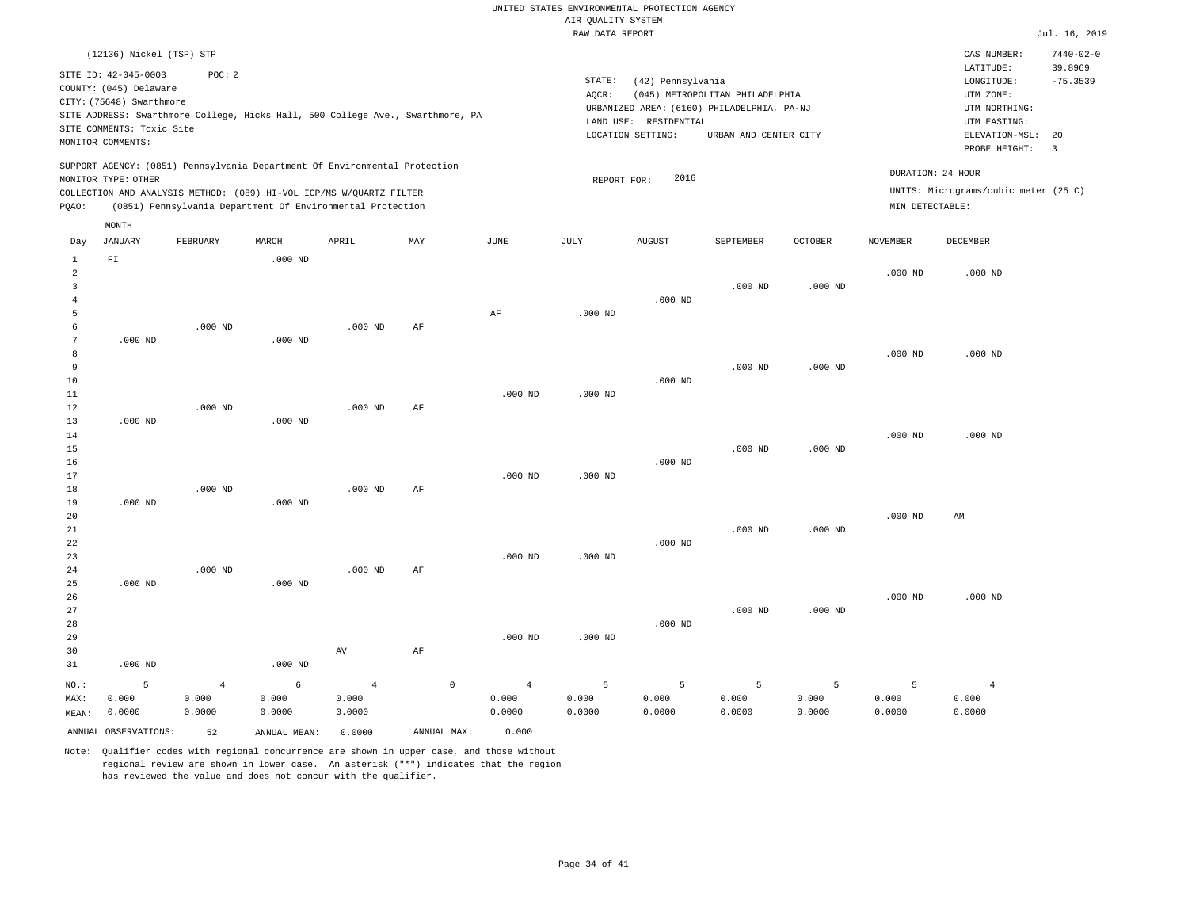|                |                           |                                                                                |           |                |             |                | RAW DATA REPORT |                       |                                            |                |                 |                                      | Jul. 16, 2019        |
|----------------|---------------------------|--------------------------------------------------------------------------------|-----------|----------------|-------------|----------------|-----------------|-----------------------|--------------------------------------------|----------------|-----------------|--------------------------------------|----------------------|
|                | (12136) Nickel (TSP) STP  |                                                                                |           |                |             |                |                 |                       |                                            |                |                 | CAS NUMBER:                          | $7440 - 02 - 0$      |
|                | SITE ID: 42-045-0003      | POC: 2                                                                         |           |                |             |                |                 |                       |                                            |                |                 | LATITUDE:                            | 39.8969              |
|                | COUNTY: (045) Delaware    |                                                                                |           |                |             |                | STATE:          | (42) Pennsylvania     |                                            |                |                 | LONGITUDE:                           | $-75.3539$           |
|                | CITY: (75648) Swarthmore  |                                                                                |           |                |             |                | AQCR:           |                       | (045) METROPOLITAN PHILADELPHIA            |                |                 | UTM ZONE:                            |                      |
|                |                           | SITE ADDRESS: Swarthmore College, Hicks Hall, 500 College Ave., Swarthmore, PA |           |                |             |                |                 |                       | URBANIZED AREA: (6160) PHILADELPHIA, PA-NJ |                |                 | UTM NORTHING:                        |                      |
|                | SITE COMMENTS: Toxic Site |                                                                                |           |                |             |                |                 | LAND USE: RESIDENTIAL |                                            |                |                 | UTM EASTING:                         |                      |
|                | MONITOR COMMENTS:         |                                                                                |           |                |             |                |                 | LOCATION SETTING:     | URBAN AND CENTER CITY                      |                |                 | ELEVATION-MSL:<br>PROBE HEIGHT:      | 20<br>$\overline{3}$ |
|                |                           | SUPPORT AGENCY: (0851) Pennsylvania Department Of Environmental Protection     |           |                |             |                |                 |                       |                                            |                |                 |                                      |                      |
|                | MONITOR TYPE: OTHER       |                                                                                |           |                |             |                | REPORT FOR:     | 2016                  |                                            |                |                 | DURATION: 24 HOUR                    |                      |
|                |                           | COLLECTION AND ANALYSIS METHOD: (089) HI-VOL ICP/MS W/QUARTZ FILTER            |           |                |             |                |                 |                       |                                            |                |                 | UNITS: Micrograms/cubic meter (25 C) |                      |
| PQAO:          |                           | (0851) Pennsylvania Department Of Environmental Protection                     |           |                |             |                |                 |                       |                                            |                | MIN DETECTABLE: |                                      |                      |
|                | MONTH                     |                                                                                |           |                |             |                |                 |                       |                                            |                |                 |                                      |                      |
| Day            | <b>JANUARY</b>            | FEBRUARY                                                                       | MARCH     | APRIL          | MAY         | JUNE           | JULY            | <b>AUGUST</b>         | SEPTEMBER                                  | <b>OCTOBER</b> | <b>NOVEMBER</b> | <b>DECEMBER</b>                      |                      |
| $\mathbf{1}$   | ${\tt F1}$                |                                                                                | $.000$ ND |                |             |                |                 |                       |                                            |                |                 |                                      |                      |
| $\overline{a}$ |                           |                                                                                |           |                |             |                |                 |                       |                                            |                | $.000$ ND       | $.000$ ND                            |                      |
| 3              |                           |                                                                                |           |                |             |                |                 |                       | $.000$ ND                                  | $.000$ ND      |                 |                                      |                      |
| $\overline{4}$ |                           |                                                                                |           |                |             |                |                 | $.000$ ND             |                                            |                |                 |                                      |                      |
| 5              |                           |                                                                                |           |                |             | AF             | $.000$ ND       |                       |                                            |                |                 |                                      |                      |
| 6              |                           | $.000$ ND                                                                      |           | $.000$ ND      | AF          |                |                 |                       |                                            |                |                 |                                      |                      |
| 7              | $.000$ ND                 |                                                                                | $.000$ ND |                |             |                |                 |                       |                                            |                |                 |                                      |                      |
| 8              |                           |                                                                                |           |                |             |                |                 |                       |                                            |                | $.000$ ND       | $.000$ ND                            |                      |
| 9              |                           |                                                                                |           |                |             |                |                 |                       | $.000$ ND                                  | $.000$ ND      |                 |                                      |                      |
| 10             |                           |                                                                                |           |                |             |                |                 | $.000$ ND             |                                            |                |                 |                                      |                      |
| 11             |                           |                                                                                |           |                |             | $.000$ ND      | $.000$ ND       |                       |                                            |                |                 |                                      |                      |
| 12             |                           | $.000$ ND                                                                      |           | $.000$ ND      | AF          |                |                 |                       |                                            |                |                 |                                      |                      |
| 13             | $.000$ ND                 |                                                                                | $.000$ ND |                |             |                |                 |                       |                                            |                |                 |                                      |                      |
| 14             |                           |                                                                                |           |                |             |                |                 |                       |                                            |                | $.000$ ND       | $.000$ ND                            |                      |
| 15             |                           |                                                                                |           |                |             |                |                 |                       | $.000$ ND                                  | $.000$ ND      |                 |                                      |                      |
| 16             |                           |                                                                                |           |                |             |                |                 | $.000$ ND             |                                            |                |                 |                                      |                      |
| 17             |                           |                                                                                |           |                |             | $.000$ ND      | $.000$ ND       |                       |                                            |                |                 |                                      |                      |
| 18             |                           | $.000$ ND                                                                      |           | $.000$ ND      | AF          |                |                 |                       |                                            |                |                 |                                      |                      |
| 19             | $.000$ ND                 |                                                                                | $.000$ ND |                |             |                |                 |                       |                                            |                |                 |                                      |                      |
| 20             |                           |                                                                                |           |                |             |                |                 |                       |                                            |                | $.000$ ND       | AM                                   |                      |
| 21             |                           |                                                                                |           |                |             |                |                 |                       | $.000$ ND                                  | $.000$ ND      |                 |                                      |                      |
| 22<br>23       |                           |                                                                                |           |                |             | $.000$ ND      | $.000$ ND       | $.000$ ND             |                                            |                |                 |                                      |                      |
| 24             |                           | $.000$ ND                                                                      |           | $.000$ ND      | $\rm{AF}$   |                |                 |                       |                                            |                |                 |                                      |                      |
| 25             | $.000$ ND                 |                                                                                | $.000$ ND |                |             |                |                 |                       |                                            |                |                 |                                      |                      |
| 26             |                           |                                                                                |           |                |             |                |                 |                       |                                            |                | $.000$ ND       | $.000$ ND                            |                      |
| 27             |                           |                                                                                |           |                |             |                |                 |                       | $.000$ ND                                  | $.000$ ND      |                 |                                      |                      |
| 28             |                           |                                                                                |           |                |             |                |                 | $.000$ ND             |                                            |                |                 |                                      |                      |
| 29             |                           |                                                                                |           |                |             | $.000$ ND      | $.000$ ND       |                       |                                            |                |                 |                                      |                      |
| 30             |                           |                                                                                |           | AV             | AF          |                |                 |                       |                                            |                |                 |                                      |                      |
| 31             | $.000$ ND                 |                                                                                | $.000$ ND |                |             |                |                 |                       |                                            |                |                 |                                      |                      |
| NO.:           | 5                         | $\overline{4}$                                                                 | 6         | $\overline{4}$ | $\mathbb O$ | $\overline{4}$ | 5               | 5                     | 5                                          | 5              | $\overline{5}$  | $\overline{4}$                       |                      |
| MAX:           | 0.000                     | 0.000                                                                          | 0.000     | 0.000          |             | 0.000          | 0.000           | 0.000                 | 0.000                                      | 0.000          | 0.000           | 0.000                                |                      |
| MEAN:          | 0.0000                    | 0.0000                                                                         | 0.0000    | 0.0000         |             | 0.0000         | 0.0000          | 0.0000                | 0.0000                                     | 0.0000         | 0.0000          | 0.0000                               |                      |
|                |                           |                                                                                |           |                |             |                |                 |                       |                                            |                |                 |                                      |                      |

ANNUAL OBSERVATIONS: 52 ANNUAL MEAN: 0.0000 ANNUAL MAX: 0.000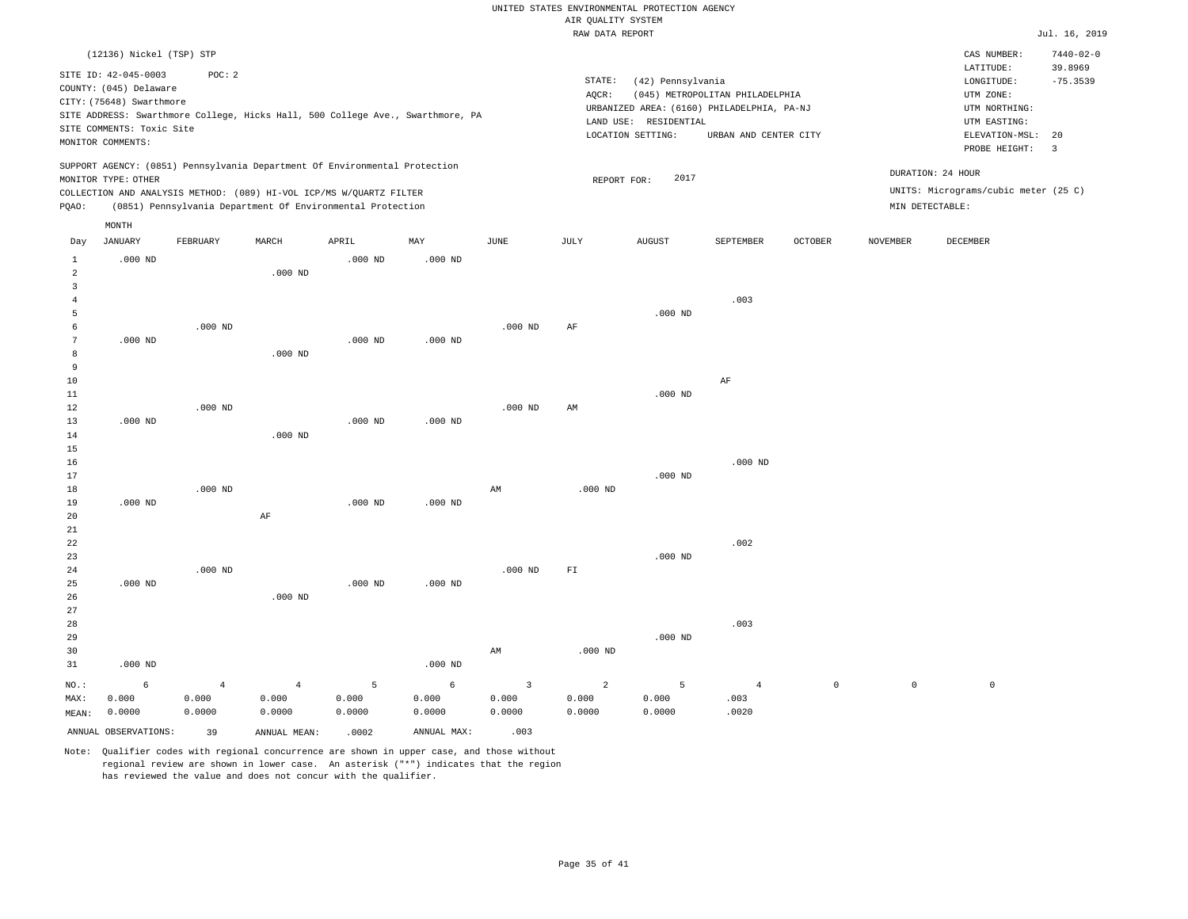|                |                           |                                                                                |                |           |            |                | RAW DATA REPORT |                       |                                            |                |                 |                                      | Jul. 16, 2019   |
|----------------|---------------------------|--------------------------------------------------------------------------------|----------------|-----------|------------|----------------|-----------------|-----------------------|--------------------------------------------|----------------|-----------------|--------------------------------------|-----------------|
|                | (12136) Nickel (TSP) STP  |                                                                                |                |           |            |                |                 |                       |                                            |                |                 | CAS NUMBER:                          | $7440 - 02 - 0$ |
|                |                           |                                                                                |                |           |            |                |                 |                       |                                            |                |                 | LATITUDE:                            | 39.8969         |
|                | SITE ID: 42-045-0003      | POC: 2                                                                         |                |           |            |                | STATE:          | (42) Pennsylvania     |                                            |                |                 | LONGITUDE:                           | $-75.3539$      |
|                | COUNTY: (045) Delaware    |                                                                                |                |           |            |                | AQCR:           |                       | (045) METROPOLITAN PHILADELPHIA            |                |                 | UTM ZONE:                            |                 |
|                | CITY: (75648) Swarthmore  |                                                                                |                |           |            |                |                 |                       | URBANIZED AREA: (6160) PHILADELPHIA, PA-NJ |                |                 | UTM NORTHING:                        |                 |
|                |                           | SITE ADDRESS: Swarthmore College, Hicks Hall, 500 College Ave., Swarthmore, PA |                |           |            |                |                 | LAND USE: RESIDENTIAL |                                            |                |                 | UTM EASTING:                         |                 |
|                | SITE COMMENTS: Toxic Site |                                                                                |                |           |            |                |                 | LOCATION SETTING:     | URBAN AND CENTER CITY                      |                |                 | ELEVATION-MSL:                       | 20              |
|                | MONITOR COMMENTS:         |                                                                                |                |           |            |                |                 |                       |                                            |                |                 | PROBE HEIGHT:                        | $\overline{3}$  |
|                |                           | SUPPORT AGENCY: (0851) Pennsylvania Department Of Environmental Protection     |                |           |            |                |                 |                       |                                            |                |                 |                                      |                 |
|                | MONITOR TYPE: OTHER       |                                                                                |                |           |            |                | REPORT FOR:     | 2017                  |                                            |                |                 | DURATION: 24 HOUR                    |                 |
|                |                           | COLLECTION AND ANALYSIS METHOD: (089) HI-VOL ICP/MS W/QUARTZ FILTER            |                |           |            |                |                 |                       |                                            |                |                 | UNITS: Micrograms/cubic meter (25 C) |                 |
| PQAO:          |                           | (0851) Pennsylvania Department Of Environmental Protection                     |                |           |            |                |                 |                       |                                            |                |                 | MIN DETECTABLE:                      |                 |
|                | MONTH                     |                                                                                |                |           |            |                |                 |                       |                                            |                |                 |                                      |                 |
| Day            | <b>JANUARY</b>            | FEBRUARY                                                                       | MARCH          | APRIL     | MAY        | JUNE           | JULY            | <b>AUGUST</b>         | SEPTEMBER                                  | <b>OCTOBER</b> | <b>NOVEMBER</b> | DECEMBER                             |                 |
| $1\,$          | $.000$ ND                 |                                                                                |                | $.000$ ND | $.000$ ND  |                |                 |                       |                                            |                |                 |                                      |                 |
| $\overline{a}$ |                           |                                                                                | $.000$ ND      |           |            |                |                 |                       |                                            |                |                 |                                      |                 |
| $\overline{3}$ |                           |                                                                                |                |           |            |                |                 |                       |                                            |                |                 |                                      |                 |
| $\overline{4}$ |                           |                                                                                |                |           |            |                |                 |                       | .003                                       |                |                 |                                      |                 |
| 5              |                           |                                                                                |                |           |            |                |                 | $.000$ ND             |                                            |                |                 |                                      |                 |
| 6              |                           | $.000$ ND                                                                      |                |           |            | $.000$ ND      | AF              |                       |                                            |                |                 |                                      |                 |
| 7              | $.000$ ND                 |                                                                                |                | $.000$ ND | $.000$ ND  |                |                 |                       |                                            |                |                 |                                      |                 |
| 8              |                           |                                                                                | $.000$ ND      |           |            |                |                 |                       |                                            |                |                 |                                      |                 |
| 9              |                           |                                                                                |                |           |            |                |                 |                       |                                            |                |                 |                                      |                 |
| 10             |                           |                                                                                |                |           |            |                |                 |                       | AF                                         |                |                 |                                      |                 |
| $11\,$         |                           |                                                                                |                |           |            |                |                 | $.000$ ND             |                                            |                |                 |                                      |                 |
| $12$           |                           | $.000$ ND                                                                      |                |           |            | $.000$ ND      | AM              |                       |                                            |                |                 |                                      |                 |
| 13             | $.000$ ND                 |                                                                                |                | $.000$ ND | $.000$ ND  |                |                 |                       |                                            |                |                 |                                      |                 |
| 14             |                           |                                                                                | $.000$ ND      |           |            |                |                 |                       |                                            |                |                 |                                      |                 |
| 15             |                           |                                                                                |                |           |            |                |                 |                       |                                            |                |                 |                                      |                 |
| 16             |                           |                                                                                |                |           |            |                |                 |                       | $.000$ ND                                  |                |                 |                                      |                 |
| 17             |                           |                                                                                |                |           |            |                |                 | $.000$ ND             |                                            |                |                 |                                      |                 |
| 18             |                           | $.000$ ND                                                                      |                |           |            | AM             | $.000$ ND       |                       |                                            |                |                 |                                      |                 |
| 19             | $.000$ ND                 |                                                                                |                | $.000$ ND | $.000$ ND  |                |                 |                       |                                            |                |                 |                                      |                 |
| 20             |                           |                                                                                | $\rm AF$       |           |            |                |                 |                       |                                            |                |                 |                                      |                 |
| 21             |                           |                                                                                |                |           |            |                |                 |                       |                                            |                |                 |                                      |                 |
| 22             |                           |                                                                                |                |           |            |                |                 |                       | .002                                       |                |                 |                                      |                 |
| 23             |                           |                                                                                |                |           |            |                |                 | $.000$ ND             |                                            |                |                 |                                      |                 |
| 24             |                           | $.000$ ND                                                                      |                |           |            | $.000$ ND      | FT              |                       |                                            |                |                 |                                      |                 |
| 25             | $.000$ ND                 |                                                                                |                | $.000$ ND | $.000$ ND  |                |                 |                       |                                            |                |                 |                                      |                 |
| 26             |                           |                                                                                | $.000$ ND      |           |            |                |                 |                       |                                            |                |                 |                                      |                 |
| 27             |                           |                                                                                |                |           |            |                |                 |                       |                                            |                |                 |                                      |                 |
| 28             |                           |                                                                                |                |           |            |                |                 |                       | .003                                       |                |                 |                                      |                 |
| 29             |                           |                                                                                |                |           |            |                |                 | $.000$ ND             |                                            |                |                 |                                      |                 |
| 30<br>31       | $.000$ ND                 |                                                                                |                |           | $.000$ ND  | AM             | $.000$ ND       |                       |                                            |                |                 |                                      |                 |
|                |                           |                                                                                |                |           |            |                |                 |                       |                                            |                |                 |                                      |                 |
| NO.:           | 6                         | $\overline{4}$                                                                 | $\overline{4}$ | 5         | $\epsilon$ | $\overline{3}$ | $\overline{a}$  | 5                     | $\overline{4}$                             | $\mathsf{O}$   | $\mathbb O$     | $\mathbb O$                          |                 |
| MAX:           | 0.000                     | 0.000                                                                          | 0.000          | 0.000     | 0.000      | 0.000          | 0.000           | 0.000                 | .003                                       |                |                 |                                      |                 |
| MEAN:          | 0.0000                    | 0.0000                                                                         | 0.0000         | 0.0000    | 0.0000     | 0.0000         | 0.0000          | 0.0000                | .0020                                      |                |                 |                                      |                 |

ANNUAL OBSERVATIONS: 39 ANNUAL MEAN: .0002 ANNUAL MAX: .003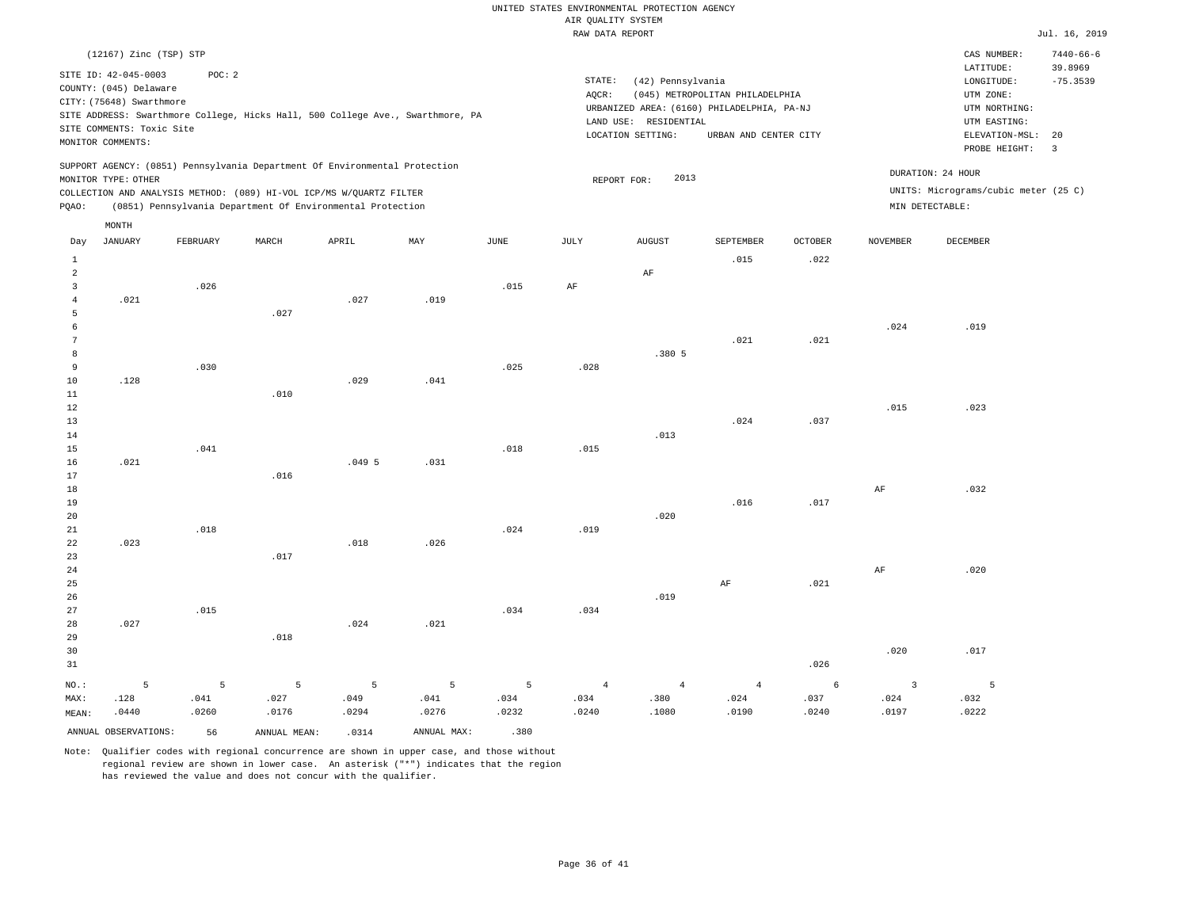|                 | (12167) Zinc (TSP) STP    |          |                                                                            |       |                                                                                |               |                |                       |                                            |         |                 | CAS NUMBER:                          | $7440 - 66 - 6$         |
|-----------------|---------------------------|----------|----------------------------------------------------------------------------|-------|--------------------------------------------------------------------------------|---------------|----------------|-----------------------|--------------------------------------------|---------|-----------------|--------------------------------------|-------------------------|
|                 | SITE ID: 42-045-0003      | POC: 2   |                                                                            |       |                                                                                |               | STATE:         | (42) Pennsylvania     |                                            |         |                 | LATITUDE:<br>LONGITUDE:              | 39.8969<br>$-75.3539$   |
|                 | COUNTY: (045) Delaware    |          |                                                                            |       |                                                                                |               | AQCR:          |                       | (045) METROPOLITAN PHILADELPHIA            |         |                 | UTM ZONE:                            |                         |
|                 | CITY: (75648) Swarthmore  |          |                                                                            |       |                                                                                |               |                |                       | URBANIZED AREA: (6160) PHILADELPHIA, PA-NJ |         |                 | UTM NORTHING:                        |                         |
|                 |                           |          |                                                                            |       | SITE ADDRESS: Swarthmore College, Hicks Hall, 500 College Ave., Swarthmore, PA |               |                | LAND USE: RESIDENTIAL |                                            |         |                 | UTM EASTING:                         |                         |
|                 | SITE COMMENTS: Toxic Site |          |                                                                            |       |                                                                                |               |                | LOCATION SETTING:     | URBAN AND CENTER CITY                      |         |                 | ELEVATION-MSL:                       | 20                      |
|                 | MONITOR COMMENTS:         |          |                                                                            |       |                                                                                |               |                |                       |                                            |         |                 | PROBE HEIGHT:                        | $\overline{\mathbf{3}}$ |
|                 |                           |          | SUPPORT AGENCY: (0851) Pennsylvania Department Of Environmental Protection |       |                                                                                |               |                |                       |                                            |         |                 |                                      |                         |
|                 | MONITOR TYPE: OTHER       |          |                                                                            |       |                                                                                |               |                | 2013<br>REPORT FOR:   |                                            |         |                 | DURATION: 24 HOUR                    |                         |
|                 |                           |          | COLLECTION AND ANALYSIS METHOD: (089) HI-VOL ICP/MS W/QUARTZ FILTER        |       |                                                                                |               |                |                       |                                            |         |                 | UNITS: Micrograms/cubic meter (25 C) |                         |
| PQAO:           |                           |          | (0851) Pennsylvania Department Of Environmental Protection                 |       |                                                                                |               |                |                       |                                            |         | MIN DETECTABLE: |                                      |                         |
|                 | MONTH                     |          |                                                                            |       |                                                                                |               |                |                       |                                            |         |                 |                                      |                         |
| Day             | <b>JANUARY</b>            | FEBRUARY | MARCH                                                                      | APRIL | MAY                                                                            | $_{\rm JUNE}$ | JULY           | <b>AUGUST</b>         | SEPTEMBER                                  | OCTOBER | <b>NOVEMBER</b> | DECEMBER                             |                         |
| $\,1\,$         |                           |          |                                                                            |       |                                                                                |               |                |                       | .015                                       | .022    |                 |                                      |                         |
| $\overline{a}$  |                           |          |                                                                            |       |                                                                                |               |                | $\rm AF$              |                                            |         |                 |                                      |                         |
| $\overline{3}$  |                           | .026     |                                                                            |       |                                                                                | .015          | $\rm{AF}$      |                       |                                            |         |                 |                                      |                         |
| $\overline{4}$  | .021                      |          |                                                                            | .027  | .019                                                                           |               |                |                       |                                            |         |                 |                                      |                         |
| 5               |                           |          | .027                                                                       |       |                                                                                |               |                |                       |                                            |         |                 |                                      |                         |
| 6               |                           |          |                                                                            |       |                                                                                |               |                |                       |                                            |         | .024            | .019                                 |                         |
| $7\phantom{.0}$ |                           |          |                                                                            |       |                                                                                |               |                |                       | .021                                       | .021    |                 |                                      |                         |
| 8               |                           |          |                                                                            |       |                                                                                |               |                | .380 5                |                                            |         |                 |                                      |                         |
| 9               |                           | .030     |                                                                            |       |                                                                                | .025          | .028           |                       |                                            |         |                 |                                      |                         |
| 10              | .128                      |          |                                                                            | .029  | .041                                                                           |               |                |                       |                                            |         |                 |                                      |                         |
| $11\,$          |                           |          | .010                                                                       |       |                                                                                |               |                |                       |                                            |         |                 |                                      |                         |
| 12              |                           |          |                                                                            |       |                                                                                |               |                |                       |                                            |         | .015            | .023                                 |                         |
| 13              |                           |          |                                                                            |       |                                                                                |               |                |                       | .024                                       | .037    |                 |                                      |                         |
| 14<br>15        |                           | .041     |                                                                            |       |                                                                                | .018          | .015           | .013                  |                                            |         |                 |                                      |                         |
| 16              | .021                      |          |                                                                            | .0495 | .031                                                                           |               |                |                       |                                            |         |                 |                                      |                         |
| $17$            |                           |          | .016                                                                       |       |                                                                                |               |                |                       |                                            |         |                 |                                      |                         |
| 18              |                           |          |                                                                            |       |                                                                                |               |                |                       |                                            |         | $\rm{AF}$       | .032                                 |                         |
| 19              |                           |          |                                                                            |       |                                                                                |               |                |                       | .016                                       | .017    |                 |                                      |                         |
| 20              |                           |          |                                                                            |       |                                                                                |               |                | .020                  |                                            |         |                 |                                      |                         |
| 21              |                           | .018     |                                                                            |       |                                                                                | .024          | .019           |                       |                                            |         |                 |                                      |                         |
| 22              | .023                      |          |                                                                            | .018  | .026                                                                           |               |                |                       |                                            |         |                 |                                      |                         |
| 23              |                           |          | .017                                                                       |       |                                                                                |               |                |                       |                                            |         |                 |                                      |                         |
| 24              |                           |          |                                                                            |       |                                                                                |               |                |                       |                                            |         | $\rm{AF}$       | .020                                 |                         |
| 25              |                           |          |                                                                            |       |                                                                                |               |                |                       | AF                                         | .021    |                 |                                      |                         |
| 26              |                           |          |                                                                            |       |                                                                                |               |                | .019                  |                                            |         |                 |                                      |                         |
| 27              |                           | .015     |                                                                            |       |                                                                                | .034          | .034           |                       |                                            |         |                 |                                      |                         |
| 28              | .027                      |          |                                                                            | .024  | .021                                                                           |               |                |                       |                                            |         |                 |                                      |                         |
| 29              |                           |          | .018                                                                       |       |                                                                                |               |                |                       |                                            |         |                 |                                      |                         |
| 30              |                           |          |                                                                            |       |                                                                                |               |                |                       |                                            |         | .020            | .017                                 |                         |
| 31              |                           |          |                                                                            |       |                                                                                |               |                |                       |                                            | .026    |                 |                                      |                         |
| NO.:            | 5                         | 5        | 5                                                                          | 5     | 5                                                                              | 5             | $\overline{4}$ | $\overline{4}$        | $\overline{4}$                             | 6       | $\overline{3}$  | 5                                    |                         |
| MAX:            | .128                      | .041     | .027                                                                       | .049  | .041                                                                           | .034          | .034           | .380                  | .024                                       | .037    | .024            | .032                                 |                         |
| MEAN:           | .0440                     | .0260    | .0176                                                                      | .0294 | .0276                                                                          | .0232         | .0240          | .1080                 | .0190                                      | .0240   | .0197           | .0222                                |                         |
|                 | ANNUAL OBSERVATIONS:      | 56       | ANNUAL MEAN:                                                               | .0314 | ANNUAL MAX:                                                                    | .380          |                |                       |                                            |         |                 |                                      |                         |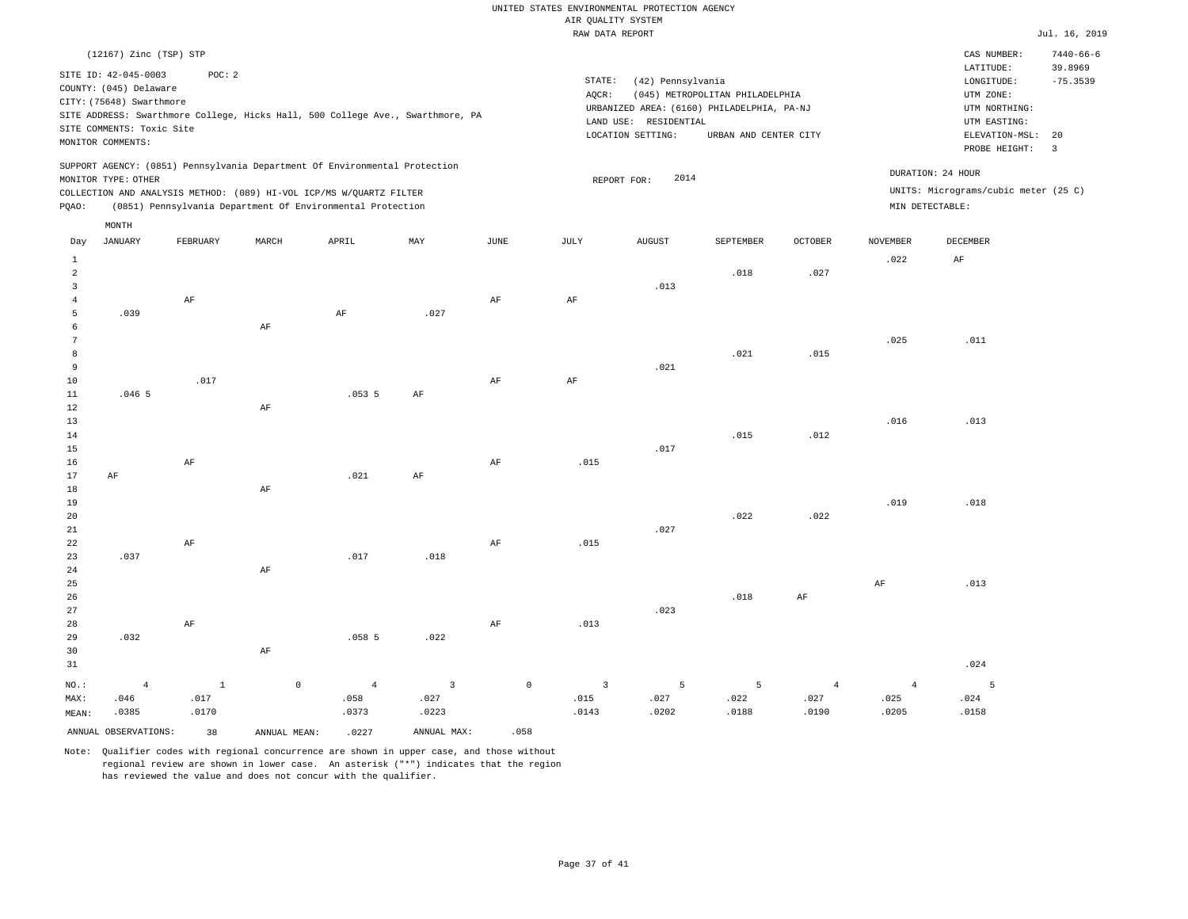|                                | (12167) Zinc (TSP) STP                                                                                                       |               |              |                                                                                                                                                                                                                 |                                                                                |                       |                 |                                                                 |                                                                                                        |                |                 | CAS NUMBER:                                                                                              | $7440 - 66 - 6$                                        |
|--------------------------------|------------------------------------------------------------------------------------------------------------------------------|---------------|--------------|-----------------------------------------------------------------------------------------------------------------------------------------------------------------------------------------------------------------|--------------------------------------------------------------------------------|-----------------------|-----------------|-----------------------------------------------------------------|--------------------------------------------------------------------------------------------------------|----------------|-----------------|----------------------------------------------------------------------------------------------------------|--------------------------------------------------------|
|                                | SITE ID: 42-045-0003<br>COUNTY: (045) Delaware<br>CITY: (75648) Swarthmore<br>SITE COMMENTS: Toxic Site<br>MONITOR COMMENTS: | POC: 2        |              |                                                                                                                                                                                                                 | SITE ADDRESS: Swarthmore College, Hicks Hall, 500 College Ave., Swarthmore, PA |                       | STATE:<br>AQCR: | (42) Pennsylvania<br>LAND USE: RESIDENTIAL<br>LOCATION SETTING: | (045) METROPOLITAN PHILADELPHIA<br>URBANIZED AREA: (6160) PHILADELPHIA, PA-NJ<br>URBAN AND CENTER CITY |                |                 | LATITUDE:<br>LONGITUDE:<br>UTM ZONE:<br>UTM NORTHING:<br>UTM EASTING:<br>ELEVATION-MSL:<br>PROBE HEIGHT: | 39.8969<br>$-75.3539$<br>20<br>$\overline{\mathbf{3}}$ |
| PQAO:                          | MONITOR TYPE: OTHER                                                                                                          |               |              | SUPPORT AGENCY: (0851) Pennsylvania Department Of Environmental Protection<br>COLLECTION AND ANALYSIS METHOD: (089) HI-VOL ICP/MS W/QUARTZ FILTER<br>(0851) Pennsylvania Department Of Environmental Protection |                                                                                |                       |                 | 2014<br>REPORT FOR:                                             |                                                                                                        |                |                 | DURATION: 24 HOUR<br>UNITS: Micrograms/cubic meter (25 C)<br>MIN DETECTABLE:                             |                                                        |
|                                | MONTH                                                                                                                        |               |              |                                                                                                                                                                                                                 |                                                                                |                       |                 |                                                                 |                                                                                                        |                |                 |                                                                                                          |                                                        |
| Day                            | <b>JANUARY</b>                                                                                                               | FEBRUARY      | MARCH        | APRIL                                                                                                                                                                                                           | $_{\rm MAY}$                                                                   | $\operatorname{JUNE}$ | JULY            | <b>AUGUST</b>                                                   | SEPTEMBER                                                                                              | OCTOBER        | <b>NOVEMBER</b> | DECEMBER                                                                                                 |                                                        |
| $\mathbf{1}$<br>$\overline{a}$ |                                                                                                                              |               |              |                                                                                                                                                                                                                 |                                                                                |                       |                 |                                                                 | .018                                                                                                   | .027           | .022            | AF                                                                                                       |                                                        |
| $\mathbf{3}$<br>$\overline{4}$ |                                                                                                                              | $\rm AF$      |              |                                                                                                                                                                                                                 |                                                                                | $\rm{AF}$             | $\rm{AF}$       | .013                                                            |                                                                                                        |                |                 |                                                                                                          |                                                        |
| 5<br>6<br>$\overline{7}$       | .039                                                                                                                         |               | AF           | $\rm AF$                                                                                                                                                                                                        | .027                                                                           |                       |                 |                                                                 |                                                                                                        |                |                 |                                                                                                          |                                                        |
| 8<br>9                         |                                                                                                                              |               |              |                                                                                                                                                                                                                 |                                                                                |                       |                 | .021                                                            | .021                                                                                                   | .015           | .025            | .011                                                                                                     |                                                        |
| 10<br>11                       | .0465                                                                                                                        | .017          |              | .0535                                                                                                                                                                                                           | AF                                                                             | AF                    | AF              |                                                                 |                                                                                                        |                |                 |                                                                                                          |                                                        |
| 12<br>13<br>14                 |                                                                                                                              |               | AF           |                                                                                                                                                                                                                 |                                                                                |                       |                 |                                                                 | .015                                                                                                   | .012           | .016            | .013                                                                                                     |                                                        |
| 15<br>16                       |                                                                                                                              | AF            |              |                                                                                                                                                                                                                 |                                                                                | AF                    | .015            | .017                                                            |                                                                                                        |                |                 |                                                                                                          |                                                        |
| 17<br>18                       | AF                                                                                                                           |               | AF           | .021                                                                                                                                                                                                            | AF                                                                             |                       |                 |                                                                 |                                                                                                        |                |                 |                                                                                                          |                                                        |
| 19<br>20<br>21                 |                                                                                                                              |               |              |                                                                                                                                                                                                                 |                                                                                |                       |                 | .027                                                            | .022                                                                                                   | .022           | .019            | .018                                                                                                     |                                                        |
| 22<br>23                       | .037                                                                                                                         | $\rm AF$      |              | .017                                                                                                                                                                                                            | .018                                                                           | AF                    | .015            |                                                                 |                                                                                                        |                |                 |                                                                                                          |                                                        |
| 24<br>25<br>26                 |                                                                                                                              |               | $\rm{AF}$    |                                                                                                                                                                                                                 |                                                                                |                       |                 |                                                                 | .018                                                                                                   | AF             | AF              | .013                                                                                                     |                                                        |
| 27<br>28                       |                                                                                                                              | AF            |              |                                                                                                                                                                                                                 |                                                                                | AF                    | .013            | .023                                                            |                                                                                                        |                |                 |                                                                                                          |                                                        |
| 29<br>30<br>31                 | .032                                                                                                                         |               | $\rm{AF}$    | .058 <sub>5</sub>                                                                                                                                                                                               | .022                                                                           |                       |                 |                                                                 |                                                                                                        |                |                 | .024                                                                                                     |                                                        |
| NO.:                           | $\overline{4}$                                                                                                               | $\mathbf{1}$  | $\mathbb O$  | $\overline{4}$                                                                                                                                                                                                  | 3                                                                              | $\mathbb O$           | 3               | 5                                                               | 5                                                                                                      | $\overline{4}$ | $\overline{4}$  | -5                                                                                                       |                                                        |
| MAX:<br>MEAN:                  | .046<br>.0385                                                                                                                | .017<br>.0170 |              | .058<br>.0373                                                                                                                                                                                                   | .027<br>.0223                                                                  |                       | .015<br>.0143   | .027<br>.0202                                                   | .022<br>.0188                                                                                          | .027<br>.0190  | .025<br>.0205   | .024<br>.0158                                                                                            |                                                        |
|                                | ANNUAL OBSERVATIONS:                                                                                                         | 38            | ANNUAL MEAN: | .0227                                                                                                                                                                                                           | ANNUAL MAX:                                                                    | .058                  |                 |                                                                 |                                                                                                        |                |                 |                                                                                                          |                                                        |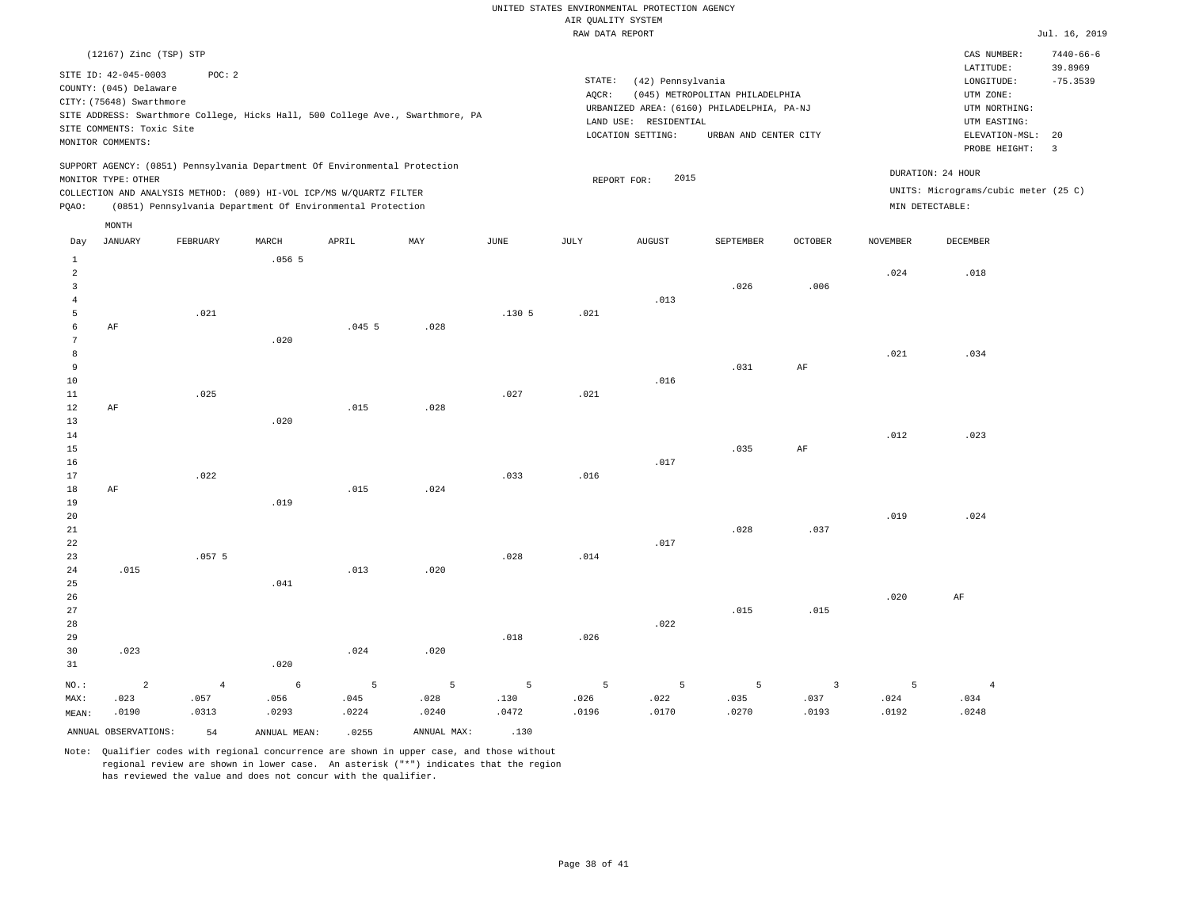|       | (12167) Zinc (TSP) STP                                                                                                       |                                                                                                                                   |                |       |                                                                                |      |                              |                                                                                                     |                                                          |                |                 | CAS NUMBER:                                                                                                 | $7440 - 66 - 6$            |
|-------|------------------------------------------------------------------------------------------------------------------------------|-----------------------------------------------------------------------------------------------------------------------------------|----------------|-------|--------------------------------------------------------------------------------|------|------------------------------|-----------------------------------------------------------------------------------------------------|----------------------------------------------------------|----------------|-----------------|-------------------------------------------------------------------------------------------------------------|----------------------------|
|       | SITE ID: 42-045-0003<br>COUNTY: (045) Delaware<br>CITY: (75648) Swarthmore<br>SITE COMMENTS: Toxic Site<br>MONITOR COMMENTS: | POC:2                                                                                                                             |                |       | SITE ADDRESS: Swarthmore College, Hicks Hall, 500 College Ave., Swarthmore, PA |      | STATE:<br>AOCR:<br>LAND USE: | (42) Pennsylvania<br>URBANIZED AREA: (6160) PHILADELPHIA, PA-NJ<br>RESIDENTIAL<br>LOCATION SETTING: | (045) METROPOLITAN PHILADELPHIA<br>URBAN AND CENTER CITY |                |                 | LATITUDE:<br>LONGITUDE:<br>UTM ZONE:<br>UTM NORTHING:<br>UTM EASTING:<br>ELEVATION-MSL: 20<br>PROBE HEIGHT: | 39.8969<br>$-75.3539$<br>3 |
| POAO: | MONITOR TYPE: OTHER                                                                                                          | COLLECTION AND ANALYSIS METHOD: (089) HI-VOL ICP/MS W/OUARTZ FILTER<br>(0851) Pennsylvania Department Of Environmental Protection |                |       | SUPPORT AGENCY: (0851) Pennsylvania Department Of Environmental Protection     |      |                              | 2015<br>REPORT FOR:                                                                                 |                                                          |                | MIN DETECTABLE: | DURATION: 24 HOUR<br>UNITS: Micrograms/cubic meter (25 C)                                                   |                            |
| Day   | MONTH<br>JANUARY                                                                                                             | FEBRUARY                                                                                                                          | MARCH<br>.0565 | APRIL | MAY                                                                            | JUNE | JULY                         | <b>AUGUST</b>                                                                                       | SEPTEMBER                                                | <b>OCTOBER</b> | <b>NOVEMBER</b> | DECEMBER                                                                                                    |                            |

| $\perp$          |                |       | .056 5     |                |                |                 |                 |                 |                |                         |            |                |
|------------------|----------------|-------|------------|----------------|----------------|-----------------|-----------------|-----------------|----------------|-------------------------|------------|----------------|
| $\overline{a}$   |                |       |            |                |                |                 |                 |                 |                |                         | .024       | .018           |
| $\mathbf{3}$     |                |       |            |                |                |                 |                 |                 | .026           | .006                    |            |                |
| $\overline{4}$   |                |       |            |                |                |                 |                 | .013            |                |                         |            |                |
| 5                |                | .021  |            |                |                | .1305           | .021            |                 |                |                         |            |                |
| 6                | $\rm AF$       |       |            | .0455          | .028           |                 |                 |                 |                |                         |            |                |
| $7\phantom{.0}$  |                |       | .020       |                |                |                 |                 |                 |                |                         |            |                |
| 8                |                |       |            |                |                |                 |                 |                 |                |                         | .021       | .034           |
| 9                |                |       |            |                |                |                 |                 |                 | .031           | $\rm{AF}$               |            |                |
| 10               |                |       |            |                |                |                 |                 | .016            |                |                         |            |                |
| $11\,$<br>$12\,$ | $\rm{AF}$      | .025  |            | .015           | .028           | .027            | .021            |                 |                |                         |            |                |
| 13               |                |       | .020       |                |                |                 |                 |                 |                |                         |            |                |
| 14               |                |       |            |                |                |                 |                 |                 |                |                         | .012       | .023           |
| 15               |                |       |            |                |                |                 |                 |                 | .035           | $\rm{AF}$               |            |                |
| 16               |                |       |            |                |                |                 |                 | .017            |                |                         |            |                |
| 17               |                | .022  |            |                |                | .033            | .016            |                 |                |                         |            |                |
| 18               | $\rm{AF}$      |       |            | .015           | .024           |                 |                 |                 |                |                         |            |                |
| 19               |                |       | .019       |                |                |                 |                 |                 |                |                         |            |                |
| 20               |                |       |            |                |                |                 |                 |                 |                |                         | .019       | .024           |
| $2\sqrt{1}$      |                |       |            |                |                |                 |                 |                 | .028           | .037                    |            |                |
| 22               |                |       |            |                |                |                 |                 | .017            |                |                         |            |                |
| 23               |                | .0575 |            |                |                | .028            | .014            |                 |                |                         |            |                |
| $2\,4$           | .015           |       |            | .013           | .020           |                 |                 |                 |                |                         |            |                |
| 25               |                |       | .041       |                |                |                 |                 |                 |                |                         |            |                |
| 26               |                |       |            |                |                |                 |                 |                 |                |                         | .020       | $\rm AF$       |
| 27               |                |       |            |                |                |                 |                 |                 | .015           | .015                    |            |                |
| 28               |                |       |            |                |                |                 |                 | .022            |                |                         |            |                |
| 29               |                |       |            |                |                | .018            | .026            |                 |                |                         |            |                |
| 30               | .023           |       |            | .024           | .020           |                 |                 |                 |                |                         |            |                |
| 31               |                |       | .020       |                |                |                 |                 |                 |                |                         |            |                |
| $_{\rm NO.}$ :   | $\overline{a}$ | $\,4$ | $\epsilon$ | $\overline{5}$ | $\overline{5}$ | $5\phantom{.0}$ | $5\phantom{.0}$ | $5\phantom{.0}$ | $\overline{5}$ | $\overline{\mathbf{3}}$ | $\sqrt{5}$ | $\overline{4}$ |
| MAX:             | .023           | .057  | .056       | .045           | .028           | .130            | .026            | .022            | .035           | .037                    | .024       | .034           |
| MEAN:            | .0190          | .0313 | .0293      | .0224          | .0240          | .0472           | .0196           | .0170           | .0270          | .0193                   | .0192      | .0248          |
|                  |                |       |            |                |                |                 |                 |                 |                |                         |            |                |

ANNUAL OBSERVATIONS: 54 ANNUAL MEAN: .0255 ANNUAL MAX: .130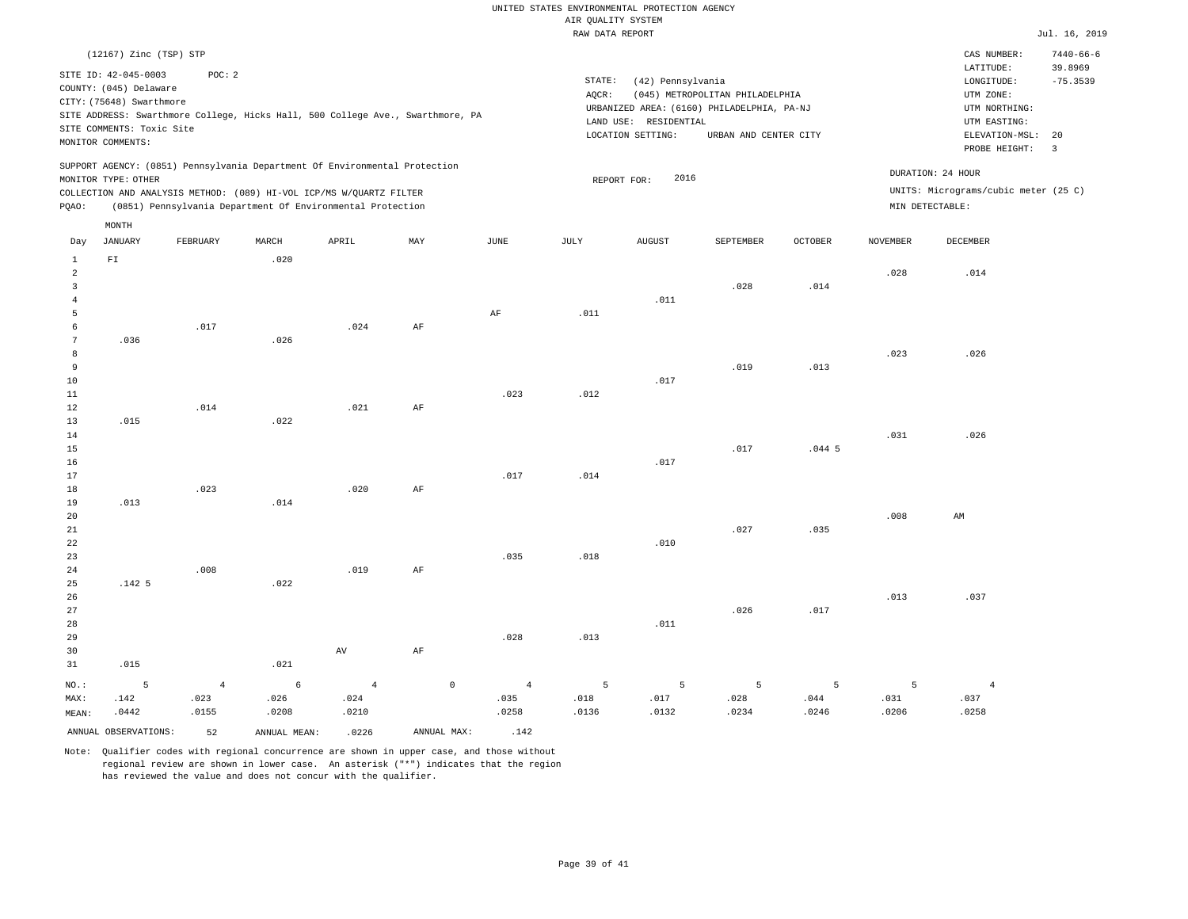|       |                           |          |       |                                                                                |     |             |        | RAW DATA REPORT                            |                                 |                |                 |                                      | Jul. 16, 2019            |
|-------|---------------------------|----------|-------|--------------------------------------------------------------------------------|-----|-------------|--------|--------------------------------------------|---------------------------------|----------------|-----------------|--------------------------------------|--------------------------|
|       | (12167) Zinc (TSP) STP    |          |       |                                                                                |     |             |        |                                            |                                 |                |                 | CAS NUMBER:                          | $7440 - 66 - 6$          |
|       | SITE ID: 42-045-0003      | POC: 2   |       |                                                                                |     |             |        |                                            |                                 |                |                 | LATITUDE:                            | 39.8969                  |
|       | COUNTY: (045) Delaware    |          |       |                                                                                |     |             | STATE: | (42) Pennsylvania                          |                                 |                |                 | LONGITUDE:                           | $-75.3539$               |
|       | CITY: (75648) Swarthmore  |          |       |                                                                                |     |             | AQCR:  |                                            | (045) METROPOLITAN PHILADELPHIA |                |                 | UTM ZONE:                            |                          |
|       |                           |          |       | SITE ADDRESS: Swarthmore College, Hicks Hall, 500 College Ave., Swarthmore, PA |     |             |        | URBANIZED AREA: (6160) PHILADELPHIA, PA-NJ |                                 |                |                 | UTM NORTHING:                        |                          |
|       | SITE COMMENTS: Toxic Site |          |       |                                                                                |     |             |        | LAND USE: RESIDENTIAL                      |                                 |                |                 | UTM EASTING:                         |                          |
|       | MONITOR COMMENTS:         |          |       |                                                                                |     |             |        | LOCATION SETTING:                          | URBAN AND CENTER CITY           |                |                 | ELEVATION-MSL: 20                    |                          |
|       |                           |          |       |                                                                                |     |             |        |                                            |                                 |                |                 | PROBE HEIGHT:                        | $\overline{\phantom{a}}$ |
|       |                           |          |       | SUPPORT AGENCY: (0851) Pennsylvania Department Of Environmental Protection     |     |             |        |                                            |                                 |                |                 | DURATION: 24 HOUR                    |                          |
|       | MONITOR TYPE: OTHER       |          |       |                                                                                |     |             |        | 2016<br>REPORT FOR:                        |                                 |                |                 |                                      |                          |
|       |                           |          |       | COLLECTION AND ANALYSIS METHOD: (089) HI-VOL ICP/MS W/OUARTZ FILTER            |     |             |        |                                            |                                 |                |                 | UNITS: Micrograms/cubic meter (25 C) |                          |
| POAO: |                           |          |       | (0851) Pennsylvania Department Of Environmental Protection                     |     |             |        |                                            |                                 |                |                 | MIN DETECTABLE:                      |                          |
|       | MONTH                     |          |       |                                                                                |     |             |        |                                            |                                 |                |                 |                                      |                          |
| Day   | <b>JANUARY</b>            | FEBRUARY | MARCH | APRIL                                                                          | MAY | <b>JUNE</b> | JULY   | <b>AUGUST</b>                              | SEPTEMBER                       | <b>OCTOBER</b> | <b>NOVEMBER</b> | DECEMBER                             |                          |
| 1     | FI                        |          | .020  |                                                                                |     |             |        |                                            |                                 |                |                 |                                      |                          |
| 2     |                           |          |       |                                                                                |     |             |        |                                            |                                 |                | .028            | .014                                 |                          |
| 3     |                           |          |       |                                                                                |     |             |        |                                            | .028                            | .014           |                 |                                      |                          |
|       |                           |          |       |                                                                                |     |             |        | .011                                       |                                 |                |                 |                                      |                          |
|       |                           |          |       |                                                                                |     | AF          | .011   |                                            |                                 |                |                 |                                      |                          |
|       |                           | .017     |       | .024                                                                           | AF  |             |        |                                            |                                 |                |                 |                                      |                          |
| 7     | .036                      |          | .026  |                                                                                |     |             |        |                                            |                                 |                |                 |                                      |                          |
| 8     |                           |          |       |                                                                                |     |             |        |                                            |                                 |                | .023            | .026                                 |                          |
| 9     |                           |          |       |                                                                                |     |             |        |                                            | .019                            | .013           |                 |                                      |                          |
| 10    |                           |          |       |                                                                                |     |             |        | .017                                       |                                 |                |                 |                                      |                          |
| 11    |                           |          |       |                                                                                |     | .023        | .012   |                                            |                                 |                |                 |                                      |                          |
| 12    |                           | .014     |       | .021                                                                           | AF  |             |        |                                            |                                 |                |                 |                                      |                          |
| 13    | .015                      |          | .022  |                                                                                |     |             |        |                                            |                                 |                |                 |                                      |                          |
| 14    |                           |          |       |                                                                                |     |             |        |                                            |                                 |                | .031            | .026                                 |                          |
| 15    |                           |          |       |                                                                                |     |             |        |                                            | .017                            | .0445          |                 |                                      |                          |
| 16    |                           |          |       |                                                                                |     |             |        | .017                                       |                                 |                |                 |                                      |                          |
| 17    |                           |          |       |                                                                                |     | .017        | .014   |                                            |                                 |                |                 |                                      |                          |
| 18    |                           | .023     |       | .020                                                                           | AF  |             |        |                                            |                                 |                |                 |                                      |                          |

19 20 21 22 23 24 25 26 .013 .142 5 .008 .014 .022 .019 AF .035 .018 .010 .027 .035 .008 .013 AM .037

| 27      |       |       |       |                |         |       |       |       | .026  | .017  |       |       |
|---------|-------|-------|-------|----------------|---------|-------|-------|-------|-------|-------|-------|-------|
| 28      |       |       |       |                |         |       |       | .011  |       |       |       |       |
| 29      |       |       |       |                |         | .028  | .013  |       |       |       |       |       |
| 30      |       |       |       | AV             | AF      |       |       |       |       |       |       |       |
| 31      | .015  |       | .021  |                |         |       |       |       |       |       |       |       |
| $NO.$ : |       | 4     | 6     | 4 <sup>1</sup> | $\circ$ |       | 5     | -5    | 5     |       |       |       |
| MAX:    | .142  | .023  | .026  | .024           |         | .035  | .018  | .017  | .028  | .044  | .031  | .037  |
| MEAN:   | .0442 | .0155 | .0208 | .0210          |         | .0258 | .0136 | .0132 | .0234 | .0246 | .0206 | .0258 |

ANNUAL OBSERVATIONS:  $52$  ANNUAL MEAN: .0226 ANNUAL MAX: .142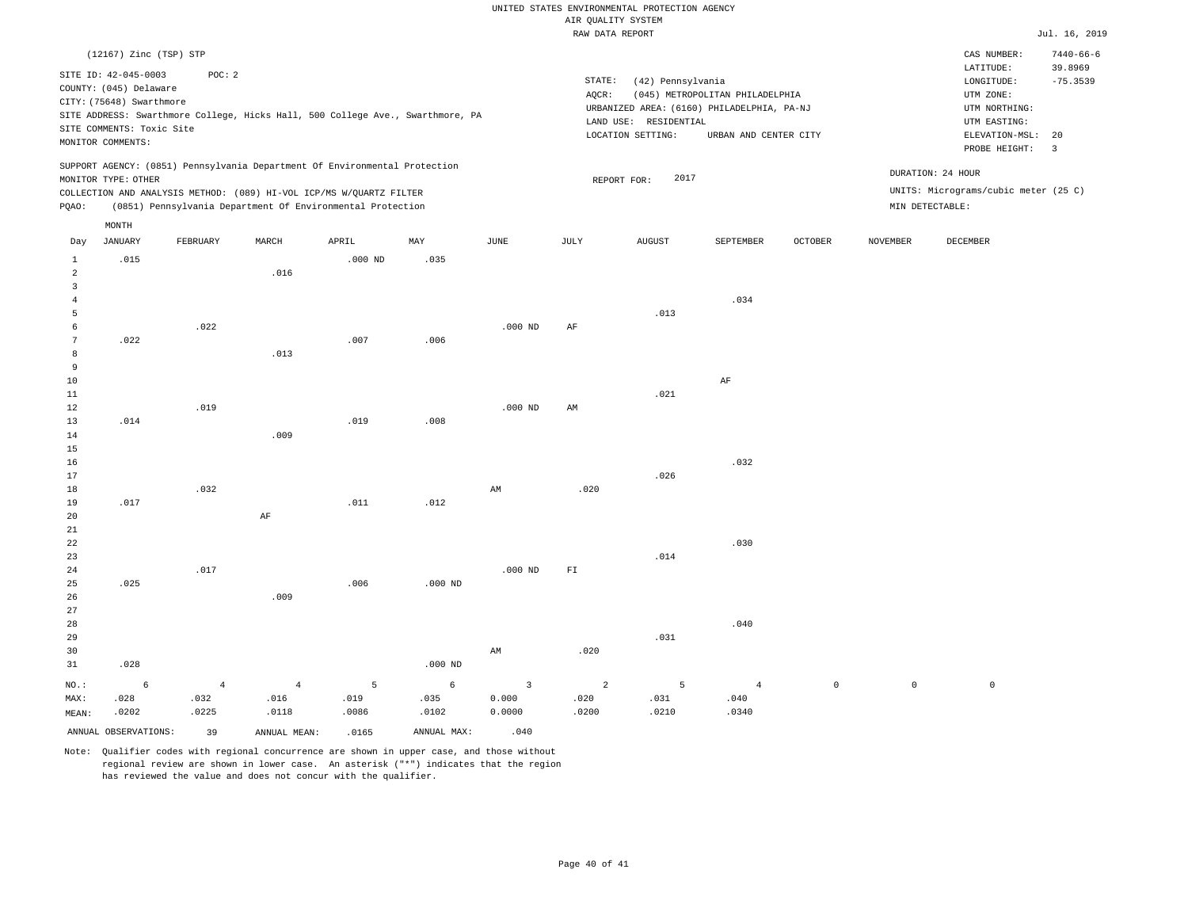|                                                                                                                                                                                                                          |                                                                                            |          |       |                                                                            |           |           | RAW DATA REPORT                                                                                                                                                                              |               |           |         |                 |                                                                                                          | Jul. 16, 2019                                 |
|--------------------------------------------------------------------------------------------------------------------------------------------------------------------------------------------------------------------------|--------------------------------------------------------------------------------------------|----------|-------|----------------------------------------------------------------------------|-----------|-----------|----------------------------------------------------------------------------------------------------------------------------------------------------------------------------------------------|---------------|-----------|---------|-----------------|----------------------------------------------------------------------------------------------------------|-----------------------------------------------|
|                                                                                                                                                                                                                          | (12167) Zinc (TSP) STP                                                                     |          |       |                                                                            |           |           |                                                                                                                                                                                              |               |           |         |                 | CAS NUMBER:                                                                                              | $7440 - 66 - 6$                               |
| SITE ID: 42-045-0003<br>POC: 2<br>COUNTY: (045) Delaware<br>CITY: (75648) Swarthmore<br>SITE ADDRESS: Swarthmore College, Hicks Hall, 500 College Ave., Swarthmore, PA<br>SITE COMMENTS: Toxic Site<br>MONITOR COMMENTS: |                                                                                            |          |       |                                                                            |           |           | STATE:<br>(42) Pennsylvania<br>AQCR:<br>(045) METROPOLITAN PHILADELPHIA<br>URBANIZED AREA: (6160) PHILADELPHIA, PA-NJ<br>LAND USE: RESIDENTIAL<br>LOCATION SETTING:<br>URBAN AND CENTER CITY |               |           |         |                 | LATITUDE:<br>LONGITUDE:<br>UTM ZONE:<br>UTM NORTHING:<br>UTM EASTING:<br>ELEVATION-MSL:<br>PROBE HEIGHT: | 39.8969<br>$-75.3539$<br>20<br>$\overline{3}$ |
|                                                                                                                                                                                                                          |                                                                                            |          |       | SUPPORT AGENCY: (0851) Pennsylvania Department Of Environmental Protection |           |           | DURATION: 24 HOUR<br>2017<br>REPORT FOR:                                                                                                                                                     |               |           |         |                 |                                                                                                          |                                               |
|                                                                                                                                                                                                                          | MONITOR TYPE: OTHER<br>COLLECTION AND ANALYSIS METHOD: (089) HI-VOL ICP/MS W/QUARTZ FILTER |          |       |                                                                            |           |           |                                                                                                                                                                                              |               |           |         |                 | UNITS: Micrograms/cubic meter (25 C)                                                                     |                                               |
| (0851) Pennsylvania Department Of Environmental Protection<br>PQAO:                                                                                                                                                      |                                                                                            |          |       |                                                                            |           |           |                                                                                                                                                                                              |               |           |         |                 | MIN DETECTABLE:                                                                                          |                                               |
|                                                                                                                                                                                                                          |                                                                                            |          |       |                                                                            |           |           |                                                                                                                                                                                              |               |           |         |                 |                                                                                                          |                                               |
|                                                                                                                                                                                                                          | MONTH<br><b>JANUARY</b>                                                                    | FEBRUARY | MARCH | APRIL                                                                      | MAY       | JUNE      | JULY                                                                                                                                                                                         | <b>AUGUST</b> | SEPTEMBER | OCTOBER | <b>NOVEMBER</b> | DECEMBER                                                                                                 |                                               |
| Day                                                                                                                                                                                                                      |                                                                                            |          |       |                                                                            |           |           |                                                                                                                                                                                              |               |           |         |                 |                                                                                                          |                                               |
| 1                                                                                                                                                                                                                        | .015                                                                                       |          |       | $.000$ ND                                                                  | .035      |           |                                                                                                                                                                                              |               |           |         |                 |                                                                                                          |                                               |
| 2                                                                                                                                                                                                                        |                                                                                            |          | .016  |                                                                            |           |           |                                                                                                                                                                                              |               |           |         |                 |                                                                                                          |                                               |
| 3<br>-4                                                                                                                                                                                                                  |                                                                                            |          |       |                                                                            |           |           |                                                                                                                                                                                              |               | .034      |         |                 |                                                                                                          |                                               |
| 5                                                                                                                                                                                                                        |                                                                                            |          |       |                                                                            |           |           |                                                                                                                                                                                              | .013          |           |         |                 |                                                                                                          |                                               |
| 6                                                                                                                                                                                                                        |                                                                                            | .022     |       |                                                                            |           | $.000$ ND | AF                                                                                                                                                                                           |               |           |         |                 |                                                                                                          |                                               |
| 7                                                                                                                                                                                                                        | .022                                                                                       |          |       | .007                                                                       | .006      |           |                                                                                                                                                                                              |               |           |         |                 |                                                                                                          |                                               |
| 8                                                                                                                                                                                                                        |                                                                                            |          | .013  |                                                                            |           |           |                                                                                                                                                                                              |               |           |         |                 |                                                                                                          |                                               |
| 9                                                                                                                                                                                                                        |                                                                                            |          |       |                                                                            |           |           |                                                                                                                                                                                              |               |           |         |                 |                                                                                                          |                                               |
| 10                                                                                                                                                                                                                       |                                                                                            |          |       |                                                                            |           |           |                                                                                                                                                                                              |               | AF        |         |                 |                                                                                                          |                                               |
| 11                                                                                                                                                                                                                       |                                                                                            |          |       |                                                                            |           |           |                                                                                                                                                                                              | .021          |           |         |                 |                                                                                                          |                                               |
| 12                                                                                                                                                                                                                       |                                                                                            | .019     |       |                                                                            |           | $.000$ ND | AM                                                                                                                                                                                           |               |           |         |                 |                                                                                                          |                                               |
| 13                                                                                                                                                                                                                       | .014                                                                                       |          |       | .019                                                                       | .008      |           |                                                                                                                                                                                              |               |           |         |                 |                                                                                                          |                                               |
| 14                                                                                                                                                                                                                       |                                                                                            |          | .009  |                                                                            |           |           |                                                                                                                                                                                              |               |           |         |                 |                                                                                                          |                                               |
| 15                                                                                                                                                                                                                       |                                                                                            |          |       |                                                                            |           |           |                                                                                                                                                                                              |               |           |         |                 |                                                                                                          |                                               |
| 16                                                                                                                                                                                                                       |                                                                                            |          |       |                                                                            |           |           |                                                                                                                                                                                              |               | .032      |         |                 |                                                                                                          |                                               |
| 17                                                                                                                                                                                                                       |                                                                                            |          |       |                                                                            |           |           |                                                                                                                                                                                              | .026          |           |         |                 |                                                                                                          |                                               |
| 18                                                                                                                                                                                                                       |                                                                                            | .032     |       |                                                                            |           | AM        | .020                                                                                                                                                                                         |               |           |         |                 |                                                                                                          |                                               |
| 19                                                                                                                                                                                                                       | .017                                                                                       |          |       | .011                                                                       | .012      |           |                                                                                                                                                                                              |               |           |         |                 |                                                                                                          |                                               |
| 20                                                                                                                                                                                                                       |                                                                                            |          | AF    |                                                                            |           |           |                                                                                                                                                                                              |               |           |         |                 |                                                                                                          |                                               |
| 21<br>22                                                                                                                                                                                                                 |                                                                                            |          |       |                                                                            |           |           |                                                                                                                                                                                              |               | .030      |         |                 |                                                                                                          |                                               |
| 23                                                                                                                                                                                                                       |                                                                                            |          |       |                                                                            |           |           |                                                                                                                                                                                              | .014          |           |         |                 |                                                                                                          |                                               |
| 24                                                                                                                                                                                                                       |                                                                                            | .017     |       |                                                                            |           | $.000$ ND | ${\rm F\,I}$                                                                                                                                                                                 |               |           |         |                 |                                                                                                          |                                               |
| 25                                                                                                                                                                                                                       | .025                                                                                       |          |       | .006                                                                       | $.000$ ND |           |                                                                                                                                                                                              |               |           |         |                 |                                                                                                          |                                               |
| 26                                                                                                                                                                                                                       |                                                                                            |          | .009  |                                                                            |           |           |                                                                                                                                                                                              |               |           |         |                 |                                                                                                          |                                               |

Note: Qualifier codes with regional concurrence are shown in upper case, and those without regional review are shown in lower case. An asterisk ("\*") indicates that the region has reviewed the value and does not concur with the qualifier.

4 .016 .0118

ANNUAL OBSERVATIONS: 39 ANNUAL MEAN: .0165 ANNUAL MAX: .040

.000 ND

6 .035 .0102

5 .019 .0086

AM

3 0.000 0.0000

NO.: MAX: MEAN: .028

6 .028 .0202

4 .032 .0225

.020

2 .020 .0200

.031

5 .031 .0210

.040

4 .040 .0340

0 0 0